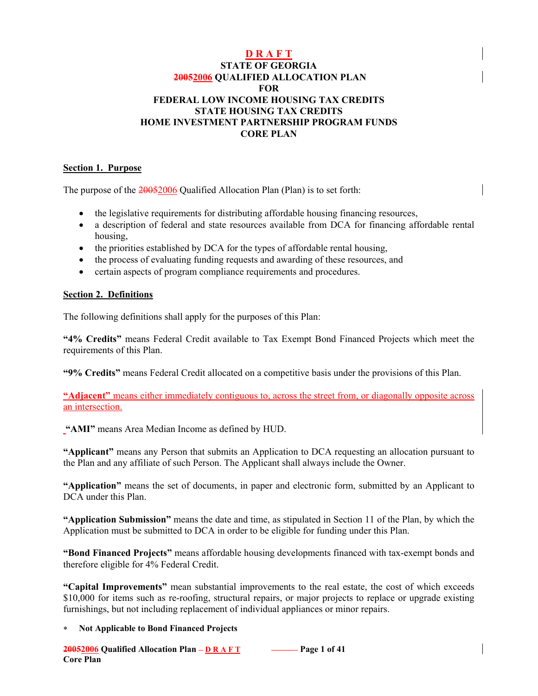### **D R A F T**

#### **STATE OF GEORGIA 20052006 QUALIFIED ALLOCATION PLAN FOR FEDERAL LOW INCOME HOUSING TAX CREDITS STATE HOUSING TAX CREDITS HOME INVESTMENT PARTNERSHIP PROGRAM FUNDS CORE PLAN**

#### **Section 1. Purpose**

The purpose of the 20052006 Qualified Allocation Plan (Plan) is to set forth:

- the legislative requirements for distributing affordable housing financing resources,
- a description of federal and state resources available from DCA for financing affordable rental housing,
- the priorities established by DCA for the types of affordable rental housing,
- the process of evaluating funding requests and awarding of these resources, and
- certain aspects of program compliance requirements and procedures.

#### **Section 2. Definitions**

The following definitions shall apply for the purposes of this Plan:

**"4% Credits"** means Federal Credit available to Tax Exempt Bond Financed Projects which meet the requirements of this Plan.

**"9% Credits"** means Federal Credit allocated on a competitive basis under the provisions of this Plan.

**"Adjacent"** means either immediately contiguous to, across the street from, or diagonally opposite across an intersection.

**"AMI"** means Area Median Income as defined by HUD.

**"Applicant"** means any Person that submits an Application to DCA requesting an allocation pursuant to the Plan and any affiliate of such Person. The Applicant shall always include the Owner.

**"Application"** means the set of documents, in paper and electronic form, submitted by an Applicant to DCA under this Plan.

**"Application Submission"** means the date and time, as stipulated in Section 11 of the Plan, by which the Application must be submitted to DCA in order to be eligible for funding under this Plan.

**"Bond Financed Projects"** means affordable housing developments financed with tax-exempt bonds and therefore eligible for 4% Federal Credit.

**"Capital Improvements"** mean substantial improvements to the real estate, the cost of which exceeds \$10,000 for items such as re-roofing, structural repairs, or major projects to replace or upgrade existing furnishings, but not including replacement of individual appliances or minor repairs.

#### ∗ **Not Applicable to Bond Financed Projects**

 $20052006$  Qualified Allocation Plan – D R A F T  $\sim$  Page 1 of 41 **Core Plan**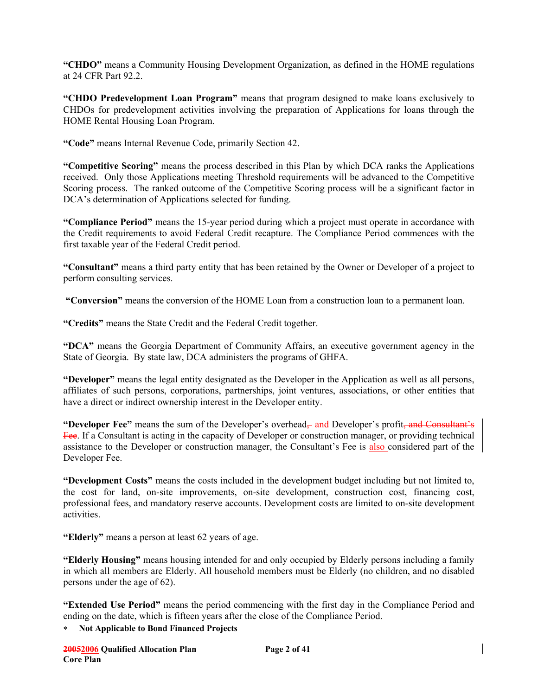**"CHDO"** means a Community Housing Development Organization, as defined in the HOME regulations at 24 CFR Part 92.2.

**"CHDO Predevelopment Loan Program"** means that program designed to make loans exclusively to CHDOs for predevelopment activities involving the preparation of Applications for loans through the HOME Rental Housing Loan Program.

**"Code"** means Internal Revenue Code, primarily Section 42.

**"Competitive Scoring"** means the process described in this Plan by which DCA ranks the Applications received. Only those Applications meeting Threshold requirements will be advanced to the Competitive Scoring process. The ranked outcome of the Competitive Scoring process will be a significant factor in DCA's determination of Applications selected for funding.

**"Compliance Period"** means the 15-year period during which a project must operate in accordance with the Credit requirements to avoid Federal Credit recapture. The Compliance Period commences with the first taxable year of the Federal Credit period.

**"Consultant"** means a third party entity that has been retained by the Owner or Developer of a project to perform consulting services.

**"Conversion"** means the conversion of the HOME Loan from a construction loan to a permanent loan.

**"Credits"** means the State Credit and the Federal Credit together.

**"DCA"** means the Georgia Department of Community Affairs, an executive government agency in the State of Georgia. By state law, DCA administers the programs of GHFA.

**"Developer"** means the legal entity designated as the Developer in the Application as well as all persons, affiliates of such persons, corporations, partnerships, joint ventures, associations, or other entities that have a direct or indirect ownership interest in the Developer entity.

**"Developer Fee"** means the sum of the Developer's overhead—and Developer's profit<del>, and Consultant's</del> Fee. If a Consultant is acting in the capacity of Developer or construction manager, or providing technical assistance to the Developer or construction manager, the Consultant's Fee is also considered part of the Developer Fee.

**"Development Costs"** means the costs included in the development budget including but not limited to, the cost for land, on-site improvements, on-site development, construction cost, financing cost, professional fees, and mandatory reserve accounts. Development costs are limited to on-site development activities.

**"Elderly"** means a person at least 62 years of age.

**"Elderly Housing"** means housing intended for and only occupied by Elderly persons including a family in which all members are Elderly. All household members must be Elderly (no children, and no disabled persons under the age of 62).

**"Extended Use Period"** means the period commencing with the first day in the Compliance Period and ending on the date, which is fifteen years after the close of the Compliance Period.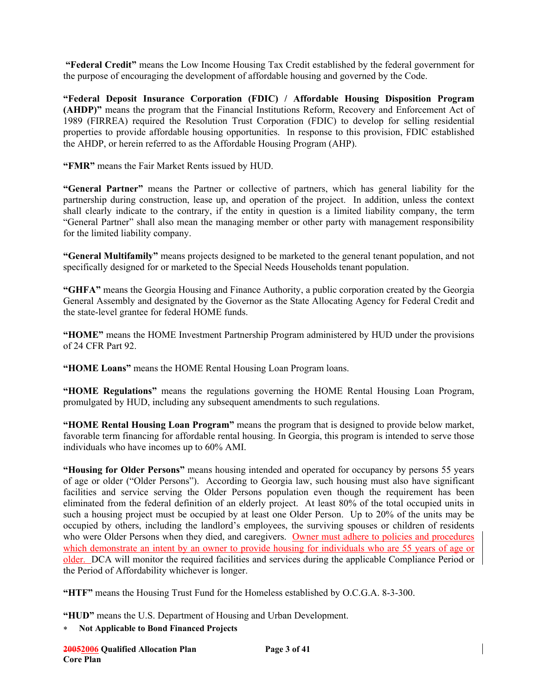**"Federal Credit"** means the Low Income Housing Tax Credit established by the federal government for the purpose of encouraging the development of affordable housing and governed by the Code.

**"Federal Deposit Insurance Corporation (FDIC) / Affordable Housing Disposition Program (AHDP)"** means the program that the Financial Institutions Reform, Recovery and Enforcement Act of 1989 (FIRREA) required the Resolution Trust Corporation (FDIC) to develop for selling residential properties to provide affordable housing opportunities. In response to this provision, FDIC established the AHDP, or herein referred to as the Affordable Housing Program (AHP).

**"FMR"** means the Fair Market Rents issued by HUD.

**"General Partner"** means the Partner or collective of partners, which has general liability for the partnership during construction, lease up, and operation of the project. In addition, unless the context shall clearly indicate to the contrary, if the entity in question is a limited liability company, the term "General Partner" shall also mean the managing member or other party with management responsibility for the limited liability company.

**"General Multifamily"** means projects designed to be marketed to the general tenant population, and not specifically designed for or marketed to the Special Needs Households tenant population.

**"GHFA"** means the Georgia Housing and Finance Authority, a public corporation created by the Georgia General Assembly and designated by the Governor as the State Allocating Agency for Federal Credit and the state-level grantee for federal HOME funds.

**"HOME"** means the HOME Investment Partnership Program administered by HUD under the provisions of 24 CFR Part 92.

**"HOME Loans"** means the HOME Rental Housing Loan Program loans.

**"HOME Regulations"** means the regulations governing the HOME Rental Housing Loan Program, promulgated by HUD, including any subsequent amendments to such regulations.

**"HOME Rental Housing Loan Program"** means the program that is designed to provide below market, favorable term financing for affordable rental housing. In Georgia, this program is intended to serve those individuals who have incomes up to 60% AMI.

**"Housing for Older Persons"** means housing intended and operated for occupancy by persons 55 years of age or older ("Older Persons"). According to Georgia law, such housing must also have significant facilities and service serving the Older Persons population even though the requirement has been eliminated from the federal definition of an elderly project. At least 80% of the total occupied units in such a housing project must be occupied by at least one Older Person. Up to 20% of the units may be occupied by others, including the landlord's employees, the surviving spouses or children of residents who were Older Persons when they died, and caregivers. Owner must adhere to policies and procedures which demonstrate an intent by an owner to provide housing for individuals who are 55 years of age or older. DCA will monitor the required facilities and services during the applicable Compliance Period or the Period of Affordability whichever is longer.

**"HTF"** means the Housing Trust Fund for the Homeless established by O.C.G.A. 8-3-300.

**"HUD"** means the U.S. Department of Housing and Urban Development.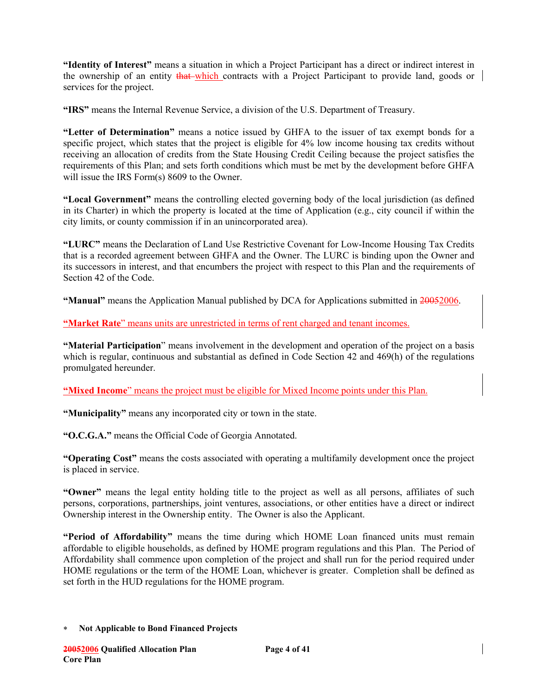**"Identity of Interest"** means a situation in which a Project Participant has a direct or indirect interest in the ownership of an entity that which contracts with a Project Participant to provide land, goods or services for the project.

**"IRS"** means the Internal Revenue Service, a division of the U.S. Department of Treasury.

**"Letter of Determination"** means a notice issued by GHFA to the issuer of tax exempt bonds for a specific project, which states that the project is eligible for 4% low income housing tax credits without receiving an allocation of credits from the State Housing Credit Ceiling because the project satisfies the requirements of this Plan; and sets forth conditions which must be met by the development before GHFA will issue the IRS Form(s) 8609 to the Owner.

**"Local Government"** means the controlling elected governing body of the local jurisdiction (as defined in its Charter) in which the property is located at the time of Application (e.g., city council if within the city limits, or county commission if in an unincorporated area).

**"LURC"** means the Declaration of Land Use Restrictive Covenant for Low-Income Housing Tax Credits that is a recorded agreement between GHFA and the Owner. The LURC is binding upon the Owner and its successors in interest, and that encumbers the project with respect to this Plan and the requirements of Section 42 of the Code.

**"Manual"** means the Application Manual published by DCA for Applications submitted in 20052006.

**"Market Rate**" means units are unrestricted in terms of rent charged and tenant incomes.

**"Material Participation**" means involvement in the development and operation of the project on a basis which is regular, continuous and substantial as defined in Code Section 42 and 469(h) of the regulations promulgated hereunder.

**"Mixed Income**" means the project must be eligible for Mixed Income points under this Plan.

**"Municipality"** means any incorporated city or town in the state.

**"O.C.G.A."** means the Official Code of Georgia Annotated.

**"Operating Cost"** means the costs associated with operating a multifamily development once the project is placed in service.

**"Owner"** means the legal entity holding title to the project as well as all persons, affiliates of such persons, corporations, partnerships, joint ventures, associations, or other entities have a direct or indirect Ownership interest in the Ownership entity. The Owner is also the Applicant.

**"Period of Affordability"** means the time during which HOME Loan financed units must remain affordable to eligible households, as defined by HOME program regulations and this Plan. The Period of Affordability shall commence upon completion of the project and shall run for the period required under HOME regulations or the term of the HOME Loan, whichever is greater. Completion shall be defined as set forth in the HUD regulations for the HOME program.

<sup>∗</sup> **Not Applicable to Bond Financed Projects**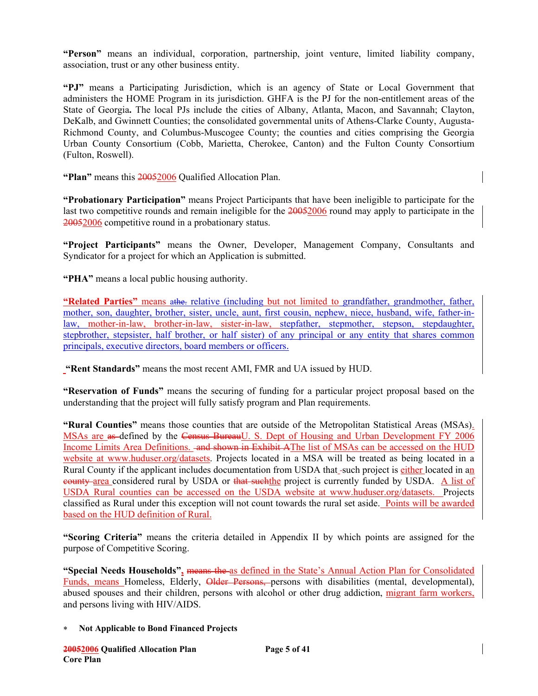**"Person"** means an individual, corporation, partnership, joint venture, limited liability company, association, trust or any other business entity.

**"PJ"** means a Participating Jurisdiction, which is an agency of State or Local Government that administers the HOME Program in its jurisdiction. GHFA is the PJ for the non-entitlement areas of the State of Georgia**.** The local PJs include the cities of Albany, Atlanta, Macon, and Savannah; Clayton, DeKalb, and Gwinnett Counties; the consolidated governmental units of Athens-Clarke County, Augusta-Richmond County, and Columbus-Muscogee County; the counties and cities comprising the Georgia Urban County Consortium (Cobb, Marietta, Cherokee, Canton) and the Fulton County Consortium (Fulton, Roswell).

**"Plan"** means this 20052006 Qualified Allocation Plan.

**"Probationary Participation"** means Project Participants that have been ineligible to participate for the last two competitive rounds and remain ineligible for the 20052006 round may apply to participate in the 20052006 competitive round in a probationary status.

**"Project Participants"** means the Owner, Developer, Management Company, Consultants and Syndicator for a project for which an Application is submitted.

**"PHA"** means a local public housing authority.

**"Related Parties"** means athe. relative (including but not limited to grandfather, grandmother, father, mother, son, daughter, brother, sister, uncle, aunt, first cousin, nephew, niece, husband, wife, father-inlaw, mother-in-law, brother-in-law, sister-in-law, stepfather, stepmother, stepson, stepdaughter, stepbrother, stepsister, half brother, or half sister) of any principal or any entity that shares common principals, executive directors, board members or officers.

**"Rent Standards"** means the most recent AMI, FMR and UA issued by HUD.

**"Reservation of Funds"** means the securing of funding for a particular project proposal based on the understanding that the project will fully satisfy program and Plan requirements.

**"Rural Counties"** means those counties that are outside of the Metropolitan Statistical Areas (MSAs). MSAs are as-defined by the Census BureauU. S. Dept of Housing and Urban Development FY 2006 Income Limits Area Definitions. <del>and shown in Exhibit A</del>The list of MSAs can be accessed on the HUD website at www.huduser.org/datasets. Projects located in a MSA will be treated as being located in a Rural County if the applicant includes documentation from USDA that -such project is either located in an eounty-area considered rural by USDA or that such the project is currently funded by USDA. A list of USDA Rural counties can be accessed on the USDA website at www.huduser.org/datasets. Projects classified as Rural under this exception will not count towards the rural set aside. Points will be awarded based on the HUD definition of Rural.

**"Scoring Criteria"** means the criteria detailed in Appendix II by which points are assigned for the purpose of Competitive Scoring.

**"Special Needs Households",** means the as defined in the State's Annual Action Plan for Consolidated Funds, means Homeless, Elderly, Older Persons, persons with disabilities (mental, developmental), abused spouses and their children, persons with alcohol or other drug addiction, migrant farm workers, and persons living with HIV/AIDS.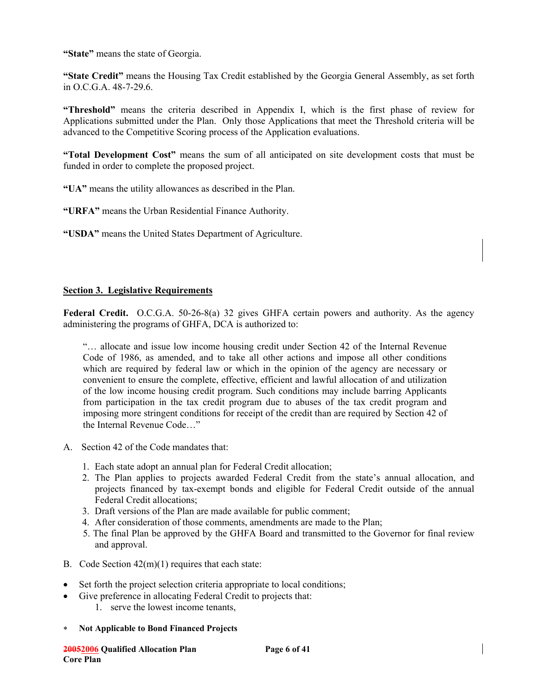**"State"** means the state of Georgia.

**"State Credit"** means the Housing Tax Credit established by the Georgia General Assembly, as set forth in O.C.G.A. 48-7-29.6.

**"Threshold"** means the criteria described in Appendix I, which is the first phase of review for Applications submitted under the Plan. Only those Applications that meet the Threshold criteria will be advanced to the Competitive Scoring process of the Application evaluations.

**"Total Development Cost"** means the sum of all anticipated on site development costs that must be funded in order to complete the proposed project.

**"UA"** means the utility allowances as described in the Plan.

**"URFA"** means the Urban Residential Finance Authority.

**"USDA"** means the United States Department of Agriculture.

#### **Section 3. Legislative Requirements**

**Federal Credit.** O.C.G.A. 50-26-8(a) 32 gives GHFA certain powers and authority. As the agency administering the programs of GHFA, DCA is authorized to:

"… allocate and issue low income housing credit under Section 42 of the Internal Revenue Code of 1986, as amended, and to take all other actions and impose all other conditions which are required by federal law or which in the opinion of the agency are necessary or convenient to ensure the complete, effective, efficient and lawful allocation of and utilization of the low income housing credit program. Such conditions may include barring Applicants from participation in the tax credit program due to abuses of the tax credit program and imposing more stringent conditions for receipt of the credit than are required by Section 42 of the Internal Revenue Code…"

- A. Section 42 of the Code mandates that:
	- 1. Each state adopt an annual plan for Federal Credit allocation;
	- 2. The Plan applies to projects awarded Federal Credit from the state's annual allocation, and projects financed by tax-exempt bonds and eligible for Federal Credit outside of the annual Federal Credit allocations;
	- 3. Draft versions of the Plan are made available for public comment;
	- 4. After consideration of those comments, amendments are made to the Plan;
	- 5. The final Plan be approved by the GHFA Board and transmitted to the Governor for final review and approval.
- B. Code Section 42(m)(1) requires that each state:
- Set forth the project selection criteria appropriate to local conditions;
- Give preference in allocating Federal Credit to projects that:
	- 1. serve the lowest income tenants,
- ∗ **Not Applicable to Bond Financed Projects**

**20052006 Qualified Allocation Plan Page 6 of 41 Core Plan**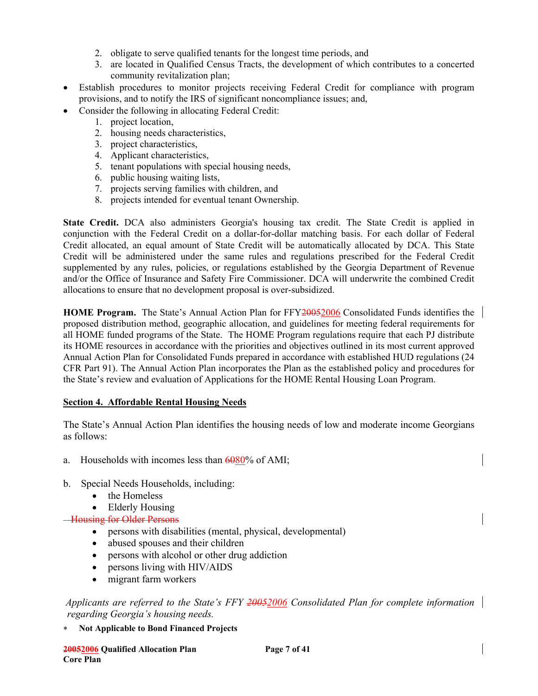- 2. obligate to serve qualified tenants for the longest time periods, and
- 3. are located in Qualified Census Tracts, the development of which contributes to a concerted community revitalization plan;
- Establish procedures to monitor projects receiving Federal Credit for compliance with program provisions, and to notify the IRS of significant noncompliance issues; and,
- Consider the following in allocating Federal Credit:
	- 1. project location,
	- 2. housing needs characteristics,
	- 3. project characteristics,
	- 4. Applicant characteristics,
	- 5. tenant populations with special housing needs,
	- 6. public housing waiting lists,
	- 7. projects serving families with children, and
	- 8. projects intended for eventual tenant Ownership.

**State Credit.** DCA also administers Georgia's housing tax credit. The State Credit is applied in conjunction with the Federal Credit on a dollar-for-dollar matching basis. For each dollar of Federal Credit allocated, an equal amount of State Credit will be automatically allocated by DCA. This State Credit will be administered under the same rules and regulations prescribed for the Federal Credit supplemented by any rules, policies, or regulations established by the Georgia Department of Revenue and/or the Office of Insurance and Safety Fire Commissioner. DCA will underwrite the combined Credit allocations to ensure that no development proposal is over-subsidized.

**HOME Program.** The State's Annual Action Plan for FFY20052006 Consolidated Funds identifies the proposed distribution method, geographic allocation, and guidelines for meeting federal requirements for all HOME funded programs of the State. The HOME Program regulations require that each PJ distribute its HOME resources in accordance with the priorities and objectives outlined in its most current approved Annual Action Plan for Consolidated Funds prepared in accordance with established HUD regulations (24 CFR Part 91). The Annual Action Plan incorporates the Plan as the established policy and procedures for the State's review and evaluation of Applications for the HOME Rental Housing Loan Program.

### **Section 4. Affordable Rental Housing Needs**

The State's Annual Action Plan identifies the housing needs of low and moderate income Georgians as follows:

- a. Households with incomes less than  $60\%$  of AMI;
- b. Special Needs Households, including:
	- the Homeless
	- Elderly Housing

### **Housing for Older Persons**

- persons with disabilities (mental, physical, developmental)
- abused spouses and their children
- persons with alcohol or other drug addiction
- persons living with HIV/AIDS
- migrant farm workers

 *Applicants are referred to the State's FFY 20052006 Consolidated Plan for complete information regarding Georgia's housing needs.*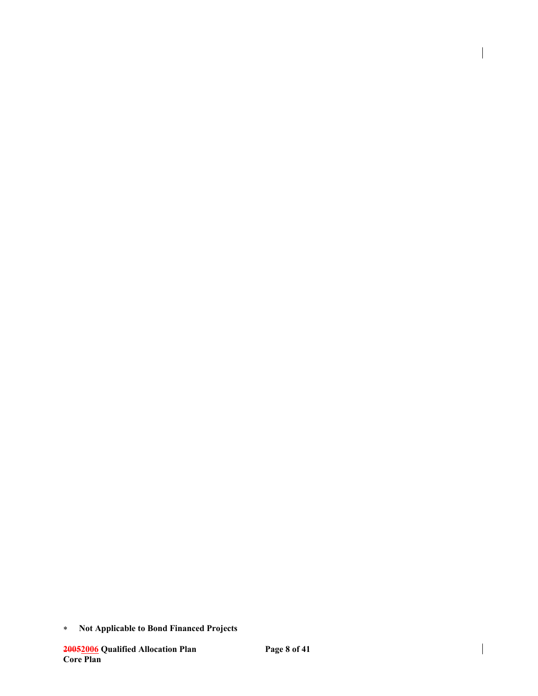∗ **Not Applicable to Bond Financed Projects** 

 $\overline{\phantom{a}}$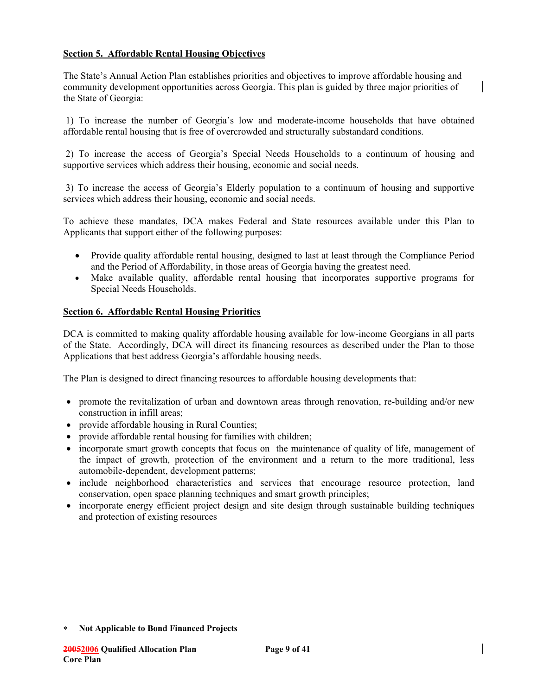### **Section 5. Affordable Rental Housing Objectives**

The State's Annual Action Plan establishes priorities and objectives to improve affordable housing and community development opportunities across Georgia. This plan is guided by three major priorities of the State of Georgia:

 1) To increase the number of Georgia's low and moderate-income households that have obtained affordable rental housing that is free of overcrowded and structurally substandard conditions.

 2) To increase the access of Georgia's Special Needs Households to a continuum of housing and supportive services which address their housing, economic and social needs.

 3) To increase the access of Georgia's Elderly population to a continuum of housing and supportive services which address their housing, economic and social needs.

To achieve these mandates, DCA makes Federal and State resources available under this Plan to Applicants that support either of the following purposes:

- Provide quality affordable rental housing, designed to last at least through the Compliance Period and the Period of Affordability, in those areas of Georgia having the greatest need.
- Make available quality, affordable rental housing that incorporates supportive programs for Special Needs Households.

#### **Section 6. Affordable Rental Housing Priorities**

DCA is committed to making quality affordable housing available for low-income Georgians in all parts of the State. Accordingly, DCA will direct its financing resources as described under the Plan to those Applications that best address Georgia's affordable housing needs.

The Plan is designed to direct financing resources to affordable housing developments that:

- promote the revitalization of urban and downtown areas through renovation, re-building and/or new construction in infill areas;
- provide affordable housing in Rural Counties;
- provide affordable rental housing for families with children;
- incorporate smart growth concepts that focus on the maintenance of quality of life, management of the impact of growth, protection of the environment and a return to the more traditional, less automobile-dependent, development patterns;
- include neighborhood characteristics and services that encourage resource protection, land conservation, open space planning techniques and smart growth principles;
- incorporate energy efficient project design and site design through sustainable building techniques and protection of existing resources

<sup>∗</sup> **Not Applicable to Bond Financed Projects**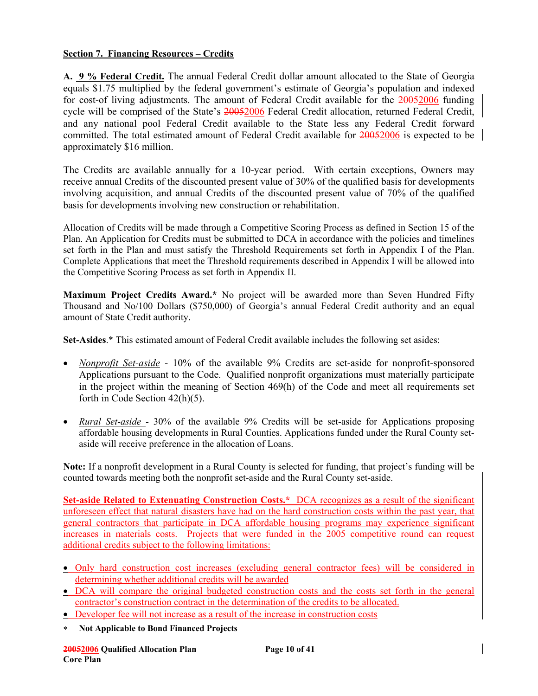### **Section 7. Financing Resources – Credits**

**A. 9 % Federal Credit.** The annual Federal Credit dollar amount allocated to the State of Georgia equals \$1.75 multiplied by the federal government's estimate of Georgia's population and indexed for cost-of living adjustments. The amount of Federal Credit available for the 20052006 funding cycle will be comprised of the State's 20052006 Federal Credit allocation, returned Federal Credit, and any national pool Federal Credit available to the State less any Federal Credit forward committed. The total estimated amount of Federal Credit available for 20052006 is expected to be approximately \$16 million.

The Credits are available annually for a 10-year period. With certain exceptions, Owners may receive annual Credits of the discounted present value of 30% of the qualified basis for developments involving acquisition, and annual Credits of the discounted present value of 70% of the qualified basis for developments involving new construction or rehabilitation.

Allocation of Credits will be made through a Competitive Scoring Process as defined in Section 15 of the Plan. An Application for Credits must be submitted to DCA in accordance with the policies and timelines set forth in the Plan and must satisfy the Threshold Requirements set forth in Appendix I of the Plan. Complete Applications that meet the Threshold requirements described in Appendix I will be allowed into the Competitive Scoring Process as set forth in Appendix II.

**Maximum Project Credits Award.\*** No project will be awarded more than Seven Hundred Fifty Thousand and No/100 Dollars (\$750,000) of Georgia's annual Federal Credit authority and an equal amount of State Credit authority.

**Set-Asides**.\* This estimated amount of Federal Credit available includes the following set asides:

- *Nonprofit Set-aside* 10% of the available 9% Credits are set-aside for nonprofit-sponsored Applications pursuant to the Code. Qualified nonprofit organizations must materially participate in the project within the meaning of Section 469(h) of the Code and meet all requirements set forth in Code Section 42(h)(5).
- *Rural Set-aside*  30% of the available 9% Credits will be set-aside for Applications proposing affordable housing developments in Rural Counties. Applications funded under the Rural County setaside will receive preference in the allocation of Loans.

**Note:** If a nonprofit development in a Rural County is selected for funding, that project's funding will be counted towards meeting both the nonprofit set-aside and the Rural County set-aside.

**Set-aside Related to Extenuating Construction Costs.\*** DCA recognizes as a result of the significant unforeseen effect that natural disasters have had on the hard construction costs within the past year, that general contractors that participate in DCA affordable housing programs may experience significant increases in materials costs. Projects that were funded in the 2005 competitive round can request additional credits subject to the following limitations:

- Only hard construction cost increases (excluding general contractor fees) will be considered in determining whether additional credits will be awarded
- DCA will compare the original budgeted construction costs and the costs set forth in the general contractor's construction contract in the determination of the credits to be allocated.
- Developer fee will not increase as a result of the increase in construction costs
- ∗ **Not Applicable to Bond Financed Projects**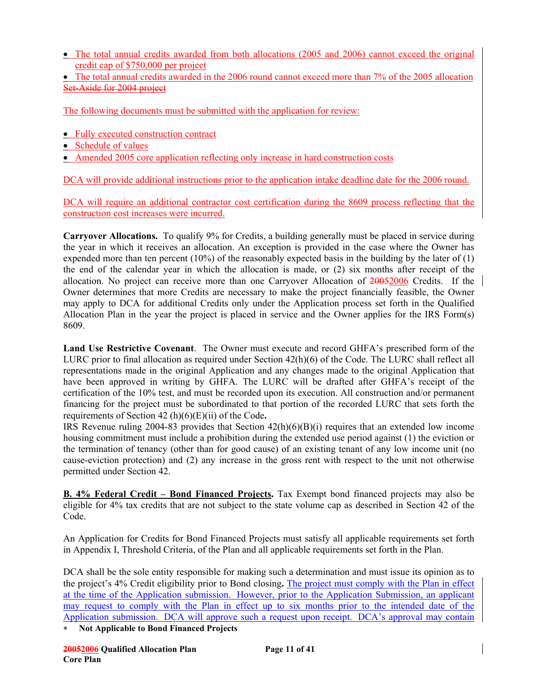- The total annual credits awarded from both allocations (2005 and 2006) cannot exceed the original credit cap of \$750,000 per project
- The total annual credits awarded in the 2006 round cannot exceed more than 7% of the 2005 allocation Set-Aside for 2004 project

The following documents must be submitted with the application for review:

- Fully executed construction contract
- Schedule of values
- Amended 2005 core application reflecting only increase in hard construction costs

DCA will provide additional instructions prior to the application intake deadline date for the 2006 round.

DCA will require an additional contractor cost certification during the 8609 process reflecting that the construction cost increases were incurred.

**Carryover Allocations.** To qualify 9% for Credits, a building generally must be placed in service during the year in which it receives an allocation. An exception is provided in the case where the Owner has expended more than ten percent (10%) of the reasonably expected basis in the building by the later of (1) the end of the calendar year in which the allocation is made, or (2) six months after receipt of the allocation. No project can receive more than one Carryover Allocation of 20052006 Credits. If the Owner determines that more Credits are necessary to make the project financially feasible, the Owner may apply to DCA for additional Credits only under the Application process set forth in the Qualified Allocation Plan in the year the project is placed in service and the Owner applies for the IRS Form(s) 8609.

**Land Use Restrictive Covenant**. The Owner must execute and record GHFA's prescribed form of the LURC prior to final allocation as required under Section 42(h)(6) of the Code. The LURC shall reflect all representations made in the original Application and any changes made to the original Application that have been approved in writing by GHFA. The LURC will be drafted after GHFA's receipt of the certification of the 10% test, and must be recorded upon its execution. All construction and/or permanent financing for the project must be subordinated to that portion of the recorded LURC that sets forth the requirements of Section 42 (h)(6)(E)(ii) of the Code**.** 

IRS Revenue ruling 2004-83 provides that Section 42(h)(6)(B)(i) requires that an extended low income housing commitment must include a prohibition during the extended use period against (1) the eviction or the termination of tenancy (other than for good cause) of an existing tenant of any low income unit (no cause-eviction protection) and (2) any increase in the gross rent with respect to the unit not otherwise permitted under Section 42.

**B. 4% Federal Credit – Bond Financed Projects.** Tax Exempt bond financed projects may also be eligible for 4% tax credits that are not subject to the state volume cap as described in Section 42 of the Code.

An Application for Credits for Bond Financed Projects must satisfy all applicable requirements set forth in Appendix I, Threshold Criteria, of the Plan and all applicable requirements set forth in the Plan.

DCA shall be the sole entity responsible for making such a determination and must issue its opinion as to the project's 4% Credit eligibility prior to Bond closing**.** The project must comply with the Plan in effect at the time of the Application submission. However, prior to the Application Submission, an applicant may request to comply with the Plan in effect up to six months prior to the intended date of the Application submission. DCA will approve such a request upon receipt. DCA's approval may contain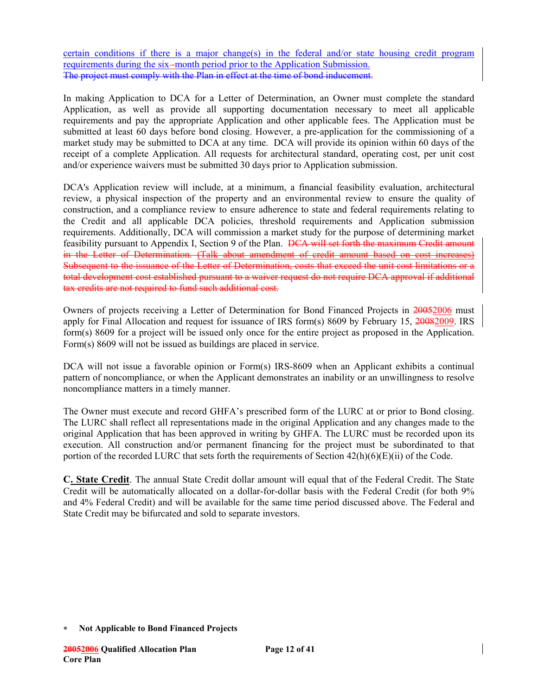certain conditions if there is a major change(s) in the federal and/or state housing credit program requirements during the six--month period prior to the Application Submission. The project must comply with the Plan in effect at the time of bond inducement.

In making Application to DCA for a Letter of Determination, an Owner must complete the standard Application, as well as provide all supporting documentation necessary to meet all applicable requirements and pay the appropriate Application and other applicable fees. The Application must be submitted at least 60 days before bond closing. However, a pre-application for the commissioning of a market study may be submitted to DCA at any time. DCA will provide its opinion within 60 days of the receipt of a complete Application. All requests for architectural standard, operating cost, per unit cost and/or experience waivers must be submitted 30 days prior to Application submission.

DCA's Application review will include, at a minimum, a financial feasibility evaluation, architectural review, a physical inspection of the property and an environmental review to ensure the quality of construction, and a compliance review to ensure adherence to state and federal requirements relating to the Credit and all applicable DCA policies, threshold requirements and Application submission requirements. Additionally, DCA will commission a market study for the purpose of determining market feasibility pursuant to Appendix I, Section 9 of the Plan. DCA will set forth the maximum Credit amount in the Letter of Determination. (Talk about amendment of credit amount based on cost increases) Subsequent to the issuance of the Letter of Determination, costs that exceed the unit cost limitations or a total development cost established pursuant to a waiver request do not require DCA approval if additional tax credits are not required to fund such additional cost.

Owners of projects receiving a Letter of Determination for Bond Financed Projects in 20052006 must apply for Final Allocation and request for issuance of IRS form(s) 8609 by February 15, 20082009. IRS form(s) 8609 for a project will be issued only once for the entire project as proposed in the Application. Form(s) 8609 will not be issued as buildings are placed in service.

DCA will not issue a favorable opinion or Form(s) IRS-8609 when an Applicant exhibits a continual pattern of noncompliance, or when the Applicant demonstrates an inability or an unwillingness to resolve noncompliance matters in a timely manner.

The Owner must execute and record GHFA's prescribed form of the LURC at or prior to Bond closing. The LURC shall reflect all representations made in the original Application and any changes made to the original Application that has been approved in writing by GHFA. The LURC must be recorded upon its execution. All construction and/or permanent financing for the project must be subordinated to that portion of the recorded LURC that sets forth the requirements of Section 42(h)(6)(E)(ii) of the Code.

**C. State Credit**. The annual State Credit dollar amount will equal that of the Federal Credit. The State Credit will be automatically allocated on a dollar-for-dollar basis with the Federal Credit (for both 9% and 4% Federal Credit) and will be available for the same time period discussed above. The Federal and State Credit may be bifurcated and sold to separate investors.

<sup>∗</sup> **Not Applicable to Bond Financed Projects**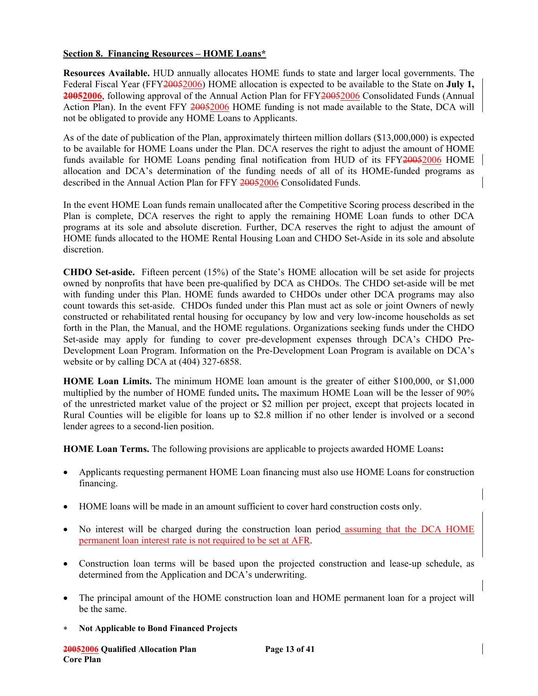### **Section 8. Financing Resources – HOME Loans\***

**Resources Available.** HUD annually allocates HOME funds to state and larger local governments. The Federal Fiscal Year (FFY20052006) HOME allocation is expected to be available to the State on **July 1,**  20052006, following approval of the Annual Action Plan for FFY20052006 Consolidated Funds (Annual Action Plan). In the event FFY 20052006 HOME funding is not made available to the State, DCA will not be obligated to provide any HOME Loans to Applicants.

As of the date of publication of the Plan, approximately thirteen million dollars (\$13,000,000) is expected to be available for HOME Loans under the Plan. DCA reserves the right to adjust the amount of HOME funds available for HOME Loans pending final notification from HUD of its FFY20052006 HOME allocation and DCA's determination of the funding needs of all of its HOME-funded programs as described in the Annual Action Plan for FFY 20052006 Consolidated Funds.

In the event HOME Loan funds remain unallocated after the Competitive Scoring process described in the Plan is complete, DCA reserves the right to apply the remaining HOME Loan funds to other DCA programs at its sole and absolute discretion. Further, DCA reserves the right to adjust the amount of HOME funds allocated to the HOME Rental Housing Loan and CHDO Set-Aside in its sole and absolute discretion.

**CHDO Set-aside.** Fifteen percent (15%) of the State's HOME allocation will be set aside for projects owned by nonprofits that have been pre-qualified by DCA as CHDOs. The CHDO set-aside will be met with funding under this Plan. HOME funds awarded to CHDOs under other DCA programs may also count towards this set-aside. CHDOs funded under this Plan must act as sole or joint Owners of newly constructed or rehabilitated rental housing for occupancy by low and very low-income households as set forth in the Plan, the Manual, and the HOME regulations. Organizations seeking funds under the CHDO Set-aside may apply for funding to cover pre-development expenses through DCA's CHDO Pre-Development Loan Program. Information on the Pre-Development Loan Program is available on DCA's website or by calling DCA at (404) 327-6858.

**HOME Loan Limits.** The minimum HOME loan amount is the greater of either \$100,000, or \$1,000 multiplied by the number of HOME funded units**.** The maximum HOME Loan will be the lesser of 90% of the unrestricted market value of the project or \$2 million per project, except that projects located in Rural Counties will be eligible for loans up to \$2.8 million if no other lender is involved or a second lender agrees to a second-lien position.

**HOME Loan Terms.** The following provisions are applicable to projects awarded HOME Loans**:** 

- Applicants requesting permanent HOME Loan financing must also use HOME Loans for construction financing.
- HOME loans will be made in an amount sufficient to cover hard construction costs only.
- No interest will be charged during the construction loan period assuming that the DCA HOME permanent loan interest rate is not required to be set at AFR.
- Construction loan terms will be based upon the projected construction and lease-up schedule, as determined from the Application and DCA's underwriting.
- The principal amount of the HOME construction loan and HOME permanent loan for a project will be the same.
- ∗ **Not Applicable to Bond Financed Projects**

**20052006 Qualified Allocation Plan Page 13 of 41 Core Plan**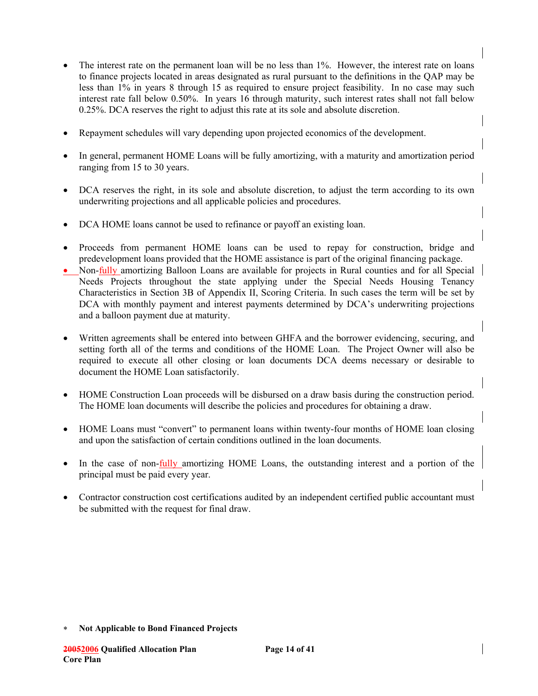- The interest rate on the permanent loan will be no less than 1%. However, the interest rate on loans to finance projects located in areas designated as rural pursuant to the definitions in the QAP may be less than 1% in years 8 through 15 as required to ensure project feasibility. In no case may such interest rate fall below 0.50%. In years 16 through maturity, such interest rates shall not fall below 0.25%. DCA reserves the right to adjust this rate at its sole and absolute discretion.
- Repayment schedules will vary depending upon projected economics of the development.
- In general, permanent HOME Loans will be fully amortizing, with a maturity and amortization period ranging from 15 to 30 years.
- DCA reserves the right, in its sole and absolute discretion, to adjust the term according to its own underwriting projections and all applicable policies and procedures.
- DCA HOME loans cannot be used to refinance or payoff an existing loan.
- Proceeds from permanent HOME loans can be used to repay for construction, bridge and predevelopment loans provided that the HOME assistance is part of the original financing package.
- Non-fully amortizing Balloon Loans are available for projects in Rural counties and for all Special Needs Projects throughout the state applying under the Special Needs Housing Tenancy Characteristics in Section 3B of Appendix II, Scoring Criteria. In such cases the term will be set by DCA with monthly payment and interest payments determined by DCA's underwriting projections and a balloon payment due at maturity.
- Written agreements shall be entered into between GHFA and the borrower evidencing, securing, and setting forth all of the terms and conditions of the HOME Loan. The Project Owner will also be required to execute all other closing or loan documents DCA deems necessary or desirable to document the HOME Loan satisfactorily.
- HOME Construction Loan proceeds will be disbursed on a draw basis during the construction period. The HOME loan documents will describe the policies and procedures for obtaining a draw.
- HOME Loans must "convert" to permanent loans within twenty-four months of HOME loan closing and upon the satisfaction of certain conditions outlined in the loan documents.
- In the case of non-*fully* amortizing HOME Loans, the outstanding interest and a portion of the principal must be paid every year.
- Contractor construction cost certifications audited by an independent certified public accountant must be submitted with the request for final draw.

<sup>∗</sup> **Not Applicable to Bond Financed Projects**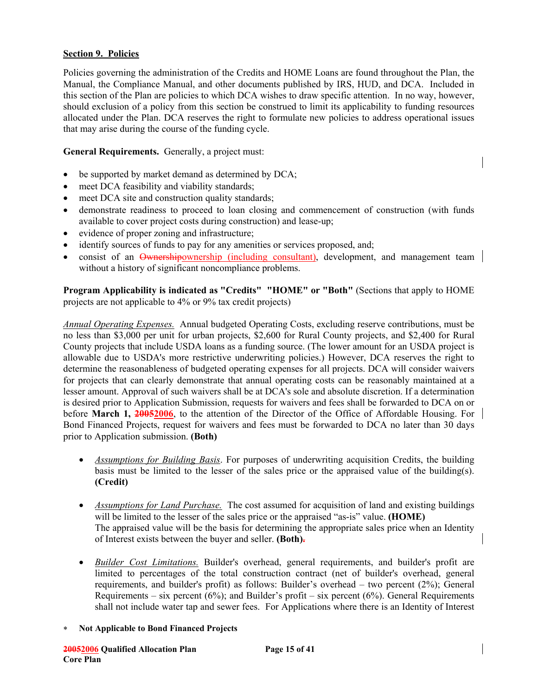### **Section 9. Policies**

Policies governing the administration of the Credits and HOME Loans are found throughout the Plan, the Manual, the Compliance Manual, and other documents published by IRS, HUD, and DCA. Included in this section of the Plan are policies to which DCA wishes to draw specific attention. In no way, however, should exclusion of a policy from this section be construed to limit its applicability to funding resources allocated under the Plan. DCA reserves the right to formulate new policies to address operational issues that may arise during the course of the funding cycle.

**General Requirements.** Generally, a project must:

- be supported by market demand as determined by DCA;
- meet DCA feasibility and viability standards;
- meet DCA site and construction quality standards;
- demonstrate readiness to proceed to loan closing and commencement of construction (with funds available to cover project costs during construction) and lease-up;
- evidence of proper zoning and infrastructure;
- identify sources of funds to pay for any amenities or services proposed, and;
- consist of an Ownershipownership (including consultant), development, and management team without a history of significant noncompliance problems.

**Program Applicability is indicated as "Credits" "HOME" or "Both"** (Sections that apply to HOME projects are not applicable to 4% or 9% tax credit projects)

*Annual Operating Expenses.* Annual budgeted Operating Costs, excluding reserve contributions, must be no less than \$3,000 per unit for urban projects, \$2,600 for Rural County projects, and \$2,400 for Rural County projects that include USDA loans as a funding source. (The lower amount for an USDA project is allowable due to USDA's more restrictive underwriting policies.) However, DCA reserves the right to determine the reasonableness of budgeted operating expenses for all projects. DCA will consider waivers for projects that can clearly demonstrate that annual operating costs can be reasonably maintained at a lesser amount. Approval of such waivers shall be at DCA's sole and absolute discretion. If a determination is desired prior to Application Submission, requests for waivers and fees shall be forwarded to DCA on or before **March 1, 20052006**, to the attention of the Director of the Office of Affordable Housing. For Bond Financed Projects, request for waivers and fees must be forwarded to DCA no later than 30 days prior to Application submission. **(Both)**

- *Assumptions for Building Basis*. For purposes of underwriting acquisition Credits, the building basis must be limited to the lesser of the sales price or the appraised value of the building(s). **(Credit)**
- *Assumptions for Land Purchase.* The cost assumed for acquisition of land and existing buildings will be limited to the lesser of the sales price or the appraised "as-is" value. **(HOME)**  The appraised value will be the basis for determining the appropriate sales price when an Identity of Interest exists between the buyer and seller. **(Both).**
- *Builder Cost Limitations.* Builder's overhead, general requirements, and builder's profit are limited to percentages of the total construction contract (net of builder's overhead, general requirements, and builder's profit) as follows: Builder's overhead – two percent (2%); General Requirements – six percent  $(6\%)$ ; and Builder's profit – six percent  $(6\%)$ . General Requirements shall not include water tap and sewer fees. For Applications where there is an Identity of Interest
- ∗ **Not Applicable to Bond Financed Projects**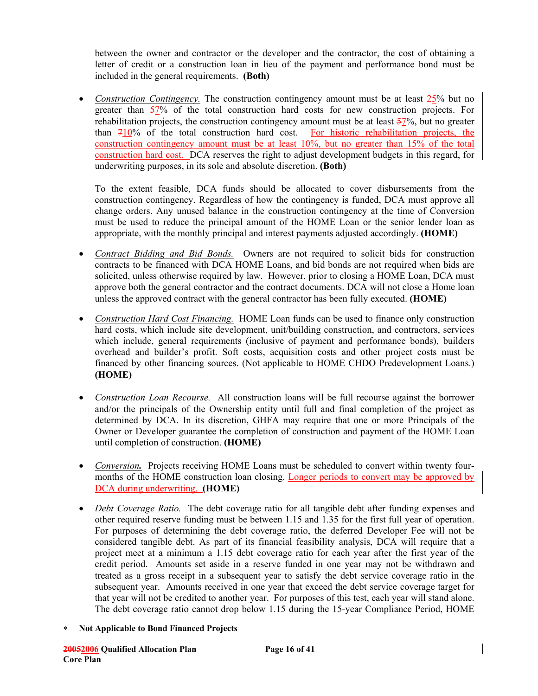between the owner and contractor or the developer and the contractor, the cost of obtaining a letter of credit or a construction loan in lieu of the payment and performance bond must be included in the general requirements. **(Both)** 

• *Construction Contingency*. The construction contingency amount must be at least  $\frac{25}{6}$  but no greater than 57% of the total construction hard costs for new construction projects. For rehabilitation projects, the construction contingency amount must be at least 57%, but no greater than 710% of the total construction hard cost. For historic rehabilitation projects, the construction contingency amount must be at least 10%, but no greater than 15% of the total construction hard cost. DCA reserves the right to adjust development budgets in this regard, for underwriting purposes, in its sole and absolute discretion. **(Both)**

To the extent feasible, DCA funds should be allocated to cover disbursements from the construction contingency. Regardless of how the contingency is funded, DCA must approve all change orders. Any unused balance in the construction contingency at the time of Conversion must be used to reduce the principal amount of the HOME Loan or the senior lender loan as appropriate, with the monthly principal and interest payments adjusted accordingly. **(HOME)**

- *Contract Bidding and Bid Bonds.* Owners are not required to solicit bids for construction contracts to be financed with DCA HOME Loans, and bid bonds are not required when bids are solicited, unless otherwise required by law. However, prior to closing a HOME Loan, DCA must approve both the general contractor and the contract documents. DCA will not close a Home loan unless the approved contract with the general contractor has been fully executed. **(HOME)**
- *Construction Hard Cost Financing.* HOME Loan funds can be used to finance only construction hard costs, which include site development, unit/building construction, and contractors, services which include, general requirements (inclusive of payment and performance bonds), builders overhead and builder's profit. Soft costs, acquisition costs and other project costs must be financed by other financing sources. (Not applicable to HOME CHDO Predevelopment Loans.) **(HOME)**
- *Construction Loan Recourse.* All construction loans will be full recourse against the borrower and/or the principals of the Ownership entity until full and final completion of the project as determined by DCA. In its discretion, GHFA may require that one or more Principals of the Owner or Developer guarantee the completion of construction and payment of the HOME Loan until completion of construction. **(HOME)**
- *Conversion*. Projects receiving HOME Loans must be scheduled to convert within twenty fourmonths of the HOME construction loan closing. Longer periods to convert may be approved by DCA during underwriting. **(HOME)**
- *Debt Coverage Ratio.* The debt coverage ratio for all tangible debt after funding expenses and other required reserve funding must be between 1.15 and 1.35 for the first full year of operation. For purposes of determining the debt coverage ratio, the deferred Developer Fee will not be considered tangible debt. As part of its financial feasibility analysis, DCA will require that a project meet at a minimum a 1.15 debt coverage ratio for each year after the first year of the credit period. Amounts set aside in a reserve funded in one year may not be withdrawn and treated as a gross receipt in a subsequent year to satisfy the debt service coverage ratio in the subsequent year. Amounts received in one year that exceed the debt service coverage target for that year will not be credited to another year. For purposes of this test, each year will stand alone. The debt coverage ratio cannot drop below 1.15 during the 15-year Compliance Period, HOME
- ∗ **Not Applicable to Bond Financed Projects**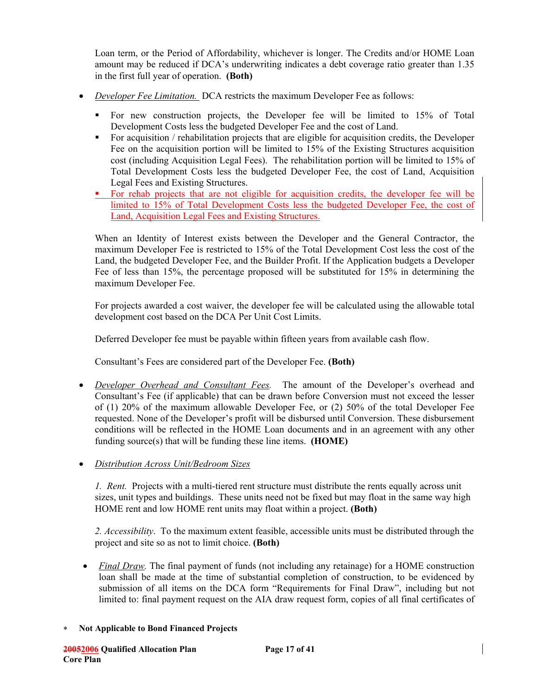Loan term, or the Period of Affordability, whichever is longer. The Credits and/or HOME Loan amount may be reduced if DCA's underwriting indicates a debt coverage ratio greater than 1.35 in the first full year of operation. **(Both)** 

- *Developer Fee Limitation.* DCA restricts the maximum Developer Fee as follows:
	- For new construction projects, the Developer fee will be limited to 15% of Total Development Costs less the budgeted Developer Fee and the cost of Land.
	- For acquisition / rehabilitation projects that are eligible for acquisition credits, the Developer Fee on the acquisition portion will be limited to 15% of the Existing Structures acquisition cost (including Acquisition Legal Fees). The rehabilitation portion will be limited to 15% of Total Development Costs less the budgeted Developer Fee, the cost of Land, Acquisition Legal Fees and Existing Structures.
	- For rehab projects that are not eligible for acquisition credits, the developer fee will be limited to 15% of Total Development Costs less the budgeted Developer Fee, the cost of Land, Acquisition Legal Fees and Existing Structures.

When an Identity of Interest exists between the Developer and the General Contractor, the maximum Developer Fee is restricted to 15% of the Total Development Cost less the cost of the Land, the budgeted Developer Fee, and the Builder Profit. If the Application budgets a Developer Fee of less than 15%, the percentage proposed will be substituted for 15% in determining the maximum Developer Fee.

For projects awarded a cost waiver, the developer fee will be calculated using the allowable total development cost based on the DCA Per Unit Cost Limits.

Deferred Developer fee must be payable within fifteen years from available cash flow.

Consultant's Fees are considered part of the Developer Fee. **(Both)** 

- *Developer Overhead and Consultant Fees.*The amount of the Developer's overhead and Consultant's Fee (if applicable) that can be drawn before Conversion must not exceed the lesser of (1) 20% of the maximum allowable Developer Fee, or (2) 50% of the total Developer Fee requested. None of the Developer's profit will be disbursed until Conversion. These disbursement conditions will be reflected in the HOME Loan documents and in an agreement with any other funding source(s) that will be funding these line items. **(HOME)**
- *Distribution Across Unit/Bedroom Sizes*

*1. Rent.* Projects with a multi-tiered rent structure must distribute the rents equally across unit sizes, unit types and buildings. These units need not be fixed but may float in the same way high HOME rent and low HOME rent units may float within a project. **(Both)**

*2. Accessibility*. To the maximum extent feasible, accessible units must be distributed through the project and site so as not to limit choice. **(Both)** 

- *Final Draw*. The final payment of funds (not including any retainage) for a HOME construction loan shall be made at the time of substantial completion of construction, to be evidenced by submission of all items on the DCA form "Requirements for Final Draw", including but not limited to: final payment request on the AIA draw request form, copies of all final certificates of
- ∗ **Not Applicable to Bond Financed Projects**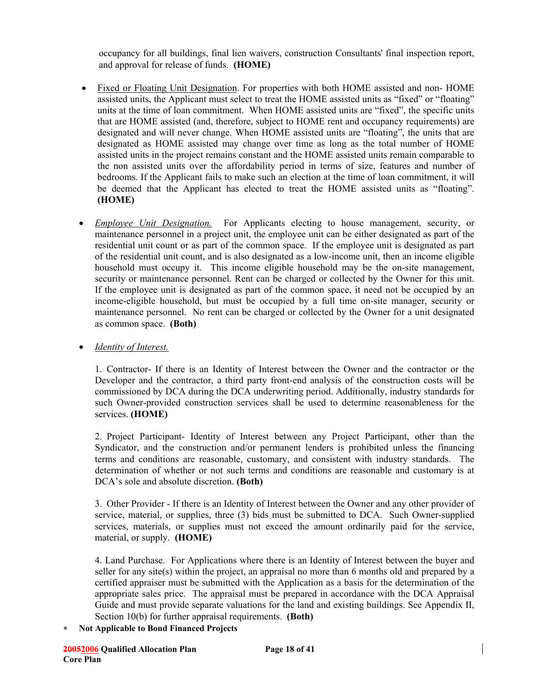occupancy for all buildings, final lien waivers, construction Consultants' final inspection report, and approval for release of funds. **(HOME)** 

- Fixed or Floating Unit Designation. For properties with both HOME assisted and non- HOME assisted units, the Applicant must select to treat the HOME assisted units as "fixed" or "floating" units at the time of loan commitment. When HOME assisted units are "fixed", the specific units that are HOME assisted (and, therefore, subject to HOME rent and occupancy requirements) are designated and will never change. When HOME assisted units are "floating", the units that are designated as HOME assisted may change over time as long as the total number of HOME assisted units in the project remains constant and the HOME assisted units remain comparable to the non assisted units over the affordability period in terms of size, features and number of bedrooms. If the Applicant fails to make such an election at the time of loan commitment, it will be deemed that the Applicant has elected to treat the HOME assisted units as "floating". **(HOME)**
- *Employee Unit Designation.* For Applicants electing to house management, security, or maintenance personnel in a project unit, the employee unit can be either designated as part of the residential unit count or as part of the common space. If the employee unit is designated as part of the residential unit count, and is also designated as a low-income unit, then an income eligible household must occupy it. This income eligible household may be the on-site management, security or maintenance personnel. Rent can be charged or collected by the Owner for this unit. If the employee unit is designated as part of the common space, it need not be occupied by an income-eligible household, but must be occupied by a full time on-site manager, security or maintenance personnel. No rent can be charged or collected by the Owner for a unit designated as common space. **(Both)**

• *Identity of Interest.*

1. Contractor- If there is an Identity of Interest between the Owner and the contractor or the Developer and the contractor, a third party front-end analysis of the construction costs will be commissioned by DCA during the DCA underwriting period. Additionally, industry standards for such Owner-provided construction services shall be used to determine reasonableness for the services. **(HOME)** 

2. Project Participant- Identity of Interest between any Project Participant, other than the Syndicator, and the construction and/or permanent lenders is prohibited unless the financing terms and conditions are reasonable, customary, and consistent with industry standards. The determination of whether or not such terms and conditions are reasonable and customary is at DCA's sole and absolute discretion. **(Both)** 

3. Other Provider - If there is an Identity of Interest between the Owner and any other provider of service, material, or supplies, three (3) bids must be submitted to DCA. Such Owner-supplied services, materials, or supplies must not exceed the amount ordinarily paid for the service, material, or supply. **(HOME)** 

4. Land Purchase. For Applications where there is an Identity of Interest between the buyer and seller for any site(s) within the project, an appraisal no more than 6 months old and prepared by a certified appraiser must be submitted with the Application as a basis for the determination of the appropriate sales price. The appraisal must be prepared in accordance with the DCA Appraisal Guide and must provide separate valuations for the land and existing buildings. See Appendix II, Section 10(b) for further appraisal requirements. **(Both)**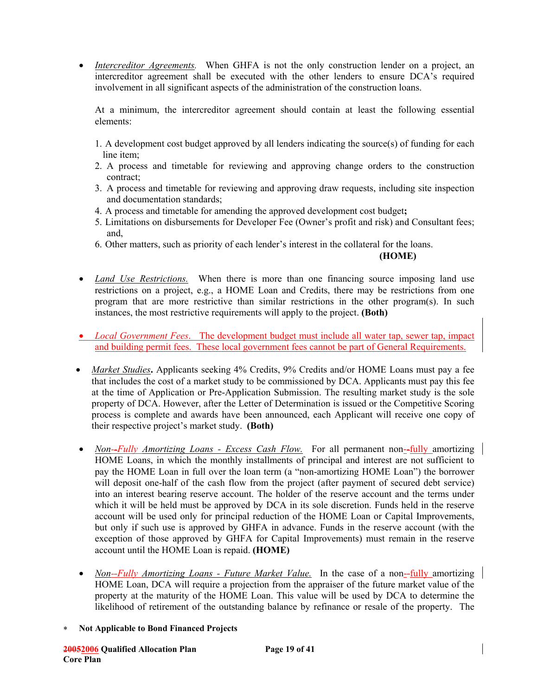• *Intercreditor Agreements*. When GHFA is not the only construction lender on a project, an intercreditor agreement shall be executed with the other lenders to ensure DCA's required involvement in all significant aspects of the administration of the construction loans.

At a minimum, the intercreditor agreement should contain at least the following essential elements:

- 1. A development cost budget approved by all lenders indicating the source(s) of funding for each line item;
- 2. A process and timetable for reviewing and approving change orders to the construction contract;
- 3. A process and timetable for reviewing and approving draw requests, including site inspection and documentation standards;
- 4. A process and timetable for amending the approved development cost budget**;**
- 5. Limitations on disbursements for Developer Fee (Owner's profit and risk) and Consultant fees; and,
- 6. Other matters, such as priority of each lender's interest in the collateral for the loans.

#### **(HOME)**

- *Land Use Restrictions.* When there is more than one financing source imposing land use restrictions on a project, e.g., a HOME Loan and Credits, there may be restrictions from one program that are more restrictive than similar restrictions in the other program(s). In such instances, the most restrictive requirements will apply to the project. **(Both)**
- *Local Government Fees.* The development budget must include all water tap, sewer tap, impact and building permit fees. These local government fees cannot be part of General Requirements.
- *Market Studies*. Applicants seeking 4% Credits, 9% Credits and/or HOME Loans must pay a fee that includes the cost of a market study to be commissioned by DCA. Applicants must pay this fee at the time of Application or Pre-Application Submission. The resulting market study is the sole property of DCA. However, after the Letter of Determination is issued or the Competitive Scoring process is complete and awards have been announced, each Applicant will receive one copy of their respective project's market study. **(Both)**
- *Non--Fully Amortizing Loans Excess Cash Flow.* For all permanent non--*fully* amortizing HOME Loans, in which the monthly installments of principal and interest are not sufficient to pay the HOME Loan in full over the loan term (a "non-amortizing HOME Loan") the borrower will deposit one-half of the cash flow from the project (after payment of secured debt service) into an interest bearing reserve account. The holder of the reserve account and the terms under which it will be held must be approved by DCA in its sole discretion. Funds held in the reserve account will be used only for principal reduction of the HOME Loan or Capital Improvements, but only if such use is approved by GHFA in advance. Funds in the reserve account (with the exception of those approved by GHFA for Capital Improvements) must remain in the reserve account until the HOME Loan is repaid. **(HOME)**
- *Non--Fully Amortizing Loans Future Market Value.* In the case of a non--fully amortizing HOME Loan, DCA will require a projection from the appraiser of the future market value of the property at the maturity of the HOME Loan. This value will be used by DCA to determine the likelihood of retirement of the outstanding balance by refinance or resale of the property. The
- ∗ **Not Applicable to Bond Financed Projects**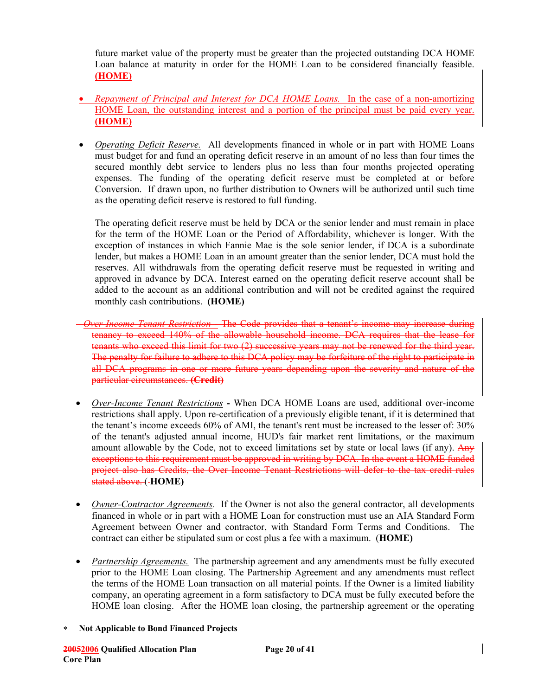future market value of the property must be greater than the projected outstanding DCA HOME Loan balance at maturity in order for the HOME Loan to be considered financially feasible. **(HOME)**

- *Repayment of Principal and Interest for DCA HOME Loans.* In the case of a non-amortizing HOME Loan, the outstanding interest and a portion of the principal must be paid every year. **(HOME)**
- *Operating Deficit Reserve.* All developments financed in whole or in part with HOME Loans must budget for and fund an operating deficit reserve in an amount of no less than four times the secured monthly debt service to lenders plus no less than four months projected operating expenses. The funding of the operating deficit reserve must be completed at or before Conversion. If drawn upon, no further distribution to Owners will be authorized until such time as the operating deficit reserve is restored to full funding.

The operating deficit reserve must be held by DCA or the senior lender and must remain in place for the term of the HOME Loan or the Period of Affordability, whichever is longer. With the exception of instances in which Fannie Mae is the sole senior lender, if DCA is a subordinate lender, but makes a HOME Loan in an amount greater than the senior lender, DCA must hold the reserves. All withdrawals from the operating deficit reserve must be requested in writing and approved in advance by DCA. Interest earned on the operating deficit reserve account shall be added to the account as an additional contribution and will not be credited against the required monthly cash contributions. **(HOME)** 

- *Over-Income Tenant Restriction -* The Code provides that a tenant's income may increase during tenancy to exceed 140% of the allowable household income. DCA requires that the lease for tenants who exceed this limit for two (2) successive years may not be renewed for the third year. The penalty for failure to adhere to this DCA policy may be forfeiture of the right to participate in all DCA programs in one or more future years depending upon the severity and nature of the particular circumstances. **(Credit)**
- *Over-Income Tenant Restrictions*When DCA HOME Loans are used, additional over-income restrictions shall apply. Upon re-certification of a previously eligible tenant, if it is determined that the tenant's income exceeds 60% of AMI, the tenant's rent must be increased to the lesser of: 30% of the tenant's adjusted annual income, HUD's fair market rent limitations, or the maximum amount allowable by the Code, not to exceed limitations set by state or local laws (if any). Any exceptions to this requirement must be approved in writing by DCA. In the event a HOME funded project also has Credits, the Over Income Tenant Restrictions will defer to the tax credit rules stated above. ( **HOME)**
- *Owner-Contractor Agreements.* If the Owner is not also the general contractor, all developments financed in whole or in part with a HOME Loan for construction must use an AIA Standard Form Agreement between Owner and contractor, with Standard Form Terms and Conditions. The contract can either be stipulated sum or cost plus a fee with a maximum. (**HOME)**
- *Partnership Agreements.* The partnership agreement and any amendments must be fully executed prior to the HOME Loan closing. The Partnership Agreement and any amendments must reflect the terms of the HOME Loan transaction on all material points. If the Owner is a limited liability company, an operating agreement in a form satisfactory to DCA must be fully executed before the HOME loan closing. After the HOME loan closing, the partnership agreement or the operating
- ∗ **Not Applicable to Bond Financed Projects**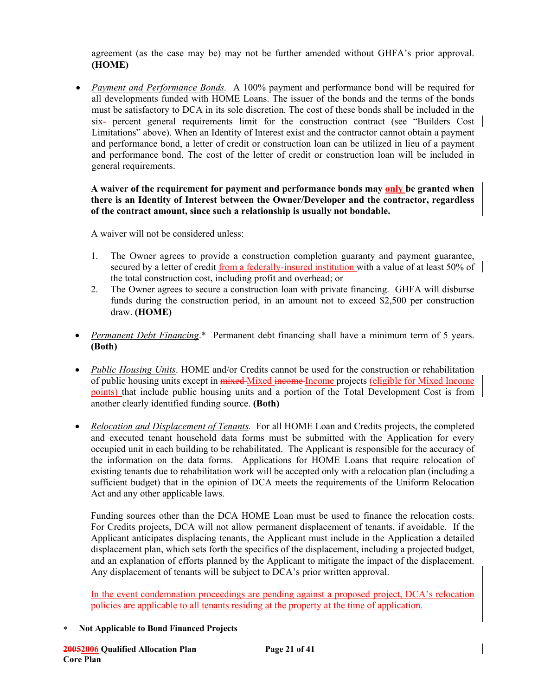agreement (as the case may be) may not be further amended without GHFA's prior approval. **(HOME)**

• *Payment and Performance Bonds.*A 100% payment and performance bond will be required for all developments funded with HOME Loans. The issuer of the bonds and the terms of the bonds must be satisfactory to DCA in its sole discretion. The cost of these bonds shall be included in the six- percent general requirements limit for the construction contract (see "Builders Cost Limitations" above). When an Identity of Interest exist and the contractor cannot obtain a payment and performance bond, a letter of credit or construction loan can be utilized in lieu of a payment and performance bond. The cost of the letter of credit or construction loan will be included in general requirements.

#### **A waiver of the requirement for payment and performance bonds may only be granted when there is an Identity of Interest between the Owner/Developer and the contractor, regardless of the contract amount, since such a relationship is usually not bondable.**

A waiver will not be considered unless:

- 1. The Owner agrees to provide a construction completion guaranty and payment guarantee, secured by a letter of credit from a federally-insured institution with a value of at least 50% of the total construction cost, including profit and overhead; or
- 2. The Owner agrees to secure a construction loan with private financing. GHFA will disburse funds during the construction period, in an amount not to exceed \$2,500 per construction draw. **(HOME)**
- *Permanent Debt Financing*.\* Permanent debt financing shall have a minimum term of 5 years. **(Both)**
- *Public Housing Units*. HOME and/or Credits cannot be used for the construction or rehabilitation of public housing units except in mixed Mixed income Income projects (eligible for Mixed Income points) that include public housing units and a portion of the Total Development Cost is from another clearly identified funding source. **(Both)**
- *Relocation and Displacement of Tenants.* For all HOME Loan and Credits projects, the completed and executed tenant household data forms must be submitted with the Application for every occupied unit in each building to be rehabilitated. The Applicant is responsible for the accuracy of the information on the data forms. Applications for HOME Loans that require relocation of existing tenants due to rehabilitation work will be accepted only with a relocation plan (including a sufficient budget) that in the opinion of DCA meets the requirements of the Uniform Relocation Act and any other applicable laws.

Funding sources other than the DCA HOME Loan must be used to finance the relocation costs. For Credits projects, DCA will not allow permanent displacement of tenants, if avoidable. If the Applicant anticipates displacing tenants, the Applicant must include in the Application a detailed displacement plan, which sets forth the specifics of the displacement, including a projected budget, and an explanation of efforts planned by the Applicant to mitigate the impact of the displacement. Any displacement of tenants will be subject to DCA's prior written approval.

In the event condemnation proceedings are pending against a proposed project, DCA's relocation policies are applicable to all tenants residing at the property at the time of application.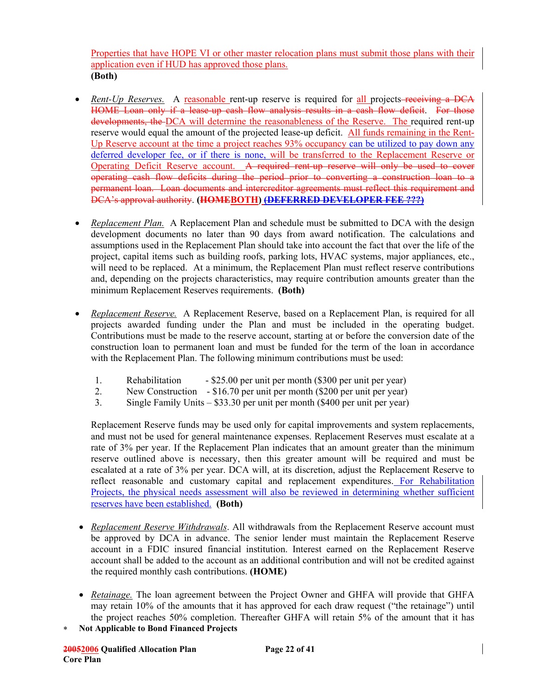Properties that have HOPE VI or other master relocation plans must submit those plans with their application even if HUD has approved those plans. **(Both)** 

- *Rent-Up Reserves.* A reasonable rent-up reserve is required for all projects-receiving a DCA HOME Loan only if a lease-up cash flow analysis results in a cash flow deficit. For those developments, the DCA will determine the reasonableness of the Reserve. The required rent-up reserve would equal the amount of the projected lease-up deficit. All funds remaining in the Rent-Up Reserve account at the time a project reaches 93% occupancy can be utilized to pay down any deferred developer fee, or if there is none, will be transferred to the Replacement Reserve or Operating Deficit Reserve account. A required rent-up reserve will only be used to cover operating cash flow deficits during the period prior to converting a construction loan to a permanent loan. Loan documents and intercreditor agreements must reflect this requirement and DCA's approval authority. **(HOMEBOTH) (DEFERRED DEVELOPER FEE ???)**
- *Replacement Plan.* A Replacement Plan and schedule must be submitted to DCA with the design development documents no later than 90 days from award notification. The calculations and assumptions used in the Replacement Plan should take into account the fact that over the life of the project, capital items such as building roofs, parking lots, HVAC systems, major appliances, etc., will need to be replaced. At a minimum, the Replacement Plan must reflect reserve contributions and, depending on the projects characteristics, may require contribution amounts greater than the minimum Replacement Reserves requirements. **(Both)**
- *Replacement Reserve.* A Replacement Reserve, based on a Replacement Plan, is required for all projects awarded funding under the Plan and must be included in the operating budget. Contributions must be made to the reserve account, starting at or before the conversion date of the construction loan to permanent loan and must be funded for the term of the loan in accordance with the Replacement Plan. The following minimum contributions must be used:
	- 1. Rehabilitation \$25.00 per unit per month (\$300 per unit per year)
	- 2. New Construction \$16.70 per unit per month (\$200 per unit per year)
	- 3. Single Family Units \$33.30 per unit per month (\$400 per unit per year)

Replacement Reserve funds may be used only for capital improvements and system replacements, and must not be used for general maintenance expenses. Replacement Reserves must escalate at a rate of 3% per year. If the Replacement Plan indicates that an amount greater than the minimum reserve outlined above is necessary, then this greater amount will be required and must be escalated at a rate of 3% per year. DCA will, at its discretion, adjust the Replacement Reserve to reflect reasonable and customary capital and replacement expenditures. For Rehabilitation Projects, the physical needs assessment will also be reviewed in determining whether sufficient reserves have been established. **(Both)** 

- *Replacement Reserve Withdrawals*. All withdrawals from the Replacement Reserve account must be approved by DCA in advance. The senior lender must maintain the Replacement Reserve account in a FDIC insured financial institution. Interest earned on the Replacement Reserve account shall be added to the account as an additional contribution and will not be credited against the required monthly cash contributions. **(HOME)**
- *Retainage.* The loan agreement between the Project Owner and GHFA will provide that GHFA may retain 10% of the amounts that it has approved for each draw request ("the retainage") until the project reaches 50% completion. Thereafter GHFA will retain 5% of the amount that it has
- ∗ **Not Applicable to Bond Financed Projects**

**20052006 Qualified Allocation Plan Page 22 of 41 Core Plan**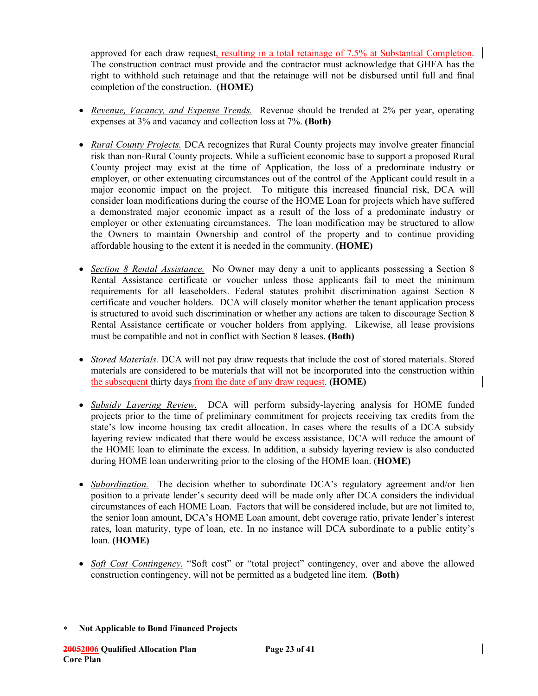approved for each draw request, resulting in a total retainage of 7.5% at Substantial Completion. The construction contract must provide and the contractor must acknowledge that GHFA has the right to withhold such retainage and that the retainage will not be disbursed until full and final completion of the construction. **(HOME)** 

- *Revenue, Vacancy, and Expense Trends.* Revenue should be trended at 2% per year, operating expenses at 3% and vacancy and collection loss at 7%. **(Both)**
- *Rural County Projects.* DCA recognizes that Rural County projects may involve greater financial risk than non-Rural County projects. While a sufficient economic base to support a proposed Rural County project may exist at the time of Application, the loss of a predominate industry or employer, or other extenuating circumstances out of the control of the Applicant could result in a major economic impact on the project. To mitigate this increased financial risk, DCA will consider loan modifications during the course of the HOME Loan for projects which have suffered a demonstrated major economic impact as a result of the loss of a predominate industry or employer or other extenuating circumstances. The loan modification may be structured to allow the Owners to maintain Ownership and control of the property and to continue providing affordable housing to the extent it is needed in the community. **(HOME)**
- *Section 8 Rental Assistance.* No Owner may deny a unit to applicants possessing a Section 8 Rental Assistance certificate or voucher unless those applicants fail to meet the minimum requirements for all leaseholders. Federal statutes prohibit discrimination against Section 8 certificate and voucher holders. DCA will closely monitor whether the tenant application process is structured to avoid such discrimination or whether any actions are taken to discourage Section 8 Rental Assistance certificate or voucher holders from applying. Likewise, all lease provisions must be compatible and not in conflict with Section 8 leases. **(Both)**
- *Stored Materials.* DCA will not pay draw requests that include the cost of stored materials. Stored materials are considered to be materials that will not be incorporated into the construction within the subsequent thirty days from the date of any draw request. **(HOME)**
- *Subsidy Layering Review.* DCA will perform subsidy-layering analysis for HOME funded projects prior to the time of preliminary commitment for projects receiving tax credits from the state's low income housing tax credit allocation. In cases where the results of a DCA subsidy layering review indicated that there would be excess assistance, DCA will reduce the amount of the HOME loan to eliminate the excess. In addition, a subsidy layering review is also conducted during HOME loan underwriting prior to the closing of the HOME loan. (**HOME)**
- *Subordination.* The decision whether to subordinate DCA's regulatory agreement and/or lien position to a private lender's security deed will be made only after DCA considers the individual circumstances of each HOME Loan. Factors that will be considered include, but are not limited to, the senior loan amount, DCA's HOME Loan amount, debt coverage ratio, private lender's interest rates, loan maturity, type of loan, etc. In no instance will DCA subordinate to a public entity's loan. **(HOME)**
- *Soft Cost Contingency.* "Soft cost" or "total project" contingency, over and above the allowed construction contingency, will not be permitted as a budgeted line item. **(Both)**

<sup>∗</sup> **Not Applicable to Bond Financed Projects**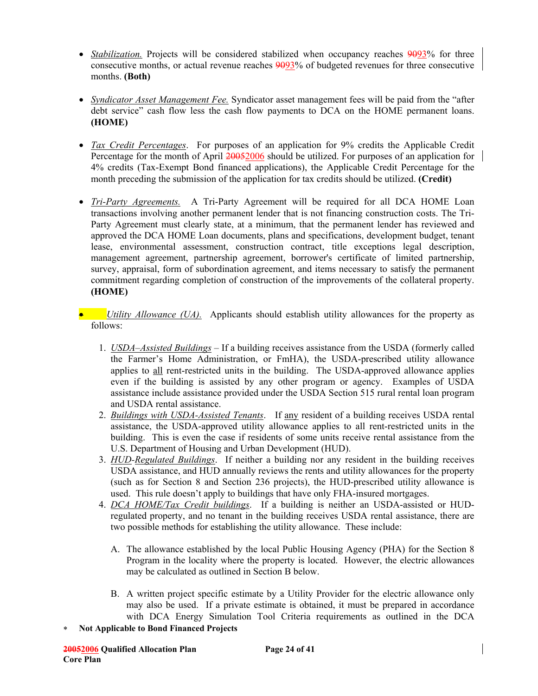- *Stabilization.* Projects will be considered stabilized when occupancy reaches 9093% for three consecutive months, or actual revenue reaches 9093% of budgeted revenues for three consecutive months. **(Both)**
- *Syndicator Asset Management Fee.* Syndicator asset management fees will be paid from the "after debt service" cash flow less the cash flow payments to DCA on the HOME permanent loans. **(HOME)**
- *Tax Credit Percentages*. For purposes of an application for 9% credits the Applicable Credit Percentage for the month of April 20052006 should be utilized. For purposes of an application for 4% credits (Tax-Exempt Bond financed applications), the Applicable Credit Percentage for the month preceding the submission of the application for tax credits should be utilized. **(Credit)**
- *Tri-Party Agreements.* A Tri-Party Agreement will be required for all DCA HOME Loan transactions involving another permanent lender that is not financing construction costs. The Tri-Party Agreement must clearly state, at a minimum, that the permanent lender has reviewed and approved the DCA HOME Loan documents, plans and specifications, development budget, tenant lease, environmental assessment, construction contract, title exceptions legal description, management agreement, partnership agreement, borrower's certificate of limited partnership, survey, appraisal, form of subordination agreement, and items necessary to satisfy the permanent commitment regarding completion of construction of the improvements of the collateral property. **(HOME)**
- *Utility Allowance (UA).* Applicants should establish utility allowances for the property as follows:
	- 1. *USDA–Assisted Buildings* If a building receives assistance from the USDA (formerly called the Farmer's Home Administration, or FmHA), the USDA-prescribed utility allowance applies to all rent-restricted units in the building. The USDA-approved allowance applies even if the building is assisted by any other program or agency. Examples of USDA assistance include assistance provided under the USDA Section 515 rural rental loan program and USDA rental assistance.
	- 2. *Buildings with USDA-Assisted Tenants*. If any resident of a building receives USDA rental assistance, the USDA-approved utility allowance applies to all rent-restricted units in the building. This is even the case if residents of some units receive rental assistance from the U.S. Department of Housing and Urban Development (HUD).
	- 3. *HUD-Regulated Buildings*. If neither a building nor any resident in the building receives USDA assistance, and HUD annually reviews the rents and utility allowances for the property (such as for Section 8 and Section 236 projects), the HUD-prescribed utility allowance is used. This rule doesn't apply to buildings that have only FHA-insured mortgages.
	- 4. *DCA HOME/Tax Credit buildings*. If a building is neither an USDA-assisted or HUDregulated property, and no tenant in the building receives USDA rental assistance, there are two possible methods for establishing the utility allowance. These include:
		- A. The allowance established by the local Public Housing Agency (PHA) for the Section 8 Program in the locality where the property is located. However, the electric allowances may be calculated as outlined in Section B below.
		- B. A written project specific estimate by a Utility Provider for the electric allowance only may also be used. If a private estimate is obtained, it must be prepared in accordance with DCA Energy Simulation Tool Criteria requirements as outlined in the DCA
- ∗ **Not Applicable to Bond Financed Projects**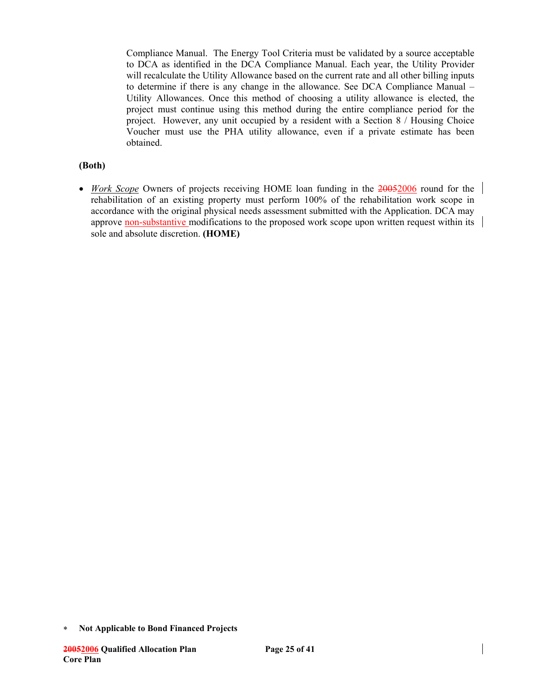Compliance Manual. The Energy Tool Criteria must be validated by a source acceptable to DCA as identified in the DCA Compliance Manual. Each year, the Utility Provider will recalculate the Utility Allowance based on the current rate and all other billing inputs to determine if there is any change in the allowance. See DCA Compliance Manual – Utility Allowances. Once this method of choosing a utility allowance is elected, the project must continue using this method during the entire compliance period for the project.However, any unit occupied by a resident with a Section 8 / Housing Choice Voucher must use the PHA utility allowance, even if a private estimate has been obtained.

### **(Both)**

• *Work Scope* Owners of projects receiving HOME loan funding in the 20052006 round for the rehabilitation of an existing property must perform 100% of the rehabilitation work scope in accordance with the original physical needs assessment submitted with the Application. DCA may approve non-substantive modifications to the proposed work scope upon written request within its sole and absolute discretion. **(HOME)**

<sup>∗</sup> **Not Applicable to Bond Financed Projects**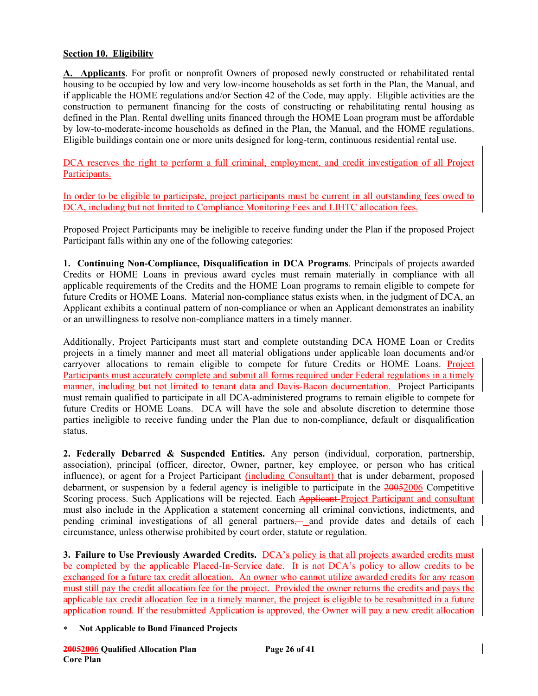### **Section 10. Eligibility**

**A. Applicants**. For profit or nonprofit Owners of proposed newly constructed or rehabilitated rental housing to be occupied by low and very low-income households as set forth in the Plan, the Manual, and if applicable the HOME regulations and/or Section 42 of the Code, may apply. Eligible activities are the construction to permanent financing for the costs of constructing or rehabilitating rental housing as defined in the Plan. Rental dwelling units financed through the HOME Loan program must be affordable by low-to-moderate-income households as defined in the Plan, the Manual, and the HOME regulations. Eligible buildings contain one or more units designed for long-term, continuous residential rental use.

DCA reserves the right to perform a full criminal, employment, and credit investigation of all Project Participants.

In order to be eligible to participate, project participants must be current in all outstanding fees owed to DCA, including but not limited to Compliance Monitoring Fees and LIHTC allocation fees.

Proposed Project Participants may be ineligible to receive funding under the Plan if the proposed Project Participant falls within any one of the following categories:

**1. Continuing Non-Compliance, Disqualification in DCA Programs**. Principals of projects awarded Credits or HOME Loans in previous award cycles must remain materially in compliance with all applicable requirements of the Credits and the HOME Loan programs to remain eligible to compete for future Credits or HOME Loans. Material non-compliance status exists when, in the judgment of DCA, an Applicant exhibits a continual pattern of non-compliance or when an Applicant demonstrates an inability or an unwillingness to resolve non-compliance matters in a timely manner.

Additionally, Project Participants must start and complete outstanding DCA HOME Loan or Credits projects in a timely manner and meet all material obligations under applicable loan documents and/or carryover allocations to remain eligible to compete for future Credits or HOME Loans. Project Participants must accurately complete and submit all forms required under Federal regulations in a timely manner, including but not limited to tenant data and Davis-Bacon documentation. Project Participants must remain qualified to participate in all DCA-administered programs to remain eligible to compete for future Credits or HOME Loans. DCA will have the sole and absolute discretion to determine those parties ineligible to receive funding under the Plan due to non-compliance, default or disqualification status.

**2. Federally Debarred & Suspended Entities.** Any person (individual, corporation, partnership, association), principal (officer, director, Owner, partner, key employee, or person who has critical influence), or agent for a Project Participant (including Consultant) that is under debarment, proposed debarment, or suspension by a federal agency is ineligible to participate in the 20052006 Competitive Scoring process. Such Applications will be rejected. Each Applicant Project Participant and consultant must also include in the Application a statement concerning all criminal convictions, indictments, and pending criminal investigations of all general partners— and provide dates and details of each circumstance, unless otherwise prohibited by court order, statute or regulation.

**3. Failure to Use Previously Awarded Credits.** DCA's policy is that all projects awarded credits must be completed by the applicable Placed-In-Service date. It is not DCA's policy to allow credits to be exchanged for a future tax credit allocation. An owner who cannot utilize awarded credits for any reason must still pay the credit allocation fee for the project. Provided the owner returns the credits and pays the applicable tax credit allocation fee in a timely manner, the project is eligible to be resubmitted in a future application round. If the resubmitted Application is approved, the Owner will pay a new credit allocation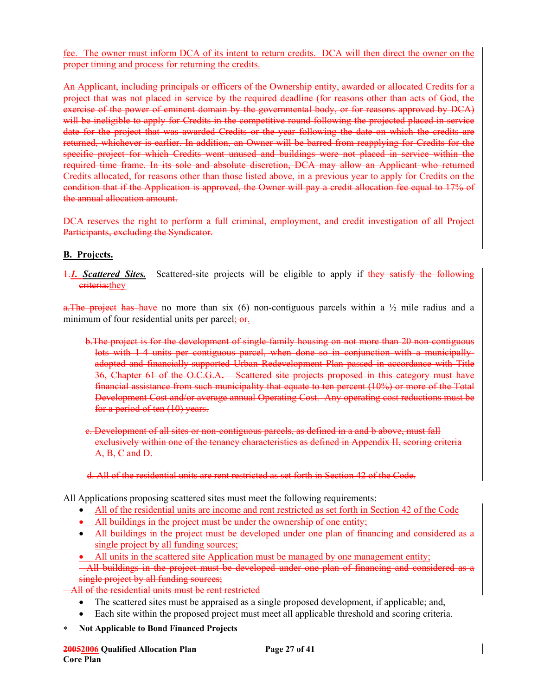fee. The owner must inform DCA of its intent to return credits. DCA will then direct the owner on the proper timing and process for returning the credits.

An Applicant, including principals or officers of the Ownership entity, awarded or allocated Credits for a project that was not placed in service by the required deadline (for reasons other than acts of God, the exercise of the power of eminent domain by the governmental body, or for reasons approved by DCA) will be ineligible to apply for Credits in the competitive round following the projected placed in service date for the project that was awarded Credits or the year following the date on which the credits are returned, whichever is earlier. In addition, an Owner will be barred from reapplying for Credits for the specific project for which Credits went unused and buildings were not placed in service within the required time frame. In its sole and absolute discretion, DCA may allow an Applicant who returned Credits allocated, for reasons other than those listed above, in a previous year to apply for Credits on the condition that if the Application is approved, the Owner will pay a credit allocation fee equal to 17% of the annual allocation amount.

DCA reserves the right to perform a full criminal, employment, and credit investigation of all Project Participants, excluding the Syndicator.

# **B. Projects.**

1. Scattered Sites. Scattered-site projects will be eligible to apply if they satisfy the following eriteria: they

a. The project has have no more than six (6) non-contiguous parcels within a  $\frac{1}{2}$  mile radius and a minimum of four residential units per parcel; or.

- b.The project is for the development of single-family housing on not more than 20 non-contiguous lots with 1-4 units per contiguous parcel, when done so in conjunction with a municipallyadopted and financially-supported Urban Redevelopment Plan passed in accordance with Title 36, Chapter 61 of the O.C.G.A**.** Scattered site projects proposed in this category must have financial assistance from such municipality that equate to ten percent (10%) or more of the Total Development Cost and/or average annual Operating Cost. Any operating cost reductions must be for a period of ten (10) years.
- c. Development of all sites or non-contiguous parcels, as defined in a and b above, must fall exclusively within one of the tenancy characteristics as defined in Appendix II, scoring criteria A, B, C and D.

#### d. All of the residential units are rent restricted as set forth in Section 42 of the Code.

All Applications proposing scattered sites must meet the following requirements:

- All of the residential units are income and rent restricted as set forth in Section 42 of the Code
- All buildings in the project must be under the ownership of one entity;
- All buildings in the project must be developed under one plan of financing and considered as a single project by all funding sources;
- All units in the scattered site Application must be managed by one management entity;
- All buildings in the project must be developed under one plan of financing and considered as a single project by all funding sources;

All of the residential units must be rent restricted

- The scattered sites must be appraised as a single proposed development, if applicable; and,
- Each site within the proposed project must meet all applicable threshold and scoring criteria.
- ∗ **Not Applicable to Bond Financed Projects**

**20052006 Qualified Allocation Plan Page 27 of 41 Core Plan**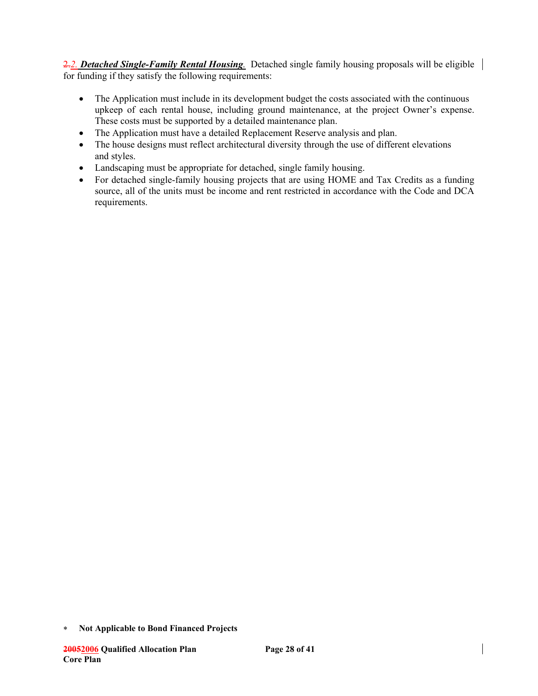2.*2. Detached Single-Family Rental Housing.* Detached single family housing proposals will be eligible for funding if they satisfy the following requirements:

- The Application must include in its development budget the costs associated with the continuous upkeep of each rental house, including ground maintenance, at the project Owner's expense. These costs must be supported by a detailed maintenance plan.
- The Application must have a detailed Replacement Reserve analysis and plan.
- The house designs must reflect architectural diversity through the use of different elevations and styles.
- Landscaping must be appropriate for detached, single family housing.
- For detached single-family housing projects that are using HOME and Tax Credits as a funding source, all of the units must be income and rent restricted in accordance with the Code and DCA requirements.

<sup>∗</sup> **Not Applicable to Bond Financed Projects**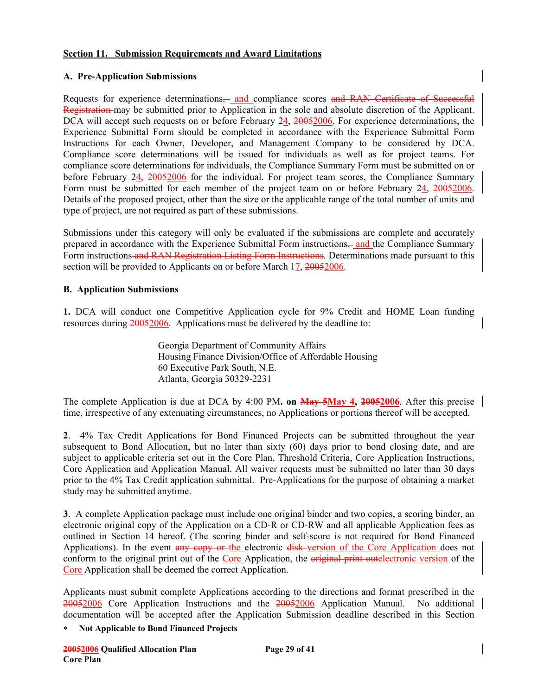#### **Section 11. Submission Requirements and Award Limitations**

#### **A. Pre-Application Submissions**

Requests for experience determinations— and compliance scores and RAN Certificate of Successful Registration may be submitted prior to Application in the sole and absolute discretion of the Applicant. DCA will accept such requests on or before February 24, 20052006. For experience determinations, the Experience Submittal Form should be completed in accordance with the Experience Submittal Form Instructions for each Owner, Developer, and Management Company to be considered by DCA. Compliance score determinations will be issued for individuals as well as for project teams. For compliance score determinations for individuals, the Compliance Summary Form must be submitted on or before February 24, 20052006 for the individual. For project team scores, the Compliance Summary Form must be submitted for each member of the project team on or before February 24, 20052006. Details of the proposed project, other than the size or the applicable range of the total number of units and type of project, are not required as part of these submissions.

Submissions under this category will only be evaluated if the submissions are complete and accurately prepared in accordance with the Experience Submittal Form instructions, and the Compliance Summary Form instructions and RAN Registration Listing Form Instructions. Determinations made pursuant to this section will be provided to Applicants on or before March 17, 20052006.

#### **B. Application Submissions**

**1.** DCA will conduct one Competitive Application cycle for 9% Credit and HOME Loan funding resources during  $\frac{20052006}{2005}$ . Applications must be delivered by the deadline to:

> Georgia Department of Community Affairs Housing Finance Division/Office of Affordable Housing 60 Executive Park South, N.E. Atlanta, Georgia 30329-2231

The complete Application is due at DCA by 4:00 PM**. on May 5May 4, 20052006**. After this precise time, irrespective of any extenuating circumstances, no Applications or portions thereof will be accepted.

**2**. 4% Tax Credit Applications for Bond Financed Projects can be submitted throughout the year subsequent to Bond Allocation, but no later than sixty (60) days prior to bond closing date, and are subject to applicable criteria set out in the Core Plan, Threshold Criteria, Core Application Instructions, Core Application and Application Manual. All waiver requests must be submitted no later than 30 days prior to the 4% Tax Credit application submittal. Pre-Applications for the purpose of obtaining a market study may be submitted anytime.

**3**. A complete Application package must include one original binder and two copies, a scoring binder, an electronic original copy of the Application on a CD-R or CD-RW and all applicable Application fees as outlined in Section 14 hereof. (The scoring binder and self-score is not required for Bond Financed Applications). In the event any copy or the electronic disk version of the Core Application does not conform to the original print out of the Core Application, the original print outelectronic version of the Core Application shall be deemed the correct Application.

Applicants must submit complete Applications according to the directions and format prescribed in the 20052006 Core Application Instructions and the 20052006 Application Manual.No additional documentation will be accepted after the Application Submission deadline described in this Section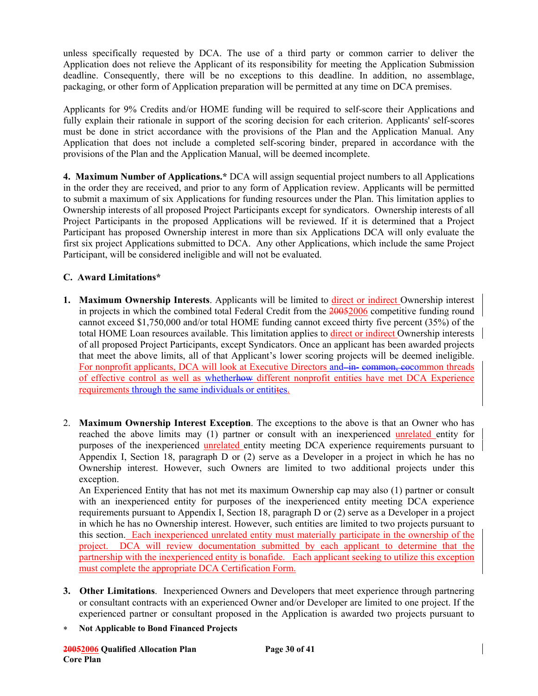unless specifically requested by DCA. The use of a third party or common carrier to deliver the Application does not relieve the Applicant of its responsibility for meeting the Application Submission deadline. Consequently, there will be no exceptions to this deadline. In addition, no assemblage, packaging, or other form of Application preparation will be permitted at any time on DCA premises.

Applicants for 9% Credits and/or HOME funding will be required to self-score their Applications and fully explain their rationale in support of the scoring decision for each criterion. Applicants' self-scores must be done in strict accordance with the provisions of the Plan and the Application Manual. Any Application that does not include a completed self-scoring binder, prepared in accordance with the provisions of the Plan and the Application Manual, will be deemed incomplete.

**4. Maximum Number of Applications.\*** DCA will assign sequential project numbers to all Applications in the order they are received, and prior to any form of Application review. Applicants will be permitted to submit a maximum of six Applications for funding resources under the Plan. This limitation applies to Ownership interests of all proposed Project Participants except for syndicators. Ownership interests of all Project Participants in the proposed Applications will be reviewed. If it is determined that a Project Participant has proposed Ownership interest in more than six Applications DCA will only evaluate the first six project Applications submitted to DCA. Any other Applications, which include the same Project Participant, will be considered ineligible and will not be evaluated.

# **C. Award Limitations\***

- **1. Maximum Ownership Interests**. Applicants will be limited to direct or indirect Ownership interest in projects in which the combined total Federal Credit from the 20052006 competitive funding round cannot exceed \$1,750,000 and/or total HOME funding cannot exceed thirty five percent (35%) of the total HOME Loan resources available. This limitation applies to direct or indirect Ownership interests of all proposed Project Participants, except Syndicators. Once an applicant has been awarded projects that meet the above limits, all of that Applicant's lower scoring projects will be deemed ineligible. For nonprofit applicants, DCA will look at Executive Directors and–in-eommon, eocommon threads of effective control as well as whetherhow different nonprofit entities have met DCA Experience requirements through the same individuals or entitities.
- 2. **Maximum Ownership Interest Exception**. The exceptions to the above is that an Owner who has reached the above limits may (1) partner or consult with an inexperienced unrelated entity for purposes of the inexperienced unrelated entity meeting DCA experience requirements pursuant to Appendix I, Section 18, paragraph D or (2) serve as a Developer in a project in which he has no Ownership interest. However, such Owners are limited to two additional projects under this exception.

An Experienced Entity that has not met its maximum Ownership cap may also (1) partner or consult with an inexperienced entity for purposes of the inexperienced entity meeting DCA experience requirements pursuant to Appendix I, Section 18, paragraph D or (2) serve as a Developer in a project in which he has no Ownership interest. However, such entities are limited to two projects pursuant to this section. Each inexperienced unrelated entity must materially participate in the ownership of the project. DCA will review documentation submitted by each applicant to determine that the partnership with the inexperienced entity is bonafide. Each applicant seeking to utilize this exception must complete the appropriate DCA Certification Form.

- **3. Other Limitations**. Inexperienced Owners and Developers that meet experience through partnering or consultant contracts with an experienced Owner and/or Developer are limited to one project. If the experienced partner or consultant proposed in the Application is awarded two projects pursuant to
- ∗ **Not Applicable to Bond Financed Projects**

**20052006 Qualified Allocation Plan Page 30 of 41 Core Plan**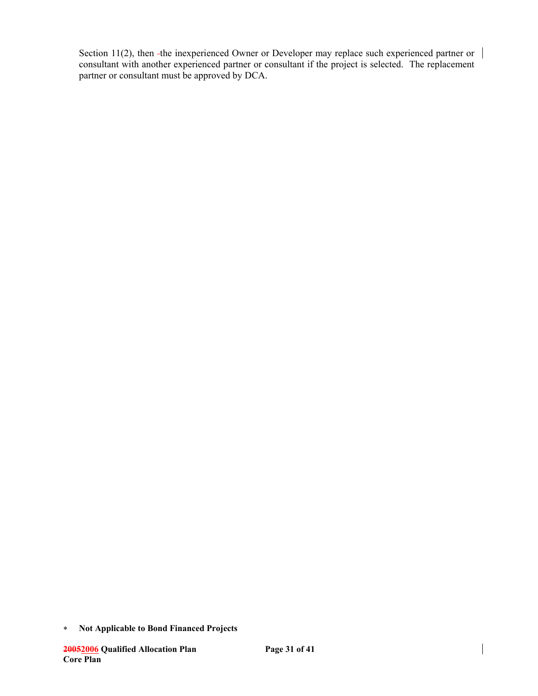Section 11(2), then -the inexperienced Owner or Developer may replace such experienced partner or  $\vert$ consultant with another experienced partner or consultant if the project is selected. The replacement partner or consultant must be approved by DCA.

<sup>∗</sup> **Not Applicable to Bond Financed Projects**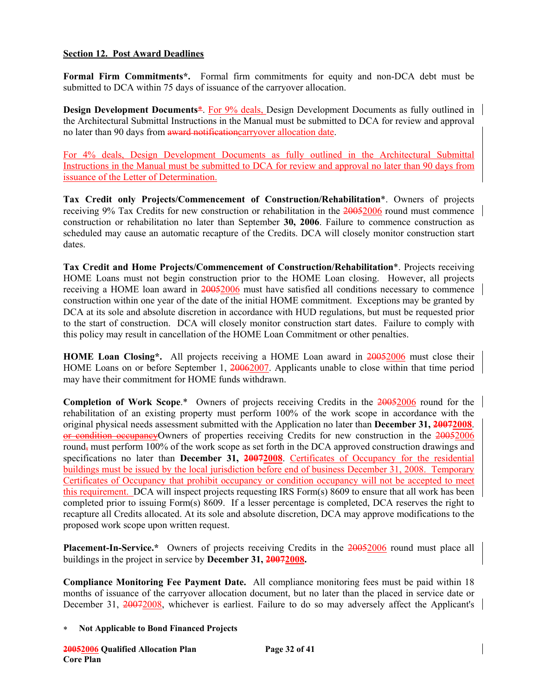#### **Section 12. Post Award Deadlines**

**Formal Firm Commitments\*.** Formal firm commitments for equity and non-DCA debt must be submitted to DCA within 75 days of issuance of the carryover allocation.

**Design Development Documents**\*. For 9% deals, Design Development Documents as fully outlined in the Architectural Submittal Instructions in the Manual must be submitted to DCA for review and approval no later than 90 days from award notificationcarryover allocation date.

For 4% deals, Design Development Documents as fully outlined in the Architectural Submittal Instructions in the Manual must be submitted to DCA for review and approval no later than 90 days from issuance of the Letter of Determination.

**Tax Credit only Projects/Commencement of Construction/Rehabilitation**\*. Owners of projects receiving 9% Tax Credits for new construction or rehabilitation in the 20052006 round must commence construction or rehabilitation no later than September **30, 2006**. Failure to commence construction as scheduled may cause an automatic recapture of the Credits. DCA will closely monitor construction start dates.

**Tax Credit and Home Projects/Commencement of Construction/Rehabilitation**\*. Projects receiving HOME Loans must not begin construction prior to the HOME Loan closing. However, all projects receiving a HOME loan award in 20052006 must have satisfied all conditions necessary to commence construction within one year of the date of the initial HOME commitment. Exceptions may be granted by DCA at its sole and absolute discretion in accordance with HUD regulations, but must be requested prior to the start of construction. DCA will closely monitor construction start dates. Failure to comply with this policy may result in cancellation of the HOME Loan Commitment or other penalties.

**HOME Loan Closing\*.** All projects receiving a HOME Loan award in 2005/2006 must close their HOME Loans on or before September 1, 20062007. Applicants unable to close within that time period may have their commitment for HOME funds withdrawn.

Completion of Work Scope.\* Owners of projects receiving Credits in the  $20052006$  round for the rehabilitation of an existing property must perform 100% of the work scope in accordance with the original physical needs assessment submitted with the Application no later than **December 31, 20072008**. or condition occupancyOwners of properties receiving Credits for new construction in the 20052006 round, must perform 100% of the work scope as set forth in the DCA approved construction drawings and specifications no later than **December 31, 20072008**. Certificates of Occupancy for the residential buildings must be issued by the local jurisdiction before end of business December 31, 2008. Temporary Certificates of Occupancy that prohibit occupancy or condition occupancy will not be accepted to meet this requirement. DCA will inspect projects requesting IRS Form(s) 8609 to ensure that all work has been completed prior to issuing Form(s) 8609. If a lesser percentage is completed, DCA reserves the right to recapture all Credits allocated. At its sole and absolute discretion, DCA may approve modifications to the proposed work scope upon written request.

Placement-In-Service.\* Owners of projects receiving Credits in the 20052006 round must place all buildings in the project in service by **December 31, 20072008.**

**Compliance Monitoring Fee Payment Date.** All compliance monitoring fees must be paid within 18 months of issuance of the carryover allocation document, but no later than the placed in service date or December 31, 20072008, whichever is earliest. Failure to do so may adversely affect the Applicant's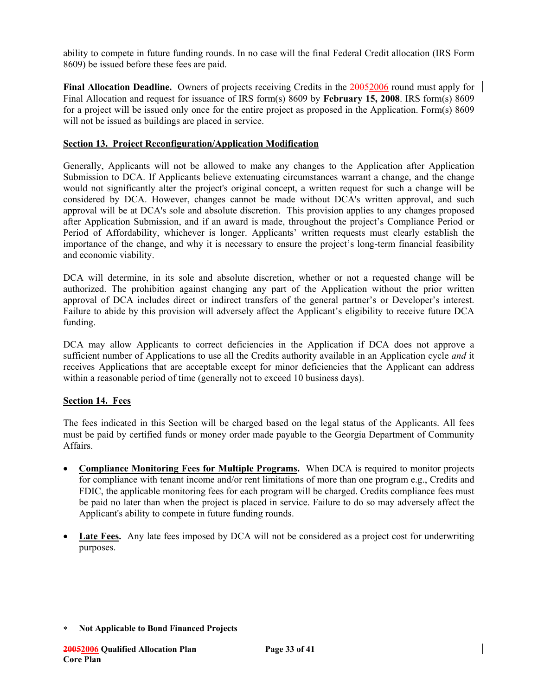ability to compete in future funding rounds. In no case will the final Federal Credit allocation (IRS Form 8609) be issued before these fees are paid.

**Final Allocation Deadline.** Owners of projects receiving Credits in the 20052006 round must apply for Final Allocation and request for issuance of IRS form(s) 8609 by **February 15, 2008**. IRS form(s) 8609 for a project will be issued only once for the entire project as proposed in the Application. Form(s) 8609 will not be issued as buildings are placed in service.

#### **Section 13. Project Reconfiguration/Application Modification**

Generally, Applicants will not be allowed to make any changes to the Application after Application Submission to DCA. If Applicants believe extenuating circumstances warrant a change, and the change would not significantly alter the project's original concept, a written request for such a change will be considered by DCA. However, changes cannot be made without DCA's written approval, and such approval will be at DCA's sole and absolute discretion. This provision applies to any changes proposed after Application Submission, and if an award is made, throughout the project's Compliance Period or Period of Affordability, whichever is longer. Applicants' written requests must clearly establish the importance of the change, and why it is necessary to ensure the project's long-term financial feasibility and economic viability.

DCA will determine, in its sole and absolute discretion, whether or not a requested change will be authorized. The prohibition against changing any part of the Application without the prior written approval of DCA includes direct or indirect transfers of the general partner's or Developer's interest. Failure to abide by this provision will adversely affect the Applicant's eligibility to receive future DCA funding.

DCA may allow Applicants to correct deficiencies in the Application if DCA does not approve a sufficient number of Applications to use all the Credits authority available in an Application cycle *and* it receives Applications that are acceptable except for minor deficiencies that the Applicant can address within a reasonable period of time (generally not to exceed 10 business days).

### **Section 14. Fees**

The fees indicated in this Section will be charged based on the legal status of the Applicants. All fees must be paid by certified funds or money order made payable to the Georgia Department of Community Affairs.

- **Compliance Monitoring Fees for Multiple Programs.** When DCA is required to monitor projects for compliance with tenant income and/or rent limitations of more than one program e.g., Credits and FDIC, the applicable monitoring fees for each program will be charged. Credits compliance fees must be paid no later than when the project is placed in service. Failure to do so may adversely affect the Applicant's ability to compete in future funding rounds.
- **Late Fees.** Any late fees imposed by DCA will not be considered as a project cost for underwriting purposes.

<sup>∗</sup> **Not Applicable to Bond Financed Projects**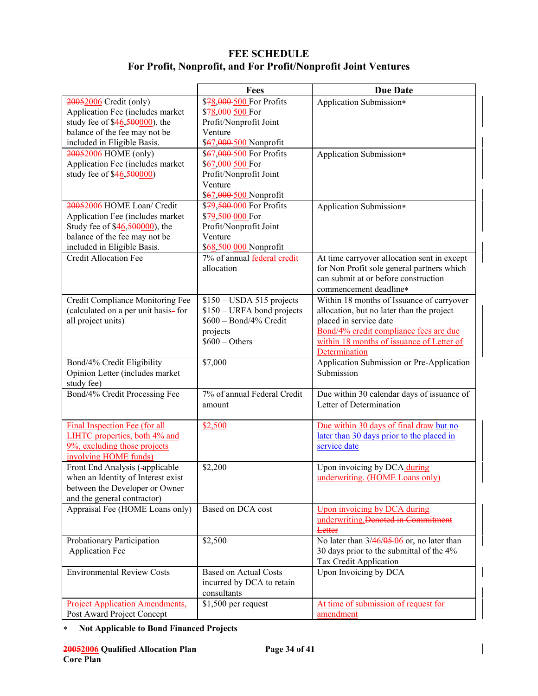# **FEE SCHEDULE For Profit, Nonprofit, and For Profit/Nonprofit Joint Ventures**

|                                                      | Fees                         | <b>Due Date</b>                              |
|------------------------------------------------------|------------------------------|----------------------------------------------|
| 20052006 Credit (only)                               | \$78,000-500 For Profits     | Application Submission*                      |
| Application Fee (includes market                     | \$78,000-500 For             |                                              |
| study fee of $$46,50000$ , the                       | Profit/Nonprofit Joint       |                                              |
| balance of the fee may not be                        | Venture                      |                                              |
| included in Eligible Basis.                          | \$67,000-500 Nonprofit       |                                              |
| 20052006 HOME (only)                                 | \$67,000-500 For Profits     | Application Submission*                      |
| Application Fee (includes market                     | \$67,000-500 For             |                                              |
| study fee of \$46,500000)                            | Profit/Nonprofit Joint       |                                              |
|                                                      | Venture                      |                                              |
|                                                      | \$67,000-500 Nonprofit       |                                              |
| 20052006 HOME Loan/ Credit                           | \$79,500-000 For Profits     | Application Submission*                      |
| Application Fee (includes market                     | \$79,500 000 For             |                                              |
| Study fee of \$46,500000, the                        | Profit/Nonprofit Joint       |                                              |
| balance of the fee may not be                        | Venture                      |                                              |
| included in Eligible Basis.                          | \$68,500 000 Nonprofit       |                                              |
| <b>Credit Allocation Fee</b>                         | 7% of annual federal credit  | At time carryover allocation sent in except  |
|                                                      | allocation                   | for Non Profit sole general partners which   |
|                                                      |                              | can submit at or before construction         |
|                                                      |                              | commencement deadline*                       |
|                                                      |                              |                                              |
| Credit Compliance Monitoring Fee                     | $$150 - USDA 515$ projects   | Within 18 months of Issuance of carryover    |
| (calculated on a per unit basis-for                  | $$150 - URFA$ bond projects  | allocation, but no later than the project    |
| all project units)                                   | \$600 - Bond/4% Credit       | placed in service date                       |
|                                                      | projects                     | Bond/4% credit compliance fees are due       |
|                                                      | $$600 - Others$              | within 18 months of issuance of Letter of    |
|                                                      |                              | Determination                                |
| Bond/4% Credit Eligibility                           | \$7,000                      | Application Submission or Pre-Application    |
| Opinion Letter (includes market                      |                              | Submission                                   |
| study fee)                                           |                              |                                              |
| Bond/4% Credit Processing Fee                        | 7% of annual Federal Credit  | Due within 30 calendar days of issuance of   |
|                                                      | amount                       | Letter of Determination                      |
| Final Inspection Fee (for all                        | \$2,500                      | Due within 30 days of final draw but no      |
| LIHTC properties, both 4% and                        |                              | later than 30 days prior to the placed in    |
| 9%, excluding those projects                         |                              | service date                                 |
| involving HOME funds)                                |                              |                                              |
| Front End Analysis (-applicable                      | \$2,200                      | Upon invoicing by DCA during                 |
| when an Identity of Interest exist                   |                              | underwriting. (HOME Loans only)              |
| between the Developer or Owner                       |                              |                                              |
| and the general contractor)                          |                              |                                              |
| Appraisal Fee (HOME Loans only)                      | Based on DCA cost            | Upon invoicing by DCA during                 |
|                                                      |                              | underwriting. Denoted in Commitment          |
|                                                      |                              | <b>Letter</b>                                |
|                                                      | \$2,500                      | No later than $3/46/05-06$ or, no later than |
| Probationary Participation<br><b>Application Fee</b> |                              | 30 days prior to the submittal of the 4%     |
|                                                      |                              |                                              |
|                                                      |                              | Tax Credit Application                       |
| <b>Environmental Review Costs</b>                    | <b>Based on Actual Costs</b> | Upon Invoicing by DCA                        |
|                                                      | incurred by DCA to retain    |                                              |
|                                                      | consultants                  |                                              |
| <b>Project Application Amendments,</b>               | $$1,500$ per request         | At time of submission of request for         |
| Post Award Project Concept                           |                              | amendment                                    |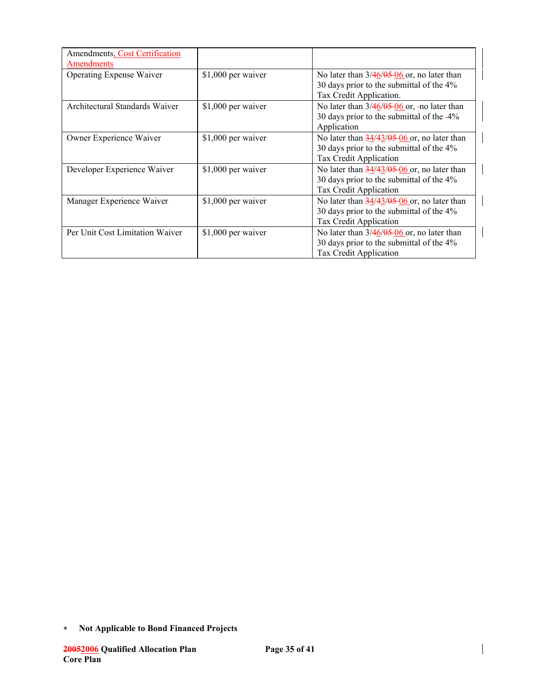| Amendments, Cost Certification<br>Amendments |                    |                                                                                                                                                           |
|----------------------------------------------|--------------------|-----------------------------------------------------------------------------------------------------------------------------------------------------------|
| <b>Operating Expense Waiver</b>              | \$1,000 per waiver | No later than $3/46/05-06$ or, no later than<br>30 days prior to the submittal of the 4%<br>Tax Credit Application.                                       |
| Architectural Standards Waiver               | \$1,000 per waiver | No later than $3/46/05-06$ or, -no later than<br>30 days prior to the submittal of the -4%<br>Application                                                 |
| Owner Experience Waiver                      | \$1,000 per waiver | No later than $\frac{34}{43}$ , $\frac{43}{65}$ , $\frac{66}{60}$ or, no later than<br>30 days prior to the submittal of the 4%<br>Tax Credit Application |
| Developer Experience Waiver                  | \$1,000 per waiver | No later than $\frac{34}{43}$ , $\frac{43}{65}$ , $\frac{66}{60}$ or, no later than<br>30 days prior to the submittal of the 4%<br>Tax Credit Application |
| Manager Experience Waiver                    | \$1,000 per waiver | No later than $\frac{34}{43}$ , $\frac{43}{95}$ or, no later than<br>30 days prior to the submittal of the 4%<br>Tax Credit Application                   |
| Per Unit Cost Limitation Waiver              | \$1,000 per waiver | No later than $3/46/05-06$ or, no later than<br>30 days prior to the submittal of the 4%<br>Tax Credit Application                                        |

<sup>∗</sup> **Not Applicable to Bond Financed Projects**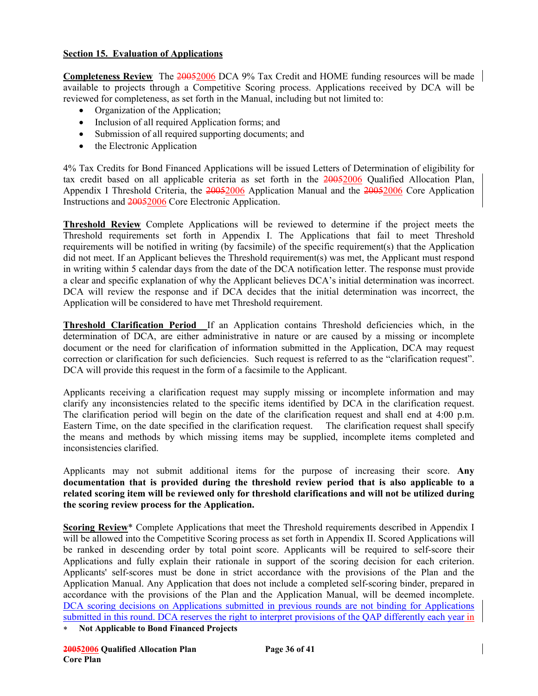### **Section 15. Evaluation of Applications**

**Completeness Review** The 20052006 DCA 9% Tax Credit and HOME funding resources will be made available to projects through a Competitive Scoring process. Applications received by DCA will be reviewed for completeness, as set forth in the Manual, including but not limited to:

- Organization of the Application;
- Inclusion of all required Application forms; and
- Submission of all required supporting documents; and
- the Electronic Application

4% Tax Credits for Bond Financed Applications will be issued Letters of Determination of eligibility for tax credit based on all applicable criteria as set forth in the 20052006 Qualified Allocation Plan, Appendix I Threshold Criteria, the 20052006 Application Manual and the 20052006 Core Application Instructions and 20052006 Core Electronic Application.

**Threshold Review** Complete Applications will be reviewed to determine if the project meets the Threshold requirements set forth in Appendix I. The Applications that fail to meet Threshold requirements will be notified in writing (by facsimile) of the specific requirement(s) that the Application did not meet. If an Applicant believes the Threshold requirement(s) was met, the Applicant must respond in writing within 5 calendar days from the date of the DCA notification letter. The response must provide a clear and specific explanation of why the Applicant believes DCA's initial determination was incorrect. DCA will review the response and if DCA decides that the initial determination was incorrect, the Application will be considered to have met Threshold requirement.

**Threshold Clarification Period** If an Application contains Threshold deficiencies which, in the determination of DCA, are either administrative in nature or are caused by a missing or incomplete document or the need for clarification of information submitted in the Application, DCA may request correction or clarification for such deficiencies. Such request is referred to as the "clarification request". DCA will provide this request in the form of a facsimile to the Applicant.

Applicants receiving a clarification request may supply missing or incomplete information and may clarify any inconsistencies related to the specific items identified by DCA in the clarification request. The clarification period will begin on the date of the clarification request and shall end at 4:00 p.m. Eastern Time, on the date specified in the clarification request. The clarification request shall specify the means and methods by which missing items may be supplied, incomplete items completed and inconsistencies clarified.

Applicants may not submit additional items for the purpose of increasing their score. **Any documentation that is provided during the threshold review period that is also applicable to a related scoring item will be reviewed only for threshold clarifications and will not be utilized during the scoring review process for the Application.** 

**Scoring Review**\* Complete Applications that meet the Threshold requirements described in Appendix I will be allowed into the Competitive Scoring process as set forth in Appendix II. Scored Applications will be ranked in descending order by total point score. Applicants will be required to self-score their Applications and fully explain their rationale in support of the scoring decision for each criterion. Applicants' self-scores must be done in strict accordance with the provisions of the Plan and the Application Manual. Any Application that does not include a completed self-scoring binder, prepared in accordance with the provisions of the Plan and the Application Manual, will be deemed incomplete. DCA scoring decisions on Applications submitted in previous rounds are not binding for Applications submitted in this round. DCA reserves the right to interpret provisions of the QAP differently each year in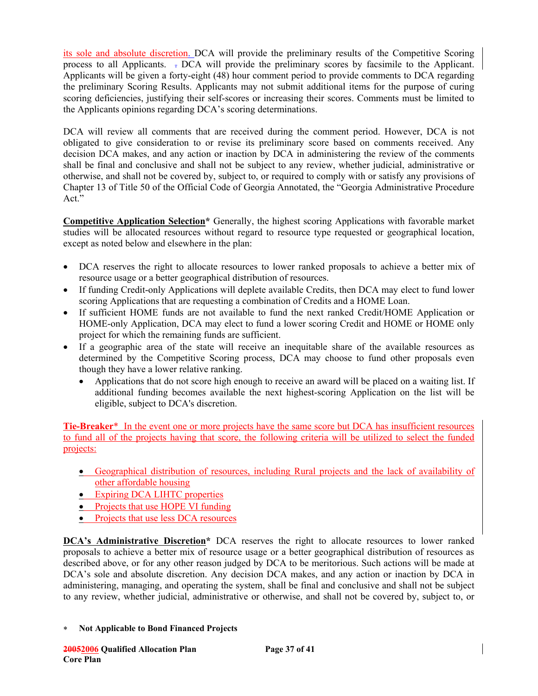its sole and absolute discretion. DCA will provide the preliminary results of the Competitive Scoring process to all Applicants. . DCA will provide the preliminary scores by facsimile to the Applicant. Applicants will be given a forty-eight (48) hour comment period to provide comments to DCA regarding the preliminary Scoring Results. Applicants may not submit additional items for the purpose of curing scoring deficiencies, justifying their self-scores or increasing their scores. Comments must be limited to the Applicants opinions regarding DCA's scoring determinations.

DCA will review all comments that are received during the comment period. However, DCA is not obligated to give consideration to or revise its preliminary score based on comments received. Any decision DCA makes, and any action or inaction by DCA in administering the review of the comments shall be final and conclusive and shall not be subject to any review, whether judicial, administrative or otherwise, and shall not be covered by, subject to, or required to comply with or satisfy any provisions of Chapter 13 of Title 50 of the Official Code of Georgia Annotated, the "Georgia Administrative Procedure Act."

**Competitive Application Selection\*** Generally, the highest scoring Applications with favorable market studies will be allocated resources without regard to resource type requested or geographical location, except as noted below and elsewhere in the plan:

- DCA reserves the right to allocate resources to lower ranked proposals to achieve a better mix of resource usage or a better geographical distribution of resources.
- If funding Credit-only Applications will deplete available Credits, then DCA may elect to fund lower scoring Applications that are requesting a combination of Credits and a HOME Loan.
- If sufficient HOME funds are not available to fund the next ranked Credit/HOME Application or HOME-only Application, DCA may elect to fund a lower scoring Credit and HOME or HOME only project for which the remaining funds are sufficient.
- If a geographic area of the state will receive an inequitable share of the available resources as determined by the Competitive Scoring process, DCA may choose to fund other proposals even though they have a lower relative ranking.
	- Applications that do not score high enough to receive an award will be placed on a waiting list. If additional funding becomes available the next highest-scoring Application on the list will be eligible, subject to DCA's discretion.

**Tie-Breaker**\* In the event one or more projects have the same score but DCA has insufficient resources to fund all of the projects having that score, the following criteria will be utilized to select the funded projects:

- Geographical distribution of resources, including Rural projects and the lack of availability of other affordable housing
- Expiring DCA LIHTC properties
- Projects that use HOPE VI funding
- Projects that use less DCA resources

**DCA's Administrative Discretion\*** DCA reserves the right to allocate resources to lower ranked proposals to achieve a better mix of resource usage or a better geographical distribution of resources as described above, or for any other reason judged by DCA to be meritorious. Such actions will be made at DCA's sole and absolute discretion. Any decision DCA makes, and any action or inaction by DCA in administering, managing, and operating the system, shall be final and conclusive and shall not be subject to any review, whether judicial, administrative or otherwise, and shall not be covered by, subject to, or

∗ **Not Applicable to Bond Financed Projects**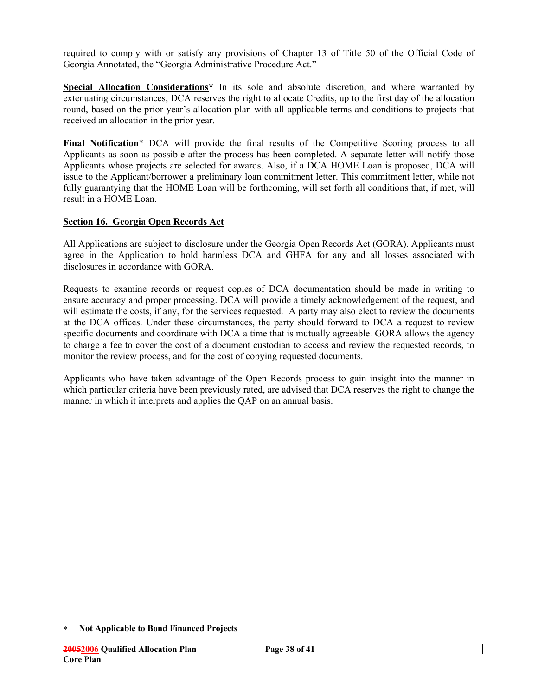required to comply with or satisfy any provisions of Chapter 13 of Title 50 of the Official Code of Georgia Annotated, the "Georgia Administrative Procedure Act."

**Special Allocation Considerations\*** In its sole and absolute discretion, and where warranted by extenuating circumstances, DCA reserves the right to allocate Credits, up to the first day of the allocation round, based on the prior year's allocation plan with all applicable terms and conditions to projects that received an allocation in the prior year.

**Final Notification**\* DCA will provide the final results of the Competitive Scoring process to all Applicants as soon as possible after the process has been completed. A separate letter will notify those Applicants whose projects are selected for awards. Also, if a DCA HOME Loan is proposed, DCA will issue to the Applicant/borrower a preliminary loan commitment letter. This commitment letter, while not fully guarantying that the HOME Loan will be forthcoming, will set forth all conditions that, if met, will result in a HOME Loan.

## **Section 16. Georgia Open Records Act**

All Applications are subject to disclosure under the Georgia Open Records Act (GORA). Applicants must agree in the Application to hold harmless DCA and GHFA for any and all losses associated with disclosures in accordance with GORA.

Requests to examine records or request copies of DCA documentation should be made in writing to ensure accuracy and proper processing. DCA will provide a timely acknowledgement of the request, and will estimate the costs, if any, for the services requested. A party may also elect to review the documents at the DCA offices. Under these circumstances, the party should forward to DCA a request to review specific documents and coordinate with DCA a time that is mutually agreeable. GORA allows the agency to charge a fee to cover the cost of a document custodian to access and review the requested records, to monitor the review process, and for the cost of copying requested documents.

Applicants who have taken advantage of the Open Records process to gain insight into the manner in which particular criteria have been previously rated, are advised that DCA reserves the right to change the manner in which it interprets and applies the QAP on an annual basis.

<sup>∗</sup> **Not Applicable to Bond Financed Projects**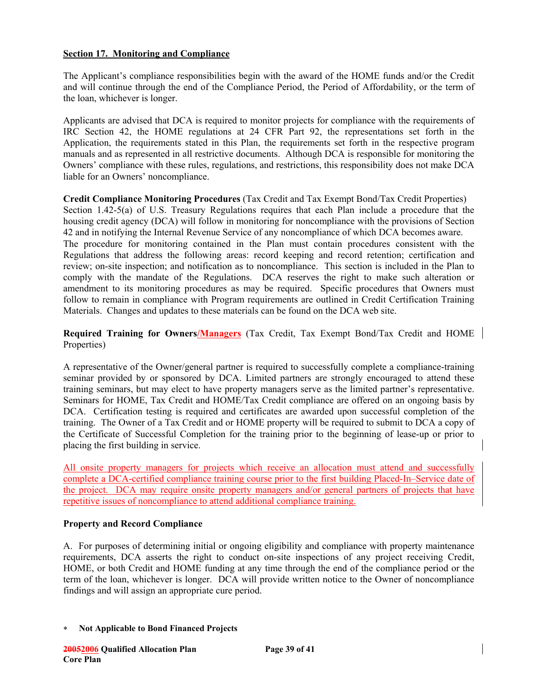## **Section 17. Monitoring and Compliance**

The Applicant's compliance responsibilities begin with the award of the HOME funds and/or the Credit and will continue through the end of the Compliance Period, the Period of Affordability, or the term of the loan, whichever is longer.

Applicants are advised that DCA is required to monitor projects for compliance with the requirements of IRC Section 42, the HOME regulations at 24 CFR Part 92, the representations set forth in the Application, the requirements stated in this Plan, the requirements set forth in the respective program manuals and as represented in all restrictive documents. Although DCA is responsible for monitoring the Owners' compliance with these rules, regulations, and restrictions, this responsibility does not make DCA liable for an Owners' noncompliance.

**Credit Compliance Monitoring Procedures** (Tax Credit and Tax Exempt Bond/Tax Credit Properties) Section 1.42-5(a) of U.S. Treasury Regulations requires that each Plan include a procedure that the housing credit agency (DCA) will follow in monitoring for noncompliance with the provisions of Section 42 and in notifying the Internal Revenue Service of any noncompliance of which DCA becomes aware. The procedure for monitoring contained in the Plan must contain procedures consistent with the Regulations that address the following areas: record keeping and record retention; certification and review; on-site inspection; and notification as to noncompliance. This section is included in the Plan to comply with the mandate of the Regulations. DCA reserves the right to make such alteration or amendment to its monitoring procedures as may be required. Specific procedures that Owners must follow to remain in compliance with Program requirements are outlined in Credit Certification Training Materials. Changes and updates to these materials can be found on the DCA web site.

**Required Training for Owners/Managers** (Tax Credit, Tax Exempt Bond/Tax Credit and HOME Properties)

A representative of the Owner/general partner is required to successfully complete a compliance-training seminar provided by or sponsored by DCA. Limited partners are strongly encouraged to attend these training seminars, but may elect to have property managers serve as the limited partner's representative. Seminars for HOME, Tax Credit and HOME/Tax Credit compliance are offered on an ongoing basis by DCA. Certification testing is required and certificates are awarded upon successful completion of the training. The Owner of a Tax Credit and or HOME property will be required to submit to DCA a copy of the Certificate of Successful Completion for the training prior to the beginning of lease-up or prior to placing the first building in service.

All onsite property managers for projects which receive an allocation must attend and successfully complete a DCA-certified compliance training course prior to the first building Placed-In–Service date of the project. DCA may require onsite property managers and/or general partners of projects that have repetitive issues of noncompliance to attend additional compliance training.

#### **Property and Record Compliance**

A. For purposes of determining initial or ongoing eligibility and compliance with property maintenance requirements, DCA asserts the right to conduct on-site inspections of any project receiving Credit, HOME, or both Credit and HOME funding at any time through the end of the compliance period or the term of the loan, whichever is longer. DCA will provide written notice to the Owner of noncompliance findings and will assign an appropriate cure period.

∗ **Not Applicable to Bond Financed Projects**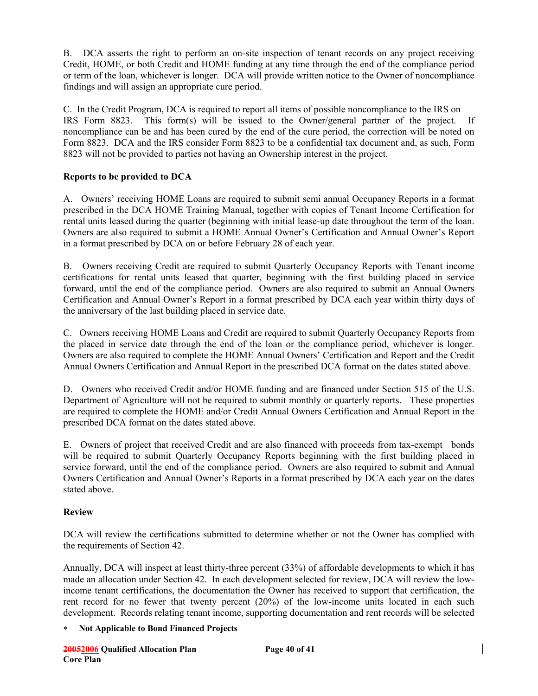B. DCA asserts the right to perform an on-site inspection of tenant records on any project receiving Credit, HOME, or both Credit and HOME funding at any time through the end of the compliance period or term of the loan, whichever is longer. DCA will provide written notice to the Owner of noncompliance findings and will assign an appropriate cure period.

C. In the Credit Program, DCA is required to report all items of possible noncompliance to the IRS on IRS Form 8823. This form(s) will be issued to the Owner/general partner of the project. If noncompliance can be and has been cured by the end of the cure period, the correction will be noted on Form 8823. DCA and the IRS consider Form 8823 to be a confidential tax document and, as such, Form 8823 will not be provided to parties not having an Ownership interest in the project.

## **Reports to be provided to DCA**

A. Owners' receiving HOME Loans are required to submit semi annual Occupancy Reports in a format prescribed in the DCA HOME Training Manual, together with copies of Tenant Income Certification for rental units leased during the quarter (beginning with initial lease-up date throughout the term of the loan. Owners are also required to submit a HOME Annual Owner's Certification and Annual Owner's Report in a format prescribed by DCA on or before February 28 of each year.

B. Owners receiving Credit are required to submit Quarterly Occupancy Reports with Tenant income certifications for rental units leased that quarter, beginning with the first building placed in service forward, until the end of the compliance period. Owners are also required to submit an Annual Owners Certification and Annual Owner's Report in a format prescribed by DCA each year within thirty days of the anniversary of the last building placed in service date.

C. Owners receiving HOME Loans and Credit are required to submit Quarterly Occupancy Reports from the placed in service date through the end of the loan or the compliance period, whichever is longer. Owners are also required to complete the HOME Annual Owners' Certification and Report and the Credit Annual Owners Certification and Annual Report in the prescribed DCA format on the dates stated above.

D. Owners who received Credit and/or HOME funding and are financed under Section 515 of the U.S. Department of Agriculture will not be required to submit monthly or quarterly reports. These properties are required to complete the HOME and/or Credit Annual Owners Certification and Annual Report in the prescribed DCA format on the dates stated above.

E. Owners of project that received Credit and are also financed with proceeds from tax-exempt bonds will be required to submit Quarterly Occupancy Reports beginning with the first building placed in service forward, until the end of the compliance period. Owners are also required to submit and Annual Owners Certification and Annual Owner's Reports in a format prescribed by DCA each year on the dates stated above.

## **Review**

DCA will review the certifications submitted to determine whether or not the Owner has complied with the requirements of Section 42.

Annually, DCA will inspect at least thirty-three percent (33%) of affordable developments to which it has made an allocation under Section 42. In each development selected for review, DCA will review the lowincome tenant certifications, the documentation the Owner has received to support that certification, the rent record for no fewer that twenty percent (20%) of the low-income units located in each such development. Records relating tenant income, supporting documentation and rent records will be selected

## ∗ **Not Applicable to Bond Financed Projects**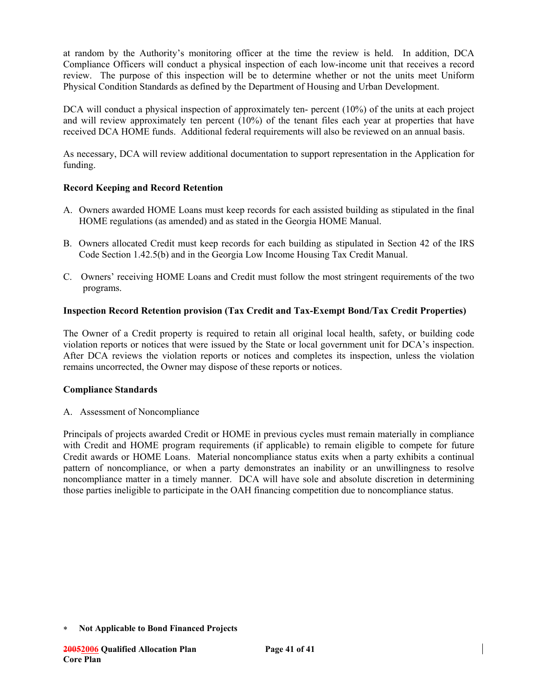at random by the Authority's monitoring officer at the time the review is held. In addition, DCA Compliance Officers will conduct a physical inspection of each low-income unit that receives a record review. The purpose of this inspection will be to determine whether or not the units meet Uniform Physical Condition Standards as defined by the Department of Housing and Urban Development.

DCA will conduct a physical inspection of approximately ten- percent  $(10\%)$  of the units at each project and will review approximately ten percent (10%) of the tenant files each year at properties that have received DCA HOME funds. Additional federal requirements will also be reviewed on an annual basis.

As necessary, DCA will review additional documentation to support representation in the Application for funding.

## **Record Keeping and Record Retention**

- A. Owners awarded HOME Loans must keep records for each assisted building as stipulated in the final HOME regulations (as amended) and as stated in the Georgia HOME Manual.
- B. Owners allocated Credit must keep records for each building as stipulated in Section 42 of the IRS Code Section 1.42.5(b) and in the Georgia Low Income Housing Tax Credit Manual.
- C. Owners' receiving HOME Loans and Credit must follow the most stringent requirements of the two programs.

## **Inspection Record Retention provision (Tax Credit and Tax-Exempt Bond/Tax Credit Properties)**

The Owner of a Credit property is required to retain all original local health, safety, or building code violation reports or notices that were issued by the State or local government unit for DCA's inspection. After DCA reviews the violation reports or notices and completes its inspection, unless the violation remains uncorrected, the Owner may dispose of these reports or notices.

## **Compliance Standards**

A. Assessment of Noncompliance

Principals of projects awarded Credit or HOME in previous cycles must remain materially in compliance with Credit and HOME program requirements (if applicable) to remain eligible to compete for future Credit awards or HOME Loans. Material noncompliance status exits when a party exhibits a continual pattern of noncompliance, or when a party demonstrates an inability or an unwillingness to resolve noncompliance matter in a timely manner. DCA will have sole and absolute discretion in determining those parties ineligible to participate in the OAH financing competition due to noncompliance status.

<sup>∗</sup> **Not Applicable to Bond Financed Projects**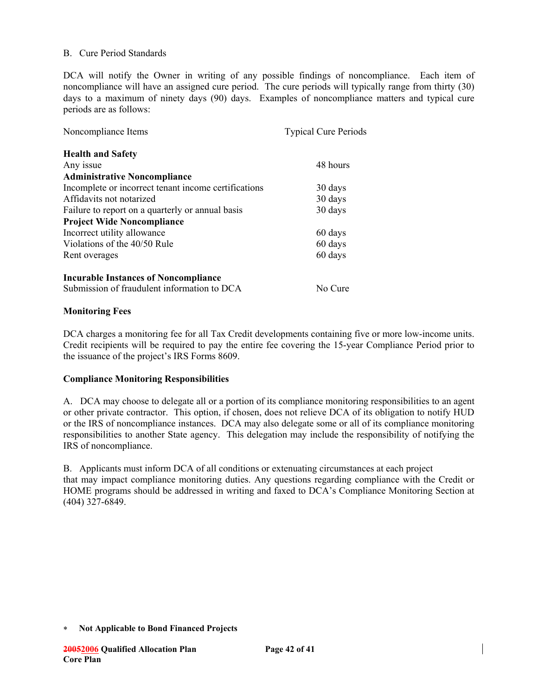### B. Cure Period Standards

DCA will notify the Owner in writing of any possible findings of noncompliance. Each item of noncompliance will have an assigned cure period. The cure periods will typically range from thirty (30) days to a maximum of ninety days (90) days. Examples of noncompliance matters and typical cure periods are as follows:

| Noncompliance Items                                  | <b>Typical Cure Periods</b> |  |
|------------------------------------------------------|-----------------------------|--|
| <b>Health and Safety</b>                             |                             |  |
| Any issue                                            | 48 hours                    |  |
| <b>Administrative Noncompliance</b>                  |                             |  |
| Incomplete or incorrect tenant income certifications | 30 days                     |  |
| Affidavits not notarized                             | 30 days                     |  |
| Failure to report on a quarterly or annual basis     | 30 days                     |  |
| <b>Project Wide Noncompliance</b>                    |                             |  |
| Incorrect utility allowance                          | 60 days                     |  |
| Violations of the 40/50 Rule                         | 60 days                     |  |
| Rent overages                                        | 60 days                     |  |
| <b>Incurable Instances of Noncompliance</b>          |                             |  |
| Submission of fraudulent information to DCA          | No Cure                     |  |

### **Monitoring Fees**

DCA charges a monitoring fee for all Tax Credit developments containing five or more low-income units. Credit recipients will be required to pay the entire fee covering the 15-year Compliance Period prior to the issuance of the project's IRS Forms 8609.

#### **Compliance Monitoring Responsibilities**

A. DCA may choose to delegate all or a portion of its compliance monitoring responsibilities to an agent or other private contractor. This option, if chosen, does not relieve DCA of its obligation to notify HUD or the IRS of noncompliance instances. DCA may also delegate some or all of its compliance monitoring responsibilities to another State agency. This delegation may include the responsibility of notifying the IRS of noncompliance.

B. Applicants must inform DCA of all conditions or extenuating circumstances at each project that may impact compliance monitoring duties. Any questions regarding compliance with the Credit or HOME programs should be addressed in writing and faxed to DCA's Compliance Monitoring Section at (404) 327-6849.

<sup>∗</sup> **Not Applicable to Bond Financed Projects**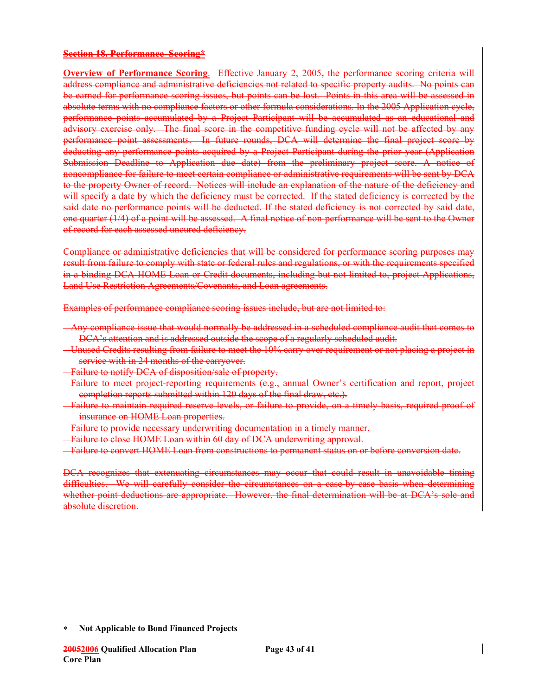#### **Section 18. Performance Scoring\***

**Overview of Performance Scoring**.Effective January 2, 2005**,** the performance scoring criteria will address compliance and administrative deficiencies not related to specific property audits. No points can be earned for performance scoring issues, but points can be lost. Points in this area will be assessed in absolute terms with no compliance factors or other formula considerations. In the 2005 Application cycle, performance points accumulated by a Project Participant will be accumulated as an educational and advisory exercise only. The final score in the competitive funding cycle will not be affected by any performance point assessments. In future rounds, DCA will determine the final project score by deducting any performance points acquired by a Project Participant during the prior year (Application Submission Deadline to Application due date) from the preliminary project score. A notice of noncompliance for failure to meet certain compliance or administrative requirements will be sent by DCA to the property Owner of record. Notices will include an explanation of the nature of the deficiency and will specify a date by which the deficiency must be corrected. If the stated deficiency is corrected by the said date no performance points will be deducted. If the stated deficiency is not corrected by said date, one quarter (1/4) of a point will be assessed. A final notice of non-performance will be sent to the Owner of record for each assessed uncured deficiency.

Compliance or administrative deficiencies that will be considered for performance scoring purposes may result from failure to comply with state or federal rules and regulations, or with the requirements specified in a binding DCA HOME Loan or Credit documents, including but not limited to, project Applications, Land Use Restriction Agreements/Covenants, and Loan agreements.

Examples of performance compliance scoring issues include, but are not limited to:

- Any compliance issue that would normally be addressed in a scheduled compliance audit that comes to DCA's attention and is addressed outside the scope of a regularly scheduled audit.
- Unused Credits resulting from failure to meet the 10% carry over requirement or not placing a project in service with in 24 months of the carryover.
- Failure to notify DCA of disposition/sale of property.
- Failure to meet project-reporting requirements (e.g., annual Owner's certification and report, project completion reports submitted within 120 days of the final draw, etc.).
- Failure to maintain required reserve levels, or failure to provide, on a timely basis, required proof of insurance on HOME Loan properties.
- Failure to provide necessary underwriting documentation in a timely manner.
- Failure to close HOME Loan within 60 day of DCA underwriting approval.
- Failure to convert HOME Loan from constructions to permanent status on or before conversion date.

DCA recognizes that extenuating circumstances may occur that could result in unavoidable timing difficulties. We will carefully consider the circumstances on a case-by-case basis when determining whether point deductions are appropriate. However, the final determination will be at DCA's sole and absolute discretion.

<sup>∗</sup> **Not Applicable to Bond Financed Projects**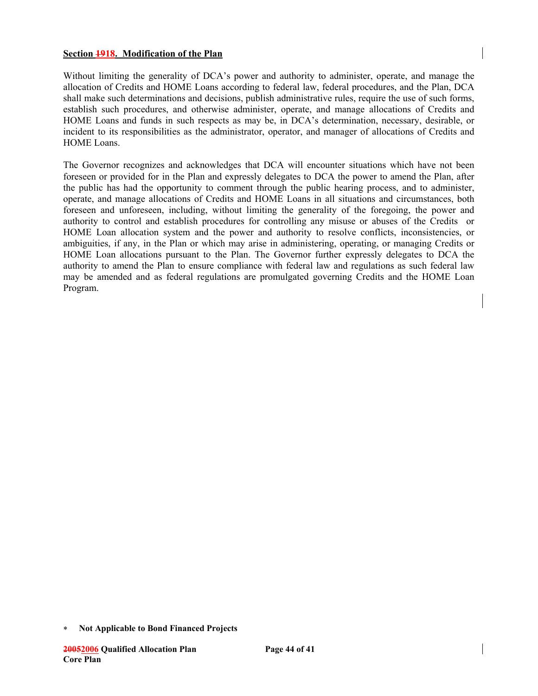#### **Section 1918. Modification of the Plan**

Without limiting the generality of DCA's power and authority to administer, operate, and manage the allocation of Credits and HOME Loans according to federal law, federal procedures, and the Plan, DCA shall make such determinations and decisions, publish administrative rules, require the use of such forms, establish such procedures, and otherwise administer, operate, and manage allocations of Credits and HOME Loans and funds in such respects as may be, in DCA's determination, necessary, desirable, or incident to its responsibilities as the administrator, operator, and manager of allocations of Credits and HOME Loans.

The Governor recognizes and acknowledges that DCA will encounter situations which have not been foreseen or provided for in the Plan and expressly delegates to DCA the power to amend the Plan, after the public has had the opportunity to comment through the public hearing process, and to administer, operate, and manage allocations of Credits and HOME Loans in all situations and circumstances, both foreseen and unforeseen, including, without limiting the generality of the foregoing, the power and authority to control and establish procedures for controlling any misuse or abuses of the Credits or HOME Loan allocation system and the power and authority to resolve conflicts, inconsistencies, or ambiguities, if any, in the Plan or which may arise in administering, operating, or managing Credits or HOME Loan allocations pursuant to the Plan. The Governor further expressly delegates to DCA the authority to amend the Plan to ensure compliance with federal law and regulations as such federal law may be amended and as federal regulations are promulgated governing Credits and the HOME Loan Program.

<sup>∗</sup> **Not Applicable to Bond Financed Projects**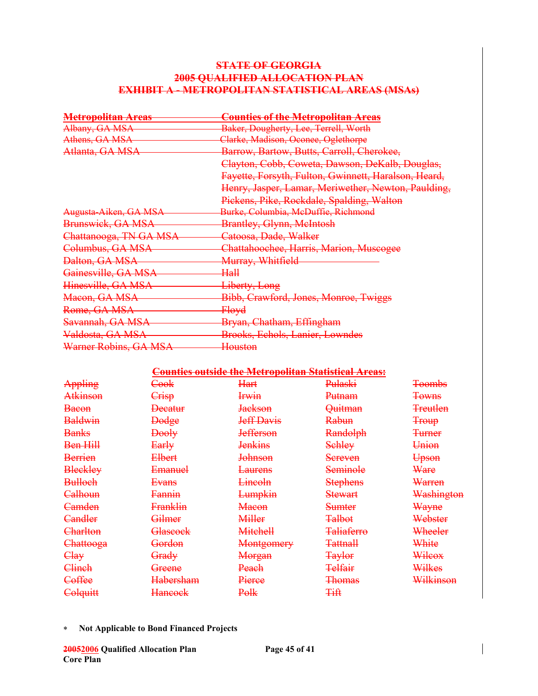## **STATE OF GEORGIA 2005 QUALIFIED ALLOCATION PLAN EXHIBIT A - METROPOLITAN STATISTICAL AREAS (MSAs)**

| <del>Metropolitan Areas</del> | Counties of the Metropolitan Areas                   |
|-------------------------------|------------------------------------------------------|
| Albany, GA MSA                | Baker, Dougherty, Lee, Terrell, Worth                |
| Athens, GA MSA                | Clarke, Madison, Oconee, Oglethorpe                  |
| Atlanta, GA MSA               | Barrow, Bartow, Butts, Carroll, Cherokee,            |
|                               | Clayton, Cobb, Coweta, Dawson, DeKalb, Douglas,      |
|                               | Fayette, Forsyth, Fulton, Gwinnett, Haralson, Heard, |
|                               | Henry, Jasper, Lamar, Meriwether, Newton, Paulding,  |
|                               | Pickens, Pike, Rockdale, Spalding, Walton            |
| Augusta-Aiken, GA MSA         | Burke, Columbia, McDuffie, Richmond                  |
| Brunswick, GA MSA             | <b>Brantley, Glynn, MeIntosh</b>                     |
| Chattanooga, TN GA MSA        | Catoosa, Dade, Walker                                |
| Columbus, GA MSA              | Chattahoochee, Harris, Marion, Muscogee              |
| <del>Dalton, GA MSA</del>     | <del>Murray, Whitfield</del>                         |
| Gainesville, GA MSA           | Hall                                                 |
| Hinesville, GA MSA            | Liberty, Long                                        |
| Macon, GA MSA                 | Bibb, Crawford, Jones, Monroe, Twiggs                |
| Rome, GA MSA                  | <del>Floyd</del>                                     |
| Savannah, GA MSA              | Bryan, Chatham, Effingham                            |
| Valdosta, GA MSA              | <b>Brooks, Echols, Lanier, Lowndes</b>               |
| Warner Robins, GA MSA         | <del>Houston</del>                                   |

### **Counties outside the Metropolitan Statistical Areas:**

| Appling         | <del>Cook</del>   | Hart               | Pulaski            | <b>Toombs</b>       |
|-----------------|-------------------|--------------------|--------------------|---------------------|
| <b>Atkinson</b> | Crisp             | <b>Irwin</b>       | Putnam             | <b>Towns</b>        |
| <b>Bacon</b>    | <b>Decatur</b>    | <b>Jackson</b>     | <del>Quitman</del> | <del>Treutlen</del> |
| <b>Baldwin</b>  | <b>Dodge</b>      | <b>Jeff Davis</b>  | Rabun              | <b>Troup</b>        |
| <b>Banks</b>    | <b>Dooly</b>      | <b>Jefferson</b>   | <b>Randolph</b>    | <b>Turner</b>       |
| Ben Hill        | Early             | <b>Jenkins</b>     | <b>Schley</b>      | Union               |
| <b>Berrien</b>  | <b>Elbert</b>     | <del>Johnson</del> | Sereven            | Upson               |
| <b>Bleckley</b> | <b>Emanuel</b>    | <del>Laurens</del> | <b>Seminole</b>    | Ware                |
| <b>Bulloch</b>  | Evans             | <del>Lincoln</del> | <b>Stephens</b>    | Warren              |
| Calhoun         | <b>Fannin</b>     | <b>Lumpkin</b>     | <b>Stewart</b>     | Washington          |
| Camden          | Franklin          | <b>Macon</b>       | <b>Sumter</b>      | Wayne               |
| <b>Candler</b>  | Gilmer            | <b>Miller</b>      | <b>Talbot</b>      | Webster             |
| Charlton        | Glascock          | <b>Mitchell</b>    | <b>Taliaferro</b>  | Wheeler             |
| Chattooga       | <del>Gordon</del> | Montgomery         | <b>Tattnall</b>    | White               |
| Clay            | Grady             | Morgan             | <b>Taylor</b>      | Wilcox              |
| Clinch          | <del>Greene</del> | Peach              | <b>Telfair</b>     | Wilkes              |
| Coffee          | <b>Habersham</b>  | <del>Pierce</del>  | <b>Thomas</b>      | Wilkinson           |
| Colquitt        | <b>Hancock</b>    | Polk               | <b>Tift</b>        |                     |

∗ **Not Applicable to Bond Financed Projects**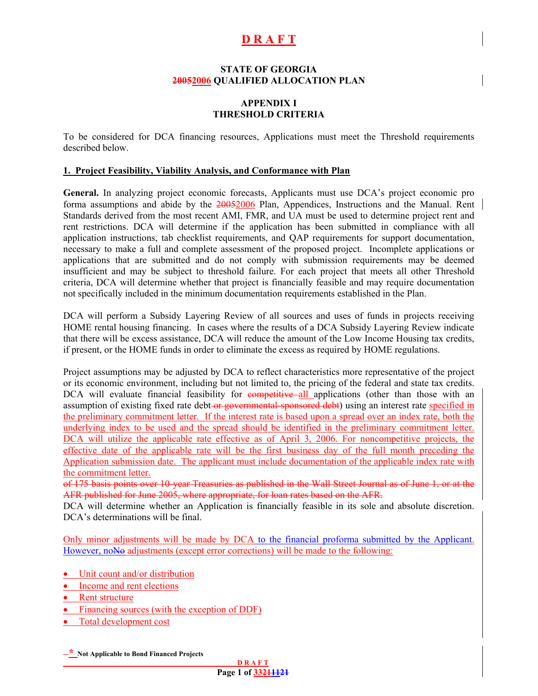# **D R A F T**

#### **STATE OF GEORGIA 20052006 QUALIFIED ALLOCATION PLAN**

### **APPENDIX I THRESHOLD CRITERIA**

To be considered for DCA financing resources, Applications must meet the Threshold requirements described below.

#### **1. Project Feasibility, Viability Analysis, and Conformance with Plan**

**General.** In analyzing project economic forecasts, Applicants must use DCA's project economic pro forma assumptions and abide by the 20052006 Plan, Appendices, Instructions and the Manual. Rent Standards derived from the most recent AMI, FMR, and UA must be used to determine project rent and rent restrictions. DCA will determine if the application has been submitted in compliance with all application instructions, tab checklist requirements, and QAP requirements for support documentation, necessary to make a full and complete assessment of the proposed project. Incomplete applications or applications that are submitted and do not comply with submission requirements may be deemed insufficient and may be subject to threshold failure. For each project that meets all other Threshold criteria, DCA will determine whether that project is financially feasible and may require documentation not specifically included in the minimum documentation requirements established in the Plan.

DCA will perform a Subsidy Layering Review of all sources and uses of funds in projects receiving HOME rental housing financing. In cases where the results of a DCA Subsidy Layering Review indicate that there will be excess assistance, DCA will reduce the amount of the Low Income Housing tax credits, if present, or the HOME funds in order to eliminate the excess as required by HOME regulations.

Project assumptions may be adjusted by DCA to reflect characteristics more representative of the project or its economic environment, including but not limited to, the pricing of the federal and state tax credits. DCA will evaluate financial feasibility for competitive all applications (other than those with an assumption of existing fixed rate debt or governmental sponsored debt) using an interest rate specified in the preliminary commitment letter. If the interest rate is based upon a spread over an index rate, both the underlying index to be used and the spread should be identified in the preliminary commitment letter. DCA will utilize the applicable rate effective as of April 3, 2006. For noncompetitive projects, the effective date of the applicable rate will be the first business day of the full month preceding the Application submission date. The applicant must include documentation of the applicable index rate with the commitment letter.

of 175 basis points over 10-year Treasuries as published in the Wall Street Journal as of June 1, or at the AFR published for June 2005, where appropriate, for loan rates based on the AFR.

DCA will determine whether an Application is financially feasible in its sole and absolute discretion. DCA's determinations will be final.

Only minor adjustments will be made by DCA to the financial proforma submitted by the Applicant. However, noNo adjustments (except error corrections) will be made to the following:

- Unit count and/or distribution
- Income and rent elections
- Rent structure
- Financing sources (with the exception of DDF)
- Total development cost

**\* Not Applicable to Bond Financed Projects**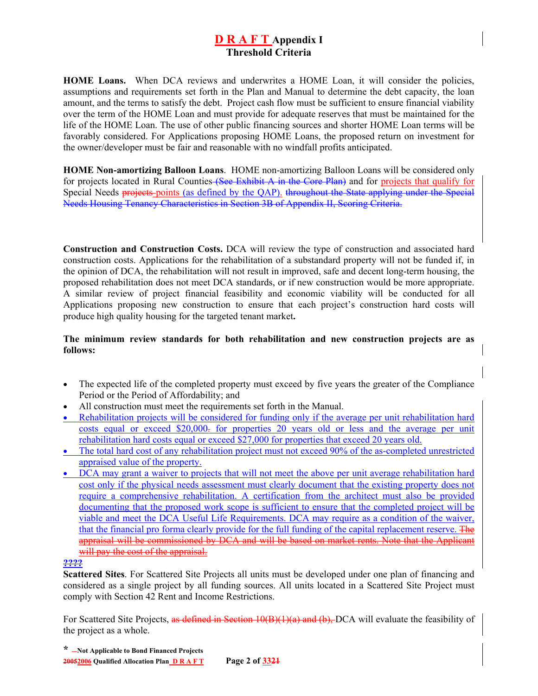**HOME Loans.** When DCA reviews and underwrites a HOME Loan, it will consider the policies, assumptions and requirements set forth in the Plan and Manual to determine the debt capacity, the loan amount, and the terms to satisfy the debt. Project cash flow must be sufficient to ensure financial viability over the term of the HOME Loan and must provide for adequate reserves that must be maintained for the life of the HOME Loan. The use of other public financing sources and shorter HOME Loan terms will be favorably considered. For Applications proposing HOME Loans, the proposed return on investment for the owner/developer must be fair and reasonable with no windfall profits anticipated.

**HOME Non-amortizing Balloon Loans**.HOME non-amortizing Balloon Loans will be considered only for projects located in Rural Counties (See Exhibit A in the Core Plan) and for projects that qualify for Special Needs projects points (as defined by the QAP). throughout the State applying under the Special Needs Housing Tenancy Characteristics in Section 3B of Appendix II, Scoring Criteria.

**Construction and Construction Costs.** DCA will review the type of construction and associated hard construction costs. Applications for the rehabilitation of a substandard property will not be funded if, in the opinion of DCA, the rehabilitation will not result in improved, safe and decent long-term housing, the proposed rehabilitation does not meet DCA standards, or if new construction would be more appropriate. A similar review of project financial feasibility and economic viability will be conducted for all Applications proposing new construction to ensure that each project's construction hard costs will produce high quality housing for the targeted tenant market**.**

### **The minimum review standards for both rehabilitation and new construction projects are as follows:**

- The expected life of the completed property must exceed by five years the greater of the Compliance Period or the Period of Affordability; and
- All construction must meet the requirements set forth in the Manual.
- Rehabilitation projects will be considered for funding only if the average per unit rehabilitation hard costs equal or exceed \$20,000. for properties 20 years old or less and the average per unit rehabilitation hard costs equal or exceed \$27,000 for properties that exceed 20 years old.
- The total hard cost of any rehabilitation project must not exceed 90% of the as-completed unrestricted appraised value of the property.
- DCA may grant a waiver to projects that will not meet the above per unit average rehabilitation hard cost only if the physical needs assessment must clearly document that the existing property does not require a comprehensive rehabilitation. A certification from the architect must also be provided documenting that the proposed work scope is sufficient to ensure that the completed project will be viable and meet the DCA Useful Life Requirements. DCA may require as a condition of the waiver, that the financial pro forma clearly provide for the full funding of the capital replacement reserve. The appraisal will be commissioned by DCA and will be based on market rents. Note that the Applicant will pay the cost of the appraisal.

#### **????**

**Scattered Sites**. For Scattered Site Projects all units must be developed under one plan of financing and considered as a single project by all funding sources. All units located in a Scattered Site Project must comply with Section 42 Rent and Income Restrictions.

For Scattered Site Projects, as defined in Section 10(B)(1)(a) and (b), DCA will evaluate the feasibility of the project as a whole.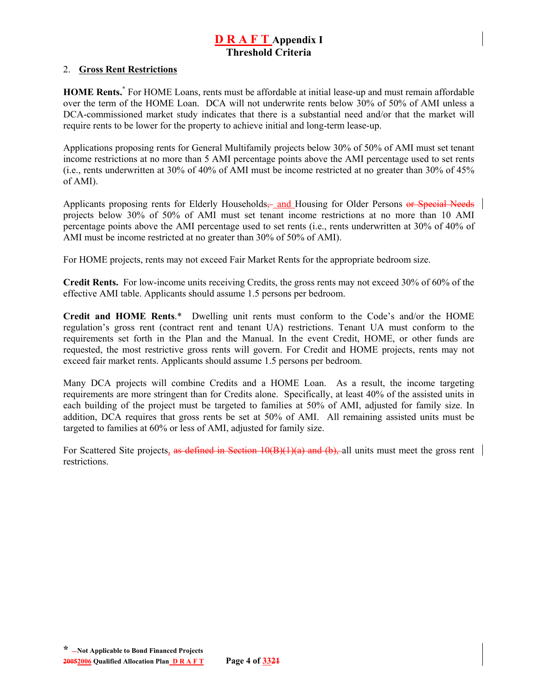#### 2. **Gross Rent Restrictions**

**HOME Rents.[\\*](#page-74-0)** For HOME Loans, rents must be affordable at initial lease-up and must remain affordable over the term of the HOME Loan. DCA will not underwrite rents below 30% of 50% of AMI unless a DCA-commissioned market study indicates that there is a substantial need and/or that the market will require rents to be lower for the property to achieve initial and long-term lease-up.

Applications proposing rents for General Multifamily projects below 30% of 50% of AMI must set tenant income restrictions at no more than 5 AMI percentage points above the AMI percentage used to set rents (i.e., rents underwritten at 30% of 40% of AMI must be income restricted at no greater than 30% of 45% of AMI).

Applicants proposing rents for Elderly Households— and Housing for Older Persons or Special Needs projects below 30% of 50% of AMI must set tenant income restrictions at no more than 10 AMI percentage points above the AMI percentage used to set rents (i.e., rents underwritten at 30% of 40% of AMI must be income restricted at no greater than 30% of 50% of AMI).

For HOME projects, rents may not exceed Fair Market Rents for the appropriate bedroom size.

**Credit Rents.** For low-income units receiving Credits, the gross rents may not exceed 30% of 60% of the effective AMI table. Applicants should assume 1.5 persons per bedroom.

**Credit and HOME Rents**.\* Dwelling unit rents must conform to the Code's and/or the HOME regulation's gross rent (contract rent and tenant UA) restrictions. Tenant UA must conform to the requirements set forth in the Plan and the Manual. In the event Credit, HOME, or other funds are requested, the most restrictive gross rents will govern. For Credit and HOME projects, rents may not exceed fair market rents. Applicants should assume 1.5 persons per bedroom.

Many DCA projects will combine Credits and a HOME Loan. As a result, the income targeting requirements are more stringent than for Credits alone. Specifically, at least 40% of the assisted units in each building of the project must be targeted to families at 50% of AMI, adjusted for family size. In addition, DCA requires that gross rents be set at 50% of AMI. All remaining assisted units must be targeted to families at 60% or less of AMI, adjusted for family size.

For Scattered Site projects, as defined in Section  $10(B)(1)(a)$  and (b), all units must meet the gross rent restrictions.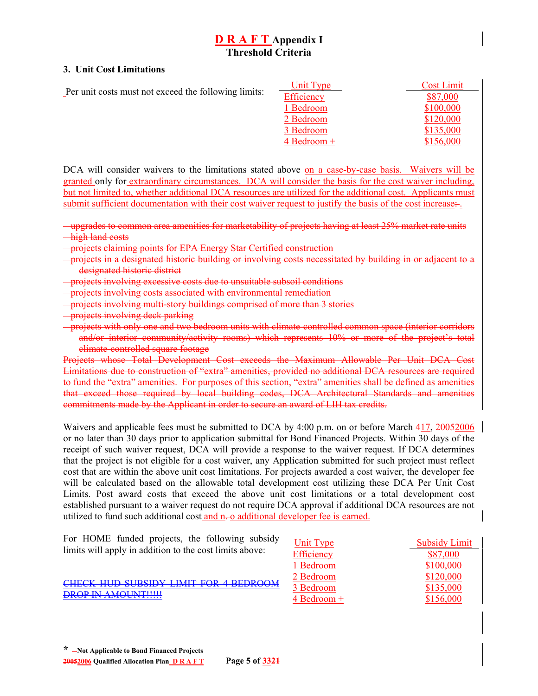#### **3. Unit Cost Limitations**

|                                                      | Unit Type             | <b>Cost Limit</b> |
|------------------------------------------------------|-----------------------|-------------------|
| Per unit costs must not exceed the following limits: | Efficiency            | \$87,000          |
|                                                      | 1 Bedroom             | \$100,000         |
|                                                      | 2 Bedroom             | \$120,000         |
|                                                      | 3 Bedroom             | \$135,000         |
|                                                      | $4 \text{ Bedroom} +$ | \$156,000         |

DCA will consider waivers to the limitations stated above on a case-by-case basis. Waivers will be granted only for extraordinary circumstances. DCA will consider the basis for the cost waiver including, but not limited to, whether additional DCA resources are utilized for the additional cost. Applicants must submit sufficient documentation with their cost waiver request to justify the basis of the cost increase:

upgrades to common area amenities for marketability of projects having at least 25% market rate units high land costs

- projects claiming points for EPA Energy Star Certified construction
- projects in a designated historic building or involving costs necessitated by building in or adjacent to a designated historic district
- projects involving excessive costs due to unsuitable subsoil conditions
- projects involving costs associated with environmental remediation
- projects involving multi-story buildings comprised of more than 3 stories
- **projects involving deck parking**
- projects with only one and two bedroom units with climate-controlled common space (interior corridors and/or interior community/activity rooms) which represents 10% or more of the project's total climate-controlled square footage

Projects whose Total Development Cost exceeds the Maximum Allowable Per Unit DCA Cost Limitations due to construction of "extra" amenities, provided no additional DCA resources are required to fund the "extra" amenities. For purposes of this section, "extra" amenities shall be defined as amenities that exceed those required by local building codes, DCA Architectural Standards and amenities commitments made by the Applicant in order to secure an award of LIH tax credits.

Waivers and applicable fees must be submitted to DCA by 4:00 p.m. on or before March 417, 20050006 or no later than 30 days prior to application submittal for Bond Financed Projects. Within 30 days of the receipt of such waiver request, DCA will provide a response to the waiver request. If DCA determines that the project is not eligible for a cost waiver, any Application submitted for such project must reflect cost that are within the above unit cost limitations. For projects awarded a cost waiver, the developer fee will be calculated based on the allowable total development cost utilizing these DCA Per Unit Cost Limits. Post award costs that exceed the above unit cost limitations or a total development cost established pursuant to a waiver request do not require DCA approval if additional DCA resources are not utilized to fund such additional cost and n-o additional developer fee is earned.

| Unit Type     | <b>Subsidy Limit</b> |
|---------------|----------------------|
| Efficiency    | \$87,000             |
| 1 Bedroom     | \$100,000            |
| 2 Bedroom     | \$120,000            |
| 3 Bedroom     | \$135,000            |
| $4$ Bedroom + | \$156,000            |
|               |                      |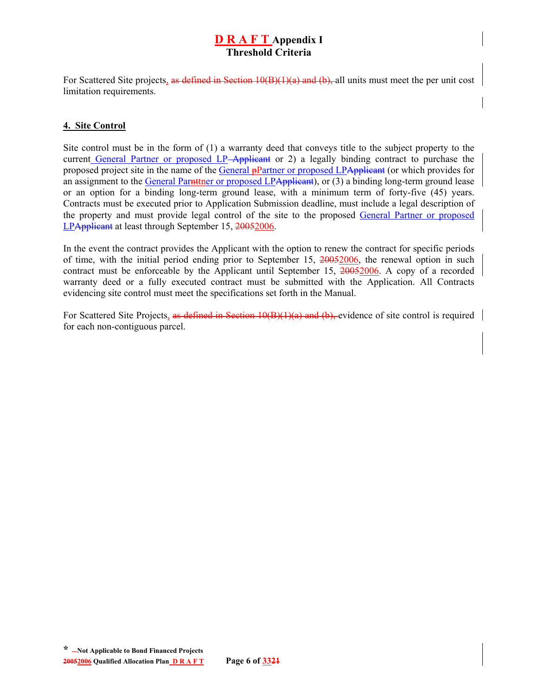For Scattered Site projects, as defined in Section  $10(B)(1)(a)$  and  $(b)$ , all units must meet the per unit cost limitation requirements.

### **4. Site Control**

Site control must be in the form of (1) a warranty deed that conveys title to the subject property to the current General Partner or proposed LP-Applicant or 2) a legally binding contract to purchase the proposed project site in the name of the General pPartner or proposed LPApplicant (or which provides for an assignment to the General Parnttner or proposed LPApplicant), or (3) a binding long-term ground lease or an option for a binding long-term ground lease, with a minimum term of forty-five (45) years. Contracts must be executed prior to Application Submission deadline, must include a legal description of the property and must provide legal control of the site to the proposed General Partner or proposed LPApplicant at least through September 15, 20052006.

In the event the contract provides the Applicant with the option to renew the contract for specific periods of time, with the initial period ending prior to September 15, 20052006, the renewal option in such contract must be enforceable by the Applicant until September 15, 20052006. A copy of a recorded warranty deed or a fully executed contract must be submitted with the Application. All Contracts evidencing site control must meet the specifications set forth in the Manual.

For Scattered Site Projects, as defined in Section 10(B)(1)(a) and (b), evidence of site control is required | for each non-contiguous parcel.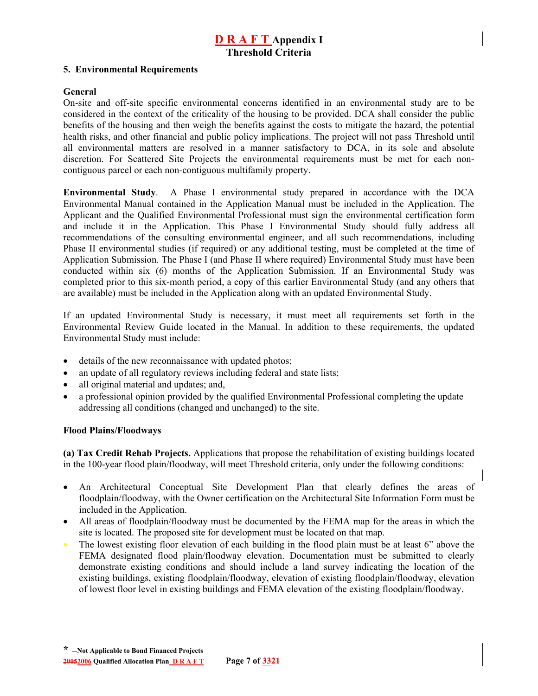#### **5. Environmental Requirements**

#### **General**

On-site and off-site specific environmental concerns identified in an environmental study are to be considered in the context of the criticality of the housing to be provided. DCA shall consider the public benefits of the housing and then weigh the benefits against the costs to mitigate the hazard, the potential health risks, and other financial and public policy implications. The project will not pass Threshold until all environmental matters are resolved in a manner satisfactory to DCA, in its sole and absolute discretion. For Scattered Site Projects the environmental requirements must be met for each noncontiguous parcel or each non-contiguous multifamily property.

**Environmental Study**.A Phase I environmental study prepared in accordance with the DCA Environmental Manual contained in the Application Manual must be included in the Application. The Applicant and the Qualified Environmental Professional must sign the environmental certification form and include it in the Application. This Phase I Environmental Study should fully address all recommendations of the consulting environmental engineer, and all such recommendations, including Phase II environmental studies (if required) or any additional testing, must be completed at the time of Application Submission. The Phase I (and Phase II where required) Environmental Study must have been conducted within six (6) months of the Application Submission. If an Environmental Study was completed prior to this six-month period, a copy of this earlier Environmental Study (and any others that are available) must be included in the Application along with an updated Environmental Study.

If an updated Environmental Study is necessary, it must meet all requirements set forth in the Environmental Review Guide located in the Manual. In addition to these requirements, the updated Environmental Study must include:

- details of the new reconnaissance with updated photos;
- an update of all regulatory reviews including federal and state lists;
- all original material and updates; and,
- a professional opinion provided by the qualified Environmental Professional completing the update addressing all conditions (changed and unchanged) to the site.

#### **Flood Plains/Floodways**

**(a) Tax Credit Rehab Projects.** Applications that propose the rehabilitation of existing buildings located in the 100-year flood plain/floodway, will meet Threshold criteria, only under the following conditions:

- An Architectural Conceptual Site Development Plan that clearly defines the areas of floodplain/floodway, with the Owner certification on the Architectural Site Information Form must be included in the Application.
- All areas of floodplain/floodway must be documented by the FEMA map for the areas in which the site is located. The proposed site for development must be located on that map.
- The lowest existing floor elevation of each building in the flood plain must be at least 6" above the FEMA designated flood plain/floodway elevation. Documentation must be submitted to clearly demonstrate existing conditions and should include a land survey indicating the location of the existing buildings, existing floodplain/floodway, elevation of existing floodplain/floodway, elevation of lowest floor level in existing buildings and FEMA elevation of the existing floodplain/floodway.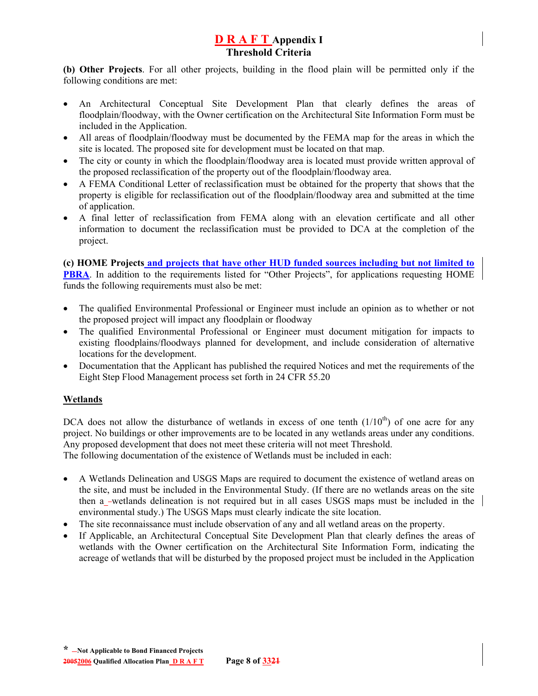**(b) Other Projects**. For all other projects, building in the flood plain will be permitted only if the following conditions are met:

- An Architectural Conceptual Site Development Plan that clearly defines the areas of floodplain/floodway, with the Owner certification on the Architectural Site Information Form must be included in the Application.
- All areas of floodplain/floodway must be documented by the FEMA map for the areas in which the site is located. The proposed site for development must be located on that map.
- The city or county in which the floodplain/floodway area is located must provide written approval of the proposed reclassification of the property out of the floodplain/floodway area.
- A FEMA Conditional Letter of reclassification must be obtained for the property that shows that the property is eligible for reclassification out of the floodplain/floodway area and submitted at the time of application.
- A final letter of reclassification from FEMA along with an elevation certificate and all other information to document the reclassification must be provided to DCA at the completion of the project.

**(c) HOME Projects and projects that have other HUD funded sources including but not limited to PBRA**. In addition to the requirements listed for "Other Projects", for applications requesting HOME funds the following requirements must also be met:

- The qualified Environmental Professional or Engineer must include an opinion as to whether or not the proposed project will impact any floodplain or floodway
- The qualified Environmental Professional or Engineer must document mitigation for impacts to existing floodplains/floodways planned for development, and include consideration of alternative locations for the development.
- Documentation that the Applicant has published the required Notices and met the requirements of the Eight Step Flood Management process set forth in 24 CFR 55.20

## **Wetlands**

DCA does not allow the disturbance of wetlands in excess of one tenth  $(1/10<sup>th</sup>)$  of one acre for any project. No buildings or other improvements are to be located in any wetlands areas under any conditions. Any proposed development that does not meet these criteria will not meet Threshold.

The following documentation of the existence of Wetlands must be included in each:

- A Wetlands Delineation and USGS Maps are required to document the existence of wetland areas on the site, and must be included in the Environmental Study. (If there are no wetlands areas on the site then a wetlands delineation is not required but in all cases USGS maps must be included in the environmental study.) The USGS Maps must clearly indicate the site location.
- The site reconnaissance must include observation of any and all wetland areas on the property.
- If Applicable, an Architectural Conceptual Site Development Plan that clearly defines the areas of wetlands with the Owner certification on the Architectural Site Information Form, indicating the acreage of wetlands that will be disturbed by the proposed project must be included in the Application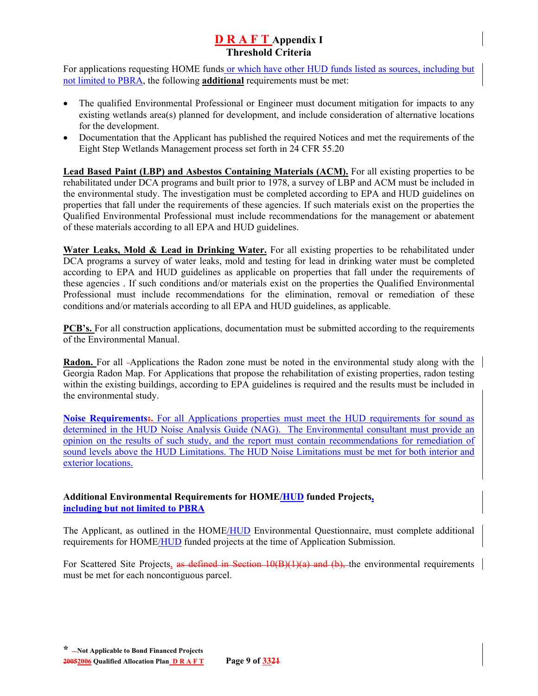For applications requesting HOME funds or which have other HUD funds listed as sources, including but not limited to PBRA, the following **additional** requirements must be met:

- The qualified Environmental Professional or Engineer must document mitigation for impacts to any existing wetlands area(s) planned for development, and include consideration of alternative locations for the development.
- Documentation that the Applicant has published the required Notices and met the requirements of the Eight Step Wetlands Management process set forth in 24 CFR 55.20

**Lead Based Paint (LBP) and Asbestos Containing Materials (ACM).** For all existing properties to be rehabilitated under DCA programs and built prior to 1978, a survey of LBP and ACM must be included in the environmental study. The investigation must be completed according to EPA and HUD guidelines on properties that fall under the requirements of these agencies. If such materials exist on the properties the Qualified Environmental Professional must include recommendations for the management or abatement of these materials according to all EPA and HUD guidelines.

Water Leaks, Mold & Lead in Drinking Water. For all existing properties to be rehabilitated under DCA programs a survey of water leaks, mold and testing for lead in drinking water must be completed according to EPA and HUD guidelines as applicable on properties that fall under the requirements of these agencies . If such conditions and/or materials exist on the properties the Qualified Environmental Professional must include recommendations for the elimination, removal or remediation of these conditions and/or materials according to all EPA and HUD guidelines, as applicable.

**PCB's.** For all construction applications, documentation must be submitted according to the requirements of the Environmental Manual.

**Radon.** For all -Applications the Radon zone must be noted in the environmental study along with the Georgia Radon Map. For Applications that propose the rehabilitation of existing properties, radon testing within the existing buildings, according to EPA guidelines is required and the results must be included in the environmental study.

**Noise Requirements:.** For all Applications properties must meet the HUD requirements for sound as determined in the HUD Noise Analysis Guide (NAG). The Environmental consultant must provide an opinion on the results of such study, and the report must contain recommendations for remediation of sound levels above the HUD Limitations. The HUD Noise Limitations must be met for both interior and exterior locations.

## **Additional Environmental Requirements for HOME/HUD funded Projects, including but not limited to PBRA**

The Applicant, as outlined in the HOME/HUD Environmental Questionnaire, must complete additional requirements for HOME/HUD funded projects at the time of Application Submission.

For Scattered Site Projects, as defined in Section  $10(B)(1)(a)$  and (b), the environmental requirements must be met for each noncontiguous parcel.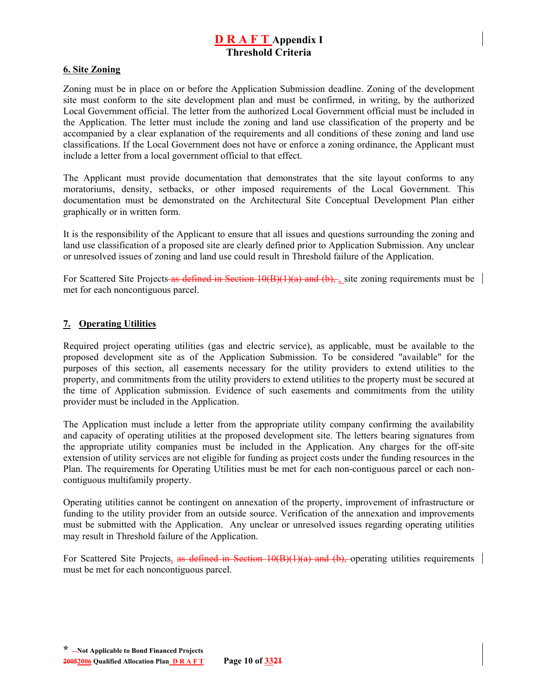#### **6. Site Zoning**

Zoning must be in place on or before the Application Submission deadline. Zoning of the development site must conform to the site development plan and must be confirmed, in writing, by the authorized Local Government official. The letter from the authorized Local Government official must be included in the Application. The letter must include the zoning and land use classification of the property and be accompanied by a clear explanation of the requirements and all conditions of these zoning and land use classifications. If the Local Government does not have or enforce a zoning ordinance, the Applicant must include a letter from a local government official to that effect.

The Applicant must provide documentation that demonstrates that the site layout conforms to any moratoriums, density, setbacks, or other imposed requirements of the Local Government. This documentation must be demonstrated on the Architectural Site Conceptual Development Plan either graphically or in written form.

It is the responsibility of the Applicant to ensure that all issues and questions surrounding the zoning and land use classification of a proposed site are clearly defined prior to Application Submission. Any unclear or unresolved issues of zoning and land use could result in Threshold failure of the Application.

For Scattered Site Projects as defined in Section 10(B)(1)(a) and (b), site zoning requirements must be met for each noncontiguous parcel.

#### **7. Operating Utilities**

Required project operating utilities (gas and electric service), as applicable, must be available to the proposed development site as of the Application Submission. To be considered "available" for the purposes of this section, all easements necessary for the utility providers to extend utilities to the property, and commitments from the utility providers to extend utilities to the property must be secured at the time of Application submission. Evidence of such easements and commitments from the utility provider must be included in the Application.

The Application must include a letter from the appropriate utility company confirming the availability and capacity of operating utilities at the proposed development site. The letters bearing signatures from the appropriate utility companies must be included in the Application. Any charges for the off-site extension of utility services are not eligible for funding as project costs under the funding resources in the Plan. The requirements for Operating Utilities must be met for each non-contiguous parcel or each noncontiguous multifamily property.

Operating utilities cannot be contingent on annexation of the property, improvement of infrastructure or funding to the utility provider from an outside source. Verification of the annexation and improvements must be submitted with the Application. Any unclear or unresolved issues regarding operating utilities may result in Threshold failure of the Application.

For Scattered Site Projects, as defined in Section  $10(B)(1)(a)$  and  $(b)$ , operating utilities requirements must be met for each noncontiguous parcel.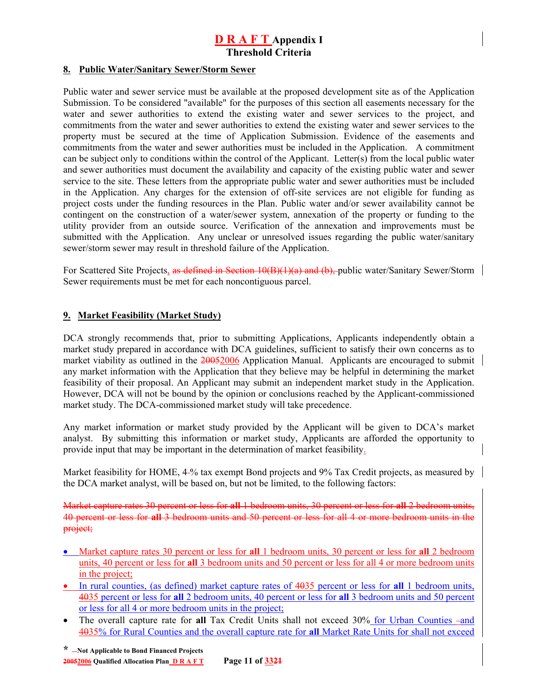#### **8. Public Water/Sanitary Sewer/Storm Sewer**

Public water and sewer service must be available at the proposed development site as of the Application Submission. To be considered "available" for the purposes of this section all easements necessary for the water and sewer authorities to extend the existing water and sewer services to the project, and commitments from the water and sewer authorities to extend the existing water and sewer services to the property must be secured at the time of Application Submission. Evidence of the easements and commitments from the water and sewer authorities must be included in the Application. A commitment can be subject only to conditions within the control of the Applicant. Letter(s) from the local public water and sewer authorities must document the availability and capacity of the existing public water and sewer service to the site. These letters from the appropriate public water and sewer authorities must be included in the Application. Any charges for the extension of off-site services are not eligible for funding as project costs under the funding resources in the Plan. Public water and/or sewer availability cannot be contingent on the construction of a water/sewer system, annexation of the property or funding to the utility provider from an outside source. Verification of the annexation and improvements must be submitted with the Application.Any unclear or unresolved issues regarding the public water/sanitary sewer/storm sewer may result in threshold failure of the Application.

For Scattered Site Projects, as defined in Section 10(B)(1)(a) and (b), public water/Sanitary Sewer/Storm | Sewer requirements must be met for each noncontiguous parcel.

#### **9. Market Feasibility (Market Study)**

DCA strongly recommends that, prior to submitting Applications, Applicants independently obtain a market study prepared in accordance with DCA guidelines, sufficient to satisfy their own concerns as to market viability as outlined in the 20052006 Application Manual. Applicants are encouraged to submit any market information with the Application that they believe may be helpful in determining the market feasibility of their proposal. An Applicant may submit an independent market study in the Application. However, DCA will not be bound by the opinion or conclusions reached by the Applicant-commissioned market study. The DCA-commissioned market study will take precedence.

Any market information or market study provided by the Applicant will be given to DCA's market analyst. By submitting this information or market study, Applicants are afforded the opportunity to provide input that may be important in the determination of market feasibility.

Market feasibility for HOME, 4-% tax exempt Bond projects and 9% Tax Credit projects, as measured by the DCA market analyst, will be based on, but not be limited, to the following factors:

Market capture rates 30 percent or less for **all** 1 bedroom units, 30 percent or less for **all** 2 bedroom units, 40 percent or less for **all** 3 bedroom units and 50 percent or less for all 4 or more bedroom units in the project;

- Market capture rates 30 percent or less for **all** 1 bedroom units, 30 percent or less for **all** 2 bedroom units, 40 percent or less for **all** 3 bedroom units and 50 percent or less for all 4 or more bedroom units in the project;
- In rural counties, (as defined) market capture rates of 4035 percent or less for **all** 1 bedroom units, 4035 percent or less for **all** 2 bedroom units, 40 percent or less for **all** 3 bedroom units and 50 percent or less for all 4 or more bedroom units in the project;
- The overall capture rate for **all** Tax Credit Units shall not exceed 30% for Urban Counties -and 4035% for Rural Counties and the overall capture rate for **all** Market Rate Units for shall not exceed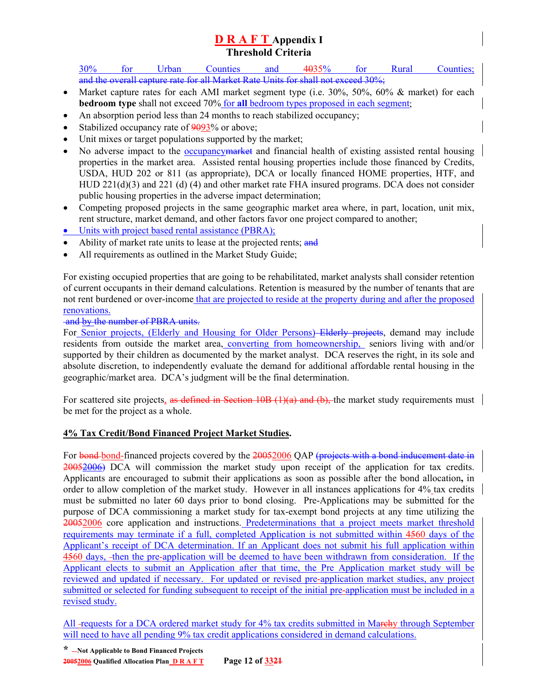30% for Urban Counties and 4035% for Rural Counties; and the overall capture rate for all Market Rate Units for shall not exceed 30%;

- Market capture rates for each AMI market segment type (i.e. 30%, 50%, 60% & market) for each **bedroom type** shall not exceed 70% for **all** bedroom types proposed in each segment;
- An absorption period less than 24 months to reach stabilized occupancy;
- Stabilized occupancy rate of 9093% or above;
- Unit mixes or target populations supported by the market;
- No adverse impact to the occupancy market and financial health of existing assisted rental housing properties in the market area. Assisted rental housing properties include those financed by Credits, USDA, HUD 202 or 811 (as appropriate), DCA or locally financed HOME properties, HTF, and HUD 221(d)(3) and 221 (d) (4) and other market rate FHA insured programs. DCA does not consider public housing properties in the adverse impact determination;
- Competing proposed projects in the same geographic market area where, in part, location, unit mix, rent structure, market demand, and other factors favor one project compared to another;
- Units with project based rental assistance (PBRA);
- Ability of market rate units to lease at the projected rents; and
- All requirements as outlined in the Market Study Guide;

For existing occupied properties that are going to be rehabilitated, market analysts shall consider retention of current occupants in their demand calculations. Retention is measured by the number of tenants that are not rent burdened or over-income that are projected to reside at the property during and after the proposed renovations.

and by the number of PBRA units.

For Senior projects, (Elderly and Housing for Older Persons) Elderly projects, demand may include residents from outside the market area, converting from homeownership, seniors living with and/or supported by their children as documented by the market analyst. DCA reserves the right, in its sole and absolute discretion, to independently evaluate the demand for additional affordable rental housing in the geographic/market area. DCA's judgment will be the final determination.

For scattered site projects, as defined in Section 10B (1)(a) and (b), the market study requirements must be met for the project as a whole.

## **4% Tax Credit/Bond Financed Project Market Studies.**

For bond-bond-financed projects covered by the 20052006 OAP (projects with a bond inducement date in 20052006) DCA will commission the market study upon receipt of the application for tax credits. Applicants are encouraged to submit their applications as soon as possible after the bond allocation**,** in order to allow completion of the market study. However in all instances applications for 4% tax credits must be submitted no later 60 days prior to bond closing. Pre-Applications may be submitted for the purpose of DCA commissioning a market study for tax-exempt bond projects at any time utilizing the 20052006 core application and instructions. Predeterminations that a project meets market threshold requirements may terminate if a full, completed Application is not submitted within 4560 days of the Applicant's receipt of DCA determination. If an Applicant does not submit his full application within 4560 days, then the pre-application will be deemed to have been withdrawn from consideration. If the Applicant elects to submit an Application after that time, the Pre Application market study will be reviewed and updated if necessary. For updated or revised pre-application market studies, any project submitted or selected for funding subsequent to receipt of the initial pre-application must be included in a revised study.

All-requests for a DCA ordered market study for 4% tax credits submitted in Marchy through September will need to have all pending 9% tax credit applications considered in demand calculations.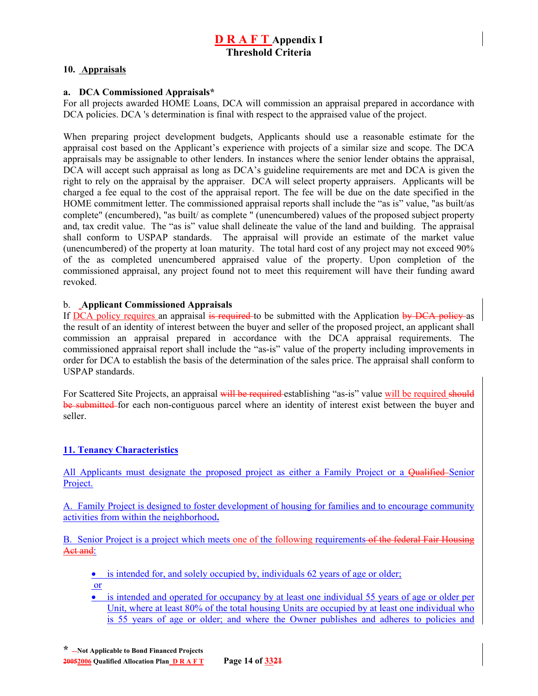### **10. Appraisals**

#### **a. DCA Commissioned Appraisals\***

For all projects awarded HOME Loans, DCA will commission an appraisal prepared in accordance with DCA policies. DCA 's determination is final with respect to the appraised value of the project.

When preparing project development budgets, Applicants should use a reasonable estimate for the appraisal cost based on the Applicant's experience with projects of a similar size and scope. The DCA appraisals may be assignable to other lenders. In instances where the senior lender obtains the appraisal, DCA will accept such appraisal as long as DCA's guideline requirements are met and DCA is given the right to rely on the appraisal by the appraiser. DCA will select property appraisers. Applicants will be charged a fee equal to the cost of the appraisal report. The fee will be due on the date specified in the HOME commitment letter. The commissioned appraisal reports shall include the "as is" value, "as built/as complete" (encumbered), "as built/ as complete " (unencumbered) values of the proposed subject property and, tax credit value. The "as is" value shall delineate the value of the land and building. The appraisal shall conform to USPAP standards. The appraisal will provide an estimate of the market value (unencumbered) of the property at loan maturity. The total hard cost of any project may not exceed 90% of the as completed unencumbered appraised value of the property. Upon completion of the commissioned appraisal, any project found not to meet this requirement will have their funding award revoked.

#### b. **Applicant Commissioned Appraisals**

If DCA policy requires an appraisal is required to be submitted with the Application by DCA policy as the result of an identity of interest between the buyer and seller of the proposed project, an applicant shall commission an appraisal prepared in accordance with the DCA appraisal requirements. The commissioned appraisal report shall include the "as-is" value of the property including improvements in order for DCA to establish the basis of the determination of the sales price. The appraisal shall conform to USPAP standards.

For Scattered Site Projects, an appraisal will be required establishing "as-is" value will be required should be submitted for each non-contiguous parcel where an identity of interest exist between the buyer and seller.

## **11. Tenancy Characteristics**

All Applicants must designate the proposed project as either a Family Project or a Qualified–Senior Project.

A. Family Project is designed to foster development of housing for families and to encourage community activities from within the neighborhood**.**

B. Senior Project is a project which meets one of the following requirements of the federal Fair Housing Aet and:

• is intended for, and solely occupied by, individuals 62 years of age or older;

or

• is intended and operated for occupancy by at least one individual 55 years of age or older per Unit, where at least 80% of the total housing Units are occupied by at least one individual who is 55 years of age or older; and where the Owner publishes and adheres to policies and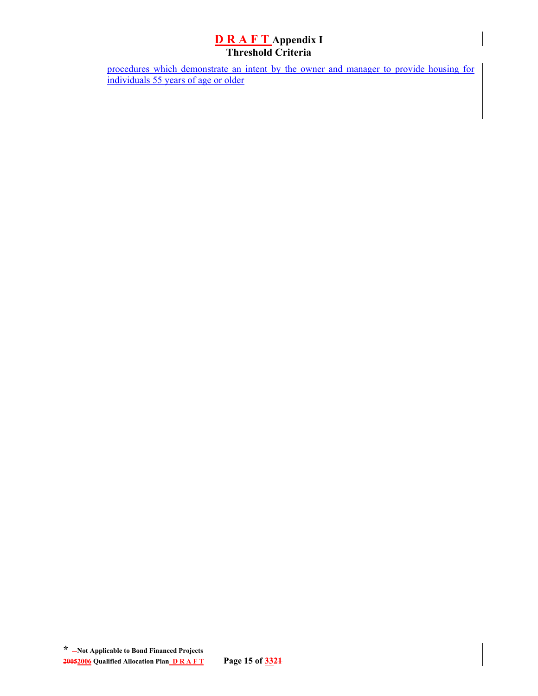procedures which demonstrate an intent by the owner and manager to provide housing for individuals 55 years of age or older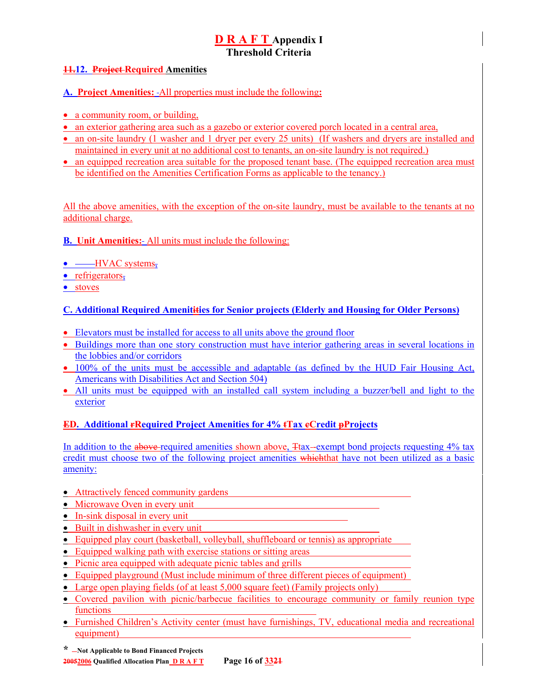### **11.12. Project Required Amenities**

### **A. Project Amenities:** All properties must include the following**:**

- a community room, or building,
- an exterior gathering area such as a gazebo or exterior covered porch located in a central area,
- an on-site laundry (1 washer and 1 dryer per every 25 units) (If washers and dryers are installed and maintained in every unit at no additional cost to tenants, an on-site laundry is not required.)
- an equipped recreation area suitable for the proposed tenant base. (The equipped recreation area must be identified on the Amenities Certification Forms as applicable to the tenancy.)

All the above amenities, with the exception of the on-site laundry, must be available to the tenants at no additional charge.

### **B. Unit Amenities:** All units must include the following:

- $\bullet \quad$  HVAC systems,
- refrigerators,
- stoves

## **C. Additional Required Amenitities for Senior projects (Elderly and Housing for Older Persons)**

- Elevators must be installed for access to all units above the ground floor
- Buildings more than one story construction must have interior gathering areas in several locations in the lobbies and/or corridors
- 100% of the units must be accessible and adaptable (as defined by the HUD Fair Housing Act, Americans with Disabilities Act and Section 504)
- All units must be equipped with an installed call system including a buzzer/bell and light to the exterior

#### **ED. Additional rRequired Project Amenities for 4% tTax cCredit pProjects**

In addition to the above-required amenities shown above, Ttax—exempt bond projects requesting 4% tax credit must choose two of the following project amenities which that have not been utilized as a basic amenity:

#### • Attractively fenced community gardens

- Microwave Oven in every unit
- In-sink disposal in every unit
- Built in dishwasher in every unit
- Equipped play court (basketball, volleyball, shuffleboard or tennis) as appropriate
- Equipped walking path with exercise stations or sitting areas
- Picnic area equipped with adequate picnic tables and grills
- Equipped playground (Must include minimum of three different pieces of equipment)
- Large open playing fields (of at least 5,000 square feet) (Family projects only)
- Covered pavilion with picnic/barbecue facilities to encourage community or family reunion type functions
- Furnished Children's Activity center (must have furnishings, TV, educational media and recreational equipment)
- **\* Not Applicable to Bond Financed Projects**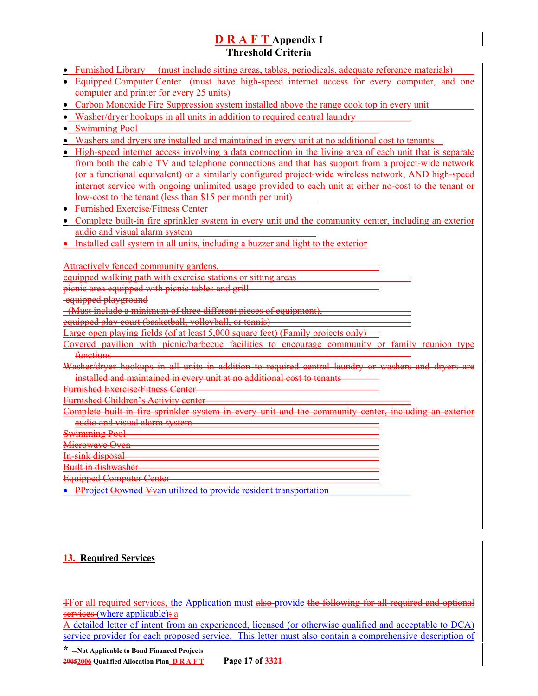- Furnished Library (must include sitting areas, tables, periodicals, adequate reference materials)
- Equipped Computer Center (must have high-speed internet access for every computer, and one computer and printer for every 25 units)
- Carbon Monoxide Fire Suppression system installed above the range cook top in every unit
- Washer/dryer hookups in all units in addition to required central laundry
- Swimming Pool
- Washers and dryers are installed and maintained in every unit at no additional cost to tenants
- High-speed internet access involving a data connection in the living area of each unit that is separate from both the cable TV and telephone connections and that has support from a project-wide network (or a functional equivalent) or a similarly configured project-wide wireless network, AND high-speed internet service with ongoing unlimited usage provided to each unit at either no-cost to the tenant or low-cost to the tenant (less than \$15 per month per unit)
- Furnished Exercise/Fitness Center
- Complete built-in fire sprinkler system in every unit and the community center, including an exterior audio and visual alarm system
- Installed call system in all units, including a buzzer and light to the exterior

Attractively fenced community gardens, equipped walking path with exercise stations or sitting areas picnic area equipped with picnic tables and grill equipped playground (Must include a minimum of three different pieces of equipment), equipped play court (basketball, volleyball, or tennis) Large open playing fields (of at least 5,000 square feet) (Family projects only) Covered pavilion with picnic/barbecue facilities to encourage community or functions-Washer/dryer hookups in all units in addition to required central laundry or washers installed and maintained in every unit at no additional cost to tenants Furnished Exercise/Fitness Center Furnished Children's Activity center Complete built-in fire sprinkler system in every unit and the community center, including an audio and visual alarm system Swimming Pool Microwave Oven In-sink disposal Built in dishwasher Equipped Computer Center

• PProject Oowned Yvan utilized to provide resident transportation

## **13. Required Services**

To all required services, the Application must also provide the following for all required and optional services (where applicable): a

A detailed letter of intent from an experienced, licensed (or otherwise qualified and acceptable to DCA) service provider for each proposed service. This letter must also contain a comprehensive description of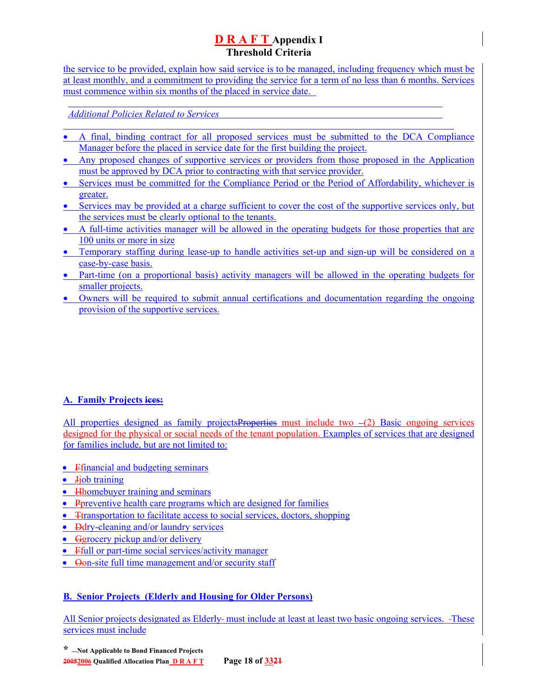the service to be provided, explain how said service is to be managed, including frequency which must be at least monthly, and a commitment to providing the service for a term of no less than 6 months. Services must commence within six months of the placed in service date.

*Additional Policies Related to Services*

l

- A final, binding contract for all proposed services must be submitted to the DCA Compliance Manager before the placed in service date for the first building the project.
- Any proposed changes of supportive services or providers from those proposed in the Application must be approved by DCA prior to contracting with that service provider.
- Services must be committed for the Compliance Period or the Period of Affordability, whichever is greater.
- Services may be provided at a charge sufficient to cover the cost of the supportive services only, but the services must be clearly optional to the tenants.
- A full-time activities manager will be allowed in the operating budgets for those properties that are 100 units or more in size
- Temporary staffing during lease-up to handle activities set-up and sign-up will be considered on a case-by-case basis.
- Part-time (on a proportional basis) activity managers will be allowed in the operating budgets for smaller projects.
- Owners will be required to submit annual certifications and documentation regarding the ongoing provision of the supportive services.

## **A. Family Projects ices:**

All properties designed as family projects Properties must include two  $-(2)$  Basic ongoing services designed for the physical or social needs of the tenant population. Examples of services that are designed for families include, but are not limited to:

- Financial and budgeting seminars
- **Jiob** training
- Hhomebuyer training and seminars
- Preventive health care programs which are designed for families
- Transportation to facilitate access to social services, doctors, shopping
- <del>D</del>dry-cleaning and/or laundry services
- Ggrocery pickup and/or delivery
- Ffull or part-time social services/activity manager
- Oon-site full time management and/or security staff

## **B. Senior Projects (Elderly and Housing for Older Persons)**

All Senior projects designated as Elderly- must include at least at least two basic ongoing services. -These services must include

**\* Not Applicable to Bond Financed Projects 20052006 Qualified Allocation Plan D R A F T Page 18 of 3321**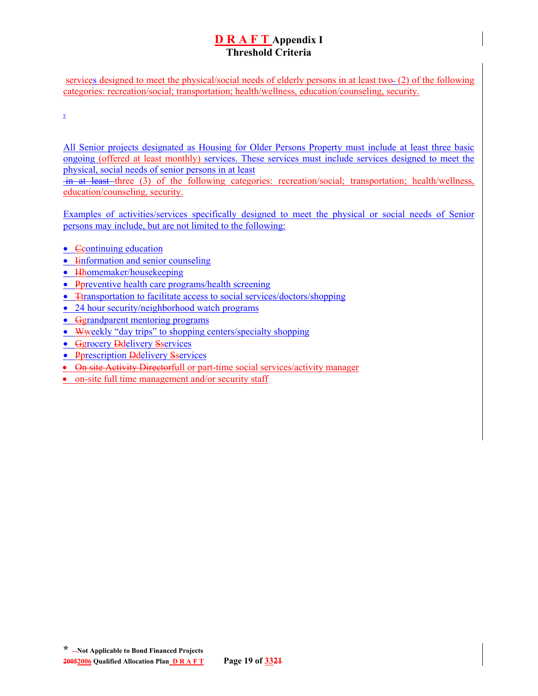services designed to meet the physical/social needs of elderly persons in at least two (2) of the following categories: recreation/social; transportation; health/wellness, education/counseling, security.

.

All Senior projects designated as Housing for Older Persons Property must include at least three basic ongoing (offered at least monthly) services. These services must include services designed to meet the physical, social needs of senior persons in at least

 in at least three (3) of the following categories: recreation/social; transportation; health/wellness, education/counseling, security.

Examples of activities/services specifically designed to meet the physical or social needs of Senior persons may include, but are not limited to the following:

- Continuing education
- **Information and senior counseling**
- Hhomemaker/housekeeping
- Ppreventive health care programs/health screening
- Transportation to facilitate access to social services/doctors/shopping
- 24 hour security/neighborhood watch programs
- Ggrandparent mentoring programs
- Wweekly "day trips" to shopping centers/specialty shopping
- Ggrocery Ddelivery Sservices
- Pprescription Ddelivery Sservices
- On site Activity Directorfull or part-time social services/activity manager
- on-site full time management and/or security staff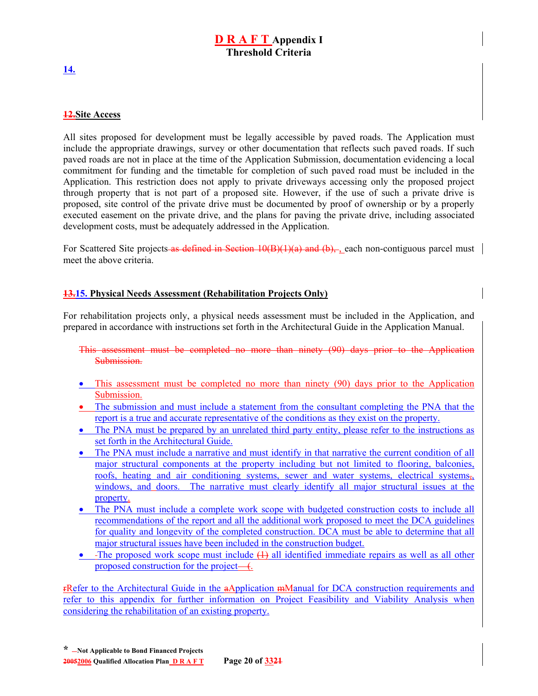#### **12.Site Access**

All sites proposed for development must be legally accessible by paved roads. The Application must include the appropriate drawings, survey or other documentation that reflects such paved roads. If such paved roads are not in place at the time of the Application Submission, documentation evidencing a local commitment for funding and the timetable for completion of such paved road must be included in the Application. This restriction does not apply to private driveways accessing only the proposed project through property that is not part of a proposed site. However, if the use of such a private drive is proposed, site control of the private drive must be documented by proof of ownership or by a properly executed easement on the private drive, and the plans for paving the private drive, including associated development costs, must be adequately addressed in the Application.

For Scattered Site projects as defined in Section 10(B)(1)(a) and (b), , each non-contiguous parcel must meet the above criteria.

#### **13.15. Physical Needs Assessment (Rehabilitation Projects Only)**

For rehabilitation projects only, a physical needs assessment must be included in the Application, and prepared in accordance with instructions set forth in the Architectural Guide in the Application Manual.

This assessment must be completed no more than ninety (90) days prior to the Application Submission.

- This assessment must be completed no more than ninety (90) days prior to the Application Submission.
- The submission and must include a statement from the consultant completing the PNA that the report is a true and accurate representative of the conditions as they exist on the property.
- The PNA must be prepared by an unrelated third party entity, please refer to the instructions as set forth in the Architectural Guide.
- The PNA must include a narrative and must identify in that narrative the current condition of all major structural components at the property including but not limited to flooring, balconies, roofs, heating and air conditioning systems, sewer and water systems, electrical systems,, windows, and doors. The narrative must clearly identify all major structural issues at the property.
- The PNA must include a complete work scope with budgeted construction costs to include all recommendations of the report and all the additional work proposed to meet the DCA guidelines for quality and longevity of the completed construction. DCA must be able to determine that all major structural issues have been included in the construction budget.
- The proposed work scope must include  $(1)$  all identified immediate repairs as well as all other proposed construction for the project— $\left($ .

rRefer to the Architectural Guide in the aApplication mManual for DCA construction requirements and refer to this appendix for further information on Project Feasibility and Viability Analysis when considering the rehabilitation of an existing property.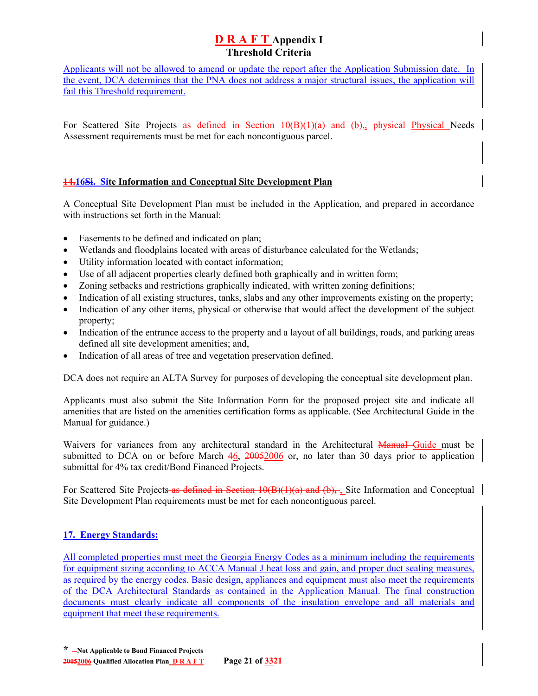Applicants will not be allowed to amend or update the report after the Application Submission date. In the event, DCA determines that the PNA does not address a major structural issues, the application will fail this Threshold requirement.

For Scattered Site Projects as defined in Section 10(B)(1)(a) and (b), physical Physical Needs Assessment requirements must be met for each noncontiguous parcel.

### **14.16Si. Site Information and Conceptual Site Development Plan**

A Conceptual Site Development Plan must be included in the Application, and prepared in accordance with instructions set forth in the Manual:

- Easements to be defined and indicated on plan;
- Wetlands and floodplains located with areas of disturbance calculated for the Wetlands;
- Utility information located with contact information;
- Use of all adjacent properties clearly defined both graphically and in written form;
- Zoning setbacks and restrictions graphically indicated, with written zoning definitions;
- Indication of all existing structures, tanks, slabs and any other improvements existing on the property;
- Indication of any other items, physical or otherwise that would affect the development of the subject property;
- Indication of the entrance access to the property and a layout of all buildings, roads, and parking areas defined all site development amenities; and,
- Indication of all areas of tree and vegetation preservation defined.

DCA does not require an ALTA Survey for purposes of developing the conceptual site development plan.

Applicants must also submit the Site Information Form for the proposed project site and indicate all amenities that are listed on the amenities certification forms as applicable. (See Architectural Guide in the Manual for guidance.)

Waivers for variances from any architectural standard in the Architectural Manual Guide must be submitted to DCA on or before March 46, 20052006 or, no later than 30 days prior to application submittal for 4% tax credit/Bond Financed Projects.

For Scattered Site Projects as defined in Section 10(B)(1)(a) and (b)**,** , Site Information and Conceptual Site Development Plan requirements must be met for each noncontiguous parcel.

## **17. Energy Standards:**

All completed properties must meet the Georgia Energy Codes as a minimum including the requirements for equipment sizing according to ACCA Manual J heat loss and gain, and proper duct sealing measures, as required by the energy codes. Basic design, appliances and equipment must also meet the requirements of the DCA Architectural Standards as contained in the Application Manual. The final construction documents must clearly indicate all components of the insulation envelope and all materials and equipment that meet these requirements.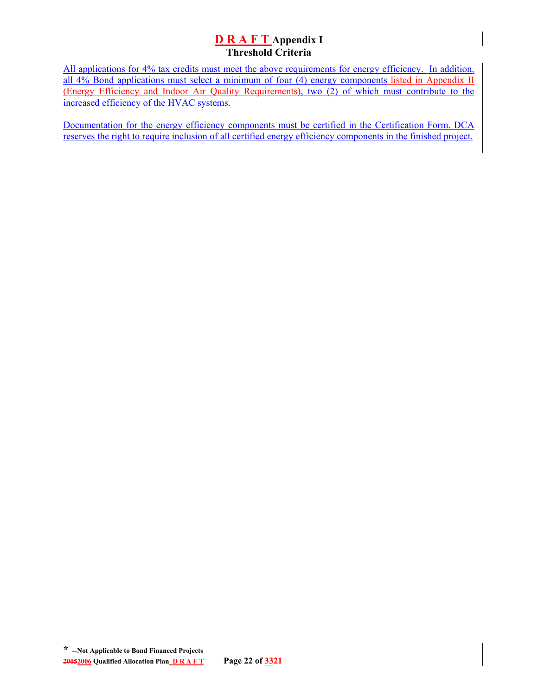All applications for 4% tax credits must meet the above requirements for energy efficiency. In addition, all 4% Bond applications must select a minimum of four (4) energy components listed in Appendix II (Energy Efficiency and Indoor Air Quality Requirements), two (2) of which must contribute to the increased efficiency of the HVAC systems.

Documentation for the energy efficiency components must be certified in the Certification Form. DCA reserves the right to require inclusion of all certified energy efficiency components in the finished project.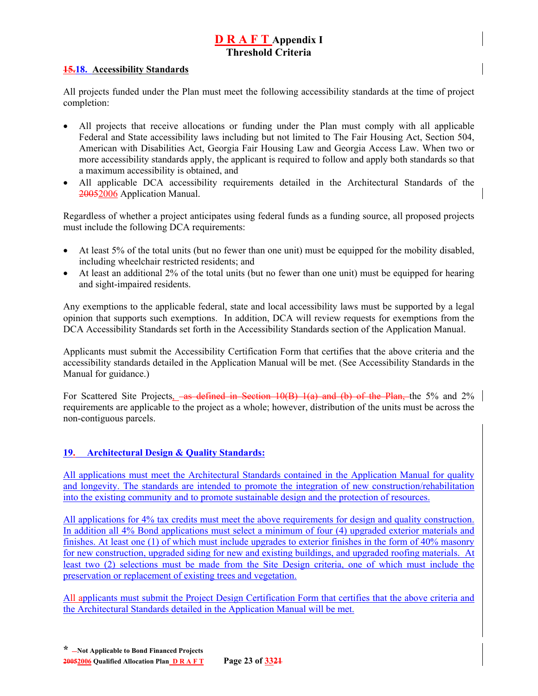#### **15.18. Accessibility Standards**

All projects funded under the Plan must meet the following accessibility standards at the time of project completion:

- All projects that receive allocations or funding under the Plan must comply with all applicable Federal and State accessibility laws including but not limited to The Fair Housing Act, Section 504, American with Disabilities Act, Georgia Fair Housing Law and Georgia Access Law. When two or more accessibility standards apply, the applicant is required to follow and apply both standards so that a maximum accessibility is obtained, and
- All applicable DCA accessibility requirements detailed in the Architectural Standards of the 20052006 Application Manual.

Regardless of whether a project anticipates using federal funds as a funding source, all proposed projects must include the following DCA requirements:

- At least 5% of the total units (but no fewer than one unit) must be equipped for the mobility disabled, including wheelchair restricted residents; and
- At least an additional 2% of the total units (but no fewer than one unit) must be equipped for hearing and sight-impaired residents.

Any exemptions to the applicable federal, state and local accessibility laws must be supported by a legal opinion that supports such exemptions. In addition, DCA will review requests for exemptions from the DCA Accessibility Standards set forth in the Accessibility Standards section of the Application Manual.

Applicants must submit the Accessibility Certification Form that certifies that the above criteria and the accessibility standards detailed in the Application Manual will be met. (See Accessibility Standards in the Manual for guidance.)

For Scattered Site Projects, as defined in Section 10(B) 1(a) and (b) of the Plan, the 5% and 2% requirements are applicable to the project as a whole; however, distribution of the units must be across the non-contiguous parcels.

## **19. Architectural Design & Quality Standards:**

All applications must meet the Architectural Standards contained in the Application Manual for quality and longevity. The standards are intended to promote the integration of new construction/rehabilitation into the existing community and to promote sustainable design and the protection of resources.

All applications for 4% tax credits must meet the above requirements for design and quality construction. In addition all 4% Bond applications must select a minimum of four (4) upgraded exterior materials and finishes. At least one (1) of which must include upgrades to exterior finishes in the form of 40% masonry for new construction, upgraded siding for new and existing buildings, and upgraded roofing materials. At least two (2) selections must be made from the Site Design criteria, one of which must include the preservation or replacement of existing trees and vegetation.

All applicants must submit the Project Design Certification Form that certifies that the above criteria and the Architectural Standards detailed in the Application Manual will be met.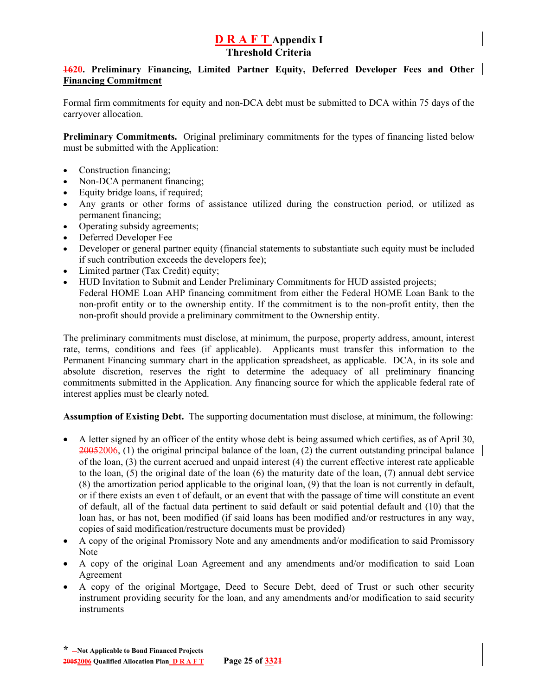### **1620. Preliminary Financing, Limited Partner Equity, Deferred Developer Fees and Other Financing Commitment**

Formal firm commitments for equity and non-DCA debt must be submitted to DCA within 75 days of the carryover allocation.

**Preliminary Commitments.** Original preliminary commitments for the types of financing listed below must be submitted with the Application:

- Construction financing;
- Non-DCA permanent financing;
- Equity bridge loans, if required;
- Any grants or other forms of assistance utilized during the construction period, or utilized as permanent financing;
- Operating subsidy agreements;
- Deferred Developer Fee
- Developer or general partner equity (financial statements to substantiate such equity must be included if such contribution exceeds the developers fee);
- Limited partner (Tax Credit) equity;
- HUD Invitation to Submit and Lender Preliminary Commitments for HUD assisted projects; Federal HOME Loan AHP financing commitment from either the Federal HOME Loan Bank to the non-profit entity or to the ownership entity. If the commitment is to the non-profit entity, then the non-profit should provide a preliminary commitment to the Ownership entity.

The preliminary commitments must disclose, at minimum, the purpose, property address, amount, interest rate, terms, conditions and fees (if applicable). Applicants must transfer this information to the Permanent Financing summary chart in the application spreadsheet, as applicable. DCA, in its sole and absolute discretion, reserves the right to determine the adequacy of all preliminary financing commitments submitted in the Application. Any financing source for which the applicable federal rate of interest applies must be clearly noted.

**Assumption of Existing Debt.** The supporting documentation must disclose, at minimum, the following:

- A letter signed by an officer of the entity whose debt is being assumed which certifies, as of April 30, 20052006, (1) the original principal balance of the loan, (2) the current outstanding principal balance of the loan, (3) the current accrued and unpaid interest (4) the current effective interest rate applicable to the loan, (5) the original date of the loan (6) the maturity date of the loan, (7) annual debt service (8) the amortization period applicable to the original loan, (9) that the loan is not currently in default, or if there exists an even t of default, or an event that with the passage of time will constitute an event of default, all of the factual data pertinent to said default or said potential default and (10) that the loan has, or has not, been modified (if said loans has been modified and/or restructures in any way, copies of said modification/restructure documents must be provided)
- A copy of the original Promissory Note and any amendments and/or modification to said Promissory Note
- A copy of the original Loan Agreement and any amendments and/or modification to said Loan Agreement
- A copy of the original Mortgage, Deed to Secure Debt, deed of Trust or such other security instrument providing security for the loan, and any amendments and/or modification to said security instruments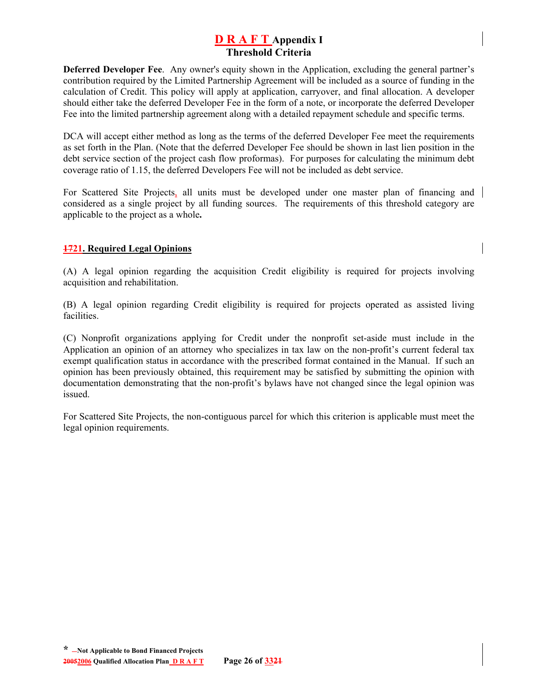**Deferred Developer Fee**. Any owner's equity shown in the Application, excluding the general partner's contribution required by the Limited Partnership Agreement will be included as a source of funding in the calculation of Credit. This policy will apply at application, carryover, and final allocation. A developer should either take the deferred Developer Fee in the form of a note, or incorporate the deferred Developer Fee into the limited partnership agreement along with a detailed repayment schedule and specific terms.

DCA will accept either method as long as the terms of the deferred Developer Fee meet the requirements as set forth in the Plan. (Note that the deferred Developer Fee should be shown in last lien position in the debt service section of the project cash flow proformas). For purposes for calculating the minimum debt coverage ratio of 1.15, the deferred Developers Fee will not be included as debt service.

For Scattered Site Projects, all units must be developed under one master plan of financing and considered as a single project by all funding sources. The requirements of this threshold category are applicable to the project as a whole**.**

## **1721. Required Legal Opinions**

(A) A legal opinion regarding the acquisition Credit eligibility is required for projects involving acquisition and rehabilitation.

(B) A legal opinion regarding Credit eligibility is required for projects operated as assisted living facilities.

(C) Nonprofit organizations applying for Credit under the nonprofit set-aside must include in the Application an opinion of an attorney who specializes in tax law on the non-profit's current federal tax exempt qualification status in accordance with the prescribed format contained in the Manual. If such an opinion has been previously obtained, this requirement may be satisfied by submitting the opinion with documentation demonstrating that the non-profit's bylaws have not changed since the legal opinion was issued.

For Scattered Site Projects, the non-contiguous parcel for which this criterion is applicable must meet the legal opinion requirements.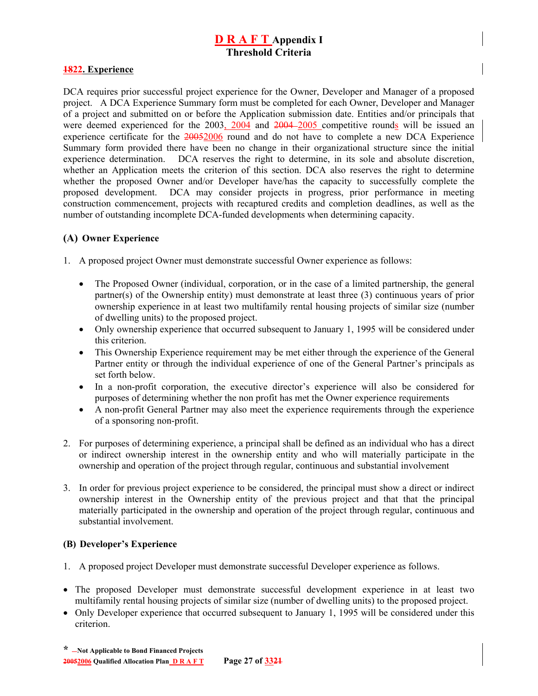#### **1822. Experience**

DCA requires prior successful project experience for the Owner, Developer and Manager of a proposed project. A DCA Experience Summary form must be completed for each Owner, Developer and Manager of a project and submitted on or before the Application submission date. Entities and/or principals that were deemed experienced for the 2003, 2004 and 2004–2005 competitive rounds will be issued an experience certificate for the 20052006 round and do not have to complete a new DCA Experience Summary form provided there have been no change in their organizational structure since the initial experience determination.DCA reserves the right to determine, in its sole and absolute discretion, whether an Application meets the criterion of this section. DCA also reserves the right to determine whether the proposed Owner and/or Developer have/has the capacity to successfully complete the proposed development. DCA may consider projects in progress, prior performance in meeting construction commencement, projects with recaptured credits and completion deadlines, as well as the number of outstanding incomplete DCA-funded developments when determining capacity.

### **(A) Owner Experience**

- 1. A proposed project Owner must demonstrate successful Owner experience as follows:
	- The Proposed Owner (individual, corporation, or in the case of a limited partnership, the general partner(s) of the Ownership entity) must demonstrate at least three (3) continuous years of prior ownership experience in at least two multifamily rental housing projects of similar size (number of dwelling units) to the proposed project.
	- Only ownership experience that occurred subsequent to January 1, 1995 will be considered under this criterion.
	- This Ownership Experience requirement may be met either through the experience of the General Partner entity or through the individual experience of one of the General Partner's principals as set forth below.
	- In a non-profit corporation, the executive director's experience will also be considered for purposes of determining whether the non profit has met the Owner experience requirements
	- A non-profit General Partner may also meet the experience requirements through the experience of a sponsoring non-profit.
- 2. For purposes of determining experience, a principal shall be defined as an individual who has a direct or indirect ownership interest in the ownership entity and who will materially participate in the ownership and operation of the project through regular, continuous and substantial involvement
- 3. In order for previous project experience to be considered, the principal must show a direct or indirect ownership interest in the Ownership entity of the previous project and that that the principal materially participated in the ownership and operation of the project through regular, continuous and substantial involvement.

#### **(B) Developer's Experience**

- 1. A proposed project Developer must demonstrate successful Developer experience as follows.
- The proposed Developer must demonstrate successful development experience in at least two multifamily rental housing projects of similar size (number of dwelling units) to the proposed project.
- Only Developer experience that occurred subsequent to January 1, 1995 will be considered under this criterion.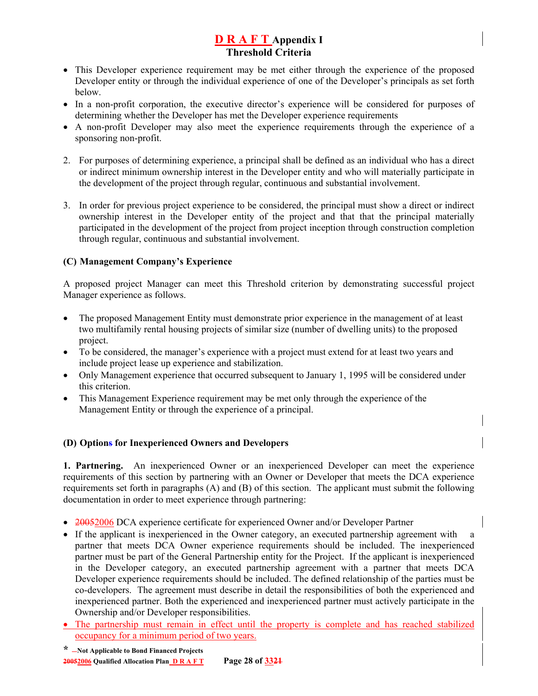- This Developer experience requirement may be met either through the experience of the proposed Developer entity or through the individual experience of one of the Developer's principals as set forth below.
- In a non-profit corporation, the executive director's experience will be considered for purposes of determining whether the Developer has met the Developer experience requirements
- A non-profit Developer may also meet the experience requirements through the experience of a sponsoring non-profit.
- 2. For purposes of determining experience, a principal shall be defined as an individual who has a direct or indirect minimum ownership interest in the Developer entity and who will materially participate in the development of the project through regular, continuous and substantial involvement.
- 3. In order for previous project experience to be considered, the principal must show a direct or indirect ownership interest in the Developer entity of the project and that that the principal materially participated in the development of the project from project inception through construction completion through regular, continuous and substantial involvement.

## **(C) Management Company's Experience**

A proposed project Manager can meet this Threshold criterion by demonstrating successful project Manager experience as follows.

- The proposed Management Entity must demonstrate prior experience in the management of at least two multifamily rental housing projects of similar size (number of dwelling units) to the proposed project.
- To be considered, the manager's experience with a project must extend for at least two years and include project lease up experience and stabilization.
- Only Management experience that occurred subsequent to January 1, 1995 will be considered under this criterion.
- This Management Experience requirement may be met only through the experience of the Management Entity or through the experience of a principal.

### **(D) Options for Inexperienced Owners and Developers**

**1. Partnering.** An inexperienced Owner or an inexperienced Developer can meet the experience requirements of this section by partnering with an Owner or Developer that meets the DCA experience requirements set forth in paragraphs (A) and (B) of this section. The applicant must submit the following documentation in order to meet experience through partnering:

- 20052006 DCA experience certificate for experienced Owner and/or Developer Partner
- If the applicant is inexperienced in the Owner category, an executed partnership agreement with a partner that meets DCA Owner experience requirements should be included. The inexperienced partner must be part of the General Partnership entity for the Project. If the applicant is inexperienced in the Developer category, an executed partnership agreement with a partner that meets DCA Developer experience requirements should be included. The defined relationship of the parties must be co-developers. The agreement must describe in detail the responsibilities of both the experienced and inexperienced partner. Both the experienced and inexperienced partner must actively participate in the Ownership and/or Developer responsibilities.
- The partnership must remain in effect until the property is complete and has reached stabilized occupancy for a minimum period of two years.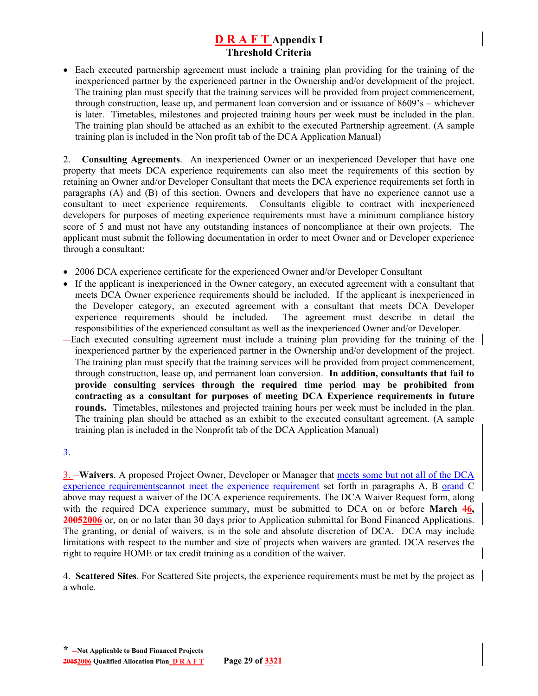• Each executed partnership agreement must include a training plan providing for the training of the inexperienced partner by the experienced partner in the Ownership and/or development of the project. The training plan must specify that the training services will be provided from project commencement, through construction, lease up, and permanent loan conversion and or issuance of 8609's – whichever is later. Timetables, milestones and projected training hours per week must be included in the plan. The training plan should be attached as an exhibit to the executed Partnership agreement. (A sample training plan is included in the Non profit tab of the DCA Application Manual)

2. **Consulting Agreements**. An inexperienced Owner or an inexperienced Developer that have one property that meets DCA experience requirements can also meet the requirements of this section by retaining an Owner and/or Developer Consultant that meets the DCA experience requirements set forth in paragraphs (A) and (B) of this section. Owners and developers that have no experience cannot use a consultant to meet experience requirements. Consultants eligible to contract with inexperienced developers for purposes of meeting experience requirements must have a minimum compliance history score of 5 and must not have any outstanding instances of noncompliance at their own projects. The applicant must submit the following documentation in order to meet Owner and or Developer experience through a consultant:

- 2006 DCA experience certificate for the experienced Owner and/or Developer Consultant
- If the applicant is inexperienced in the Owner category, an executed agreement with a consultant that meets DCA Owner experience requirements should be included. If the applicant is inexperienced in the Developer category, an executed agreement with a consultant that meets DCA Developer experience requirements should be included. The agreement must describe in detail the responsibilities of the experienced consultant as well as the inexperienced Owner and/or Developer.
- Each executed consulting agreement must include a training plan providing for the training of the inexperienced partner by the experienced partner in the Ownership and/or development of the project. The training plan must specify that the training services will be provided from project commencement, through construction, lease up, and permanent loan conversion. **In addition, consultants that fail to provide consulting services through the required time period may be prohibited from contracting as a consultant for purposes of meeting DCA Experience requirements in future rounds.** Timetables, milestones and projected training hours per week must be included in the plan. The training plan should be attached as an exhibit to the executed consultant agreement. (A sample training plan is included in the Nonprofit tab of the DCA Application Manual)

#### 3.

3. **Waivers**. A proposed Project Owner, Developer or Manager that meets some but not all of the DCA experience requirementscannot meet the experience requirement set forth in paragraphs A, B orand C above may request a waiver of the DCA experience requirements. The DCA Waiver Request form, along with the required DCA experience summary, must be submitted to DCA on or before **March 46, 20052006** or, on or no later than 30 days prior to Application submittal for Bond Financed Applications. The granting, or denial of waivers, is in the sole and absolute discretion of DCA. DCA may include limitations with respect to the number and size of projects when waivers are granted. DCA reserves the right to require HOME or tax credit training as a condition of the waiver.

4. **Scattered Sites**. For Scattered Site projects, the experience requirements must be met by the project as a whole.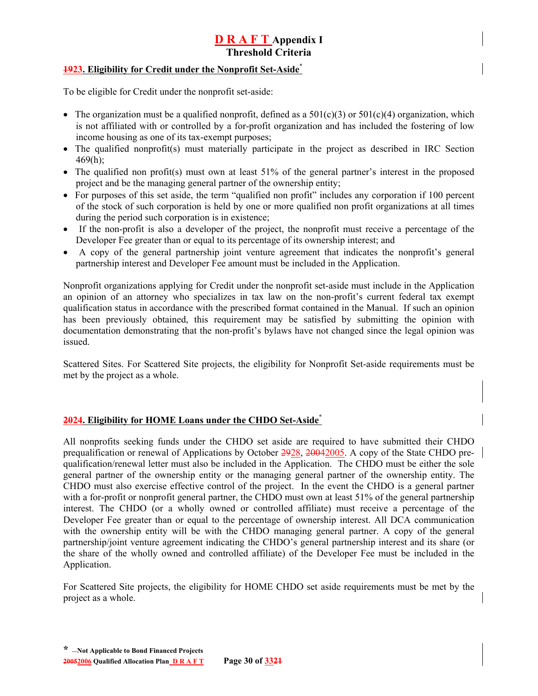#### <span id="page-74-1"></span>**1923. Eligibility for Credit under the Nonprofit Set-Aside[\\*](#page-74-0)**

To be eligible for Credit under the nonprofit set-aside:

- The organization must be a qualified nonprofit, defined as a  $501(c)(3)$  or  $501(c)(4)$  organization, which is not affiliated with or controlled by a for-profit organization and has included the fostering of low income housing as one of its tax-exempt purposes;
- The qualified nonprofit(s) must materially participate in the project as described in IRC Section  $469(h);$
- The qualified non profit(s) must own at least 51% of the general partner's interest in the proposed project and be the managing general partner of the ownership entity;
- For purposes of this set aside, the term "qualified non profit" includes any corporation if 100 percent of the stock of such corporation is held by one or more qualified non profit organizations at all times during the period such corporation is in existence;
- If the non-profit is also a developer of the project, the nonprofit must receive a percentage of the Developer Fee greater than or equal to its percentage of its ownership interest; and
- A copy of the general partnership joint venture agreement that indicates the nonprofit's general partnership interest and Developer Fee amount must be included in the Application.

Nonprofit organizations applying for Credit under the nonprofit set-aside must include in the Application an opinion of an attorney who specializes in tax law on the non-profit's current federal tax exempt qualification status in accordance with the prescribed format contained in the Manual. If such an opinion has been previously obtained, this requirement may be satisfied by submitting the opinion with documentation demonstrating that the non-profit's bylaws have not changed since the legal opinion was issued.

Scattered Sites. For Scattered Site projects, the eligibility for Nonprofit Set-aside requirements must be met by the project as a whole.

#### **2024. Eligibility for HOME Loans under the CHDO Set-Asid[e\\*](#page-74-1)**

All nonprofits seeking funds under the CHDO set aside are required to have submitted their CHDO prequalification or renewal of Applications by October 2928, 20042005. A copy of the State CHDO prequalification/renewal letter must also be included in the Application. The CHDO must be either the sole general partner of the ownership entity or the managing general partner of the ownership entity. The CHDO must also exercise effective control of the project. In the event the CHDO is a general partner with a for-profit or nonprofit general partner, the CHDO must own at least 51% of the general partnership interest. The CHDO (or a wholly owned or controlled affiliate) must receive a percentage of the Developer Fee greater than or equal to the percentage of ownership interest. All DCA communication with the ownership entity will be with the CHDO managing general partner. A copy of the general partnership/joint venture agreement indicating the CHDO's general partnership interest and its share (or the share of the wholly owned and controlled affiliate) of the Developer Fee must be included in the Application.

<span id="page-74-0"></span>For Scattered Site projects, the eligibility for HOME CHDO set aside requirements must be met by the project as a whole.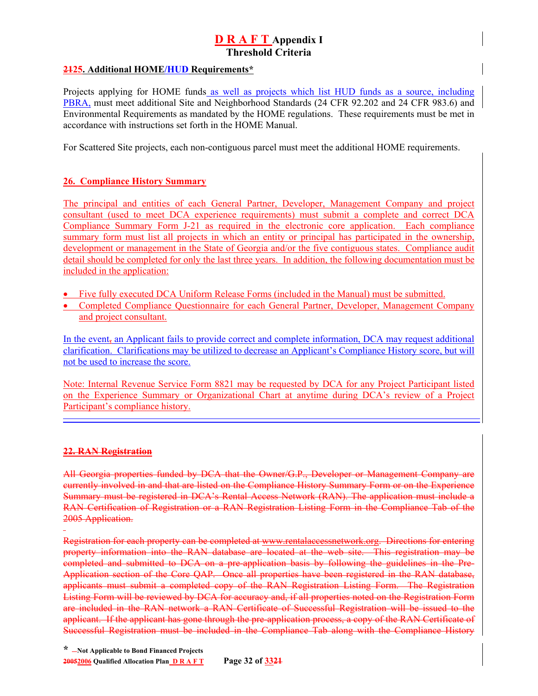#### **2125. Additional HOME/HUD Requirements\***

Projects applying for HOME funds as well as projects which list HUD funds as a source, including PBRA, must meet additional Site and Neighborhood Standards (24 CFR 92.202 and 24 CFR 983.6) and Environmental Requirements as mandated by the HOME regulations. These requirements must be met in accordance with instructions set forth in the HOME Manual.

For Scattered Site projects, each non-contiguous parcel must meet the additional HOME requirements.

## **26. Compliance History Summary**

The principal and entities of each General Partner, Developer, Management Company and project consultant (used to meet DCA experience requirements) must submit a complete and correct DCA Compliance Summary Form J-21 as required in the electronic core application. Each compliance summary form must list all projects in which an entity or principal has participated in the ownership, development or management in the State of Georgia and/or the five contiguous states. Compliance audit detail should be completed for only the last three years. In addition, the following documentation must be included in the application:

- Five fully executed DCA Uniform Release Forms (included in the Manual) must be submitted.
- Completed Compliance Questionnaire for each General Partner, Developer, Management Company and project consultant.

In the event, an Applicant fails to provide correct and complete information, DCA may request additional clarification. Clarifications may be utilized to decrease an Applicant's Compliance History score, but will not be used to increase the score.

Note: Internal Revenue Service Form 8821 may be requested by DCA for any Project Participant listed on the Experience Summary or Organizational Chart at anytime during DCA's review of a Project Participant's compliance history.

### **22. RAN Registration**

All Georgia properties funded by DCA that the Owner/G.P., Developer or Management Company are currently involved in and that are listed on the Compliance History Summary Form or on the Experience Summary must be registered in DCA's Rental Access Network (RAN). The application must include a RAN Certification of Registration or a RAN Registration Listing Form in the Compliance Tab of the 2005 Application.

Registration for each property can be completed at [www.rentalaccessnetwork.org.](http://www.rentalaccessnetwork.org/) Directions for entering property information into the RAN database are located at the web site. This registration may be completed and submitted to DCA on a pre-application basis by following the guidelines in the Pre-Application section of the Core QAP. Once all properties have been registered in the RAN database, applicants must submit a completed copy of the RAN Registration Listing Form. The Registration Listing Form will be reviewed by DCA for accuracy and, if all properties noted on the Registration Form are included in the RAN network a RAN Certificate of Successful Registration will be issued to the applicant. If the applicant has gone through the pre-application process, a copy of the RAN Certificate of Successful Registration must be included in the Compliance Tab along with the Compliance History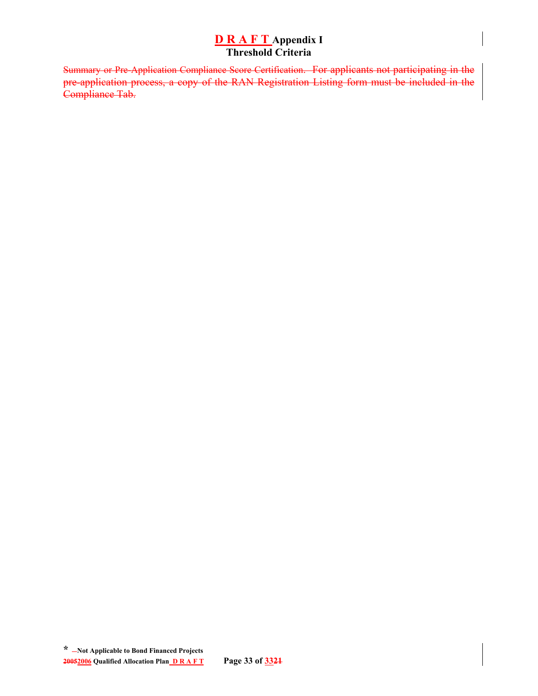Summary or Pre-Application Compliance Score Certification. For applicants not participating in the pre-application process, a copy of the RAN Registration Listing form must be included in the Compliance Tab.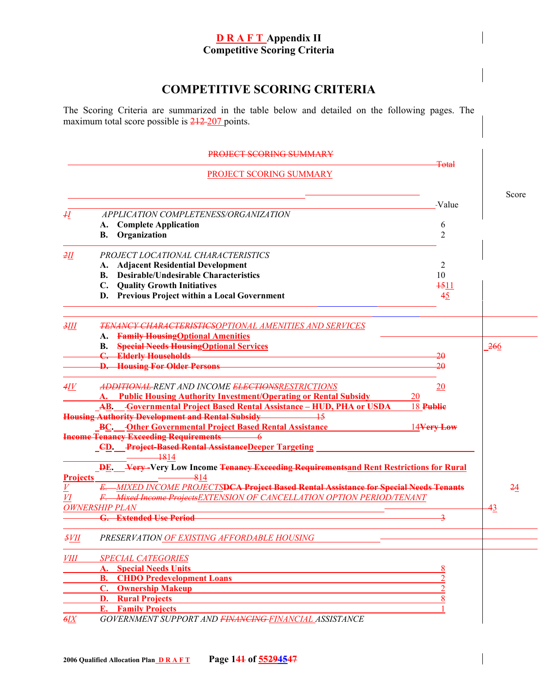# **COMPETITIVE SCORING CRITERIA**

The Scoring Criteria are summarized in the table below and detailed on the following pages. The maximum total score possible is  $212-207$  points.

PROJECT SCORING SUMMARY

Total

**PROJECT SCORING SUMMARY** 

|                      |                                                                                                          | Score |
|----------------------|----------------------------------------------------------------------------------------------------------|-------|
|                      | -Value                                                                                                   |       |
| H                    | APPLICATION COMPLETENESS/ORGANIZATION                                                                    |       |
|                      | <b>Complete Application</b><br>6<br>А.<br>$\overline{2}$<br>Organization<br>В.                           |       |
|                      |                                                                                                          |       |
| 2II                  | PROJECT LOCATIONAL CHARACTERISTICS                                                                       |       |
|                      | <b>Adjacent Residential Development</b><br>2<br>А.                                                       |       |
|                      | <b>Desirable/Undesirable Characteristics</b><br>10<br><b>B.</b>                                          |       |
|                      | C. Quality Growth Initiatives<br>1511                                                                    |       |
|                      | D. Previous Project within a Local Government<br>45                                                      |       |
| 3III                 | TENANCY CHARACTERISTICSOPTIONAL AMENITIES AND SERVICES                                                   |       |
|                      | A. Family Housing Optional Amenities                                                                     |       |
|                      | <b>Special Needs Housing Optional Services</b><br><b>B.</b>                                              | 266   |
|                      | <b>Elderly Households</b><br>20<br>$\mathbf{C}$                                                          |       |
|                      | <b>D.</b> Housing For Older Persons<br>20                                                                |       |
| 4IV                  | ADDITIONAL RENT AND INCOME ELECTIONSRESTRICTIONS<br>20                                                   |       |
|                      | A. Public Housing Authority Investment/Operating or Rental Subsidy<br>20                                 |       |
|                      | <b>AB.</b> Governmental Project Based Rental Assistance – HUD, PHA or USDA<br>18 Publie                  |       |
|                      |                                                                                                          |       |
|                      | BC. Other Governmental Project Based Rental Assistance<br>14Very Low                                     |       |
|                      | <b>Income Tenancy Exceeding Requirements</b> 6                                                           |       |
|                      | <b>_CD.</b> Project-Based Rental Assistance Deeper Targeting                                             |       |
|                      | $-1814$                                                                                                  |       |
| <b>Projects</b>      | <b>DE.</b> Very-Very Low Income Tenancy Exceeding Requirements and Rent Restrictions for Rural<br>$-814$ |       |
| $\overline{V}$       | E. MIXED INCOME PROJECTSDCA Project Based Rental Assistance for Special Needs Tenants                    | 24    |
| VI                   | F. Mixed Income Projects EXTENSION OF CANCELLATION OPTION PERIOD/TENANT                                  |       |
|                      | <b>OWNERSHIP PLAN</b>                                                                                    | 43    |
|                      | <b>G.</b> Extended Use Period<br>$\overline{\mathbf{z}}$                                                 |       |
|                      |                                                                                                          |       |
| 5VII                 | PRESERVATION OF EXISTING AFFORDABLE HOUSING                                                              |       |
| <i>VIII</i>          | <b>SPECIAL CATEGORIES</b>                                                                                |       |
|                      | <b>A.</b> Special Needs Units                                                                            |       |
|                      | <b>B.</b> CHDO Predevelopment Loans                                                                      |       |
|                      | <b>C.</b> Ownership Makeup                                                                               |       |
|                      | <b>D.</b> Rural Projects                                                                                 |       |
|                      | <b>E.</b> Family Projects                                                                                |       |
| $\epsilon$ <i>EX</i> | GOVERNMENT SUPPORT AND FINANCING-FINANCIAL ASSISTANCE                                                    |       |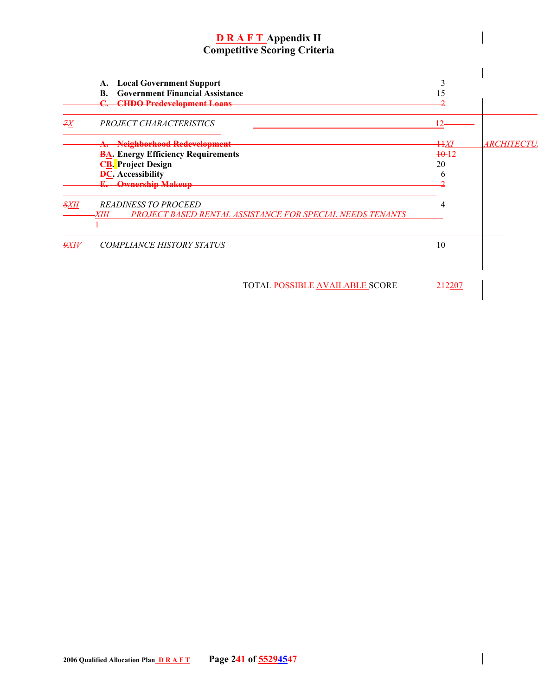|      | <b>Local Government Support</b><br>A.<br><b>Government Financial Assistance</b><br>B.<br><b>CHDO Predevelopment Loans</b>                                         |                          |                   |
|------|-------------------------------------------------------------------------------------------------------------------------------------------------------------------|--------------------------|-------------------|
| ŦХ   | PROJECT CHARACTERISTICS                                                                                                                                           |                          |                   |
|      | Neighborhood Redevelopment<br><b>BA.</b> Energy Efficiency Requirements<br><b>EB.</b> Project Design<br><b>DC.</b> Accessibility<br><b>Ownership Makeup</b><br>Ł. | ĦЯ<br>$+0.12$<br>20<br>n | <i>ARCHITECTU</i> |
| 8XII | <b>READINESS TO PROCEED</b><br>PROJECT BASED RENTAL ASSISTANCE FOR SPECIAL NEEDS TENANTS<br>ΧШ                                                                    |                          |                   |
| 9XIV | <b>COMPLIANCE HISTORY STATUS</b>                                                                                                                                  | 10                       |                   |

**TOTAL POSSIBLE AVAILABLE SCORE** 212207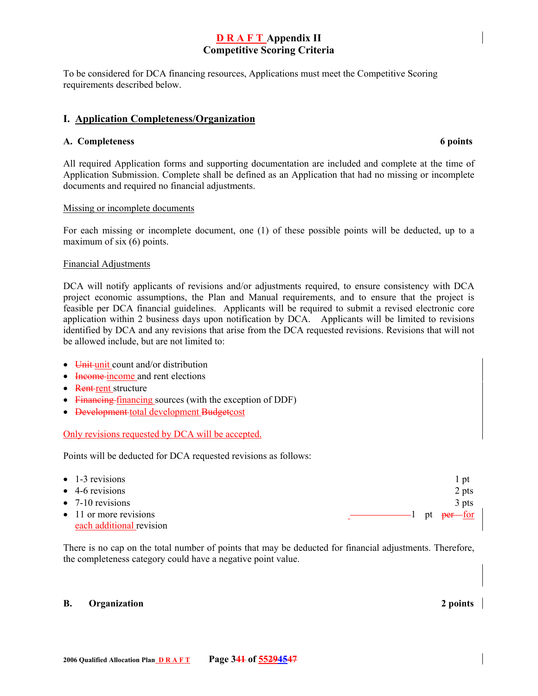To be considered for DCA financing resources, Applications must meet the Competitive Scoring requirements described below.

#### **I. Application Completeness/Organization**

#### **A. Completeness 6 points**

All required Application forms and supporting documentation are included and complete at the time of Application Submission. Complete shall be defined as an Application that had no missing or incomplete documents and required no financial adjustments.

#### Missing or incomplete documents

For each missing or incomplete document, one (1) of these possible points will be deducted, up to a maximum of six (6) points.

#### Financial Adjustments

DCA will notify applicants of revisions and/or adjustments required, to ensure consistency with DCA project economic assumptions, the Plan and Manual requirements, and to ensure that the project is feasible per DCA financial guidelines. Applicants will be required to submit a revised electronic core application within 2 business days upon notification by DCA. Applicants will be limited to revisions identified by DCA and any revisions that arise from the DCA requested revisions. Revisions that will not be allowed include, but are not limited to:

- Unit unit count and/or distribution
- Income income and rent elections
- Rent-rent structure
- Financing-financing sources (with the exception of DDF)
- <del>Development</del> total development Budgetcost

#### Only revisions requested by DCA will be accepted.

Points will be deducted for DCA requested revisions as follows:

| $\bullet$ 1-3 revisions        | l pt  |
|--------------------------------|-------|
| $\bullet$ 4-6 revisions        | 2 pts |
| $\bullet$ 7-10 revisions       | 3 pts |
| $\bullet$ 11 or more revisions |       |
| each additional revision       |       |

There is no cap on the total number of points that may be deducted for financial adjustments. Therefore, the completeness category could have a negative point value.

#### **B.** Organization 2 points and 2 points and 2 points are not all the 2 points of 2 points and 2 points of 2 points and 2 points of 2 points and 2 points of 2 points of 2 points of 2 points of 2 points of 2 points of 2 poin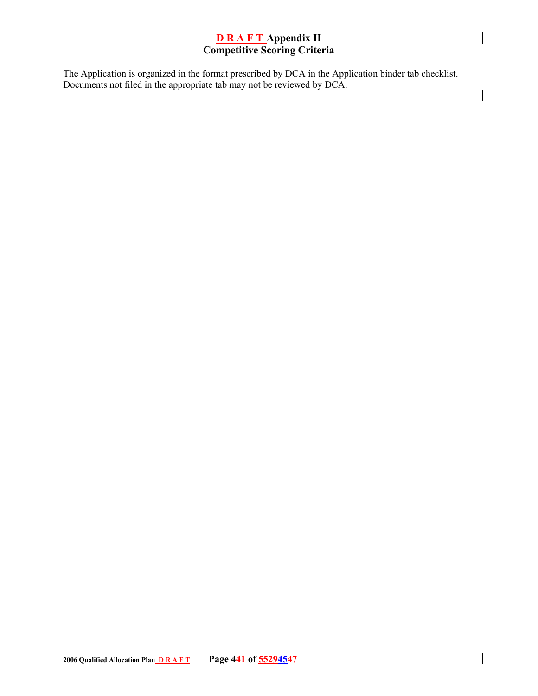The Application is organized in the format prescribed by DCA in the Application binder tab checklist. Documents not filed in the appropriate tab may not be reviewed by DCA.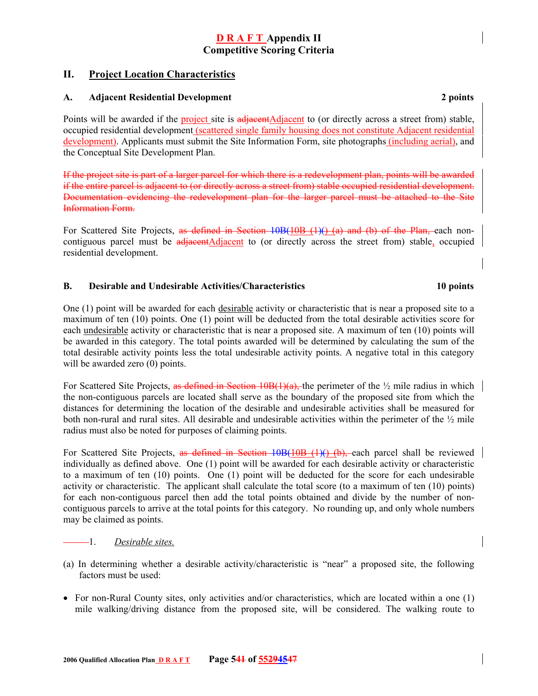## **II. Project Location Characteristics**

#### **A. Adjacent Residential Development 2 points**

Points will be awarded if the project site is adjacentAdjacent to (or directly across a street from) stable, occupied residential development (scattered single family housing does not constitute Adjacent residential development). Applicants must submit the Site Information Form, site photographs (including aerial), and the Conceptual Site Development Plan.

If the project site is part of a larger parcel for which there is a redevelopment plan, points will be awarded if the entire parcel is adjacent to (or directly across a street from) stable occupied residential development. Documentation evidencing the redevelopment plan for the larger parcel must be attached to the Site Information Form.

For Scattered Site Projects, as defined in Section 10B(10B (1)() (a) and (b) of the Plan, each noncontiguous parcel must be adjacentAdjacent to (or directly across the street from) stable, occupied residential development.

#### **B. Desirable and Undesirable Activities/Characteristics 10 points**

#### One (1) point will be awarded for each desirable activity or characteristic that is near a proposed site to a maximum of ten (10) points. One (1) point will be deducted from the total desirable activities score for each undesirable activity or characteristic that is near a proposed site. A maximum of ten (10) points will be awarded in this category. The total points awarded will be determined by calculating the sum of the total desirable activity points less the total undesirable activity points. A negative total in this category will be awarded zero (0) points.

For Scattered Site Projects, as defined in Section 10B(1)(a), the perimeter of the  $\frac{1}{2}$  mile radius in which the non-contiguous parcels are located shall serve as the boundary of the proposed site from which the distances for determining the location of the desirable and undesirable activities shall be measured for both non-rural and rural sites. All desirable and undesirable activities within the perimeter of the ½ mile radius must also be noted for purposes of claiming points.

For Scattered Site Projects, as defined in Section 10B(10B (1)() (b), each parcel shall be reviewed individually as defined above. One (1) point will be awarded for each desirable activity or characteristic to a maximum of ten (10) points. One (1) point will be deducted for the score for each undesirable activity or characteristic. The applicant shall calculate the total score (to a maximum of ten (10) points) for each non-contiguous parcel then add the total points obtained and divide by the number of noncontiguous parcels to arrive at the total points for this category. No rounding up, and only whole numbers may be claimed as points.

### 1. *Desirable sites.*

- (a) In determining whether a desirable activity/characteristic is "near" a proposed site, the following factors must be used:
- For non-Rural County sites, only activities and/or characteristics, which are located within a one (1) mile walking/driving distance from the proposed site, will be considered. The walking route to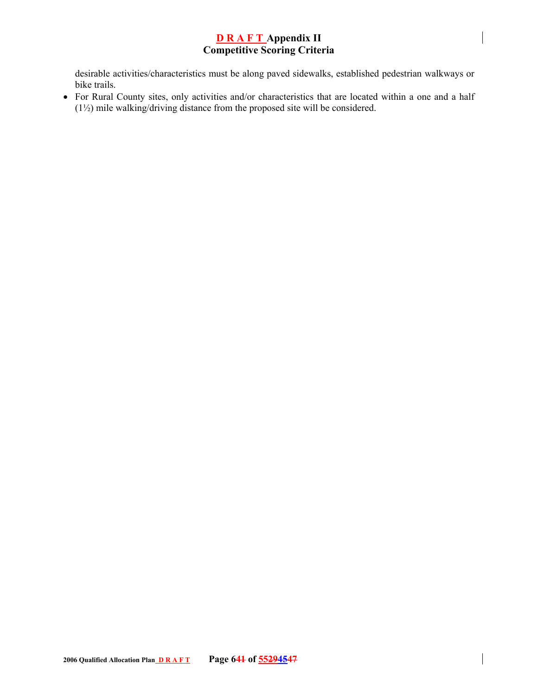desirable activities/characteristics must be along paved sidewalks, established pedestrian walkways or bike trails.

• For Rural County sites, only activities and/or characteristics that are located within a one and a half (1½) mile walking/driving distance from the proposed site will be considered.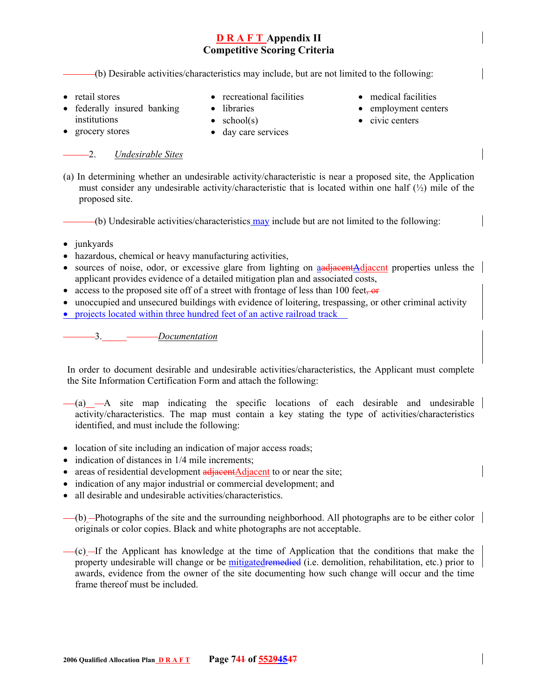(b) Desirable activities/characteristics may include, but are not limited to the following:

• retail stores

- recreational facilities
- federally insured banking institutions
- libraries •  $school(s)$

• grocery stores

- day care services
- medical facilities
- employment centers
- civic centers

## 2. *Undesirable Sites*

(a) In determining whether an undesirable activity/characteristic is near a proposed site, the Application must consider any undesirable activity/characteristic that is located within one half  $\binom{1}{2}$  mile of the proposed site.

(b) Undesirable activities/characteristics may include but are not limited to the following:

- junkyards
- hazardous, chemical or heavy manufacturing activities,
- sources of noise, odor, or excessive glare from lighting on and integrated properties unless the applicant provides evidence of a detailed mitigation plan and associated costs,
- access to the proposed site off of a street with frontage of less than 100 feet,  $\overline{or}$
- unoccupied and unsecured buildings with evidence of loitering, trespassing, or other criminal activity
- projects located within three hundred feet of an active railroad track

3. *Documentation*

In order to document desirable and undesirable activities/characteristics, the Applicant must complete the Site Information Certification Form and attach the following:

- $(a)$   $-A$  site map indicating the specific locations of each desirable and undesirable activity/characteristics. The map must contain a key stating the type of activities/characteristics identified, and must include the following:
- location of site including an indication of major access roads;
- indication of distances in  $1/4$  mile increments;
- areas of residential development adjacentAdjacent to or near the site;
- indication of any major industrial or commercial development; and
- all desirable and undesirable activities/characteristics.
- $(b)$  -Photographs of the site and the surrounding neighborhood. All photographs are to be either color originals or color copies. Black and white photographs are not acceptable.
- $-(c)$ —If the Applicant has knowledge at the time of Application that the conditions that make the property undesirable will change or be mitigatedremedied (i.e. demolition, rehabilitation, etc.) prior to awards, evidence from the owner of the site documenting how such change will occur and the time frame thereof must be included.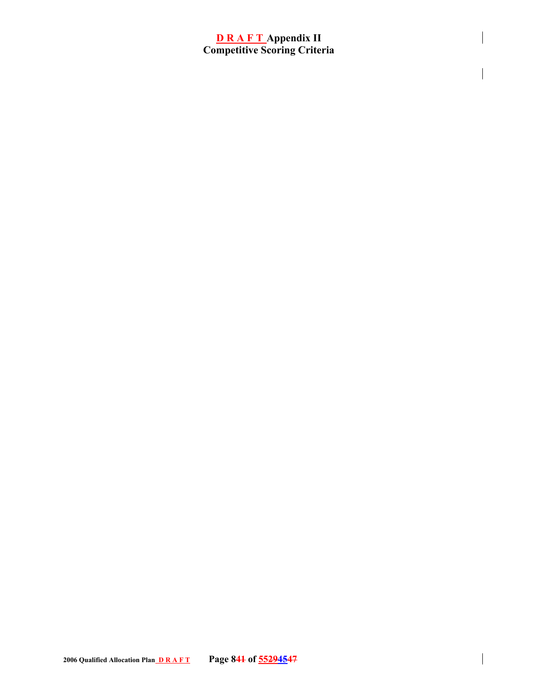$\overline{\phantom{a}}$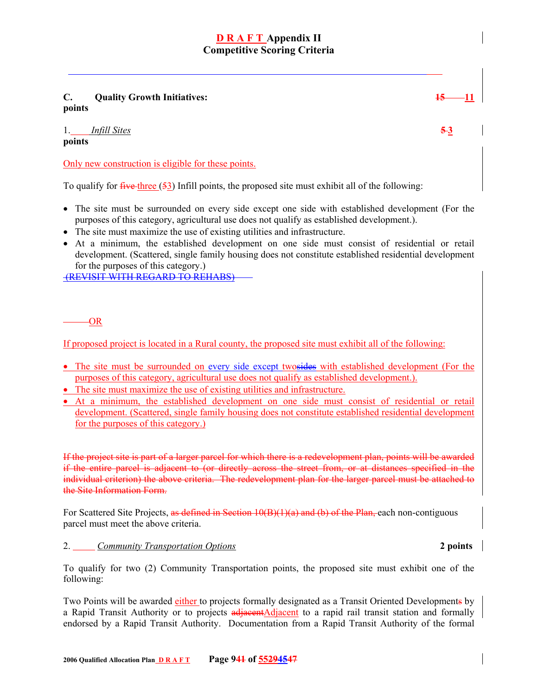**C.** Quality Growth Initiatives:  $\frac{15}{11}$ **points** 

1. *Infill Sites* **5 3 points** 

Only new construction is eligible for these points.

To qualify for  $\frac{f^2}{f^2}$  for  $\frac{f^2}{f^2}$  and field points, the proposed site must exhibit all of the following:

- The site must be surrounded on every side except one side with established development (For the purposes of this category, agricultural use does not qualify as established development.).
- The site must maximize the use of existing utilities and infrastructure.
- At a minimum, the established development on one side must consist of residential or retail development. (Scattered, single family housing does not constitute established residential development for the purposes of this category.)

(REVISIT WITH REGARD TO REHABS)

OR

If proposed project is located in a Rural county, the proposed site must exhibit all of the following:

- The site must be surrounded on every side except two sides with established development (For the purposes of this category, agricultural use does not qualify as established development.).
- The site must maximize the use of existing utilities and infrastructure.
- At a minimum, the established development on one side must consist of residential or retail development. (Scattered, single family housing does not constitute established residential development for the purposes of this category.)

If the project site is part of a larger parcel for which there is a redevelopment plan, points will be awarded if the entire parcel is adjacent to (or directly across the street from, or at distances specified in the individual criterion) the above criteria. The redevelopment plan for the larger parcel must be attached to the Site Information Form.

For Scattered Site Projects, as defined in Section 10(B)(1)(a) and (b) of the Plan, each non-contiguous parcel must meet the above criteria.

#### 2. *Community Transportation Options* **2 points**

To qualify for two (2) Community Transportation points, the proposed site must exhibit one of the following:

Two Points will be awarded either to projects formally designated as a Transit Oriented Developments by a Rapid Transit Authority or to projects adjacentAdjacent to a rapid rail transit station and formally endorsed by a Rapid Transit Authority. Documentation from a Rapid Transit Authority of the formal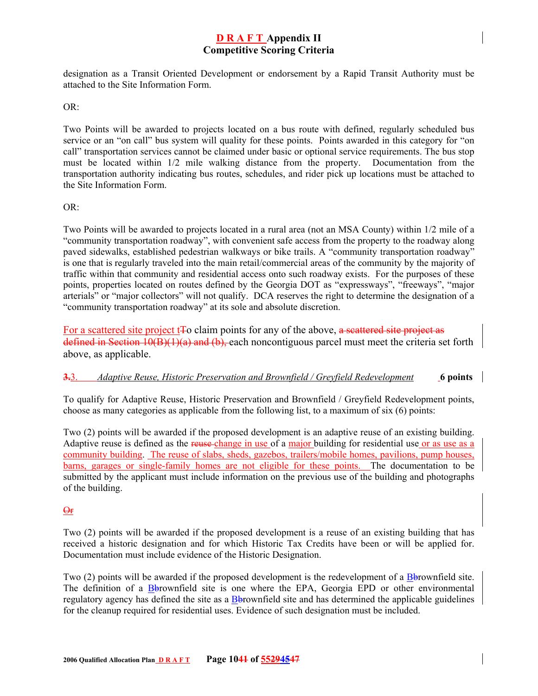designation as a Transit Oriented Development or endorsement by a Rapid Transit Authority must be attached to the Site Information Form.

OR:

Two Points will be awarded to projects located on a bus route with defined, regularly scheduled bus service or an "on call" bus system will quality for these points. Points awarded in this category for "on call" transportation services cannot be claimed under basic or optional service requirements. The bus stop must be located within 1/2 mile walking distance from the property. Documentation from the transportation authority indicating bus routes, schedules, and rider pick up locations must be attached to the Site Information Form.

#### $OR<sup>+</sup>$

Two Points will be awarded to projects located in a rural area (not an MSA County) within 1/2 mile of a "community transportation roadway", with convenient safe access from the property to the roadway along paved sidewalks, established pedestrian walkways or bike trails. A "community transportation roadway" is one that is regularly traveled into the main retail/commercial areas of the community by the majority of traffic within that community and residential access onto such roadway exists. For the purposes of these points, properties located on routes defined by the Georgia DOT as "expressways", "freeways", "major arterials" or "major collectors" will not qualify. DCA reserves the right to determine the designation of a "community transportation roadway" at its sole and absolute discretion.

For a scattered site project t<sub>tree</sub> claim points for any of the above, a seattered site project as defined in Section 10(B)(1)(a) and (b), each noncontiguous parcel must meet the criteria set forth above, as applicable.

#### **3.**3. *Adaptive Reuse, Historic Preservation and Brownfield / Greyfield Redevelopment* **6 points**

To qualify for Adaptive Reuse, Historic Preservation and Brownfield / Greyfield Redevelopment points, choose as many categories as applicable from the following list, to a maximum of six (6) points:

Two (2) points will be awarded if the proposed development is an adaptive reuse of an existing building. Adaptive reuse is defined as the reuse change in use of a major building for residential use or as use as a community building. The reuse of slabs, sheds, gazebos, trailers/mobile homes, pavilions, pump houses, barns, garages or single-family homes are not eligible for these points. The documentation to be submitted by the applicant must include information on the previous use of the building and photographs of the building.

#### Or

Two (2) points will be awarded if the proposed development is a reuse of an existing building that has received a historic designation and for which Historic Tax Credits have been or will be applied for. Documentation must include evidence of the Historic Designation.

Two (2) points will be awarded if the proposed development is the redevelopment of a Bbrownfield site. The definition of a Bbrownfield site is one where the EPA, Georgia EPD or other environmental regulatory agency has defined the site as a Bbrownfield site and has determined the applicable guidelines for the cleanup required for residential uses. Evidence of such designation must be included.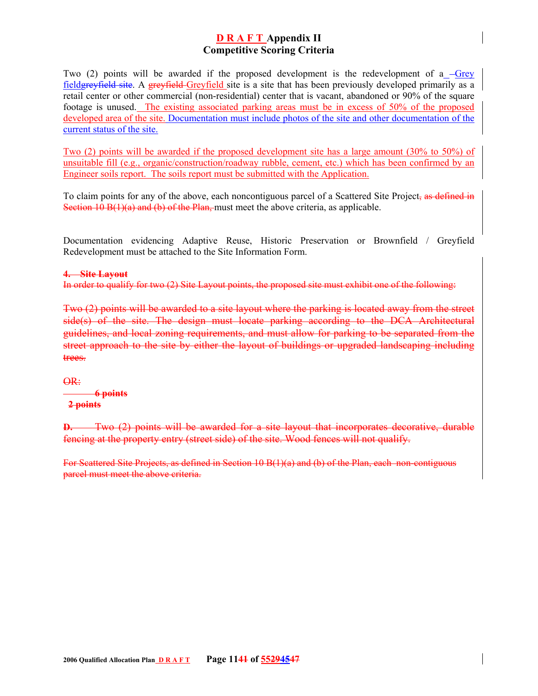Two (2) points will be awarded if the proposed development is the redevelopment of a  $-$ Grey fieldgreyfield site. A greyfield Greyfield site is a site that has been previously developed primarily as a retail center or other commercial (non-residential) center that is vacant, abandoned or 90% of the square footage is unused. The existing associated parking areas must be in excess of 50% of the proposed developed area of the site. Documentation must include photos of the site and other documentation of the current status of the site.

Two (2) points will be awarded if the proposed development site has a large amount (30% to 50%) of unsuitable fill (e.g., organic/construction/roadway rubble, cement, etc.) which has been confirmed by an Engineer soils report. The soils report must be submitted with the Application.

To claim points for any of the above, each noncontiguous parcel of a Scattered Site Project, as defined in Section 10  $B(1)(a)$  and (b) of the Plan, must meet the above criteria, as applicable.

Documentation evidencing Adaptive Reuse, Historic Preservation or Brownfield / Greyfield Redevelopment must be attached to the Site Information Form.

#### **4. Site Layout**

In order to qualify for two (2) Site Layout points, the proposed site must exhibit one of the following:

Two (2) points will be awarded to a site layout where the parking is located away from the street side(s) of the site. The design must locate parking according to the DCA Architectural guidelines, and local zoning requirements, and must allow for parking to be separated from the street approach to the site by either the layout of buildings or upgraded landscaping including trees.

OR:

#### **6 points 2 points**

**D.** Two (2) points will be awarded for a site layout that incorporates decorative, durable fencing at the property entry (street side) of the site. Wood fences will not qualify.

For Scattered Site Projects, as defined in Section 10 B(1)(a) and (b) of the Plan, each non-contiguous parcel must meet the above criteria.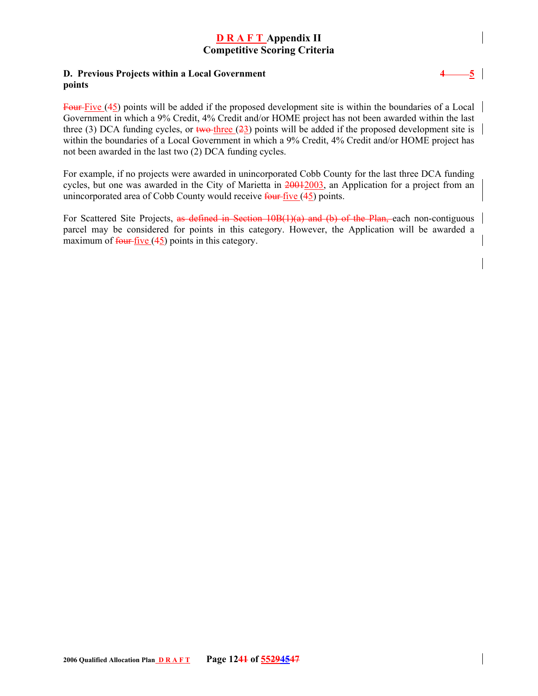#### **D. Previous Projects within a Local Government 4 4 5 points**

Four-Five (45) points will be added if the proposed development site is within the boundaries of a Local Government in which a 9% Credit, 4% Credit and/or HOME project has not been awarded within the last three (3) DCA funding cycles, or two-three  $(23)$  points will be added if the proposed development site is within the boundaries of a Local Government in which a 9% Credit, 4% Credit and/or HOME project has not been awarded in the last two (2) DCA funding cycles.

For example, if no projects were awarded in unincorporated Cobb County for the last three DCA funding cycles, but one was awarded in the City of Marietta in 20012003, an Application for a project from an unincorporated area of Cobb County would receive  $f_{\text{out}}$  five (45) points.

For Scattered Site Projects, as defined in Section 10B(1)(a) and (b) of the Plan, each non-contiguous parcel may be considered for points in this category. However, the Application will be awarded a maximum of  $\frac{\text{four-five}}{\text{five}}(45)$  points in this category.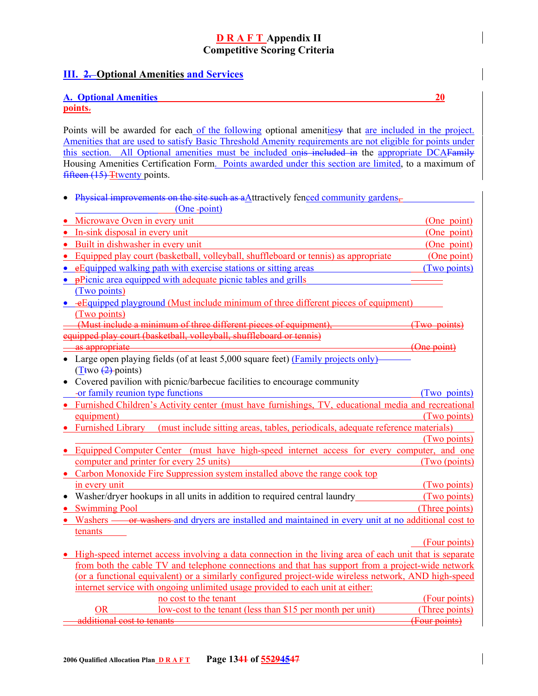## **III. 2. Optional Amenities and Services**

#### **A. Optional Amenities 20**

**points**.

Points will be awarded for each of the following optional amenitiesy that are included in the project. Amenities that are used to satisfy Basic Threshold Amenity requirements are not eligible for points under this section. All Optional amenities must be included onis included in the appropriate DCAFamily Housing Amenities Certification Form. Points awarded under this section are limited, to a maximum of fifteen  $(15)$  Twenty points.

• Physical improvements on the site such as a $\Delta$ ttractively fenced community gardens,

| (One-point)                                                                                                              |                |
|--------------------------------------------------------------------------------------------------------------------------|----------------|
| Microwave Oven in every unit                                                                                             | (One point)    |
| In-sink disposal in every unit                                                                                           | (One point)    |
| Built in dishwasher in every unit                                                                                        | (One point)    |
| Equipped play court (basketball, volleyball, shuffleboard or tennis) as appropriate                                      | (One point)    |
| e Equipped walking path with exercise stations or sitting areas<br>$\bullet$                                             | (Two points)   |
| • pPicnic area equipped with adequate picnic tables and grills                                                           |                |
| (Two points)                                                                                                             |                |
| • eEquipped playground (Must include minimum of three different pieces of equipment)                                     |                |
| (Two points)                                                                                                             |                |
| (Must include a minimum of three different pieces of equipment),                                                         | (Two points)   |
| equipped play court (basketball, volleyball, shuffleboard or tennis)                                                     |                |
| as appropriate                                                                                                           | (One point)    |
| Large open playing fields (of at least 5,000 square feet) (Family projects only)<br>$\bullet$                            |                |
| $(\underline{T}$ two $(2)$ -points)                                                                                      |                |
| Covered pavilion with picnic/barbecue facilities to encourage community<br>$\bullet$                                     |                |
| -or family reunion type functions                                                                                        | (Two points)   |
| Furnished Children's Activity center (must have furnishings, TV, educational media and recreational<br>$\bullet$         |                |
| equipment)                                                                                                               | (Two points)   |
| (must include sitting areas, tables, periodicals, adequate reference materials)<br><b>Furnished Library</b><br>$\bullet$ |                |
|                                                                                                                          | (Two points)   |
| Equipped Computer Center (must have high-speed internet access for every computer, and one<br>$\bullet$                  |                |
| computer and printer for every 25 units)                                                                                 | (Two (points)  |
| • Carbon Monoxide Fire Suppression system installed above the range cook top                                             |                |
| in every unit                                                                                                            | (Two points)   |
| Washer/dryer hookups in all units in addition to required central laundry_                                               | (Two points)   |
| <b>Swimming Pool</b><br>$\bullet$                                                                                        | (Three points) |
| Washers — or washers and dryers are installed and maintained in every unit at no additional cost to                      |                |
| tenants                                                                                                                  |                |
|                                                                                                                          | (Four points)  |
| High-speed internet access involving a data connection in the living area of each unit that is separate                  |                |
| from both the cable TV and telephone connections and that has support from a project-wide network                        |                |
| (or a functional equivalent) or a similarly configured project-wide wireless network, AND high-speed                     |                |
| internet service with ongoing unlimited usage provided to each unit at either:                                           |                |
| no cost to the tenant                                                                                                    | (Four points)  |
| low-cost to the tenant (less than \$15 per month per unit)<br><b>OR</b>                                                  | (Three points) |
| additional cost to tenants                                                                                               | (Four points)  |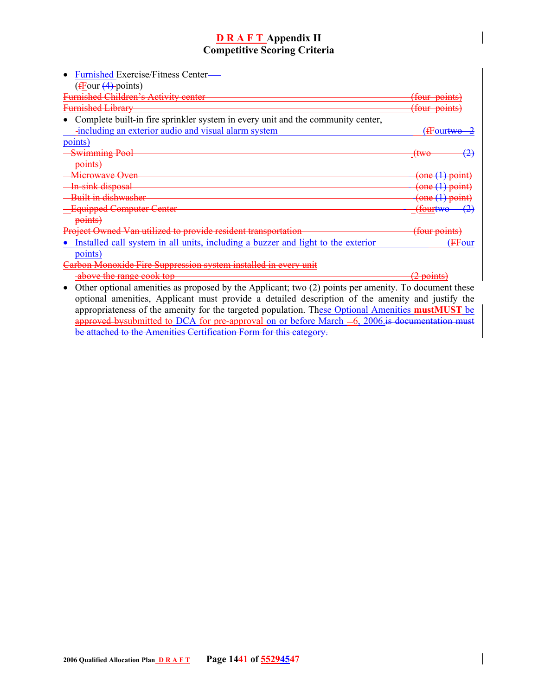| Furnished Exercise/Fitness Center—                                                                                                                                                                        |                          |
|-----------------------------------------------------------------------------------------------------------------------------------------------------------------------------------------------------------|--------------------------|
| $(\frac{f_{\text{Four}}}{4}$ -points)                                                                                                                                                                     |                          |
| <b>Furnished Children's Activity center</b>                                                                                                                                                               | <del>(four points)</del> |
| <del>Furnished Library</del>                                                                                                                                                                              | <del>(four points)</del> |
| Complete built-in fire sprinkler system in every unit and the community center,                                                                                                                           |                          |
| -including an exterior audio and visual alarm system                                                                                                                                                      | (fFour <del>two-</del>   |
| points)                                                                                                                                                                                                   |                          |
| <b>Swimming Pool</b>                                                                                                                                                                                      | (2)<br><del>(two</del>   |
| points)                                                                                                                                                                                                   |                          |
| <del>Microwave Oven</del>                                                                                                                                                                                 | (one (1) point)          |
| In-sink disposal                                                                                                                                                                                          | one (1) point)           |
| Built in dishwasher                                                                                                                                                                                       | (one (1) point)          |
| -Equipped Computer Center                                                                                                                                                                                 | <del>(fourtwo-</del>     |
| points)                                                                                                                                                                                                   |                          |
| <u>ueet Owned Van utilized to provide resident</u>                                                                                                                                                        | <del>(four points)</del> |
| Installed call system in all units, including a buzzer and light to the exterior                                                                                                                          | (FFour                   |
| points)                                                                                                                                                                                                   |                          |
| on Monoxide Fire Suppression system installed in every unit                                                                                                                                               |                          |
| above the range cook top                                                                                                                                                                                  | $(2 \text{ points})$     |
| Other optional amenities as proposed by the Applicant; two (2) points per amenity. To document these<br>ontional amonities. Analigant must provide a detailed description of the emerging and instify the |                          |

optional amenities, Applicant must provide a detailed description of the amenity and justify the appropriateness of the amenity for the targeted population. These Optional Amenities **mustMUST** be approved by submitted to DCA for pre-approval on or before March  $-6$ ,  $2006$  is documentation must be attached to the Amenities Certification Form for this category.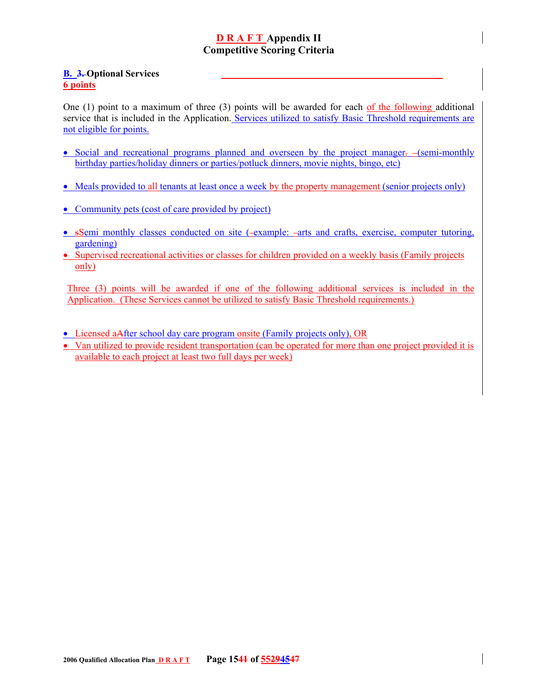### **B. 3. Optional Services 6 points**

One (1) point to a maximum of three (3) points will be awarded for each of the following additional service that is included in the Application. Services utilized to satisfy Basic Threshold requirements are not eligible for points.

- Social and recreational programs planned and overseen by the project manager.  $-\frac{1}{2}$  (semi-monthly birthday parties/holiday dinners or parties/potluck dinners, movie nights, bingo, etc)
- Meals provided to all tenants at least once a week by the property management (senior projects only)
- Community pets (cost of care provided by project)
- sSemi monthly classes conducted on site (-example: -arts and crafts, exercise, computer tutoring, gardening)
- Supervised recreational activities or classes for children provided on a weekly basis (Family projects only)

Three (3) points will be awarded if one of the following additional services is included in the Application. (These Services cannot be utilized to satisfy Basic Threshold requirements.)

- Licensed aAfter school day care program onsite (Family projects only), OR
- Van utilized to provide resident transportation (can be operated for more than one project provided it is available to each project at least two full days per week)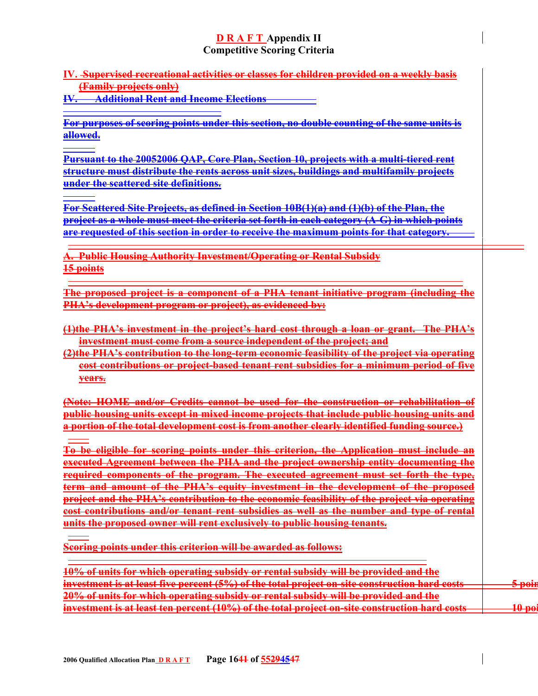**IV. Supervised recreational activities or classes for children provided on a weekly basis (Family projects only)** 

**IV. Additional Rent and Income Elections**

**For purposes of scoring points under this section, no double counting of the same units is allowed.** 

**Pursuant to the 20052006 QAP, Core Plan, Section 10, projects with a multi-tiered rent structure must distribute the rents across unit sizes, buildings and multifamily projects under the scattered site definitions.**

**For Scattered Site Projects, as defined in Section 10B(1)(a) and (1)(b) of the Plan, the project as a whole must meet the criteria set forth in each category (A-G) in which points are requested of this section in order to receive the maximum points for that category.**

**A. Public Housing Authority Investment/Operating or Rental Subsidy 15 points**

**The proposed project is a component of a PHA tenant initiative program (including the PHA's development program or project), as evidenced by:** 

**(1)the PHA's investment in the project's hard cost through a loan or grant. The PHA's investment must come from a source independent of the project; and**

**(2)the PHA's contribution to the long-term economic feasibility of the project via operating cost contributions or project-based tenant rent subsidies for a minimum period of five years.**

**(Note: HOME and/or Credits cannot be used for the construction or rehabilitation of public housing units except in mixed income projects that include public housing units and a portion of the total development cost is from another clearly identified funding source.)**

**To be eligible for scoring points under this criterion, the Application must include an executed Agreement between the PHA and the project ownership entity documenting the required components of the program. The executed agreement must set forth the type, term and amount of the PHA's equity investment in the development of the proposed project and the PHA's contribution to the economic feasibility of the project via operating cost contributions and/or tenant rent subsidies as well as the number and type of rental units the proposed owner will rent exclusively to public housing tenants.** 

**Scoring points under this criterion will be awarded as follows:** 

| 10% of units for which operating subsidy or rental subsidy will be provided and the           |                   |
|-----------------------------------------------------------------------------------------------|-------------------|
| investment is at least five percent (5%) of the total project on-site construction hard costs | <del>5 poin</del> |
| 20% of units for which operating subsidy or rental subsidy will be provided and the           |                   |
| investment is at least ten percent (10%) of the total project on-site construction hard costs | $\mathbf{1}$      |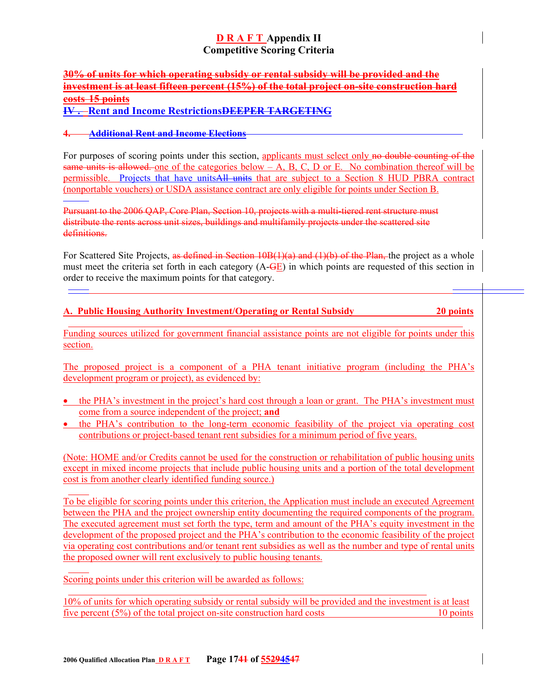### **30% of units for which operating subsidy or rental subsidy will be provided and the investment is at least fifteen percent (15%) of the total project on-site construction hard costs 15 points IV . Rent and Income RestrictionsDEEPER TARGETING**

### **4. Additional Rent and Income Elections**

For purposes of scoring points under this section, applicants must select only no double counting of the same units is allowed, one of the categories below  $-A$ , B, C, D or E. No combination thereof will be permissible. Projects that have unitsAll units that are subject to a Section 8 HUD PBRA contract (nonportable vouchers) or USDA assistance contract are only eligible for points under Section B.

Pursuant to the 2006 QAP, Core Plan, Section 10, projects with a multi-tiered rent structure must distribute the rents across unit sizes, buildings and multifamily projects under the scattered site definitions.

For Scattered Site Projects, as defined in Section 10B(1)(a) and (1)(b) of the Plan, the project as a whole must meet the criteria set forth in each category (A-GE) in which points are requested of this section in order to receive the maximum points for that category.

|  |  |  | A. Public Housing Authority Investment/Operating or Rental Subsidy | 20 points |
|--|--|--|--------------------------------------------------------------------|-----------|
|--|--|--|--------------------------------------------------------------------|-----------|

l Funding sources utilized for government financial assistance points are not eligible for points under this section.

The proposed project is a component of a PHA tenant initiative program (including the PHA's development program or project), as evidenced by:

- the PHA's investment in the project's hard cost through a loan or grant. The PHA's investment must come from a source independent of the project; **and**
- the PHA's contribution to the long-term economic feasibility of the project via operating cost contributions or project-based tenant rent subsidies for a minimum period of five years.

(Note: HOME and/or Credits cannot be used for the construction or rehabilitation of public housing units except in mixed income projects that include public housing units and a portion of the total development cost is from another clearly identified funding source.)

To be eligible for scoring points under this criterion, the Application must include an executed Agreement between the PHA and the project ownership entity documenting the required components of the program. The executed agreement must set forth the type, term and amount of the PHA's equity investment in the development of the proposed project and the PHA's contribution to the economic feasibility of the project via operating cost contributions and/or tenant rent subsidies as well as the number and type of rental units the proposed owner will rent exclusively to public housing tenants.

Scoring points under this criterion will be awarded as follows:

10% of units for which operating subsidy or rental subsidy will be provided and the investment is at least five percent (5%) of the total project on-site construction hard costs 10 points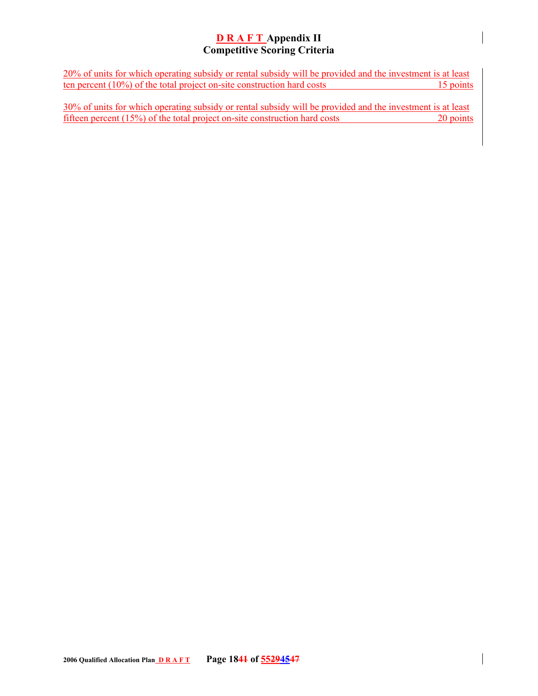20% of units for which operating subsidy or rental subsidy will be provided and the investment is at least ten percent  $(10\%)$  of the total project on-site construction hard costs 15 points

 $30\%$  of units for which operating subsidy or rental subsidy will be provided and the investment is at least fifteen percent (15%) of the total project on-site construction hard costs 20 points fifteen percent (15%) of the total project on-site construction hard costs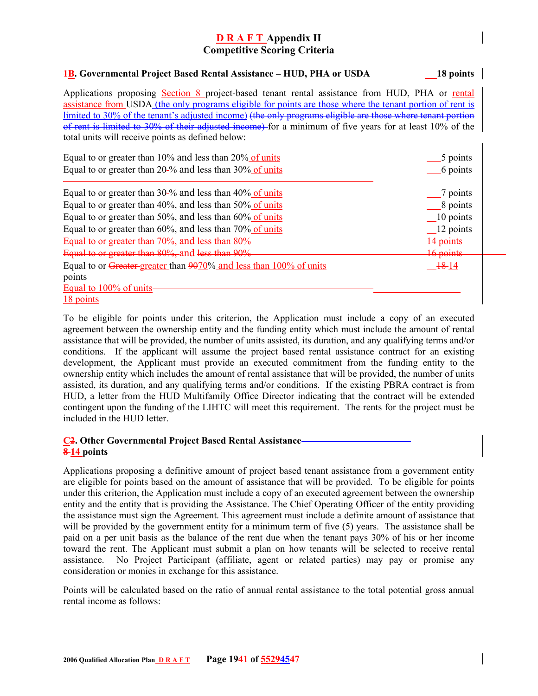**1B. Governmental Project Based Rental Assistance – HUD, PHA or USDA 18 points** 

| Applications proposing Section 8 project-based tenant rental assistance from HUD, PHA or rental<br>assistance from USDA (the only programs eligible for points are those where the tenant portion of rent is<br>limited to 30% of the tenant's adjusted income) (the only programs eligible are those where tenant portion<br>of rent is limited to 30% of their adjusted income) for a minimum of five years for at least 10% of the<br>total units will receive points as defined below: |                      |
|--------------------------------------------------------------------------------------------------------------------------------------------------------------------------------------------------------------------------------------------------------------------------------------------------------------------------------------------------------------------------------------------------------------------------------------------------------------------------------------------|----------------------|
| Equal to or greater than $10\%$ and less than $20\%$ of units                                                                                                                                                                                                                                                                                                                                                                                                                              | 5 points             |
| Equal to or greater than 20-% and less than 30% of units                                                                                                                                                                                                                                                                                                                                                                                                                                   | 6 points             |
| Equal to or greater than $30\%$ and less than $40\%$ of units                                                                                                                                                                                                                                                                                                                                                                                                                              | 7 points             |
| Equal to or greater than $40\%$ , and less than $50\%$ of units                                                                                                                                                                                                                                                                                                                                                                                                                            | 8 points             |
| Equal to or greater than 50%, and less than $60\%$ of units                                                                                                                                                                                                                                                                                                                                                                                                                                | 10 points            |
| Equal to or greater than $60\%$ , and less than $70\%$ of units                                                                                                                                                                                                                                                                                                                                                                                                                            | 12 points            |
| Equal to or greater than 70%, and less than 80%                                                                                                                                                                                                                                                                                                                                                                                                                                            | <del>14 points</del> |
| Equal to or greater than 80%, and less than 90%                                                                                                                                                                                                                                                                                                                                                                                                                                            | <del>16 points</del> |
| Equal to or Greater-greater than 9070% and less than 100% of units                                                                                                                                                                                                                                                                                                                                                                                                                         | <del>18</del> -14    |
| points                                                                                                                                                                                                                                                                                                                                                                                                                                                                                     |                      |
| Equal to 100% of units                                                                                                                                                                                                                                                                                                                                                                                                                                                                     |                      |
| 18 points                                                                                                                                                                                                                                                                                                                                                                                                                                                                                  |                      |

To be eligible for points under this criterion, the Application must include a copy of an executed agreement between the ownership entity and the funding entity which must include the amount of rental assistance that will be provided, the number of units assisted, its duration, and any qualifying terms and/or conditions. If the applicant will assume the project based rental assistance contract for an existing development, the Applicant must provide an executed commitment from the funding entity to the ownership entity which includes the amount of rental assistance that will be provided, the number of units assisted, its duration, and any qualifying terms and/or conditions. If the existing PBRA contract is from HUD, a letter from the HUD Multifamily Office Director indicating that the contract will be extended contingent upon the funding of the LIHTC will meet this requirement. The rents for the project must be included in the HUD letter.

#### **C2. Other Governmental Project Based Rental Assistance 8 14 points**

Applications proposing a definitive amount of project based tenant assistance from a government entity are eligible for points based on the amount of assistance that will be provided. To be eligible for points under this criterion, the Application must include a copy of an executed agreement between the ownership entity and the entity that is providing the Assistance. The Chief Operating Officer of the entity providing the assistance must sign the Agreement. This agreement must include a definite amount of assistance that will be provided by the government entity for a minimum term of five (5) years. The assistance shall be paid on a per unit basis as the balance of the rent due when the tenant pays 30% of his or her income toward the rent. The Applicant must submit a plan on how tenants will be selected to receive rental assistance. No Project Participant (affiliate, agent or related parties) may pay or promise any consideration or monies in exchange for this assistance.

Points will be calculated based on the ratio of annual rental assistance to the total potential gross annual rental income as follows: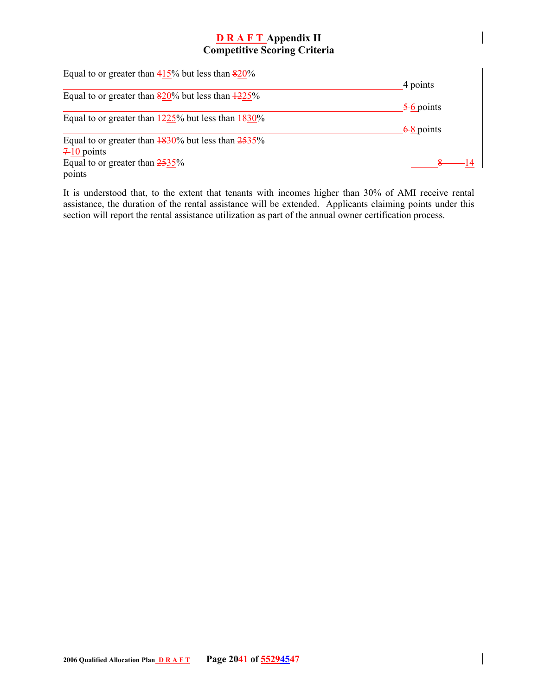| Equal to or greater than $415\%$ but less than $820\%$                   |                      |
|--------------------------------------------------------------------------|----------------------|
|                                                                          | 4 points             |
| Equal to or greater than $820\%$ but less than $\frac{1225\%}{2}$        |                      |
|                                                                          | $\frac{5}{6}$ points |
| Equal to or greater than $\frac{1225}{6}$ but less than $\frac{1830}{6}$ |                      |
|                                                                          | $6-8$ points         |
| Equal to or greater than $\frac{1830}{6}$ but less than $\frac{2535}{6}$ |                      |
| $7-10$ points                                                            |                      |
| Equal to or greater than $2535\%$                                        |                      |
| points                                                                   |                      |

It is understood that, to the extent that tenants with incomes higher than 30% of AMI receive rental assistance, the duration of the rental assistance will be extended. Applicants claiming points under this section will report the rental assistance utilization as part of the annual owner certification process.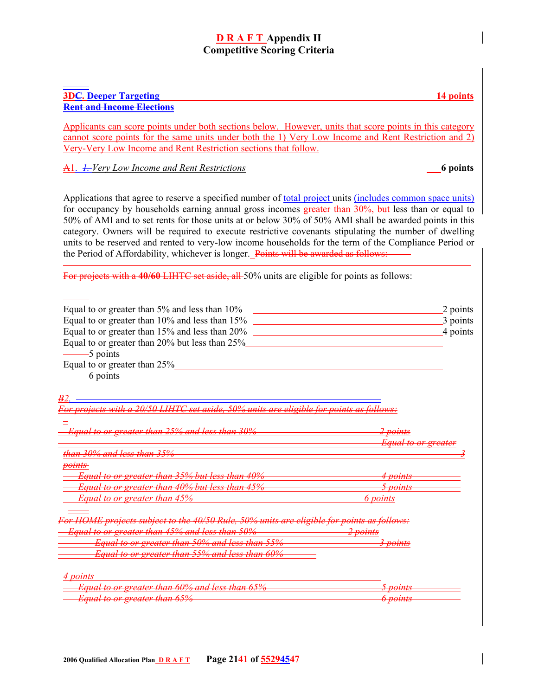#### **3DC. Deeper Targeting 14 points Rent and Income Elections**

Applicants can score points under both sections below. However, units that score points in this category cannot score points for the same units under both the 1) Very Low Income and Rent Restriction and 2) Very-Very Low Income and Rent Restriction sections that follow.

A1. *1. Very Low Income and Rent Restrictions* **6 points** 

Applications that agree to reserve a specified number of total project units (includes common space units) for occupancy by households earning annual gross incomes greater than 30%, but less than or equal to 50% of AMI and to set rents for those units at or below 30% of 50% AMI shall be awarded points in this category. Owners will be required to execute restrictive covenants stipulating the number of dwelling units to be reserved and rented to very-low income households for the term of the Compliance Period or the Period of Affordability, whichever is longer. Points will be awarded as follows:

For projects with a 40/60 LIHTC set aside, all 50% units are eligible for points as follows:

| Equal to or greater than 5% and less than 10%                                                       | 2 points                       |
|-----------------------------------------------------------------------------------------------------|--------------------------------|
| Equal to or greater than 10% and less than 15%                                                      | 3 points                       |
| Equal to or greater than 15% and less than 20%                                                      | 4 points                       |
| Equal to or greater than 20% but less than 25%                                                      |                                |
| -5 points                                                                                           |                                |
| Equal to or greater than 25%                                                                        |                                |
| -6 points                                                                                           |                                |
|                                                                                                     |                                |
|                                                                                                     |                                |
| 20/50 LIHTC set aside, 50% units are eligible for points as follows:<br><u>or project</u> s with    |                                |
|                                                                                                     |                                |
| <del>Equal to or greater than</del><br>25% and less than 30%                                        | <del>2 points</del>            |
|                                                                                                     | <del>Equal to or greater</del> |
| <del>than 30% and less than 35%</del>                                                               |                                |
| <del>points-</del>                                                                                  |                                |
| <del>Equal to or greater than 35% but less than 40%</del>                                           |                                |
| <del>Equal to or greater than 40% but less than 45%</del>                                           |                                |
| <del>Equal to or greater than 45%</del>                                                             | <del>6 points</del>            |
|                                                                                                     |                                |
| <del>r HOME projects subject to the 40/50 Rule, 50% units are cligible for points as follows:</del> |                                |
| <u>Equal to or greater than 45% and less than 50%</u>                                               | <del>2 po<u>ints</u></del>     |
| Equal to or greater than 50% and less than                                                          | <del>points</del>              |
| <del>Equal to or greater than 55% and less than</del><br>600A                                       |                                |
|                                                                                                     |                                |
| <del>901nts</del>                                                                                   |                                |
| Equal to or greater than 60% and less than 65%                                                      | nainte                         |
| <del>Equal to or greater than 65%</del>                                                             | <del>6 points</del>            |
|                                                                                                     |                                |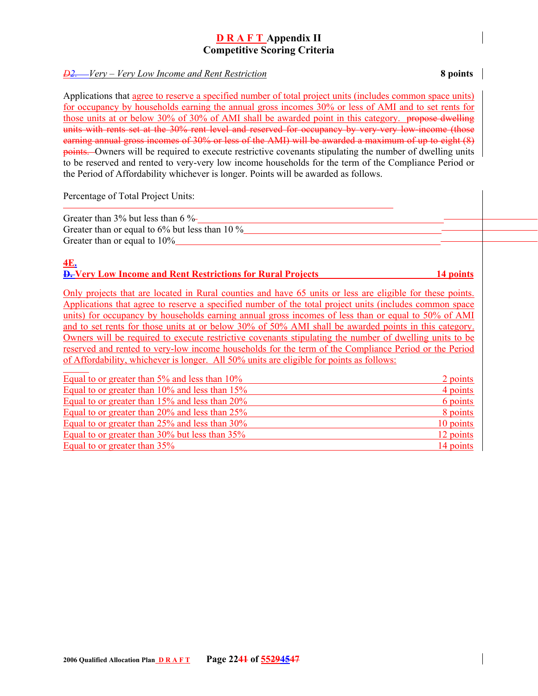#### *D2. Very – Very Low Income and Rent Restriction* **8 points**

Applications that agree to reserve a specified number of total project units (includes common space units) for occupancy by households earning the annual gross incomes 30% or less of AMI and to set rents for those units at or below 30% of 30% of AMI shall be awarded point in this category. propose dwelling units with rents set at the 30% rent level and reserved for occupancy by very-very low-income (those earning annual gross incomes of 30% or less of the AMI) will be awarded a maximum of up to eight (8) points. Owners will be required to execute restrictive covenants stipulating the number of dwelling units to be reserved and rented to very-very low income households for the term of the Compliance Period or the Period of Affordability whichever is longer. Points will be awarded as follows.

Percentage of Total Project Units:

Greater than 3% but less than 6 %-Greater than or equal to  $6\%$  but less than 10  $\%$ Greater than or equal to 10%

#### **4E. D. Very Low Income and Rent Restrictions for Rural Projects 14 points**

Only projects that are located in Rural counties and have 65 units or less are eligible for these points. Applications that agree to reserve a specified number of the total project units (includes common space units) for occupancy by households earning annual gross incomes of less than or equal to 50% of AMI and to set rents for those units at or below 30% of 50% AMI shall be awarded points in this category. Owners will be required to execute restrictive covenants stipulating the number of dwelling units to be reserved and rented to very-low income households for the term of the Compliance Period or the Period of Affordability, whichever is longer. All 50% units are eligible for points as follows:

| Equal to or greater than 5% and less than 10%        | 2 points  |
|------------------------------------------------------|-----------|
| Equal to or greater than 10% and less than 15%       | 4 points  |
| Equal to or greater than 15% and less than 20%       | 6 points  |
| Equal to or greater than 20% and less than 25%       | 8 points  |
| Equal to or greater than $25\%$ and less than $30\%$ | 10 points |
| Equal to or greater than 30% but less than 35%       | 12 points |
| Equal to or greater than 35%                         | 14 points |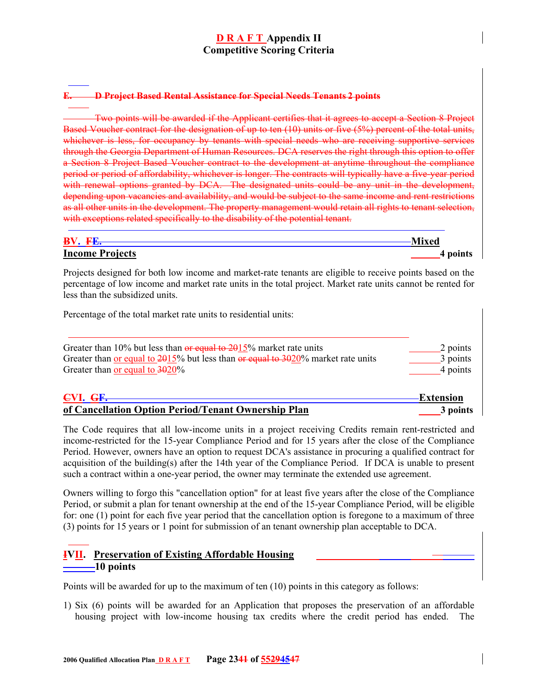#### **E. D Project Based Rental Assistance for Special Needs Tenants 2 points**

Two points will be awarded if the Applicant certifies that it agrees to accept a Section 8 Project Based Voucher contract for the designation of up to ten (10) units or five (5%) percent of the total units, whichever is less, for occupancy by tenants with special needs who are receiving supportive services through the Georgia Department of Human Resources. DCA reserves the right through this option to offer a Section 8 Project Based Voucher contract to the development at anytime throughout the compliance period or period of affordability, whichever is longer. The contracts will typically have a five-year period with renewal options granted by DCA. The designated units could be any unit in the development, depending upon vacancies and availability, and would be subject to the same income and rent restrictions as all other units in the development. The property management would retain all rights to tenant selection, with exceptions related specifically to the disability of the potential tenant.

| $\mathbf{B} \mathbf{V}$ | Vlixed   |
|-------------------------|----------|
| $\mathbf{r}$            | $\cdots$ |
| <b>Income Projects</b>  | ошіз     |

Projects designed for both low income and market-rate tenants are eligible to receive points based on the percentage of low income and market rate units in the total project. Market rate units cannot be rented for less than the subsidized units.

Percentage of the total market rate units to residential units:

| Greater than 10% but less than $\theta$ equal to 2015% market rate units                       | 2 points         |
|------------------------------------------------------------------------------------------------|------------------|
| Greater than <u>or equal to 2015</u> % but less than $\theta$ equal to 3020% market rate units | 3 points         |
| Greater than <u>or equal to</u> $3020\%$                                                       | 4 points         |
| CVI. GF.                                                                                       | <b>Extension</b> |
| of Cancellation Option Period/Tenant Ownership Plan                                            | 3 points         |

The Code requires that all low-income units in a project receiving Credits remain rent-restricted and income-restricted for the 15-year Compliance Period and for 15 years after the close of the Compliance Period. However, owners have an option to request DCA's assistance in procuring a qualified contract for acquisition of the building(s) after the 14th year of the Compliance Period. If DCA is unable to present such a contract within a one-year period, the owner may terminate the extended use agreement.

Owners willing to forgo this "cancellation option" for at least five years after the close of the Compliance Period, or submit a plan for tenant ownership at the end of the 15-year Compliance Period, will be eligible for: one (1) point for each five year period that the cancellation option is foregone to a maximum of three (3) points for 15 years or 1 point for submission of an tenant ownership plan acceptable to DCA.

## **IVII. Preservation of Existing Affordable Housing 10 points**

Points will be awarded for up to the maximum of ten (10) points in this category as follows:

1) Six (6) points will be awarded for an Application that proposes the preservation of an affordable housing project with low-income housing tax credits where the credit period has ended. The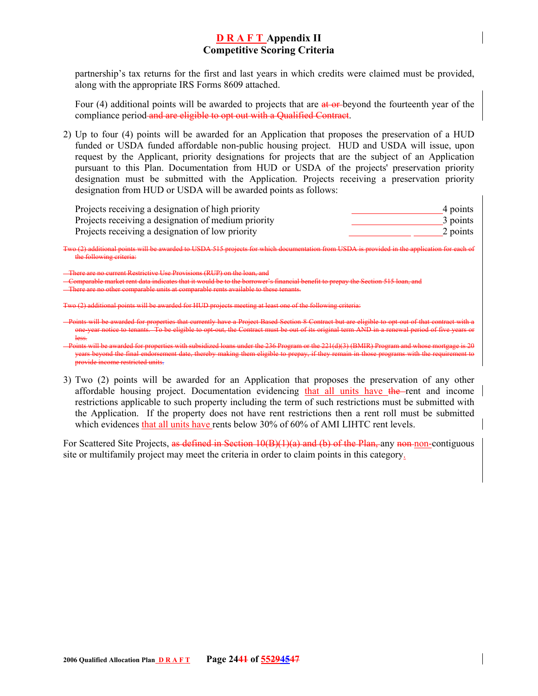partnership's tax returns for the first and last years in which credits were claimed must be provided, along with the appropriate IRS Forms 8609 attached.

Four (4) additional points will be awarded to projects that are at or beyond the fourteenth year of the compliance period and are eligible to opt out with a Qualified Contract.

2) Up to four (4) points will be awarded for an Application that proposes the preservation of a HUD funded or USDA funded affordable non-public housing project. HUD and USDA will issue, upon request by the Applicant, priority designations for projects that are the subject of an Application pursuant to this Plan. Documentation from HUD or USDA of the projects' preservation priority designation must be submitted with the Application. Projects receiving a preservation priority designation from HUD or USDA will be awarded points as follows:

| Projects receiving a designation of high priority   | 4 points |
|-----------------------------------------------------|----------|
| Projects receiving a designation of medium priority | 3 points |
| Projects receiving a designation of low priority    | 2 points |

Two (2) additional points will be awarded to USDA 515 projects for which documentation from USDA is provided in the application for each of the following criteria:

no current Restrictive Use Provisions (RUP) on the loan

Comparable market rent data indicates that it would be to the borrower's financial benefit to prepay the Section 515 loan, and

There are no other comparable units at comparable rents available to these tenants.

 $\frac{1}{2}$  and  $\frac{1}{2}$  and  $\frac{1}{2}$  and for HUD projects meeting at least one of the following criteria:

Points will be awarded for properties that currently have a Project Based Section 8 Contract but are eligible to opt-out of that contract with a one-year notice to tenants. To be eligible to opt-out, the Contract must be out of its original term AND in a renewal period of five years or less.

3) Two (2) points will be awarded for an Application that proposes the preservation of any other affordable housing project. Documentation evidencing that all units have the rent and income restrictions applicable to such property including the term of such restrictions must be submitted with the Application. If the property does not have rent restrictions then a rent roll must be submitted which evidences that all units have rents below 30% of 60% of AMI LIHTC rent levels.

For Scattered Site Projects, as defined in Section 10(B)(1)(a) and (b) of the Plan, any non-non-contiguous site or multifamily project may meet the criteria in order to claim points in this category.

 $\text{the } 221(\text{d})(3)$  (BMIR) Properties the 221(d)(3) (BMIR) Program and whose more more more is 201(d)(3)  $\text{R}$ years beyond the final endorsement date, thereby making them eligible to prepay, if they remain in those programs with the requirement to provide income restricted units.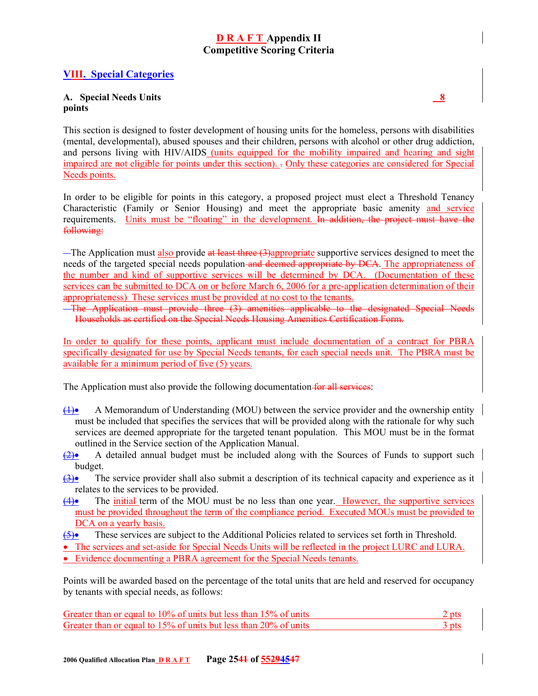## **VIII. Special Categories**

#### **A. Special Needs Units 8 points**

This section is designed to foster development of housing units for the homeless, persons with disabilities (mental, developmental), abused spouses and their children, persons with alcohol or other drug addiction, and persons living with HIV/AIDS (units equipped for the mobility impaired and hearing and sight impaired are not eligible for points under this section). . Only these categories are considered for Special Needs points.

In order to be eligible for points in this category, a proposed project must elect a Threshold Tenancy Characteristic (Family or Senior Housing) and meet the appropriate basic amenity and service requirements. Units must be "floating" in the development. In addition, the project must have the following:

 $-$ The Application must also provide at least three  $(3)$ appropriate supportive services designed to meet the needs of the targeted special needs population and deemed appropriate by DCA. The appropriateness of the number and kind of supportive services will be determined by DCA. (Documentation of these services can be submitted to DCA on or before March 6, 2006 for a pre-application determination of their appropriateness) These services must be provided at no cost to the tenants.

The Application must provide three (3) amenities applicable to the designated Special Needs Households as certified on the Special Needs Housing Amenities Certification Form.

In order to qualify for these points, applicant must include documentation of a contract for PBRA specifically designated for use by Special Needs tenants, for each special needs unit. The PBRA must be available for a minimum period of five (5) years.

The Application must also provide the following documentation for all services:

- (1)• A Memorandum of Understanding (MOU) between the service provider and the ownership entity must be included that specifies the services that will be provided along with the rationale for why such services are deemed appropriate for the targeted tenant population. This MOU must be in the format outlined in the Service section of the Application Manual.
- $\left(2\right)$  A detailed annual budget must be included along with the Sources of Funds to support such budget.
- (3)• The service provider shall also submit a description of its technical capacity and experience as it relates to the services to be provided.
- (4)• The initial term of the MOU must be no less than one year. However, the supportive services must be provided throughout the term of the compliance period. Executed MOUs must be provided to DCA on a yearly basis.
- (5)• These services are subject to the Additional Policies related to services set forth in Threshold.
- The services and set-aside for Special Needs Units will be reflected in the project LURC and LURA. • Evidence documenting a PBRA agreement for the Special Needs tenants.

Points will be awarded based on the percentage of the total units that are held and reserved for occupancy by tenants with special needs, as follows:

| Greater than or equal to 10% of units but less than 15% of units | 2 pts |
|------------------------------------------------------------------|-------|
| Greater than or equal to 15% of units but less than 20% of units | 3 pts |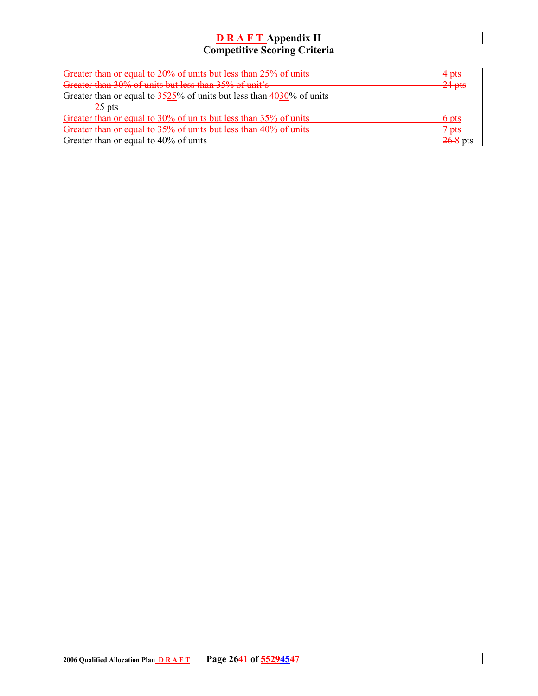| Greater than or equal to 20% of units but less than 25% of units           | $4$ pts    |
|----------------------------------------------------------------------------|------------|
| Greater than 30% of units but less than 35% of unit's                      | $-24$ pts  |
| Greater than or equal to $3525\%$ of units but less than $4030\%$ of units |            |
| $25$ pts                                                                   |            |
| Greater than or equal to 30% of units but less than 35% of units           | 6 pts      |
| Greater than or equal to 35% of units but less than 40% of units           | $7$ pts    |
| Greater than or equal to 40% of units                                      | $26-8$ pts |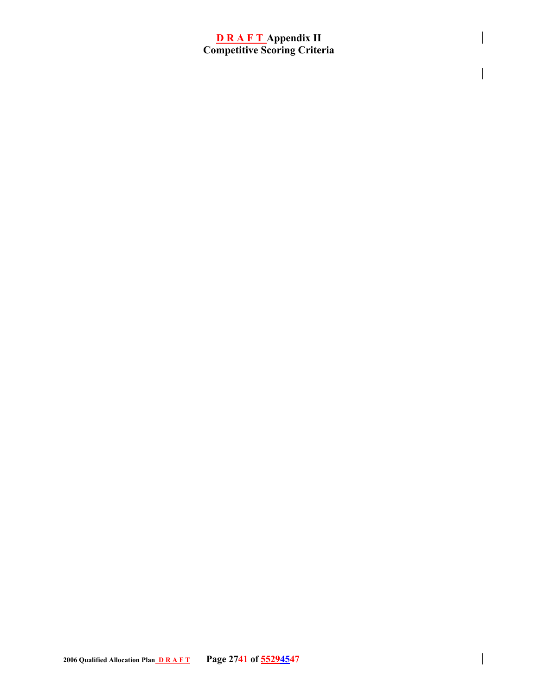$\overline{\phantom{a}}$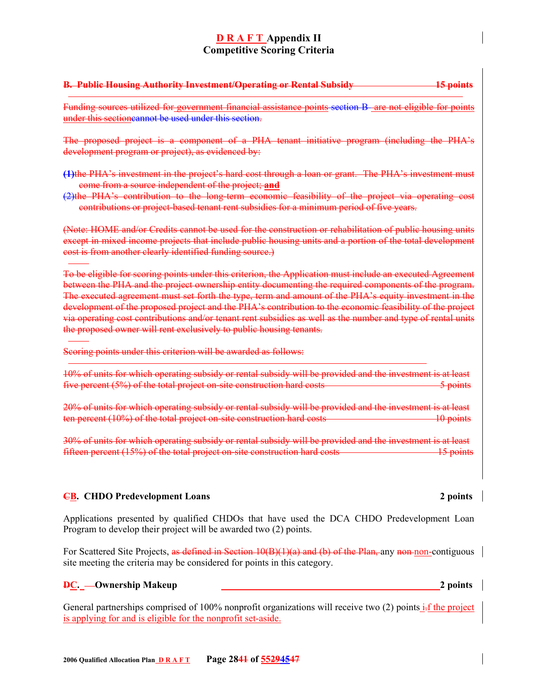# **B. Public Housing Authority Investment/Operating or Rental Subsidy 15 points**

Funding sources utilized for government financial assistance points section B are not eligible for points under this sectioncannot be used under this section.

The proposed project is a component of a PHA tenant initiative program (including the PHA's development program or project), as evidenced by:

**(1)**the PHA's investment in the project's hard cost through a loan or grant. The PHA's investment must come from a source independent of the project; **and**

(2)the PHA's contribution to the long-term economic feasibility of the project via operating cost contributions or project-based tenant rent subsidies for a minimum period of five years.

(Note: HOME and/or Credits cannot be used for the construction or rehabilitation of public housing units except in mixed income projects that include public housing units and a portion of the total development cost is from another clearly identified funding source.)

To be eligible for scoring points under this criterion, the Application must include an executed Agreement between the PHA and the project ownership entity documenting the required components of the program. The executed agreement must set forth the type, term and amount of the PHA's equity investment in the development of the proposed project and the PHA's contribution to the economic feasibility of the project via operating cost contributions and/or tenant rent subsidies as well as the number and type of rental units the proposed owner will rent exclusively to public housing tenants.

Scoring points under this criterion will be awarded as follows:

10% of units for which operating subsidy or rental subsidy will be provided and the investment is at least five percent (5%) of the total project on-site construction hard costs 5 points 5 points

20% of units for which operating subsidy or rental subsidy will be provided and the investment is at least ten percent (10%) of the total project on-site construction hard costs 10 points 10 points

30% of units for which operating subsidy or rental subsidy will be provided and the investment is at least fifteen percent (15%) of the total project on-site construction hard costs15 points

#### **CB. CHDO Predevelopment Loans 2 points**

Applications presented by qualified CHDOs that have used the DCA CHDO Predevelopment Loan Program to develop their project will be awarded two (2) points.

For Scattered Site Projects, as defined in Section 10(B)(1)(a) and (b) of the Plan, any non-non-contiguous site meeting the criteria may be considered for points in this category.

### **DE.** — Ownership Makeup 2 points **2** points **2** points

General partnerships comprised of 100% nonprofit organizations will receive two (2) points i.f the project is applying for and is eligible for the nonprofit set-aside.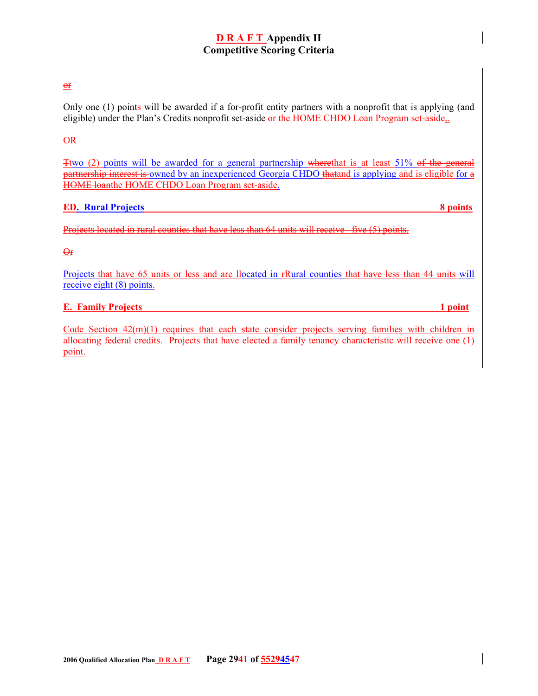#### or

Only one (1) points will be awarded if a for-profit entity partners with a nonprofit that is applying (and eligible) under the Plan's Credits nonprofit set-aside or the HOME CHDO Loan Program set-aside,

#### OR

Ttwo (2) points will be awarded for a general partnership wherethat is at least 51% of the general partnership interest is owned by an inexperienced Georgia CHDO thatand is applying and is eligible for a HOME loanthe HOME CHDO Loan Program set-aside.

#### **ED.** Rural Projects 8 **8 points**

Projects located in rural counties that have less than 64 units will receive five (5) points.

#### $\Theta$ <sub>F</sub>

Projects that have 65 units or less and are llocated in rRural counties that have less than 44 units will receive eight (8) points.

#### **E. Family Projects** 1 **point**

Code Section  $42(m)(1)$  requires that each state consider projects serving families with children in allocating federal credits. Projects that have elected a family tenancy characteristic will receive one (1) point.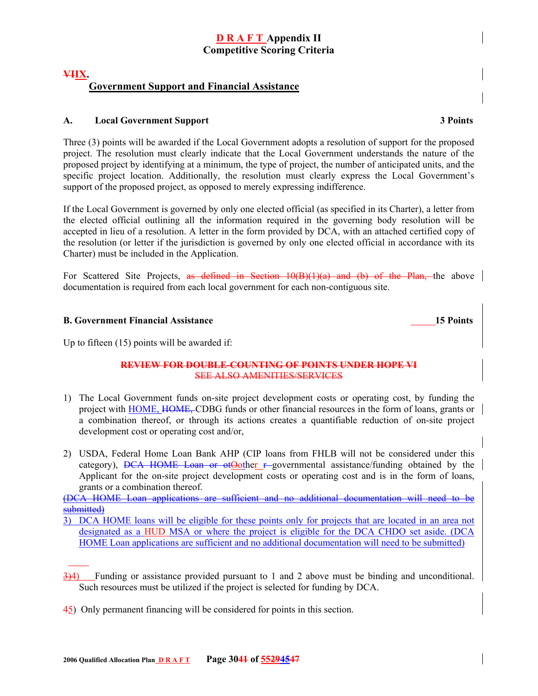## **VIIX. Government Support and Financial Assistance**

#### **A. Local Government Support 3 Points**

Three (3) points will be awarded if the Local Government adopts a resolution of support for the proposed project. The resolution must clearly indicate that the Local Government understands the nature of the proposed project by identifying at a minimum, the type of project, the number of anticipated units, and the specific project location. Additionally, the resolution must clearly express the Local Government's support of the proposed project, as opposed to merely expressing indifference.

If the Local Government is governed by only one elected official (as specified in its Charter), a letter from the elected official outlining all the information required in the governing body resolution will be accepted in lieu of a resolution. A letter in the form provided by DCA, with an attached certified copy of the resolution (or letter if the jurisdiction is governed by only one elected official in accordance with its Charter) must be included in the Application.

For Scattered Site Projects, as defined in Section 10(B)(1)(a) and (b) of the Plan, the above documentation is required from each local government for each non-contiguous site.

### **B. Government Financial Assistance 15 Points 15 Points**

Up to fifteen (15) points will be awarded if:

#### **REVIEW FOR DOUBLE-COUNTING OF POINTS UNDER HOPE VI** SEE ALSO AMENITIES/SERVICES

- 1) The Local Government funds on-site project development costs or operating cost, by funding the project with HOME, HOME, CDBG funds or other financial resources in the form of loans, grants or a combination thereof, or through its actions creates a quantifiable reduction of on-site project development cost or operating cost and/or,
- 2) USDA, Federal Home Loan Bank AHP (CIP loans from FHLB will not be considered under this category),  $DCA$  HOME Loan or ot Oother  $F$ -governmental assistance/funding obtained by the Applicant for the on-site project development costs or operating cost and is in the form of loans, grants or a combination thereof.

(DCA HOME Loan applications are sufficient and no additional documentation will need to be submitted)

- 3)4) Funding or assistance provided pursuant to 1 and 2 above must be binding and unconditional. Such resources must be utilized if the project is selected for funding by DCA.
- 45) Only permanent financing will be considered for points in this section.

<sup>3)</sup> DCA HOME loans will be eligible for these points only for projects that are located in an area not designated as a HUD MSA or where the project is eligible for the DCA CHDO set aside. (DCA HOME Loan applications are sufficient and no additional documentation will need to be submitted)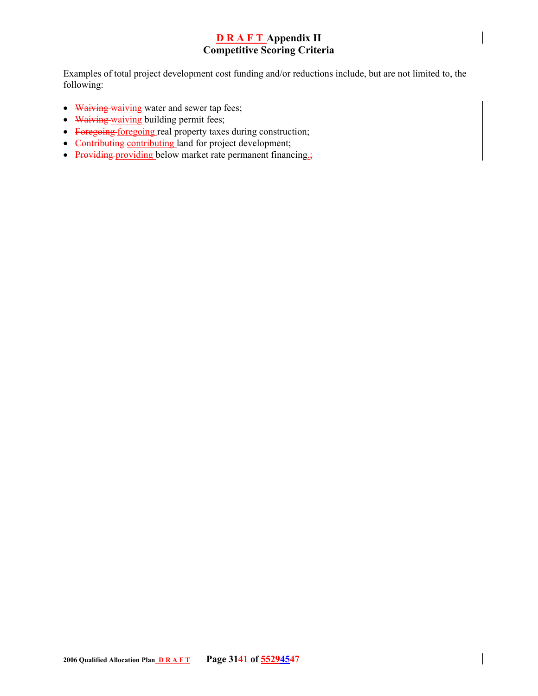Examples of total project development cost funding and/or reductions include, but are not limited to, the following:

- Waiving waiving water and sewer tap fees;
- Waiving waiving building permit fees;
- Foregoing foregoing real property taxes during construction;
- Contributing contributing land for project development;
- Providing providing below market rate permanent financing.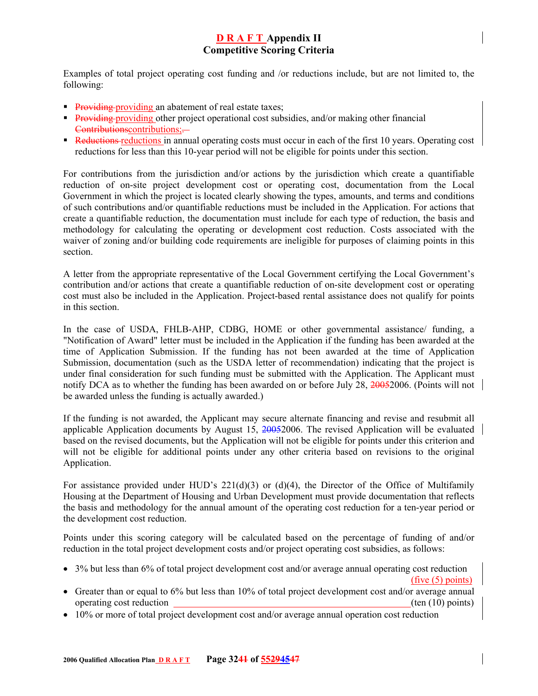Examples of total project operating cost funding and /or reductions include, but are not limited to, the following:

- **Providing providing an abatement of real estate taxes;**
- **Providing providing other project operational cost subsidies, and/or making other financial** Contributionscontributions;-
- Reductions reductions in annual operating costs must occur in each of the first 10 years. Operating cost reductions for less than this 10-year period will not be eligible for points under this section.

For contributions from the jurisdiction and/or actions by the jurisdiction which create a quantifiable reduction of on-site project development cost or operating cost, documentation from the Local Government in which the project is located clearly showing the types, amounts, and terms and conditions of such contributions and/or quantifiable reductions must be included in the Application. For actions that create a quantifiable reduction, the documentation must include for each type of reduction, the basis and methodology for calculating the operating or development cost reduction. Costs associated with the waiver of zoning and/or building code requirements are ineligible for purposes of claiming points in this section.

A letter from the appropriate representative of the Local Government certifying the Local Government's contribution and/or actions that create a quantifiable reduction of on-site development cost or operating cost must also be included in the Application. Project-based rental assistance does not qualify for points in this section.

In the case of USDA, FHLB-AHP, CDBG, HOME or other governmental assistance/ funding, a "Notification of Award" letter must be included in the Application if the funding has been awarded at the time of Application Submission. If the funding has not been awarded at the time of Application Submission, documentation (such as the USDA letter of recommendation) indicating that the project is under final consideration for such funding must be submitted with the Application. The Applicant must notify DCA as to whether the funding has been awarded on or before July 28, 20052006. (Points will not be awarded unless the funding is actually awarded.)

If the funding is not awarded, the Applicant may secure alternate financing and revise and resubmit all applicable Application documents by August 15, 20052006. The revised Application will be evaluated based on the revised documents, but the Application will not be eligible for points under this criterion and will not be eligible for additional points under any other criteria based on revisions to the original Application.

For assistance provided under HUD's  $221(d)(3)$  or (d)(4), the Director of the Office of Multifamily Housing at the Department of Housing and Urban Development must provide documentation that reflects the basis and methodology for the annual amount of the operating cost reduction for a ten-year period or the development cost reduction.

Points under this scoring category will be calculated based on the percentage of funding of and/or reduction in the total project development costs and/or project operating cost subsidies, as follows:

- 3% but less than 6% of total project development cost and/or average annual operating cost reduction (five (5) points)
- Greater than or equal to 6% but less than 10% of total project development cost and/or average annual operating cost reduction (ten (10) points)
- 10% or more of total project development cost and/or average annual operation cost reduction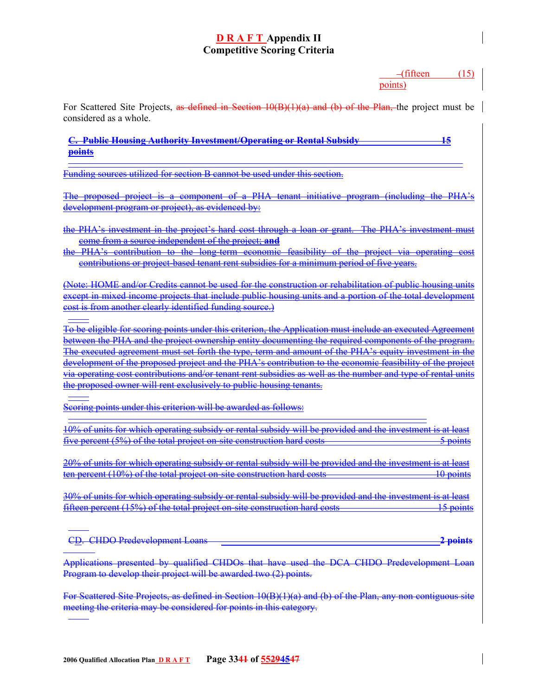$-($ fifteen  $(15)$ points)

For Scattered Site Projects, as defined in Section 10(B)(1)(a) and (b) of the Plan, the project must be considered as a whole.

**C. Public Housing Authority Investment/Operating or Rental Subsidy 15 points**

Funding sources utilized for section B cannot be used under this section.

The proposed project is a component of a PHA tenant initiative program (including the PHA's development program or project), as evidenced by:

the PHA's investment in the project's hard cost through a loan or grant. The PHA's investment must come from a source independent of the project; **and**

the PHA's contribution to the long-term economic feasibility of the project via operating cost contributions or project-based tenant rent subsidies for a minimum period of five years.

(Note: HOME and/or Credits cannot be used for the construction or rehabilitation of public housing units except in mixed income projects that include public housing units and a portion of the total development cost is from another clearly identified funding source.)

To be eligible for scoring points under this criterion, the Application must include an executed Agreement between the PHA and the project ownership entity documenting the required components of the program. The executed agreement must set forth the type, term and amount of the PHA's equity investment in the development of the proposed project and the PHA's contribution to the economic feasibility of the project via operating cost contributions and/or tenant rent subsidies as well as the number and type of rental units the proposed owner will rent exclusively to public housing tenants.

Scoring points under this criterion will be awarded as follows:

10% of units for which operating subsidy or rental subsidy will be provided and the investment is at least five percent (5%) of the total project on-site construction hard costs 5 points 5 points

20% of units for which operating subsidy or rental subsidy will be provided and the investment is at least ten percent (10%) of the total project on-site construction hard costs 10 points

30% of units for which operating subsidy or rental subsidy will be provided and the investment is at least fifteen percent (15%) of the total project on-site construction hard costs15 points

CD.CHDO Predevelopment Loans **2 points**

Applications presented by qualified CHDOs that have used the DCA CHDO Predevelopment Loan Program to develop their project will be awarded two (2) points.

For Scattered Site Projects, as defined in Section 10(B)(1)(a) and (b) of the Plan, any non contiguous site meeting the criteria may be considered for points in this category.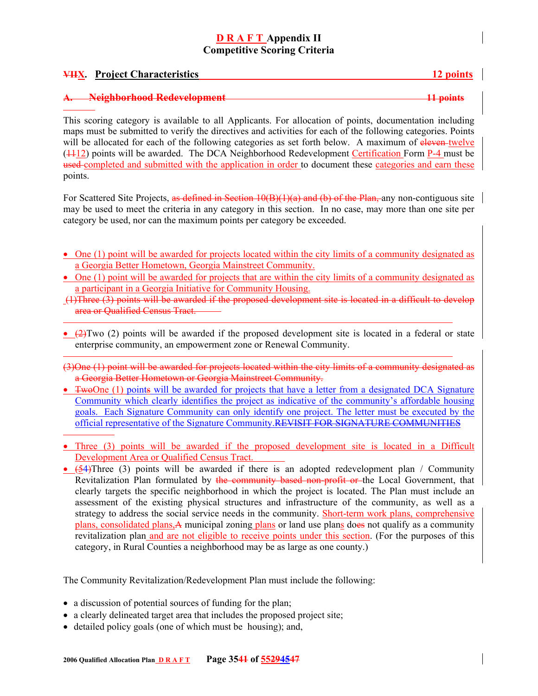#### **VIIX. Project Characteristics 12 points**

#### **A. Neighborhood Redevelopment 11 points**

This scoring category is available to all Applicants. For allocation of points, documentation including maps must be submitted to verify the directives and activities for each of the following categories. Points will be allocated for each of the following categories as set forth below. A maximum of eleven-twelve ( $\frac{1112}{2}$ ) points will be awarded. The DCA Neighborhood Redevelopment Certification Form P-4 must be used completed and submitted with the application in order to document these categories and earn these points.

For Scattered Site Projects, as defined in Section 10(B)(1)(a) and (b) of the Plan, any non-contiguous site may be used to meet the criteria in any category in this section. In no case, may more than one site per category be used, nor can the maximum points per category be exceeded.

- One (1) point will be awarded for projects located within the city limits of a community designated as a Georgia Better Hometown, Georgia Mainstreet Community.
- One (1) point will be awarded for projects that are within the city limits of a community designated as a participant in a Georgia Initiative for Community Housing.
- $(1)$ Three  $(3)$  points will be awarded if the proposed development site is located in a difficult to develop area or Qualified Census Tract.
- $(2)$ Two (2) points will be awarded if the proposed development site is located in a federal or state enterprise community, an empowerment zone or Renewal Community.
- (3)One (1) point will be awarded for projects located within the city limits of a community designated as a Georgia Better Hometown or Georgia Mainstreet Community.
- TwoOne (1) points will be awarded for projects that have a letter from a designated DCA Signature Community which clearly identifies the project as indicative of the community's affordable housing goals. Each Signature Community can only identify one project. The letter must be executed by the official representative of the Signature Community.REVISIT FOR SIGNATURE COMMUNITIES
- Three (3) points will be awarded if the proposed development site is located in a Difficult Development Area or Qualified Census Tract.
- (54)Three (3) points will be awarded if there is an adopted redevelopment plan / Community Revitalization Plan formulated by the community based non-profit or the Local Government, that clearly targets the specific neighborhood in which the project is located. The Plan must include an assessment of the existing physical structures and infrastructure of the community, as well as a strategy to address the social service needs in the community. Short-term work plans, comprehensive plans, consolidated plans,A municipal zoning plans or land use plans does not qualify as a community revitalization plan and are not eligible to receive points under this section. (For the purposes of this category, in Rural Counties a neighborhood may be as large as one county.)

The Community Revitalization/Redevelopment Plan must include the following:

- a discussion of potential sources of funding for the plan;
- a clearly delineated target area that includes the proposed project site;
- detailed policy goals (one of which must be housing); and,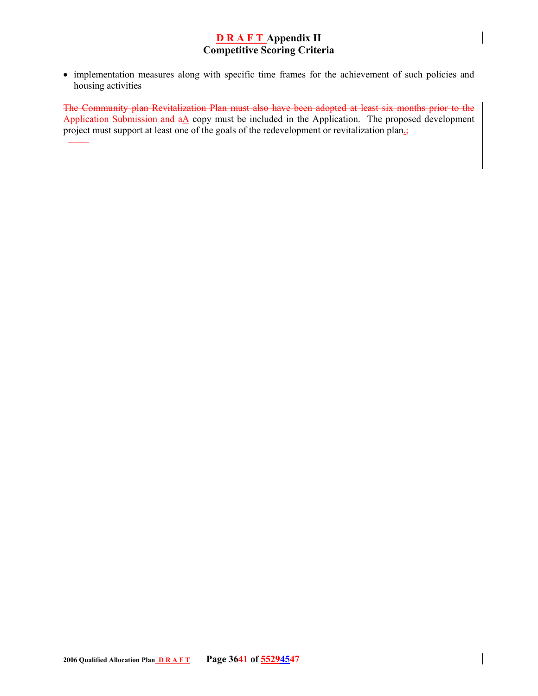• implementation measures along with specific time frames for the achievement of such policies and housing activities

The Community plan Revitalization Plan must also have been adopted at least six months prior to the Application Submission and  $a\Delta$  copy must be included in the Application. The proposed development project must support at least one of the goals of the redevelopment or revitalization plan<sub>-5</sub>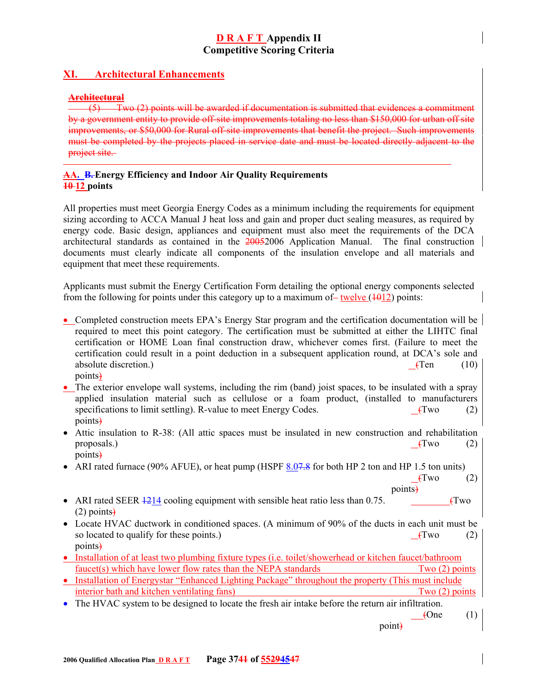# **XI. Architectural Enhancements**

#### **Architectural**

(5) Two (2) points will be awarded if documentation is submitted that evidences a commitment by a government entity to provide off-site improvements totaling no less than \$150,000 for urban off site improvements, or \$50,000 for Rural off-site improvements that benefit the project. Such improvements must be completed by the projects placed in service date and must be located directly adjacent to the project site.

#### **AA. B.Energy Efficiency and Indoor Air Quality Requirements 10 12 points**

All properties must meet Georgia Energy Codes as a minimum including the requirements for equipment sizing according to ACCA Manual J heat loss and gain and proper duct sealing measures, as required by energy code. Basic design, appliances and equipment must also meet the requirements of the DCA architectural standards as contained in the 20052006 Application Manual. The final construction documents must clearly indicate all components of the insulation envelope and all materials and equipment that meet these requirements.

Applicants must submit the Energy Certification Form detailing the optional energy components selected from the following for points under this category up to a maximum of – twelve  $(1012)$  points:

- Completed construction meets EPA's Energy Star program and the certification documentation will be required to meet this point category. The certification must be submitted at either the LIHTC final certification or HOME Loan final construction draw, whichever comes first. (Failure to meet the certification could result in a point deduction in a subsequent application round, at DCA's sole and absolute discretion.) (10) absolute discretion.) points)
- The exterior envelope wall systems, including the rim (band) joist spaces, to be insulated with a spray applied insulation material such as cellulose or a foam product, (installed to manufacturers specifications to limit settling). R-value to meet Energy Codes. (Two (2) points)
- Attic insulation to R-38: (All attic spaces must be insulated in new construction and rehabilitation proposals.)  $\qquad (2)$ points)
- ARI rated furnace (90% AFUE), or heat pump (HSPF 8.07.8 for both HP 2 ton and HP 1.5 ton units)
	- $\text{Fwo}$  (2) points)
- ARI rated SEER  $\frac{1214}{2}$  cooling equipment with sensible heat ratio less than 0.75. (Two  $(2)$  points $\rightarrow$
- Locate HVAC ductwork in conditioned spaces. (A minimum of 90% of the ducts in each unit must be so located to qualify for these points.)  $(fwo)$  (2) points)
- Installation of at least two plumbing fixture types (i.e. toilet/showerhead or kitchen faucet/bathroom faucet(s) which have lower flow rates than the NEPA standards Two (2) points
- Installation of Energystar "Enhanced Lighting Package" throughout the property (This must include interior bath and kitchen ventilating fans) Two (2) points
- The HVAC system to be designed to locate the fresh air intake before the return air infiltration.
	- $\angle$  (1)

point)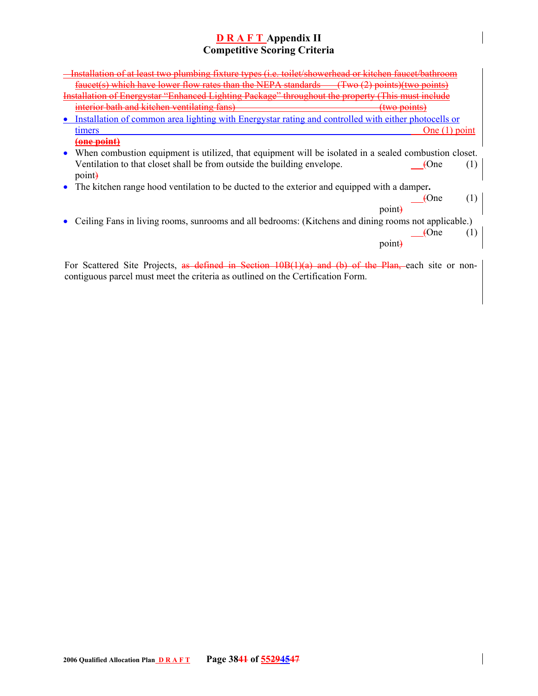| Installation of at least two plumbing fixture types (i.e. toilet/showerhead or kitchen faucet/ba<br>high have lower flow rates than the NEDA standards                                                    |  |
|-----------------------------------------------------------------------------------------------------------------------------------------------------------------------------------------------------------|--|
|                                                                                                                                                                                                           |  |
| and kitchen ventilating fang                                                                                                                                                                              |  |
| Installation of common area lighting with Energystar rating and controlled with either photocells or                                                                                                      |  |
| One $(1)$ point<br>timers                                                                                                                                                                                 |  |
| <del>'one point</del>                                                                                                                                                                                     |  |
| • When combustion equipment is utilized, that equipment will be isolated in a sealed combustion closet.<br>Ventilation to that closet shall be from outside the building envelope.<br>$\mu$ One<br>point. |  |
| • The kitchen range hood ventilation to be ducted to the exterior and equipped with a damper.                                                                                                             |  |
| $\Theta$ me<br>point.                                                                                                                                                                                     |  |
| Ceiling Fans in living rooms, sunrooms and all bedrooms: (Kitchens and dining rooms not applicable.)<br>$\theta$ Cne                                                                                      |  |
| point                                                                                                                                                                                                     |  |

For Scattered Site Projects, as defined in Section 10B(1)(a) and (b) of the Plan, each site or noncontiguous parcel must meet the criteria as outlined on the Certification Form.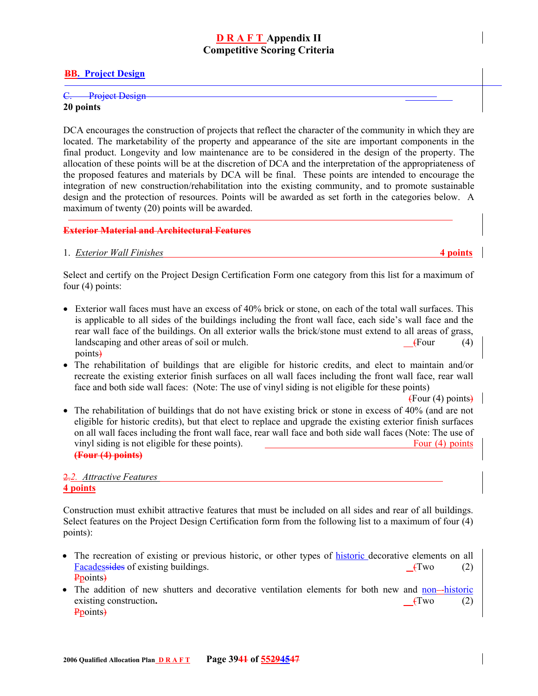#### **BB. Project Design**

# C. Project Design

#### **20 points**

DCA encourages the construction of projects that reflect the character of the community in which they are located. The marketability of the property and appearance of the site are important components in the final product. Longevity and low maintenance are to be considered in the design of the property. The allocation of these points will be at the discretion of DCA and the interpretation of the appropriateness of the proposed features and materials by DCA will be final. These points are intended to encourage the integration of new construction/rehabilitation into the existing community, and to promote sustainable design and the protection of resources. Points will be awarded as set forth in the categories below. A maximum of twenty (20) points will be awarded.

#### **Exterior Material and Architectural Features**

#### 1. *Exterior Wall Finishes* **4 points**

Select and certify on the Project Design Certification Form one category from this list for a maximum of four (4) points:

- Exterior wall faces must have an excess of 40% brick or stone, on each of the total wall surfaces. This is applicable to all sides of the buildings including the front wall face, each side's wall face and the rear wall face of the buildings. On all exterior walls the brick/stone must extend to all areas of grass, landscaping and other areas of soil or mulch.  $\left( \text{Four} \right)$  (4) points)
- The rehabilitation of buildings that are eligible for historic credits, and elect to maintain and/or recreate the existing exterior finish surfaces on all wall faces including the front wall face, rear wall face and both side wall faces: (Note: The use of vinyl siding is not eligible for these points)

 $\leftarrow$  Four (4) points

• The rehabilitation of buildings that do not have existing brick or stone in excess of 40% (and are not eligible for historic credits), but that elect to replace and upgrade the existing exterior finish surfaces on all wall faces including the front wall face, rear wall face and both side wall faces (Note: The use of vinyl siding is not eligible for these points). Four (4) points **(Four (4) points)**

# 2.*2. Attractive Features*  **4 points**

Construction must exhibit attractive features that must be included on all sides and rear of all buildings. Select features on the Project Design Certification form from the following list to a maximum of four (4) points):

- The recreation of existing or previous historic, or other types of **historic** decorative elements on all Facadessides of existing buildings. **<b>Existing** the contract of the contract of the contract of the contract of the contract of the contract of the contract of the contract of the contract of the contract of the contract Ppoints)
- The addition of new shutters and decorative ventilation elements for both new and non-historic existing construction. **CONSERVANT** (Two (2) Ppoints)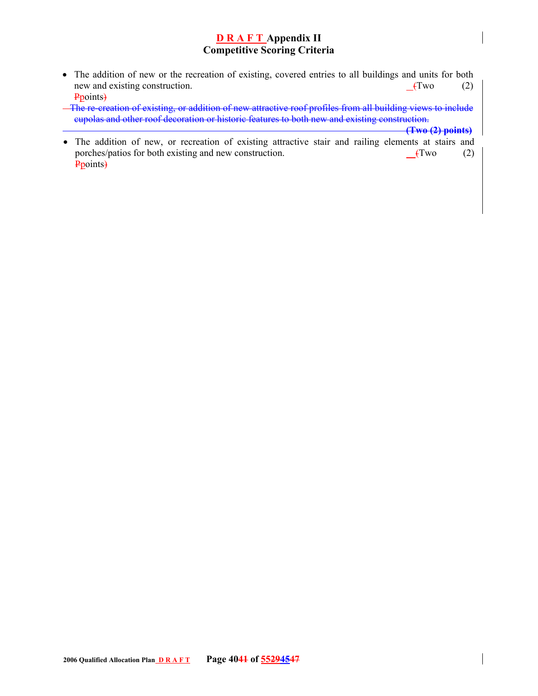- The addition of new or the recreation of existing, covered entries to all buildings and units for both new and existing construction. **Construction**  $(2)$ Ppoints)
- The re-creation of existing, or addition of new attractive roof profiles from all building views to include cupolas and other roof decoration or historic features to both new and existing construction.

 **(Two (2) points)**

• The addition of new, or recreation of existing attractive stair and railing elements at stairs and porches/patios for both existing and new construction. **C**(Two (2) Ppoints)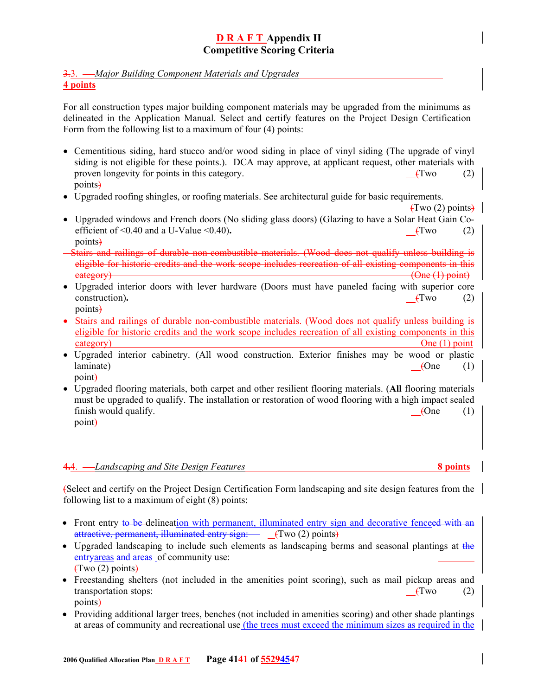### 3.3. *Major Building Component Materials and Upgrades*

#### **4 points**

For all construction types major building component materials may be upgraded from the minimums as delineated in the Application Manual. Select and certify features on the Project Design Certification Form from the following list to a maximum of four (4) points:

- Cementitious siding, hard stucco and/or wood siding in place of vinyl siding (The upgrade of vinyl siding is not eligible for these points.). DCA may approve, at applicant request, other materials with proven longevity for points in this category. (Two  $(Tw^2 - Tw^2)$ ) and the set of the set of the set of the set of the set of the set of the set of the set of the set of the set of the set of the set of the set of the set of points)
- Upgraded roofing shingles, or roofing materials. See architectural guide for basic requirements.

 $(Two(2))$  points $)$ 

- Upgraded windows and French doors (No sliding glass doors) (Glazing to have a Solar Heat Gain Coefficient of  $\leq 0.40$  and a U-Value  $\leq 0.40$ ).  $\qquad (2)$ points)
- Stairs and railings of durable non-combustible materials. (Wood does not qualify unless building is eligible for historic credits and the work scope includes recreation of all existing components in this eategory) (One (1) point)
- Upgraded interior doors with lever hardware (Doors must have paneled facing with superior core construction)**.** (Two (2) points)
- Stairs and railings of durable non-combustible materials. (Wood does not qualify unless building is eligible for historic credits and the work scope includes recreation of all existing components in this category) One (1) point
- Upgraded interior cabinetry. (All wood construction. Exterior finishes may be wood or plastic  $l$ aminate)  $\underline{\hspace{1cm}}$  (One (1) point)
- Upgraded flooring materials, both carpet and other resilient flooring materials. (**All** flooring materials must be upgraded to qualify. The installation or restoration of wood flooring with a high impact sealed finish would qualify. **Cone** (1) point)

#### **4.**4. *Landscaping and Site Design Features* **8 points**

(Select and certify on the Project Design Certification Form landscaping and site design features from the following list to a maximum of eight (8) points:

- Front entry to be delineation with permanent, illuminated entry sign and decorative fenceed with an attractive, permanent, illuminated entry sign: (Two (2) points)
- Upgraded landscaping to include such elements as landscaping berms and seasonal plantings at the entryareas and areas of community use:  $(Two(2))$  points)
- Freestanding shelters (not included in the amenities point scoring), such as mail pickup areas and transportation stops: *(Two* (2) points)
- Providing additional larger trees, benches (not included in amenities scoring) and other shade plantings at areas of community and recreational use (the trees must exceed the minimum sizes as required in the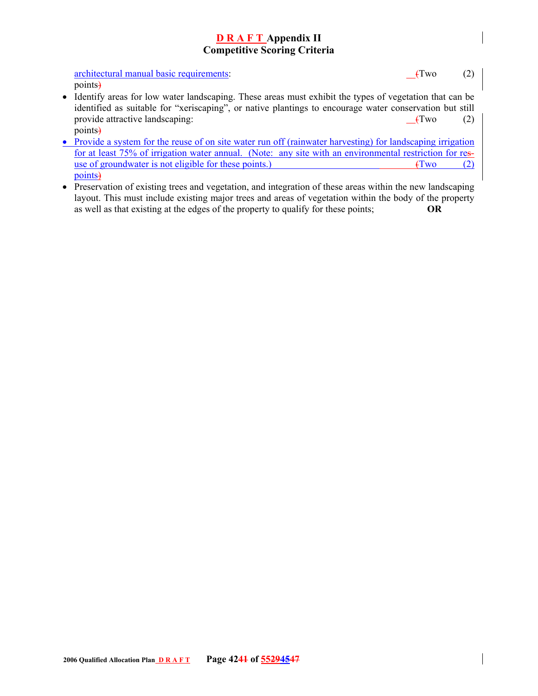architectural manual basic requirements: (Two (2) points)

- Identify areas for low water landscaping. These areas must exhibit the types of vegetation that can be identified as suitable for "xeriscaping", or native plantings to encourage water conservation but still provide attractive landscaping: (Two (2) points)
- Provide a system for the reuse of on site water run off (rainwater harvesting) for landscaping irrigation for at least 75% of irrigation water annual. (Note: any site with an environmental restriction for resuse of groundwater is not eligible for these points.)  $(Tw_0 \t(2))$ points)
- Preservation of existing trees and vegetation, and integration of these areas within the new landscaping layout. This must include existing major trees and areas of vegetation within the body of the property as well as that existing at the edges of the property to qualify for these points; **OR**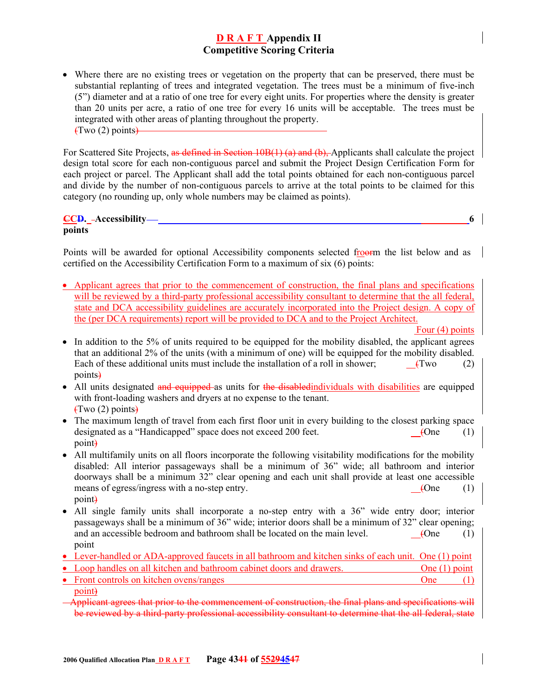• Where there are no existing trees or vegetation on the property that can be preserved, there must be substantial replanting of trees and integrated vegetation. The trees must be a minimum of five-inch (5") diameter and at a ratio of one tree for every eight units. For properties where the density is greater than 20 units per acre, a ratio of one tree for every 16 units will be acceptable. The trees must be integrated with other areas of planting throughout the property.  $(Two(2) points)$ 

For Scattered Site Projects, as defined in Section 10B(1) (a) and (b), Applicants shall calculate the project design total score for each non-contiguous parcel and submit the Project Design Certification Form for each project or parcel. The Applicant shall add the total points obtained for each non-contiguous parcel and divide by the number of non-contiguous parcels to arrive at the total points to be claimed for this category (no rounding up, only whole numbers may be claimed as points).

**CCD. Accessibility****6 points** 

Points will be awarded for optional Accessibility components selected froorm the list below and as certified on the Accessibility Certification Form to a maximum of six (6) points:

• Applicant agrees that prior to the commencement of construction, the final plans and specifications will be reviewed by a third-party professional accessibility consultant to determine that the all federal, state and DCA accessibility guidelines are accurately incorporated into the Project design. A copy of the (per DCA requirements) report will be provided to DCA and to the Project Architect.

Four (4) points

- In addition to the 5% of units required to be equipped for the mobility disabled, the applicant agrees that an additional 2% of the units (with a minimum of one) will be equipped for the mobility disabled. Each of these additional units must include the installation of a roll in shower:  $(Tw_0$  (2) points)
- All units designated and equipped as units for the disabled individuals with disabilities are equipped with front-loading washers and dryers at no expense to the tenant.  $(Two(2) points)$
- The maximum length of travel from each first floor unit in every building to the closest parking space designated as a "Handicapped" space does not exceed 200 feet.  $(1)$ point)
- All multifamily units on all floors incorporate the following visitability modifications for the mobility disabled: All interior passageways shall be a minimum of 36" wide; all bathroom and interior doorways shall be a minimum 32" clear opening and each unit shall provide at least one accessible means of egress/ingress with a no-step entry.  $(1)$ point)
- All single family units shall incorporate a no-step entry with a 36" wide entry door; interior passageways shall be a minimum of  $36$ " wide; interior doors shall be a minimum of  $32$ " clear opening; and an accessible bedroom and bathroom shall be located on the main level.  $(1)$ point
- Lever-handled or ADA-approved faucets in all bathroom and kitchen sinks of each unit. One (1) point
- Loop handles on all kitchen and bathroom cabinet doors and drawers. One (1) point
- Front controls on kitchen ovens/ranges  $\overline{O}$  (1) point)
- Applicant agrees that prior to the commencement of construction, the final plans and specifications will be reviewed by a third-party professional accessibility consultant to determine that the all federal, state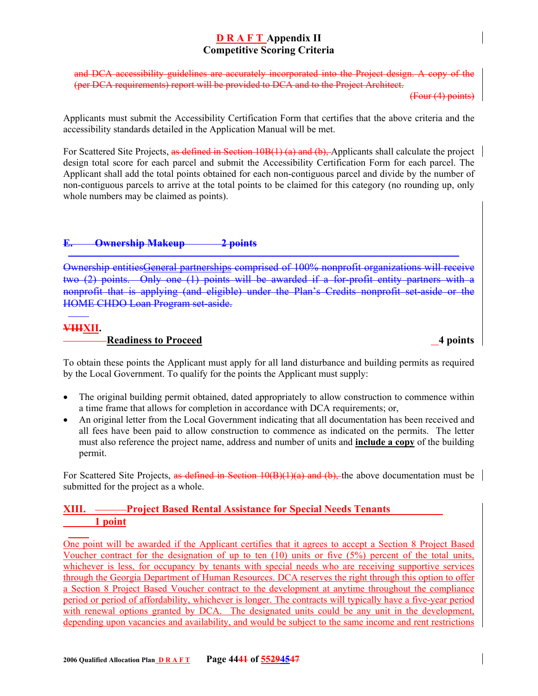and  $DCA$  accessibility guidelines are accurately incorporated into the Project design. A copy (per DCA requirements) report will be provided to DCA and to the Project Architect.

(Four (4) points)

Applicants must submit the Accessibility Certification Form that certifies that the above criteria and the accessibility standards detailed in the Application Manual will be met.

For Scattered Site Projects, as defined in Section 10B(1) (a) and (b). Applicants shall calculate the project design total score for each parcel and submit the Accessibility Certification Form for each parcel. The Applicant shall add the total points obtained for each non-contiguous parcel and divide by the number of non-contiguous parcels to arrive at the total points to be claimed for this category (no rounding up, only whole numbers may be claimed as points).

# **E. Ownership Makeup 2 points**

Ownership entitiesGeneral partnerships comprised of 100% nonprofit organizations will receive two (2) points. Only one (1) points will be awarded if a for-profit entity partners with a nonprofit that is applying (and eligible) under the Plan's Credits nonprofit set-aside or the HOME CHDO Loan Program set-aside.

# **VIIIXII.**

# **Readiness to Proceed 4 points**

To obtain these points the Applicant must apply for all land disturbance and building permits as required by the Local Government. To qualify for the points the Applicant must supply:

- The original building permit obtained, dated appropriately to allow construction to commence within a time frame that allows for completion in accordance with DCA requirements; or,
- An original letter from the Local Government indicating that all documentation has been received and all fees have been paid to allow construction to commence as indicated on the permits. The letter must also reference the project name, address and number of units and **include a copy** of the building permit.

For Scattered Site Projects, as defined in Section 10(B)(1)(a) and (b), the above documentation must be submitted for the project as a whole.

# **XIII. • Project Based Rental Assistance for Special Needs Tenants 1 point**

One point will be awarded if the Applicant certifies that it agrees to accept a Section 8 Project Based Voucher contract for the designation of up to ten  $(10)$  units or five  $(5%)$  percent of the total units, whichever is less, for occupancy by tenants with special needs who are receiving supportive services through the Georgia Department of Human Resources. DCA reserves the right through this option to offer a Section 8 Project Based Voucher contract to the development at anytime throughout the compliance period or period of affordability, whichever is longer. The contracts will typically have a five-year period with renewal options granted by DCA. The designated units could be any unit in the development, depending upon vacancies and availability, and would be subject to the same income and rent restrictions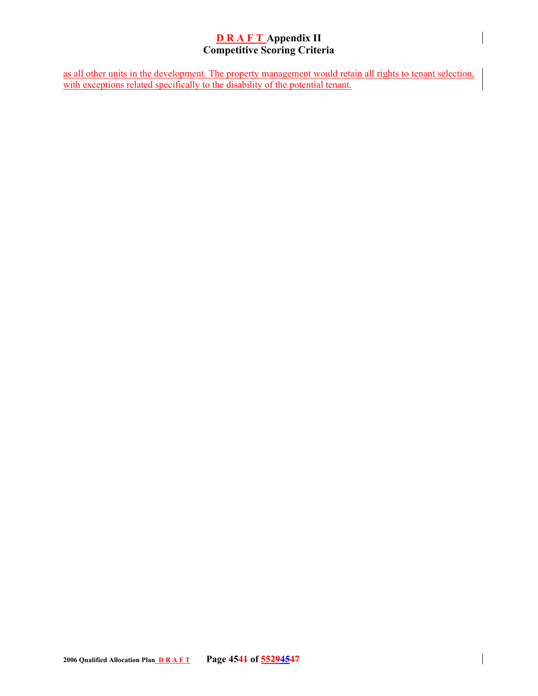as all other units in the development. The property management would retain all rights to tenant selection, with exceptions related specifically to the disability of the potential tenant.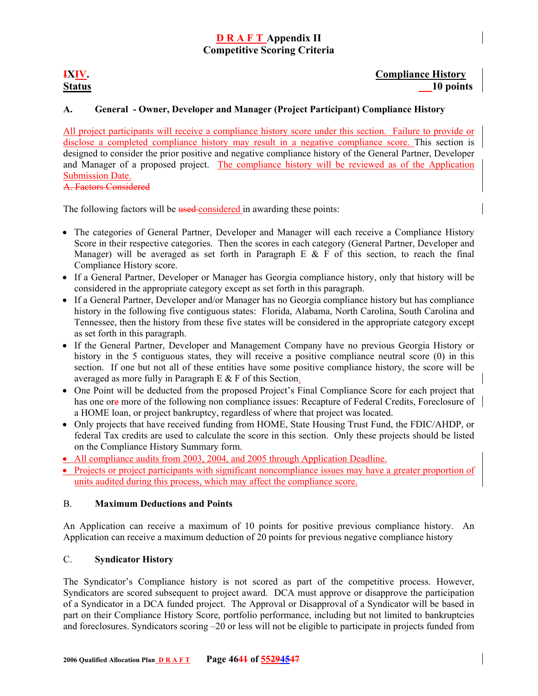# **IXIV.** Compliance History **Status 10 points**

# **A. General - Owner, Developer and Manager (Project Participant) Compliance History**

All project participants will receive a compliance history score under this section. Failure to provide or disclose a completed compliance history may result in a negative compliance score. This section is designed to consider the prior positive and negative compliance history of the General Partner, Developer and Manager of a proposed project. The compliance history will be reviewed as of the Application Submission Date. A. Factors Considered

The following factors will be used-considered in awarding these points:

- The categories of General Partner, Developer and Manager will each receive a Compliance History Score in their respective categories. Then the scores in each category (General Partner, Developer and Manager) will be averaged as set forth in Paragraph E  $\&$  F of this section, to reach the final Compliance History score.
- If a General Partner, Developer or Manager has Georgia compliance history, only that history will be considered in the appropriate category except as set forth in this paragraph.
- If a General Partner, Developer and/or Manager has no Georgia compliance history but has compliance history in the following five contiguous states: Florida, Alabama, North Carolina, South Carolina and Tennessee, then the history from these five states will be considered in the appropriate category except as set forth in this paragraph.
- If the General Partner, Developer and Management Company have no previous Georgia History or history in the 5 contiguous states, they will receive a positive compliance neutral score (0) in this section. If one but not all of these entities have some positive compliance history, the score will be averaged as more fully in Paragraph E & F of this Section.
- One Point will be deducted from the proposed Project's Final Compliance Score for each project that has one ore more of the following non compliance issues: Recapture of Federal Credits, Foreclosure of a HOME loan, or project bankruptcy, regardless of where that project was located.
- Only projects that have received funding from HOME, State Housing Trust Fund, the FDIC/AHDP, or federal Tax credits are used to calculate the score in this section. Only these projects should be listed on the Compliance History Summary form.
- All compliance audits from 2003, 2004, and 2005 through Application Deadline.
- Projects or project participants with significant noncompliance issues may have a greater proportion of units audited during this process, which may affect the compliance score.

#### B. **Maximum Deductions and Points**

An Application can receive a maximum of 10 points for positive previous compliance history. An Application can receive a maximum deduction of 20 points for previous negative compliance history

#### C. **Syndicator History**

The Syndicator's Compliance history is not scored as part of the competitive process. However, Syndicators are scored subsequent to project award. DCA must approve or disapprove the participation of a Syndicator in a DCA funded project. The Approval or Disapproval of a Syndicator will be based in part on their Compliance History Score, portfolio performance, including but not limited to bankruptcies and foreclosures. Syndicators scoring –20 or less will not be eligible to participate in projects funded from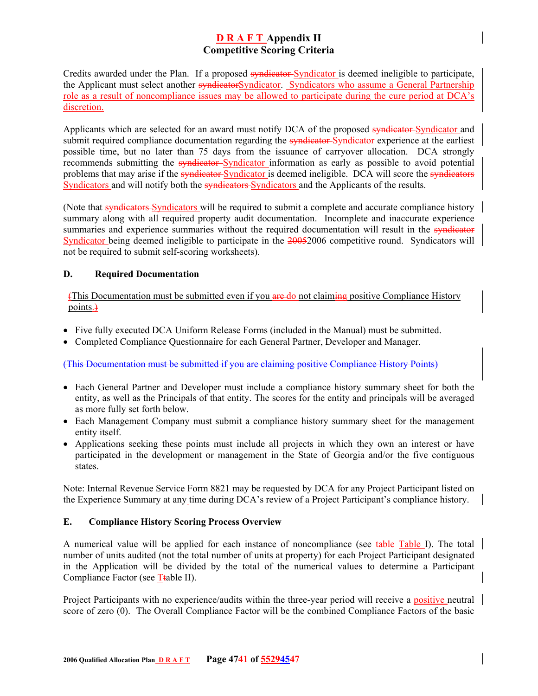Credits awarded under the Plan. If a proposed syndicator-Syndicator is deemed ineligible to participate, the Applicant must select another syndicatorSyndicator. Syndicators who assume a General Partnership role as a result of noncompliance issues may be allowed to participate during the cure period at DCA's discretion.

Applicants which are selected for an award must notify DCA of the proposed syndicator-Syndicator and submit required compliance documentation regarding the **syndicator** Syndicator experience at the earliest possible time, but no later than 75 days from the issuance of carryover allocation. DCA strongly recommends submitting the syndicator-Syndicator information as early as possible to avoid potential problems that may arise if the syndicator-Syndicator is deemed ineligible. DCA will score the syndicators Syndicators and will notify both the syndicators-Syndicators and the Applicants of the results.

(Note that syndicators Syndicators will be required to submit a complete and accurate compliance history summary along with all required property audit documentation. Incomplete and inaccurate experience summaries and experience summaries without the required documentation will result in the syndicator Syndicator being deemed ineligible to participate in the 20052006 competitive round. Syndicators will not be required to submit self-scoring worksheets).

### **D. Required Documentation**

(This Documentation must be submitted even if you are do not claiming positive Compliance History points.)

- Five fully executed DCA Uniform Release Forms (included in the Manual) must be submitted.
- Completed Compliance Questionnaire for each General Partner, Developer and Manager.

(This Documentation must be submitted if you are claiming positive Compliance History Points)

- Each General Partner and Developer must include a compliance history summary sheet for both the entity, as well as the Principals of that entity. The scores for the entity and principals will be averaged as more fully set forth below.
- Each Management Company must submit a compliance history summary sheet for the management entity itself.
- Applications seeking these points must include all projects in which they own an interest or have participated in the development or management in the State of Georgia and/or the five contiguous states.

Note: Internal Revenue Service Form 8821 may be requested by DCA for any Project Participant listed on the Experience Summary at any time during DCA's review of a Project Participant's compliance history.

#### **E. Compliance History Scoring Process Overview**

A numerical value will be applied for each instance of noncompliance (see table Table I). The total number of units audited (not the total number of units at property) for each Project Participant designated in the Application will be divided by the total of the numerical values to determine a Participant Compliance Factor (see Ttable II).

Project Participants with no experience/audits within the three-year period will receive a positive neutral score of zero (0). The Overall Compliance Factor will be the combined Compliance Factors of the basic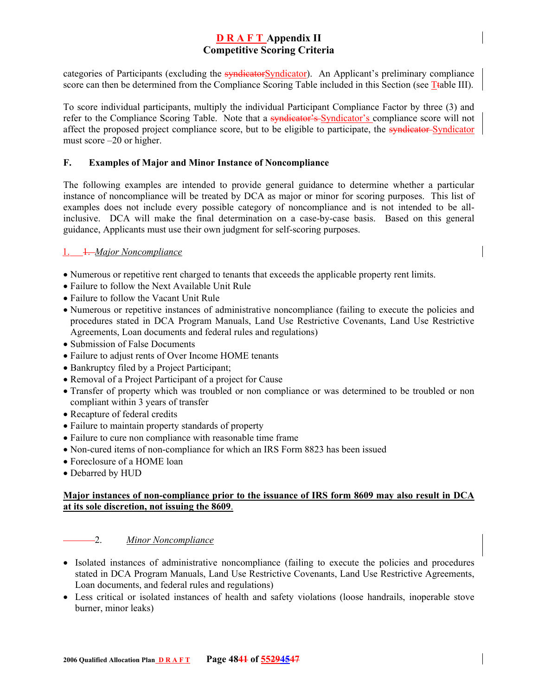categories of Participants (excluding the syndicatorSyndicator). An Applicant's preliminary compliance score can then be determined from the Compliance Scoring Table included in this Section (see Ttable III).

To score individual participants, multiply the individual Participant Compliance Factor by three (3) and refer to the Compliance Scoring Table. Note that a syndicator's Syndicator's compliance score will not affect the proposed project compliance score, but to be eligible to participate, the syndicator-Syndicator must score –20 or higher.

#### **F. Examples of Major and Minor Instance of Noncompliance**

The following examples are intended to provide general guidance to determine whether a particular instance of noncompliance will be treated by DCA as major or minor for scoring purposes. This list of examples does not include every possible category of noncompliance and is not intended to be allinclusive. DCA will make the final determination on a case-by-case basis. Based on this general guidance, Applicants must use their own judgment for self-scoring purposes.

### 1. 1. *Major Noncompliance*

- Numerous or repetitive rent charged to tenants that exceeds the applicable property rent limits.
- Failure to follow the Next Available Unit Rule
- Failure to follow the Vacant Unit Rule
- Numerous or repetitive instances of administrative noncompliance (failing to execute the policies and procedures stated in DCA Program Manuals, Land Use Restrictive Covenants, Land Use Restrictive Agreements, Loan documents and federal rules and regulations)
- Submission of False Documents
- Failure to adjust rents of Over Income HOME tenants
- Bankruptcy filed by a Project Participant;
- Removal of a Project Participant of a project for Cause
- Transfer of property which was troubled or non compliance or was determined to be troubled or non compliant within 3 years of transfer
- Recapture of federal credits
- Failure to maintain property standards of property
- Failure to cure non compliance with reasonable time frame
- Non-cured items of non-compliance for which an IRS Form 8823 has been issued
- Foreclosure of a HOME loan
- Debarred by HUD

#### **Major instances of non-compliance prior to the issuance of IRS form 8609 may also result in DCA at its sole discretion, not issuing the 8609**.

#### 2. *Minor Noncompliance*

- Isolated instances of administrative noncompliance (failing to execute the policies and procedures stated in DCA Program Manuals, Land Use Restrictive Covenants, Land Use Restrictive Agreements, Loan documents, and federal rules and regulations)
- Less critical or isolated instances of health and safety violations (loose handrails, inoperable stove burner, minor leaks)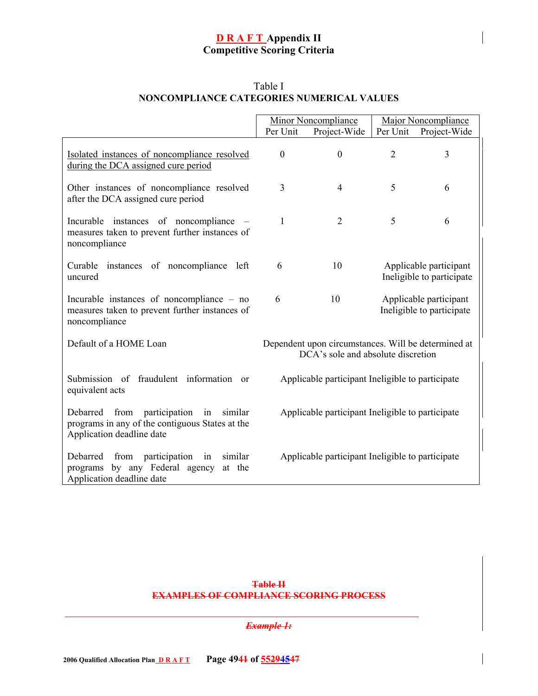|                                                                                                                                | Per Unit                                         | Minor Noncompliance<br>Project-Wide                                                       | Per Unit       | <b>Major Noncompliance</b><br>Project-Wide          |
|--------------------------------------------------------------------------------------------------------------------------------|--------------------------------------------------|-------------------------------------------------------------------------------------------|----------------|-----------------------------------------------------|
| Isolated instances of noncompliance resolved<br>during the DCA assigned cure period                                            | $\mathbf{0}$                                     | $\mathbf{0}$                                                                              | $\overline{2}$ | 3                                                   |
| Other instances of noncompliance resolved<br>after the DCA assigned cure period                                                | 3                                                | $\overline{4}$                                                                            | 5              | 6                                                   |
| Incurable instances of noncompliance<br>measures taken to prevent further instances of<br>noncompliance                        | 1                                                | $\overline{2}$                                                                            | 5              | 6                                                   |
| Curable instances of noncompliance left<br>uncured                                                                             | 6                                                | 10                                                                                        |                | Applicable participant<br>Ineligible to participate |
| Incurable instances of noncompliance – no<br>measures taken to prevent further instances of<br>noncompliance                   | 6                                                | 10                                                                                        |                | Applicable participant<br>Ineligible to participate |
| Default of a HOME Loan                                                                                                         |                                                  | Dependent upon circumstances. Will be determined at<br>DCA's sole and absolute discretion |                |                                                     |
| Submission of fraudulent information or<br>equivalent acts                                                                     | Applicable participant Ineligible to participate |                                                                                           |                |                                                     |
| from participation in similar<br>Debarred<br>programs in any of the contiguous States at the<br>Application deadline date      | Applicable participant Ineligible to participate |                                                                                           |                |                                                     |
| Debarred<br>participation<br>similar<br>from<br>in<br>by any Federal agency<br>at the<br>programs<br>Application deadline date |                                                  | Applicable participant Ineligible to participate                                          |                |                                                     |

# Table I **NONCOMPLIANCE CATEGORIES NUMERICAL VALUES**

#### **Table II EXAMPLES OF COMPLIANCE SCORING PROCESS**

#### *Example 1:*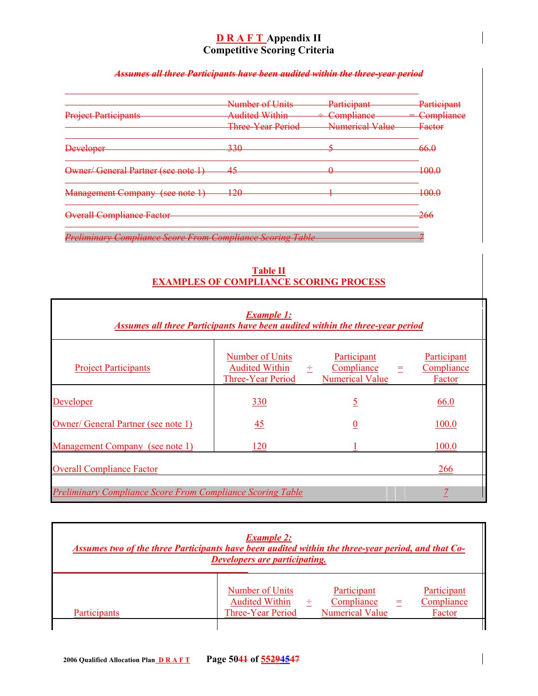# *Assumes all three Participants have been audited within the three-year period*

|                                                                   | Number of Units                                 | Particinant<br><del>i aitivipain</del>         | Participant       |
|-------------------------------------------------------------------|-------------------------------------------------|------------------------------------------------|-------------------|
| <b>Project Participants</b>                                       | Audited Within<br><del>Audited within</del>     | Compliance<br><del>othiipnance</del>           | Compliance        |
|                                                                   | Three Vear Period<br><del>nnee rear convu</del> | Numerical Value<br><b>INTERNATIONAL MARKET</b> | <del>Factor</del> |
| <b>Developer</b>                                                  | 330                                             |                                                | -66.0             |
| Owner/General Partner (see note 1)                                | 45<br>₩                                         | $\sqrt{2}$                                     | 100.0             |
| <b>Management Company (see note 1)</b><br>$1500$ Hote $17$        | 120<br>120                                      |                                                | 100.0             |
| <b>Overall Compliance Factor</b>                                  |                                                 |                                                | <del>266</del>    |
| <b>Preliminary Compliance Score From Compliance Scoring Table</b> |                                                 |                                                |                   |

**Table II EXAMPLES OF COMPLIANCE SCORING PROCESS**

| <b>Example 1:</b><br>Assumes all three Participants have been audited within the three-year period |                                                                      |  |                                                     |     |                                     |
|----------------------------------------------------------------------------------------------------|----------------------------------------------------------------------|--|-----------------------------------------------------|-----|-------------------------------------|
| <b>Project Participants</b>                                                                        | Number of Units<br>Audited Within $\div$<br><b>Three-Year Period</b> |  | Participant<br>Compliance<br><b>Numerical Value</b> | $=$ | Participant<br>Compliance<br>Factor |
| Developer                                                                                          | <u>330</u>                                                           |  | <u>5</u>                                            |     | 66.0                                |
| Owner/ General Partner (see note 1)                                                                | <u>45</u>                                                            |  | $\underline{0}$                                     |     | 100.0                               |
| Management Company (see note 1)                                                                    | 120                                                                  |  |                                                     |     | 100.0                               |
| <b>Overall Compliance Factor</b><br>266                                                            |                                                                      |  |                                                     |     |                                     |
| <b>Preliminary Compliance Score From Compliance Scoring Table</b>                                  |                                                                      |  |                                                     |     |                                     |

| <b>Example 2:</b><br>Assumes two of the three Participants have been audited within the three-year period, and that Co-<br><b>Developers are participating.</b> |                                                                                                                                                                    |  |  |
|-----------------------------------------------------------------------------------------------------------------------------------------------------------------|--------------------------------------------------------------------------------------------------------------------------------------------------------------------|--|--|
| Participants                                                                                                                                                    | Participant<br>Participant<br>Number of Units<br><b>Audited Within</b><br>Compliance<br>Compliance<br><b>Numerical Value</b><br><b>Three-Year Period</b><br>Factor |  |  |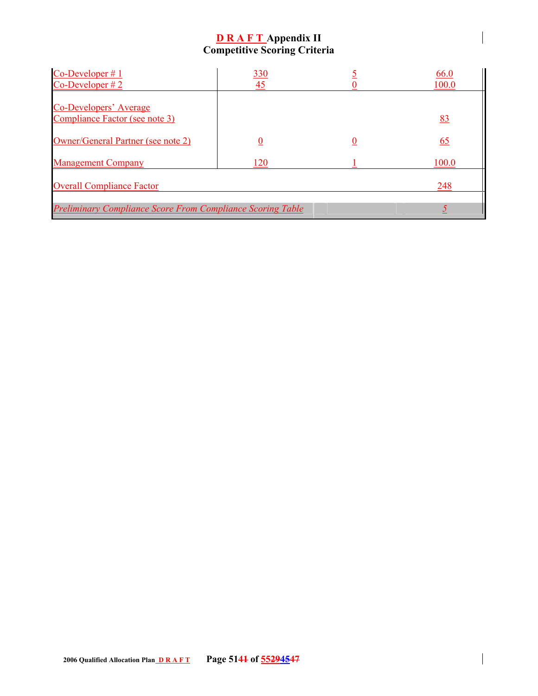| $Co-Developer \# 1$                                               | <u>330</u> |                  | 66.0  |
|-------------------------------------------------------------------|------------|------------------|-------|
| $Co-Developer \# 2$                                               | 45         |                  | 100.0 |
|                                                                   |            |                  |       |
| <b>Co-Developers' Average</b>                                     |            |                  |       |
| Compliance Factor (see note 3)                                    |            |                  | 83    |
|                                                                   |            |                  |       |
| Owner/General Partner (see note 2)                                | 0          | $\boldsymbol{0}$ | 65    |
|                                                                   |            |                  |       |
| <b>Management Company</b>                                         | 120        |                  | 100.0 |
|                                                                   |            |                  |       |
| <b>Overall Compliance Factor</b>                                  |            |                  | 248   |
|                                                                   |            |                  |       |
| <b>Preliminary Compliance Score From Compliance Scoring Table</b> |            |                  |       |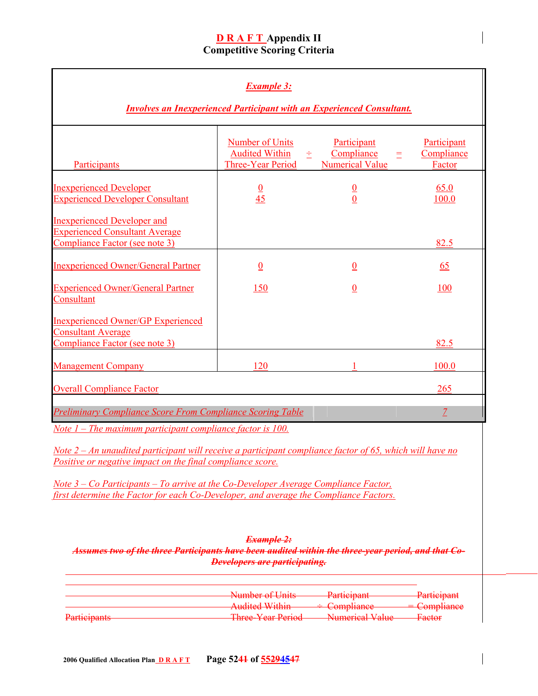| <b>Example 3:</b><br><b>Involves an Inexperienced Participant with an Experienced Consultant.</b>                                                                                                                                                                                                                                                                                                                                     |                                                                      |                                                                       |                                     |
|---------------------------------------------------------------------------------------------------------------------------------------------------------------------------------------------------------------------------------------------------------------------------------------------------------------------------------------------------------------------------------------------------------------------------------------|----------------------------------------------------------------------|-----------------------------------------------------------------------|-------------------------------------|
| Participants                                                                                                                                                                                                                                                                                                                                                                                                                          | <b>Number of Units</b><br><b>Audited Within</b><br>Three-Year Period | Participant<br>Compliance<br>士。<br>$\equiv$<br><b>Numerical Value</b> | Participant<br>Compliance<br>Factor |
| <b>Inexperienced Developer</b><br><b>Experienced Developer Consultant</b>                                                                                                                                                                                                                                                                                                                                                             | $\frac{0}{45}$                                                       | $\frac{0}{0}$                                                         | 65.0<br>100.0                       |
| <b>Inexperienced Developer and</b><br><b>Experienced Consultant Average</b><br>Compliance Factor (see note 3)                                                                                                                                                                                                                                                                                                                         |                                                                      |                                                                       | 82.5                                |
| <b>Inexperienced Owner/General Partner</b>                                                                                                                                                                                                                                                                                                                                                                                            | $\underline{0}$                                                      | $\underline{0}$                                                       | 65                                  |
| <b>Experienced Owner/General Partner</b><br>Consultant                                                                                                                                                                                                                                                                                                                                                                                | 150                                                                  | $\underline{0}$                                                       | 100                                 |
| <b>Inexperienced Owner/GP Experienced</b><br>Consultant Average<br>Compliance Factor (see note 3)                                                                                                                                                                                                                                                                                                                                     |                                                                      |                                                                       | 82.5                                |
| <b>Management Company</b>                                                                                                                                                                                                                                                                                                                                                                                                             | 120                                                                  |                                                                       | 100.0                               |
| <b>Overall Compliance Factor</b>                                                                                                                                                                                                                                                                                                                                                                                                      |                                                                      |                                                                       | 265                                 |
| <b>Preliminary Compliance Score From Compliance Scoring Table</b>                                                                                                                                                                                                                                                                                                                                                                     |                                                                      |                                                                       | $\overline{Z}$                      |
| Note $1$ – The maximum participant compliance factor is 100.<br><u>Note 2 – An unaudited participant will receive a participant compliance factor of 65, which will have no</u><br>Positive or negative impact on the final compliance score.<br><u> Note 3 – Co Participants – To arrive at the Co-Developer Average Compliance Factor,</u><br>first determine the Factor for each Co-Developer, and average the Compliance Factors. |                                                                      |                                                                       |                                     |
| <b>Example 2:</b><br>Assumes two of the three Participants have been audited within the three-year period, and that Co-<br><b>Developers are participating.</b>                                                                                                                                                                                                                                                                       |                                                                      |                                                                       |                                     |

|                       | Number of Unite                                  | <b>Darticipant</b>                       | <b>Darticipant</b>      |
|-----------------------|--------------------------------------------------|------------------------------------------|-------------------------|
|                       | <b>PERSONAL VALUATION</b>                        | <b>T GELLOT AGEL</b>                     | <del>rannonyam</del>    |
|                       | Audited Within<br><b>TARRISTAN DE VASTRILIDE</b> | $\pm$ Compliance<br>$\overline{\text{}}$ | <del>= Compliance</del> |
| <b>Darticipants</b>   | Throa Voor Doriad                                | Mumorical Value                          | $\Gamma$ aetor          |
| <b>THEFT OF BEERS</b> | <b>THE CONTROL BUILDING</b>                      | <b>PERSONAL PROPERTY AND RELEASE</b>     | 10000                   |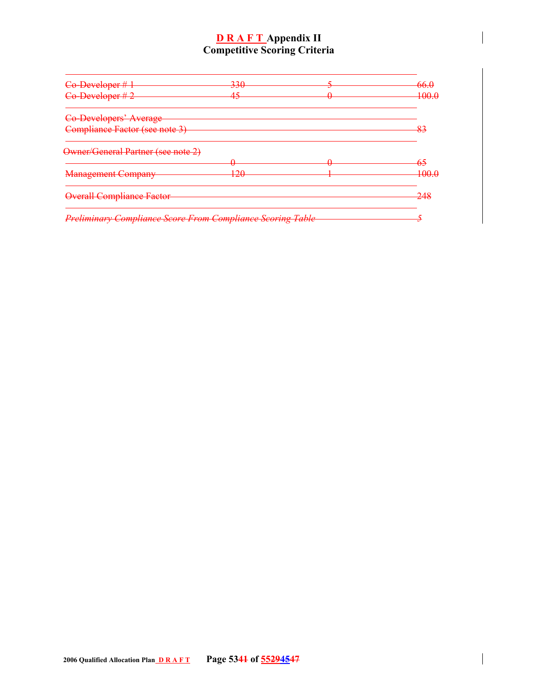| Co-Developer #1                                                   | <u>220</u><br><del>330</del> |             | <del>66.0</del>               |
|-------------------------------------------------------------------|------------------------------|-------------|-------------------------------|
| Co-Developer #2                                                   | 15<br>᠇ᢖ                     | $\bm{\tau}$ | 1ሰሰ ሰ<br><del>nuu.u</del>     |
| Co-Developers' Average                                            |                              |             |                               |
| Compliance Factor (see note 3)                                    |                              |             | Q٥<br>$\overline{\mathbf{C}}$ |
| Owner/General Partner (see note 2)                                |                              |             |                               |
|                                                                   |                              |             | -65                           |
| <b>Management Company</b>                                         | 120<br>170                   |             | 1ሰሰ ሰ<br><b>INVAVALU</b>      |
| <b>Overall Compliance Factor</b>                                  |                              |             | 24s                           |
| <b>Preliminary Compliance Score From Compliance Scoring Table</b> |                              |             |                               |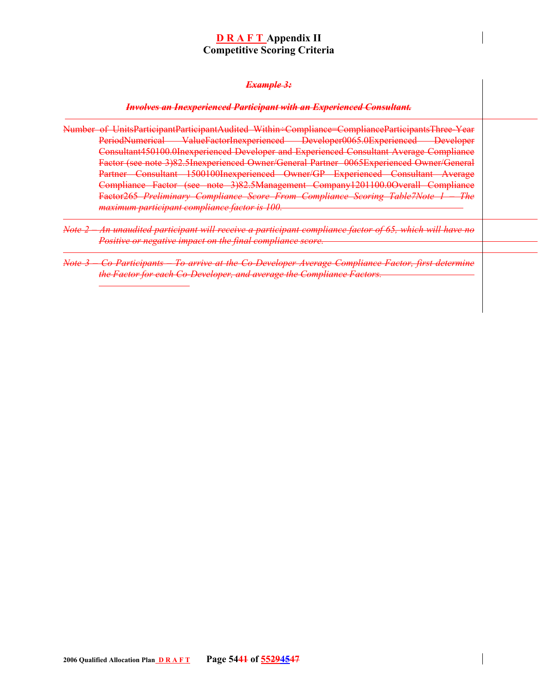#### *Example 3:*

#### *Involves an Inexperienced Participant with an Experienced Consultant.*

- Number of UnitsParticipantParticipantAudited Within÷Compliance=ComplianceParticipantsThree-Year PeriodNumerical ValueFactorInexperienced Developer0065.0Experienced Developer Consultant450100.0Inexperienced Developer and Experienced Consultant Average Compliance Factor (see note 3)82.5Inexperienced Owner/General Partner 0065Experienced Owner/General Partner Consultant 1500100Inexperienced Owner/GP Experienced Consultant Average Compliance Factor (see note 3)82.5Management Company1201100.0Overall Compliance Factor265 *Preliminary Compliance Score From Compliance Scoring Table7Note 1 – The maximum participant compliance factor is 100.*
- *Note 2 An unaudited participant will receive a participant compliance factor of 65, which will have no Positive or negative impact on the final compliance score.*
- *Note 3 Co Participants To arrive at the Co-Developer Average Compliance Factor, first determine the Factor for each Co-Developer, and average the Compliance Factors.*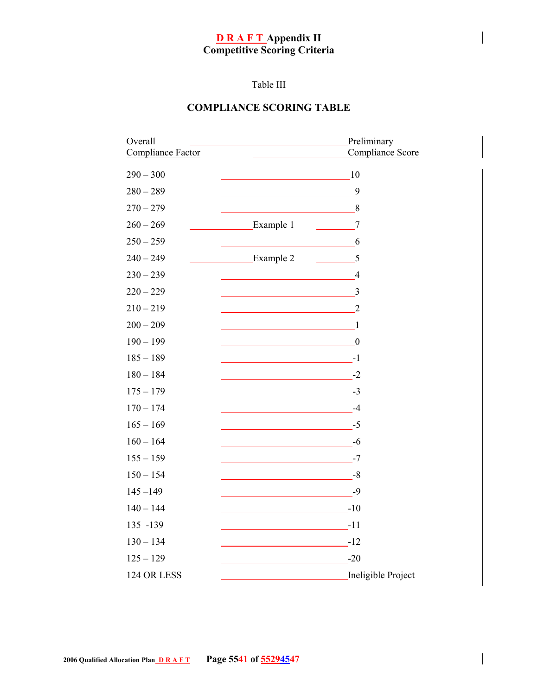# Table III

# **COMPLIANCE SCORING TABLE**

| Overall           | Preliminary                                                |
|-------------------|------------------------------------------------------------|
| Compliance Factor | Compliance Score                                           |
| $290 - 300$       | 10                                                         |
| $280 - 289$       | 9                                                          |
| $270 - 279$       | 8                                                          |
| $260 - 269$       | Example 1<br>$7\phantom{.0}$                               |
| $250 - 259$       | 6                                                          |
| $240 - 249$       | Example 2<br>5                                             |
| $230 - 239$       | $\overline{4}$                                             |
| $220 - 229$       | 3                                                          |
| $210 - 219$       | $\overline{2}$                                             |
| $200 - 209$       | $\overline{1}$<br><u> 1989 - Johann Barbara, martin di</u> |
| $190 - 199$       | $\boldsymbol{0}$                                           |
| $185 - 189$       | $\overline{\phantom{a} \phantom{a} \phantom{a}}$ -1        |
| $180 - 184$       | $-2$                                                       |
| $175 - 179$       |                                                            |
| $170 - 174$       |                                                            |
| $165 - 169$       | $-5$                                                       |
| $160 - 164$       | $-6$                                                       |
| $155 - 159$       | $-7$                                                       |
| $150 - 154$       | $-8$                                                       |
| $145 - 149$       | -9                                                         |
| $140 - 144$       |                                                            |
| 135 -139          | $\frac{1}{\sqrt{1-\frac{1}{2}}}\cdot 11$                   |
| $130 - 134$       | $\overline{\phantom{1}}$ -12                               |
| $125 - 129$       | $-20$                                                      |
| 124 OR LESS       | Ineligible Project                                         |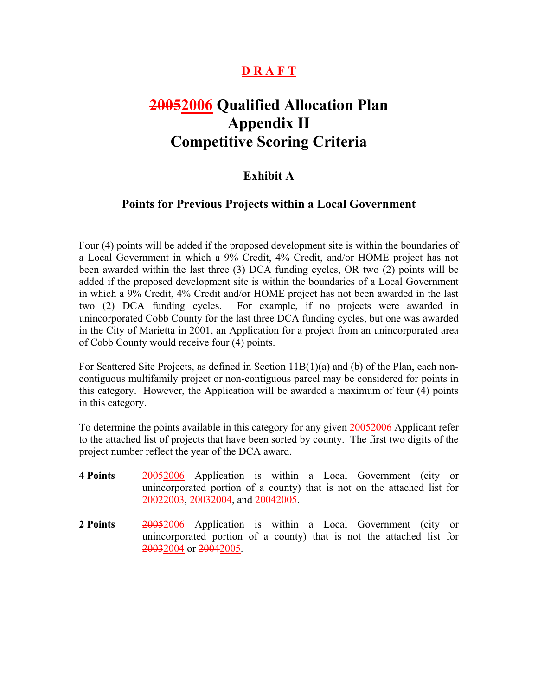# **D R A F T**

# **20052006 Qualified Allocation Plan Appendix II Competitive Scoring Criteria**

# **Exhibit A**

# **Points for Previous Projects within a Local Government**

Four (4) points will be added if the proposed development site is within the boundaries of a Local Government in which a 9% Credit, 4% Credit, and/or HOME project has not been awarded within the last three (3) DCA funding cycles, OR two (2) points will be added if the proposed development site is within the boundaries of a Local Government in which a 9% Credit, 4% Credit and/or HOME project has not been awarded in the last two (2) DCA funding cycles. For example, if no projects were awarded in unincorporated Cobb County for the last three DCA funding cycles, but one was awarded in the City of Marietta in 2001, an Application for a project from an unincorporated area of Cobb County would receive four (4) points.

For Scattered Site Projects, as defined in Section 11B(1)(a) and (b) of the Plan, each noncontiguous multifamily project or non-contiguous parcel may be considered for points in this category. However, the Application will be awarded a maximum of four (4) points in this category.

To determine the points available in this category for any given 20052006 Applicant refer to the attached list of projects that have been sorted by county. The first two digits of the project number reflect the year of the DCA award.

- **4 Points** 20052006 Application is within a Local Government (city or unincorporated portion of a county) that is not on the attached list for 20022003, 20032004, and 20042005.
- **2 Points** 20052006 Application is within a Local Government (city or unincorporated portion of a county) that is not the attached list for 20032004 or 20042005.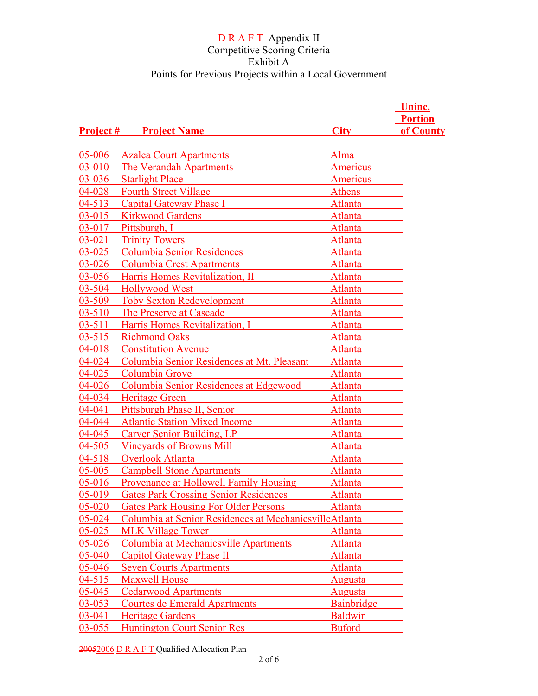|            |                                                        |                   | Uninc.         |
|------------|--------------------------------------------------------|-------------------|----------------|
|            |                                                        |                   | <b>Portion</b> |
|            | <b>Project # Project Name</b>                          | <b>City</b>       | of County      |
|            |                                                        |                   |                |
| 05-006     | <b>Azalea Court Apartments</b>                         | Alma              |                |
| 03-010     | The Verandah Apartments                                | Americus          |                |
| 03-036     | <b>Starlight Place</b>                                 | Americus          |                |
| 04-028     | <b>Fourth Street Village</b>                           | Athens            |                |
| $04 - 513$ | <b>Capital Gateway Phase I</b>                         | Atlanta           |                |
| $03 - 015$ | <b>Kirkwood Gardens</b>                                | Atlanta           |                |
| 03-017     | Pittsburgh, I                                          | Atlanta           |                |
| $03 - 021$ | <b>Trinity Towers</b>                                  | Atlanta           |                |
| $03 - 025$ | <b>Columbia Senior Residences</b>                      | Atlanta           |                |
| 03-026     | <b>Columbia Crest Apartments</b>                       | Atlanta           |                |
| 03-056     | Harris Homes Revitalization, II                        | Atlanta           |                |
| 03-504     | <b>Hollywood West</b>                                  | Atlanta           |                |
| 03-509     | <b>Toby Sexton Redevelopment</b>                       | Atlanta           |                |
| $03 - 510$ | The Preserve at Cascade                                | Atlanta           |                |
| $03 - 511$ | Harris Homes Revitalization, I                         | Atlanta           |                |
| $03 - 515$ | <b>Richmond Oaks</b>                                   | Atlanta           |                |
| 04-018     | <b>Constitution Avenue</b>                             | Atlanta           |                |
| 04-024     | Columbia Senior Residences at Mt. Pleasant             | Atlanta           |                |
| $04 - 025$ | Columbia Grove                                         | Atlanta           |                |
| 04-026     | Columbia Senior Residences at Edgewood                 | <b>Atlanta</b>    |                |
| 04-034     | <b>Heritage Green</b>                                  | Atlanta           |                |
| 04-041     | Pittsburgh Phase II, Senior                            | Atlanta           |                |
| 04-044     | <b>Atlantic Station Mixed Income</b>                   | Atlanta           |                |
| 04-045     | Carver Senior Building, LP                             | Atlanta           |                |
| 04-505     | <b>Vineyards of Browns Mill</b>                        | Atlanta           |                |
| $04 - 518$ | <b>Overlook Atlanta</b>                                | Atlanta           |                |
| 05-005     | <b>Campbell Stone Apartments</b>                       | Atlanta           |                |
| $05 - 016$ | Provenance at Hollowell Family Housing                 | Atlanta           |                |
| $05 - 019$ | <b>Gates Park Crossing Senior Residences</b>           | Atlanta           |                |
| 05-020     | <b>Gates Park Housing For Older Persons</b>            | Atlanta           |                |
| 05-024     | Columbia at Senior Residences at MechanicsvilleAtlanta |                   |                |
| 05-025     | <b>MLK Village Tower</b>                               | Atlanta           |                |
| 05-026     | Columbia at Mechanicsville Apartments                  | Atlanta           |                |
| 05-040     | Capitol Gateway Phase II                               | Atlanta           |                |
| 05-046     | <b>Seven Courts Apartments</b>                         | Atlanta           |                |
| $04 - 515$ | <b>Maxwell House</b>                                   | <b>Augusta</b>    |                |
| 05-045     | <b>Cedarwood Apartments</b>                            | Augusta           |                |
| 03-053     | Courtes de Emerald Apartments                          | <b>Bainbridge</b> |                |
| 03-041     | <b>Heritage Gardens</b>                                | <b>Baldwin</b>    |                |
| $03 - 055$ | <b>Huntington Court Senior Res</b>                     | <b>Buford</b>     |                |
|            |                                                        |                   |                |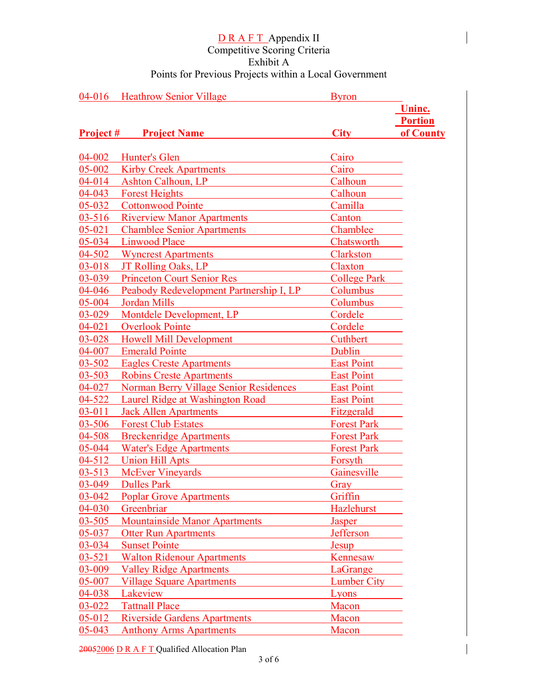|                  | 04-016 Heathrow Senior Village                | <b>Byron</b>        |                |
|------------------|-----------------------------------------------|---------------------|----------------|
|                  |                                               |                     | Uninc.         |
|                  |                                               |                     | <b>Portion</b> |
| <b>Project #</b> | <b>Project Name</b>                           | <b>City</b>         | of County      |
|                  |                                               |                     |                |
| 04-002           | Hunter's Glen                                 | Cairo               |                |
| 05-002           | <b>Kirby Creek Apartments</b>                 | Cairo               |                |
| 04-014           | <b>Ashton Calhoun, LP</b>                     | Calhoun             |                |
| 04-043           | <b>Forest Heights</b>                         | Calhoun             |                |
| 05-032           | <b>Cottonwood Pointe</b>                      | Camilla             |                |
| $03 - 516$       | <b>Riverview Manor Apartments</b>             | Canton              |                |
| $05 - 021$       | <b>Chamblee Senior Apartments</b>             | Chamblee            |                |
| 05-034           | <b>Linwood Place</b>                          | Chatsworth          |                |
| 04-502           | <b>Wyncrest Apartments</b>                    | Clarkston           |                |
| 03-018           | JT Rolling Oaks, LP                           | Claxton             |                |
| 03-039           | <b>Princeton Court Senior Res</b>             | <b>College Park</b> |                |
| 04-046           | Peabody Redevelopment Partnership I, LP       | Columbus            |                |
| 05-004           | <b>Jordan Mills</b>                           | Columbus            |                |
| 03-029           | Montdele Development, LP                      | Cordele             |                |
| 04-021           | <b>Overlook Pointe</b>                        | Cordele             |                |
| 03-028           | <b>Howell Mill Development</b>                | Cuthbert            |                |
| 04-007           | <b>Emerald Pointe</b>                         | Dublin              |                |
| 03-502           | <b>Eagles Creste Apartments</b>               | <b>East Point</b>   |                |
| $03 - 503$       | <b>Robins Creste Apartments</b>               | <b>East Point</b>   |                |
| 04-027           | <b>Norman Berry Village Senior Residences</b> | <b>East Point</b>   |                |
| 04-522           | Laurel Ridge at Washington Road               | <b>East Point</b>   |                |
| $03 - 011$       | <b>Jack Allen Apartments</b>                  | Fitzgerald          |                |
| $03 - 506$       | <b>Forest Club Estates</b>                    | <b>Forest Park</b>  |                |
| 04-508           | <b>Breckenridge Apartments</b>                | <b>Forest Park</b>  |                |
| 05-044           | <b>Water's Edge Apartments</b>                | <b>Forest Park</b>  |                |
| 04-512           | <b>Union Hill Apts</b>                        | Forsyth             |                |
| $03 - 513$       | <b>McEver Vineyards</b>                       | Gainesville         |                |
| 03-049           | <b>Dulles Park</b>                            | Gray                |                |
| $03 - 042$       | <b>Poplar Grove Apartments</b>                | <b>Griffin</b>      |                |
| 04-030           | Greenbriar                                    | Hazlehurst          |                |
| 03-505           | <b>Mountainside Manor Apartments</b>          | Jasper              |                |
| $05 - 037$       | <b>Otter Run Apartments</b>                   | Jefferson           |                |
| 03-034           | <b>Sunset Pointe</b>                          | Jesup               |                |
| $03 - 521$       | <b>Walton Ridenour Apartments</b>             | Kennesaw            |                |
| 03-009           | <b>Valley Ridge Apartments</b>                | LaGrange            |                |
| 05-007           | <b>Village Square Apartments</b>              | Lumber City         |                |
| 04-038           | Lakeview                                      | Lyons               |                |
| 03-022           | <b>Tattnall Place</b>                         | Macon               |                |
| 05-012           | <b>Riverside Gardens Apartments</b>           | Macon               |                |
| 05-043           | <b>Anthony Arms Apartments</b>                | Macon               |                |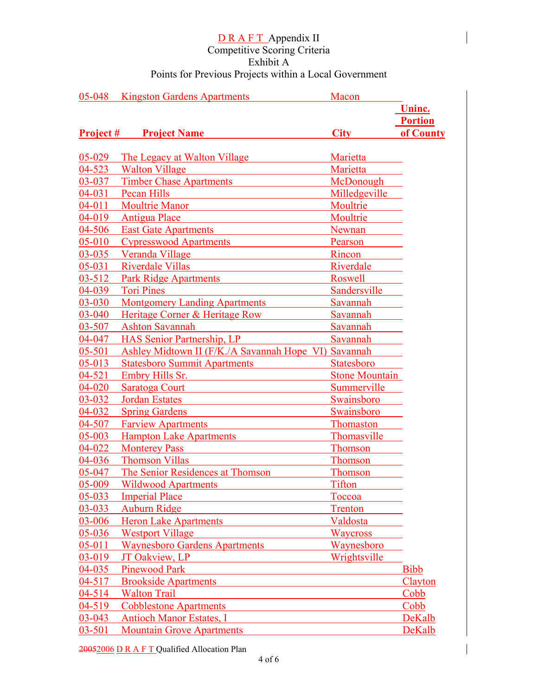| 05-048           | <b>Kingston Gardens Apartments</b>                   | Macon          |                |
|------------------|------------------------------------------------------|----------------|----------------|
|                  |                                                      |                | Uninc.         |
|                  |                                                      |                | <b>Portion</b> |
| <b>Project #</b> | <b>Project Name</b>                                  | <b>City</b>    | of County      |
|                  |                                                      |                |                |
| $05 - 029$       | The Legacy at Walton Village                         | Marietta       |                |
| 04-523           | <b>Walton Village</b>                                | Marietta       |                |
| 03-037           | <b>Timber Chase Apartments</b>                       | McDonough      |                |
| $04 - 031$       | Pecan Hills                                          | Milledgeville  |                |
| $04 - 011$       | <b>Moultrie Manor</b>                                | Moultrie       |                |
| 04-019           | <b>Antigua Place</b>                                 | Moultrie       |                |
| 04-506           | <b>East Gate Apartments</b>                          | <b>Newnan</b>  |                |
| 05-010           | <b>Cypresswood Apartments</b>                        | Pearson        |                |
| 03-035           | Veranda Village                                      | Rincon         |                |
| 05-031           | <b>Riverdale Villas</b>                              | Riverdale      |                |
| $03 - 512$       | <b>Park Ridge Apartments</b>                         | Roswell        |                |
| $04 - 039$       | <b>Tori Pines</b>                                    | Sandersville   |                |
| 03-030           | <b>Montgomery Landing Apartments</b>                 | Savannah       |                |
| 03-040           | Heritage Corner & Heritage Row                       | Savannah       |                |
| 03-507           | <b>Ashton Savannah</b>                               | Savannah       |                |
| 04-047           | <b>HAS Senior Partnership, LP</b>                    | Savannah       |                |
| $05 - 501$       | Ashley Midtown II (F/K./A Savannah Hope VI) Savannah |                |                |
| $05 - 013$       | <b>Statesboro Summit Apartments</b>                  | Statesboro     |                |
| $04 - 521$       | Embry Hills Sr.                                      | Stone Mountain |                |
| 04-020           | Saratoga Court                                       | Summerville    |                |
| 03-032           | <b>Jordan Estates</b>                                | Swainsboro     |                |
| $04 - 032$       | <b>Spring Gardens</b>                                | Swainsboro     |                |
| 04-507           | <b>Farview Apartments</b>                            | Thomaston      |                |
| 05-003           | <b>Hampton Lake Apartments</b>                       | Thomasville    |                |
| 04-022           | <b>Monterey Pass</b>                                 | Thomson        |                |
| 04-036           | <b>Thomson Villas</b>                                | Thomson        |                |
| 05-047           | The Senior Residences at Thomson                     | Thomson        |                |
| $05 - 009$       | <b>Wildwood Apartments</b>                           | <b>Tifton</b>  |                |
| 05-033           | <b>Imperial Place</b>                                | Toccoa         |                |
| 03-033           | <b>Auburn Ridge</b>                                  | Trenton        |                |
| 03-006           | <b>Heron Lake Apartments</b>                         | Valdosta       |                |
| 05-036           | <b>Westport Village</b>                              | Waycross       |                |
| 05-011           | <b>Waynesboro Gardens Apartments</b>                 | Waynesboro     |                |
| 03-019           | JT Oakview, LP                                       | Wrightsville   |                |
| 04-035           | <b>Pinewood Park</b>                                 |                | <b>Bibb</b>    |
| 04-517           | <b>Brookside Apartments</b>                          |                | Clayton        |
| $04 - 514$       | <b>Walton Trail</b>                                  |                | Cobb           |
| 04-519           | <b>Cobblestone Apartments</b>                        |                | Cobb           |
| 03-043           | <b>Antioch Manor Estates, I</b>                      |                | DeKalb         |
| 03-501           | <b>Mountain Grove Apartments</b>                     |                | DeKalb         |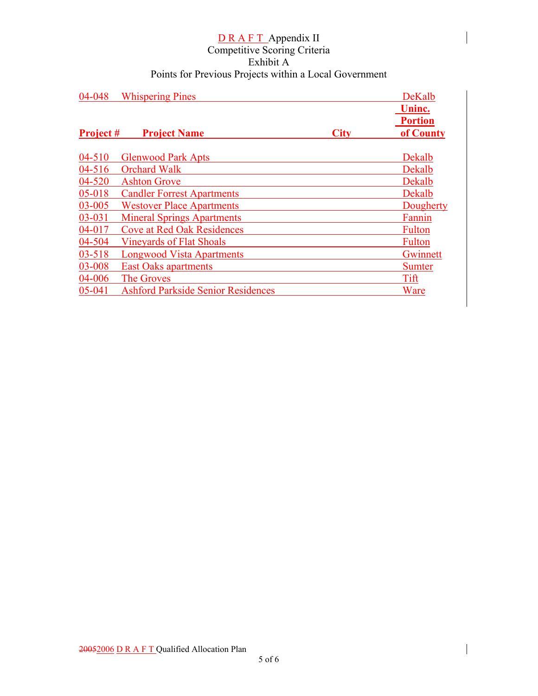| 04-048           | <b>Whispering Pines</b>                   |             | DeKalb<br>Uninc.            |
|------------------|-------------------------------------------|-------------|-----------------------------|
| <b>Project #</b> | <b>Project Name</b>                       | <b>City</b> | <b>Portion</b><br>of County |
| $04 - 510$       | <b>Glenwood Park Apts</b>                 |             | Dekalb                      |
| 04-516           | <b>Orchard Walk</b>                       |             | Dekalb                      |
| 04-520           | <b>Ashton Grove</b>                       |             | Dekalb                      |
| 05-018           | <b>Candler Forrest Apartments</b>         |             | Dekalb                      |
| 03-005           | <b>Westover Place Apartments</b>          |             | Dougherty                   |
| 03-031           | <b>Mineral Springs Apartments</b>         |             | Fannin                      |
| 04-017           | <b>Cove at Red Oak Residences</b>         |             | <b>Fulton</b>               |
| 04-504           | <b>Vineyards of Flat Shoals</b>           |             | <b>Fulton</b>               |
| 03-518           | <b>Longwood Vista Apartments</b>          |             | Gwinnett                    |
| 03-008           | <b>East Oaks apartments</b>               |             | <b>Sumter</b>               |
| 04-006           | The Groves                                |             | Tift                        |
| 05-041           | <b>Ashford Parkside Senior Residences</b> |             | Ware                        |

 $\overline{\phantom{a}}$